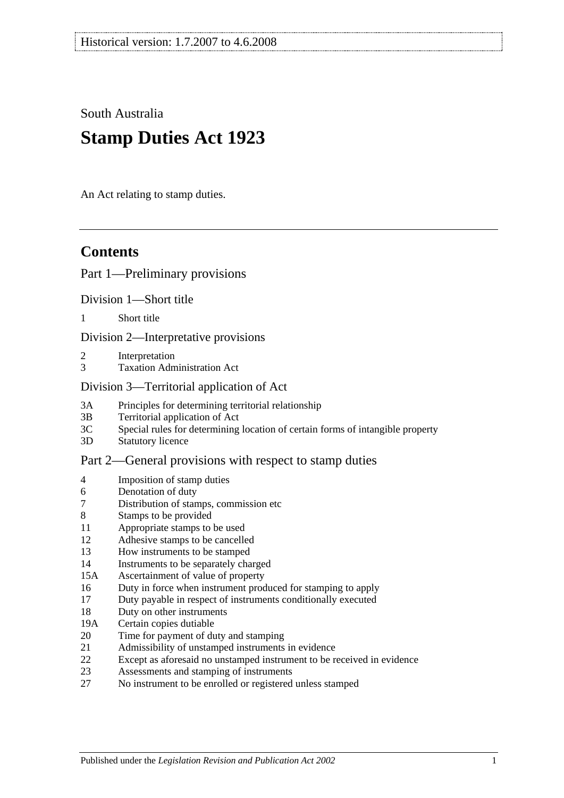South Australia

# **Stamp Duties Act 1923**

An Act relating to stamp duties.

# **Contents**

## [Part 1—Preliminary provisions](#page-6-0)

[Division 1—Short title](#page-6-1)

1 [Short title](#page-6-2)

[Division 2—Interpretative provisions](#page-6-3)

- 2 [Interpretation](#page-6-4)
- 3 [Taxation Administration Act](#page-9-0)

### [Division 3—Territorial application of Act](#page-9-1)

- 3A [Principles for determining territorial relationship](#page-9-2)
- 3B [Territorial application of Act](#page-10-0)
- 3C [Special rules for determining location of certain forms of intangible property](#page-10-1)
- 3D [Statutory licence](#page-11-0)

## [Part 2—General provisions with respect to stamp duties](#page-12-0)

- 4 [Imposition of stamp duties](#page-12-1)
- 6 [Denotation of duty](#page-12-2)
- 7 [Distribution of stamps, commission etc](#page-12-3)
- 8 [Stamps to be provided](#page-12-4)
- 11 [Appropriate stamps to be used](#page-12-5)
- 12 [Adhesive stamps to be cancelled](#page-13-0)
- 13 [How instruments to be stamped](#page-13-1)
- 14 [Instruments to be separately charged](#page-13-2)
- 15A [Ascertainment of value of property](#page-13-3)
- 16 [Duty in force when instrument produced for stamping to apply](#page-14-0)
- 17 [Duty payable in respect of instruments conditionally executed](#page-14-1)
- 18 [Duty on other instruments](#page-14-2)
- 19A [Certain copies dutiable](#page-14-3)
- 20 [Time for payment of duty and stamping](#page-15-0)
- 21 [Admissibility of unstamped instruments in evidence](#page-15-1)
- 22 [Except as aforesaid no unstamped instrument to be received in evidence](#page-15-2)
- 23 [Assessments and stamping of instruments](#page-16-0)
- 27 [No instrument to be enrolled or registered unless stamped](#page-16-1)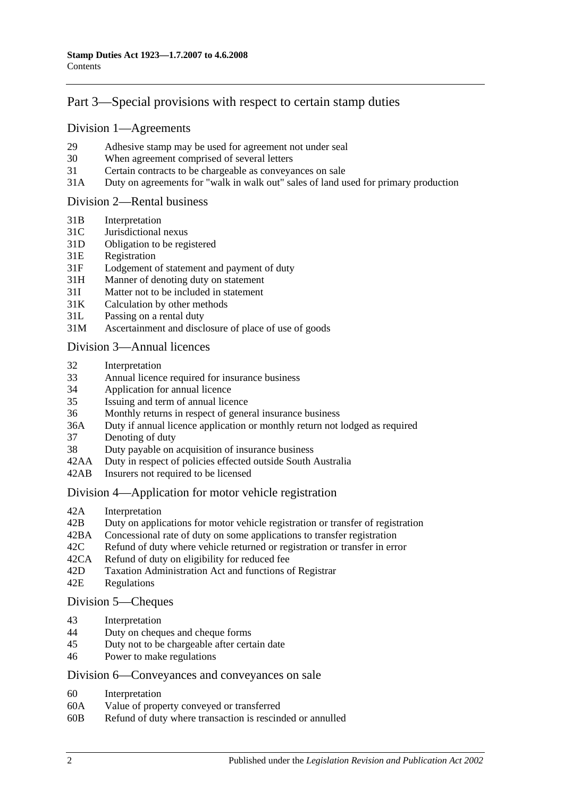# [Part 3—Special provisions with respect to certain stamp duties](#page-18-0)

#### [Division 1—Agreements](#page-18-1)

- 29 [Adhesive stamp may be used for agreement not under seal](#page-18-2)
- 30 [When agreement comprised of several letters](#page-18-3)
- 31 [Certain contracts to be chargeable as conveyances on sale](#page-18-4)
- 31A [Duty on agreements for "walk in walk out" sales of land used for primary production](#page-19-0)

#### [Division 2—Rental business](#page-19-1)

- 31B [Interpretation](#page-19-2)
- 31C [Jurisdictional nexus](#page-21-0)
- 31D [Obligation to be registered](#page-21-1)
- 31E [Registration](#page-21-2)
- 31F [Lodgement of statement and payment of duty](#page-21-3)
- 31H [Manner of denoting duty on statement](#page-23-0)
- 31I [Matter not to be included in statement](#page-23-1)
- 31K [Calculation by other methods](#page-24-0)
- 31L [Passing on a rental duty](#page-25-0)
- 31M [Ascertainment and disclosure of place of use of goods](#page-25-1)

#### [Division 3—Annual licences](#page-26-0)

- 32 [Interpretation](#page-26-1)
- 33 [Annual licence required for insurance business](#page-27-0)
- 34 [Application for annual licence](#page-27-1)
- 35 [Issuing and term of annual licence](#page-27-2)
- 36 [Monthly returns in respect of general insurance business](#page-27-3)
- 36A [Duty if annual licence application or monthly return not lodged as required](#page-28-0)
- 37 [Denoting of duty](#page-28-1)
- 38 [Duty payable on acquisition of insurance business](#page-28-2)
- 42AA [Duty in respect of policies effected outside South Australia](#page-28-3)
- 42AB [Insurers not required to be licensed](#page-29-0)

#### [Division 4—Application for motor vehicle registration](#page-29-1)

- 42A [Interpretation](#page-29-2)
- 42B [Duty on applications for motor vehicle registration or transfer of registration](#page-30-0)
- 42BA [Concessional rate of duty on some applications to transfer registration](#page-32-0)
- 42C [Refund of duty where vehicle returned or registration or transfer in error](#page-33-0)
- 42CA [Refund of duty on eligibility for reduced fee](#page-33-1)
- 42D [Taxation Administration Act and functions of Registrar](#page-33-2)
- 42E [Regulations](#page-33-3)

#### [Division 5—Cheques](#page-34-0)

- 43 [Interpretation](#page-34-1)<br>44 Duty on cheque
- [Duty on cheques and cheque forms](#page-34-2)
- 45 [Duty not to be chargeable after certain date](#page-35-0)
- 46 [Power to make regulations](#page-35-1)

#### [Division 6—Conveyances and conveyances on sale](#page-35-2)

- 60 [Interpretation](#page-35-3)
- 60A [Value of property conveyed or transferred](#page-36-0)
- 60B [Refund of duty where transaction is rescinded or annulled](#page-37-0)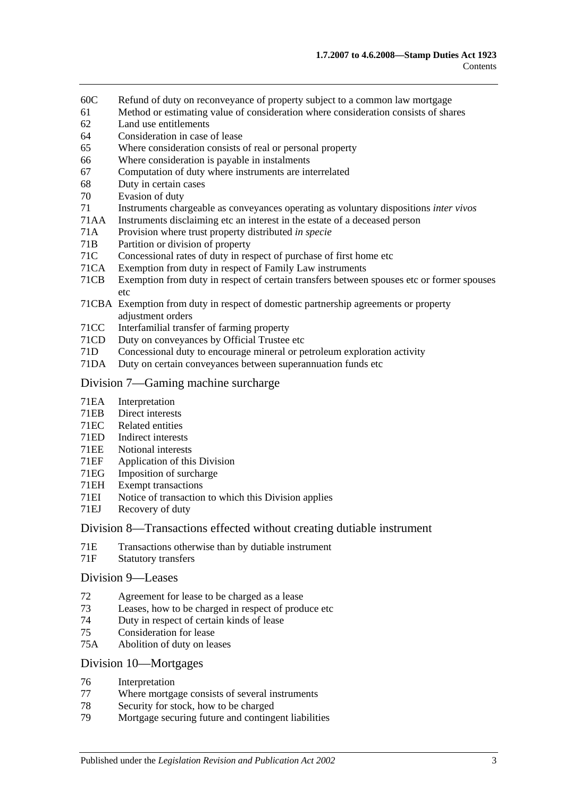- 60C [Refund of duty on reconveyance of property subject to a common law mortgage](#page-38-0)
- 61 [Method or estimating value of consideration where consideration consists of shares](#page-38-1)
- 62 [Land use entitlements](#page-38-2)
- 64 [Consideration in case of lease](#page-39-0)
- 65 [Where consideration consists of real or personal property](#page-39-1)
- 66 [Where consideration is payable in instalments](#page-39-2)
- 67 [Computation of duty where instruments are interrelated](#page-39-3)
- 68 [Duty in certain cases](#page-40-0)
- 70 [Evasion of duty](#page-41-0)
- 71 [Instruments chargeable as conveyances operating as voluntary dispositions](#page-41-1) *inter vivos*
- 71AA [Instruments disclaiming etc an interest in the estate of a deceased person](#page-44-0)
- 71A [Provision where trust property distributed](#page-45-0) *in specie*
- 71B [Partition or division of property](#page-45-1)
- 71C [Concessional rates of duty in respect of purchase of first home etc](#page-45-2)
- 71CA [Exemption from duty in respect of Family Law instruments](#page-49-0)
- 71CB [Exemption from duty in respect of certain transfers between spouses etc or former spouses](#page-52-0)  [etc](#page-52-0)
- 71CBA [Exemption from duty in respect of domestic partnership agreements or property](#page-53-0)  [adjustment orders](#page-53-0)
- 71CC [Interfamilial transfer of farming property](#page-54-0)
- 71CD [Duty on conveyances by Official Trustee etc](#page-56-0)
- 71D [Concessional duty to encourage mineral or petroleum exploration activity](#page-56-1)
- 71DA [Duty on certain conveyances between superannuation funds etc](#page-58-0)

#### [Division 7—Gaming machine surcharge](#page-59-0)

- 71EA [Interpretation](#page-59-1)
- 71EB [Direct interests](#page-61-0)
- 71EC [Related entities](#page-61-1)
- 71ED [Indirect interests](#page-61-2)
- 71EE [Notional interests](#page-62-0)
- 71EF [Application of this](#page-62-1) Division<br>71EG Imposition of surcharge
- 71EG [Imposition of surcharge](#page-62-2)<br>71EH Exempt transactions
- [Exempt transactions](#page-63-0)
- 71EI [Notice of transaction to which this Division applies](#page-63-1)
- 71EJ [Recovery of duty](#page-64-0)

#### [Division 8—Transactions effected without creating dutiable instrument](#page-64-1)

- 71E [Transactions otherwise than by dutiable instrument](#page-64-2)
- 71F [Statutory transfers](#page-66-0)

#### [Division 9—Leases](#page-66-1)

- 72 [Agreement for lease to be charged as a lease](#page-66-2)
- 73 [Leases, how to be charged in respect of produce etc](#page-66-3)
- 74 [Duty in respect of certain kinds of lease](#page-67-0)
- 75 [Consideration for lease](#page-67-1)
- 75A [Abolition of duty on leases](#page-68-0)

#### [Division 10—Mortgages](#page-68-1)

- 76 [Interpretation](#page-68-2)
- 77 [Where mortgage consists of several instruments](#page-69-0)
- 78 [Security for stock, how to be charged](#page-69-1)
- 79 [Mortgage securing future and contingent liabilities](#page-69-2)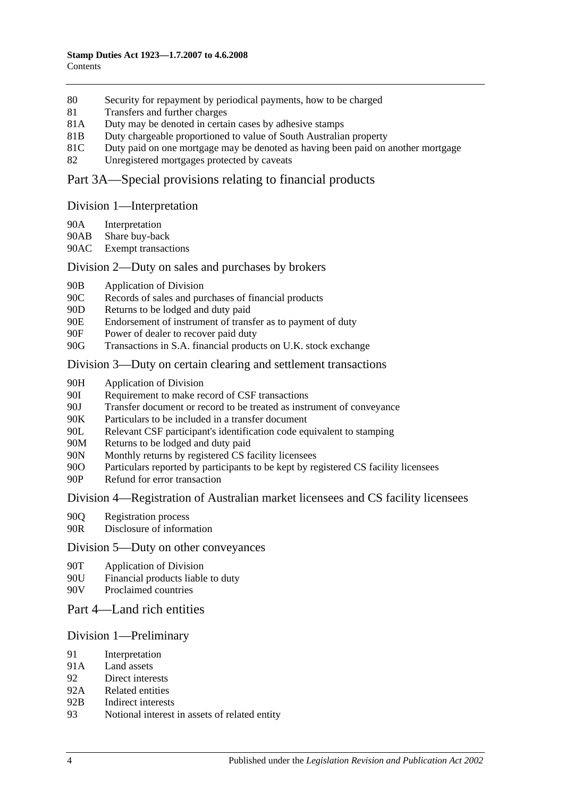- 80 [Security for repayment by periodical payments, how to be charged](#page-71-0)
- 81 [Transfers and further charges](#page-71-1)
- 81A [Duty may be denoted in certain cases by adhesive stamps](#page-71-2)
- 81B [Duty chargeable proportioned to value of South Australian property](#page-71-3)
- 81C [Duty paid on one mortgage may be denoted as having been paid on another mortgage](#page-72-0)
- 82 [Unregistered mortgages protected by caveats](#page-73-0)

## [Part 3A—Special provisions relating to financial products](#page-74-0)

#### [Division 1—Interpretation](#page-74-1)

- 90A [Interpretation](#page-74-2)
- 90AB [Share buy-back](#page-76-0)
- 90AC [Exempt transactions](#page-76-1)

#### [Division 2—Duty on sales and purchases by brokers](#page-76-2)

- 90B [Application of Division](#page-76-3)
- 90C [Records of sales and purchases of financial products](#page-77-0)
- 90D [Returns to be lodged and duty paid](#page-78-0)
- 90E [Endorsement of instrument of transfer as to payment of duty](#page-79-0)
- 90F [Power of dealer to recover paid duty](#page-79-1)
- 90G [Transactions in S.A. financial products on U.K. stock exchange](#page-79-2)

#### [Division 3—Duty on certain clearing and settlement transactions](#page-81-0)

- 90H [Application of Division](#page-81-1)
- 90I [Requirement to make record of CSF transactions](#page-82-0)
- 90J [Transfer document or record to be treated as instrument of conveyance](#page-82-1)
- 90K [Particulars to be included in a transfer document](#page-83-0)
- 90L [Relevant CSF participant's identification code equivalent to stamping](#page-83-1)
- 90M [Returns to be lodged and duty paid](#page-83-2)
- 90N [Monthly returns by registered CS facility licensees](#page-83-3)
- 90O [Particulars reported by participants to be kept by registered CS facility licensees](#page-84-0)
- 90P [Refund for error transaction](#page-84-1)

#### [Division 4—Registration of Australian market licensees and CS facility licensees](#page-84-2)

- 90Q [Registration process](#page-84-3)
- 90R [Disclosure of information](#page-85-0)

#### [Division 5—Duty on other conveyances](#page-85-1)

- 90T [Application of Division](#page-85-2)
- 90U [Financial products liable to duty](#page-85-3)
- 90V [Proclaimed countries](#page-85-4)

## [Part 4—Land rich entities](#page-86-0)

#### [Division 1—Preliminary](#page-86-1)

- 91 [Interpretation](#page-86-2)
- 91A [Land assets](#page-88-0)
- 92 [Direct interests](#page-89-0)
- 92A [Related entities](#page-89-1)
- 92B [Indirect interests](#page-90-0)
- 93 [Notional interest in assets of related entity](#page-90-1)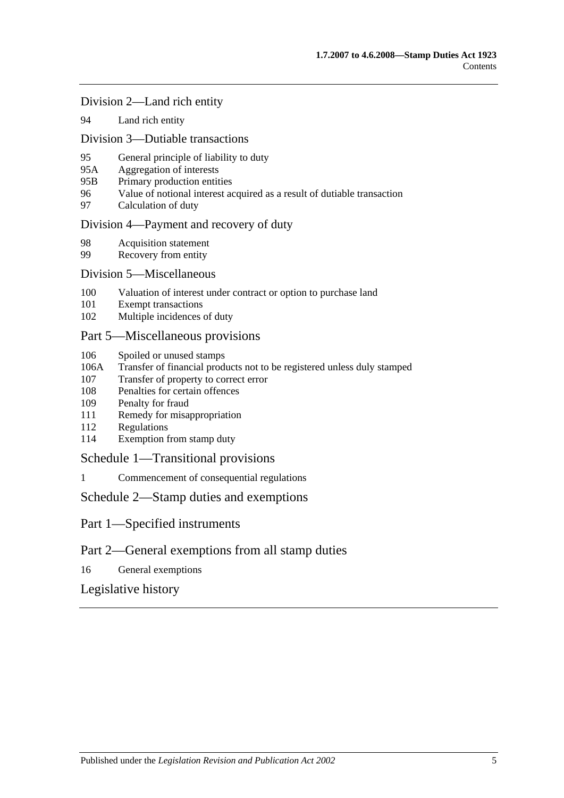#### [Division 2—Land rich entity](#page-90-2)

94 [Land rich entity](#page-90-3)

#### [Division 3—Dutiable transactions](#page-91-0)

- 95 [General principle of liability to duty](#page-91-1)
- 95A [Aggregation of interests](#page-92-0)
- 95B [Primary production entities](#page-92-1)
- 96 [Value of notional interest acquired as a result of dutiable transaction](#page-93-0)
- 97 [Calculation of duty](#page-93-1)

#### [Division 4—Payment and recovery of duty](#page-94-0)

- 98 [Acquisition statement](#page-94-1)<br>99 Recovery from entity
- [Recovery from entity](#page-95-0)

#### [Division 5—Miscellaneous](#page-96-0)

- 100 [Valuation of interest under contract or option to purchase land](#page-96-1)
- 101 [Exempt transactions](#page-96-2)
- 102 [Multiple incidences of duty](#page-96-3)

### [Part 5—Miscellaneous provisions](#page-98-0)

- 106 [Spoiled or unused stamps](#page-98-1)
- 106A [Transfer of financial products not to be registered unless duly stamped](#page-98-2)
- 107 [Transfer of property to correct error](#page-99-0)
- 108 [Penalties for certain offences](#page-99-1)
- 109 [Penalty for fraud](#page-100-0)
- 111 [Remedy for misappropriation](#page-100-1)
- 112 [Regulations](#page-100-2)
- 114 [Exemption from stamp duty](#page-101-0)

#### [Schedule 1—Transitional provisions](#page-102-0)

1 [Commencement of consequential regulations](#page-102-1)

#### [Schedule 2—Stamp duties and exemptions](#page-102-2)

- Part 1—Specified instruments
- Part 2—General exemptions from all stamp duties
- 16 [General exemptions](#page-116-0)

## [Legislative history](#page-122-0)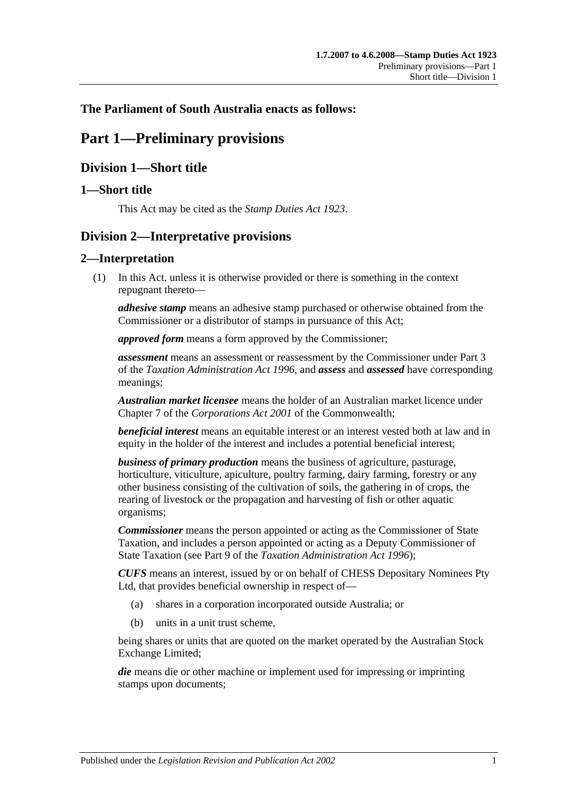## <span id="page-6-0"></span>**The Parliament of South Australia enacts as follows:**

# **Part 1—Preliminary provisions**

## <span id="page-6-1"></span>**Division 1—Short title**

## <span id="page-6-2"></span>**1—Short title**

This Act may be cited as the *Stamp Duties Act 1923*.

# <span id="page-6-3"></span>**Division 2—Interpretative provisions**

## <span id="page-6-4"></span>**2—Interpretation**

(1) In this Act, unless it is otherwise provided or there is something in the context repugnant thereto—

*adhesive stamp* means an adhesive stamp purchased or otherwise obtained from the Commissioner or a distributor of stamps in pursuance of this Act;

*approved form* means a form approved by the Commissioner;

*assessment* means an assessment or reassessment by the Commissioner under Part 3 of the *[Taxation Administration Act](http://www.legislation.sa.gov.au/index.aspx?action=legref&type=act&legtitle=Taxation%20Administration%20Act%201996) 1996*, and *assess* and *assessed* have corresponding meanings;

*Australian market licensee* means the holder of an Australian market licence under Chapter 7 of the *Corporations Act 2001* of the Commonwealth;

*beneficial interest* means an equitable interest or an interest vested both at law and in equity in the holder of the interest and includes a potential beneficial interest;

*business of primary production* means the business of agriculture, pasturage, horticulture, viticulture, apiculture, poultry farming, dairy farming, forestry or any other business consisting of the cultivation of soils, the gathering in of crops, the rearing of livestock or the propagation and harvesting of fish or other aquatic organisms;

*Commissioner* means the person appointed or acting as the Commissioner of State Taxation, and includes a person appointed or acting as a Deputy Commissioner of State Taxation (see Part 9 of the *[Taxation Administration Act](http://www.legislation.sa.gov.au/index.aspx?action=legref&type=act&legtitle=Taxation%20Administration%20Act%201996) 1996*);

*CUFS* means an interest, issued by or on behalf of CHESS Depositary Nominees Pty Ltd, that provides beneficial ownership in respect of—

- (a) shares in a corporation incorporated outside Australia; or
- (b) units in a unit trust scheme,

being shares or units that are quoted on the market operated by the Australian Stock Exchange Limited;

*die* means die or other machine or implement used for impressing or imprinting stamps upon documents;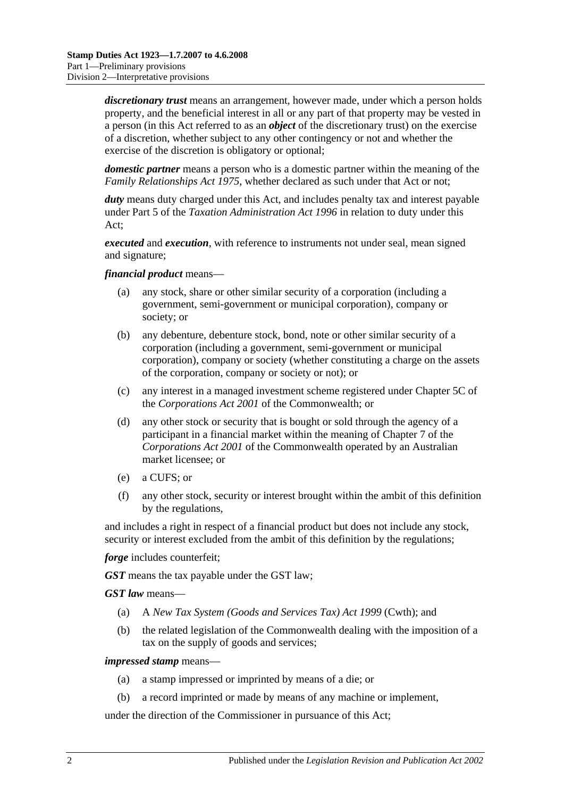*discretionary trust* means an arrangement, however made, under which a person holds property, and the beneficial interest in all or any part of that property may be vested in a person (in this Act referred to as an *object* of the discretionary trust) on the exercise of a discretion, whether subject to any other contingency or not and whether the exercise of the discretion is obligatory or optional;

*domestic partner* means a person who is a domestic partner within the meaning of the *[Family Relationships Act](http://www.legislation.sa.gov.au/index.aspx?action=legref&type=act&legtitle=Family%20Relationships%20Act%201975) 1975*, whether declared as such under that Act or not;

duty means duty charged under this Act, and includes penalty tax and interest payable under Part 5 of the *[Taxation Administration Act](http://www.legislation.sa.gov.au/index.aspx?action=legref&type=act&legtitle=Taxation%20Administration%20Act%201996) 1996* in relation to duty under this Act;

*executed* and *execution*, with reference to instruments not under seal, mean signed and signature;

#### *financial product* means—

- (a) any stock, share or other similar security of a corporation (including a government, semi-government or municipal corporation), company or society; or
- (b) any debenture, debenture stock, bond, note or other similar security of a corporation (including a government, semi-government or municipal corporation), company or society (whether constituting a charge on the assets of the corporation, company or society or not); or
- (c) any interest in a managed investment scheme registered under Chapter 5C of the *Corporations Act 2001* of the Commonwealth; or
- (d) any other stock or security that is bought or sold through the agency of a participant in a financial market within the meaning of Chapter 7 of the *Corporations Act 2001* of the Commonwealth operated by an Australian market licensee; or
- (e) a CUFS; or
- (f) any other stock, security or interest brought within the ambit of this definition by the regulations,

and includes a right in respect of a financial product but does not include any stock, security or interest excluded from the ambit of this definition by the regulations;

*forge* includes counterfeit:

*GST* means the tax payable under the GST law;

*GST law* means—

- (a) A *New Tax System (Goods and Services Tax) Act 1999* (Cwth); and
- (b) the related legislation of the Commonwealth dealing with the imposition of a tax on the supply of goods and services;

#### *impressed stamp* means—

- (a) a stamp impressed or imprinted by means of a die; or
- (b) a record imprinted or made by means of any machine or implement,

under the direction of the Commissioner in pursuance of this Act;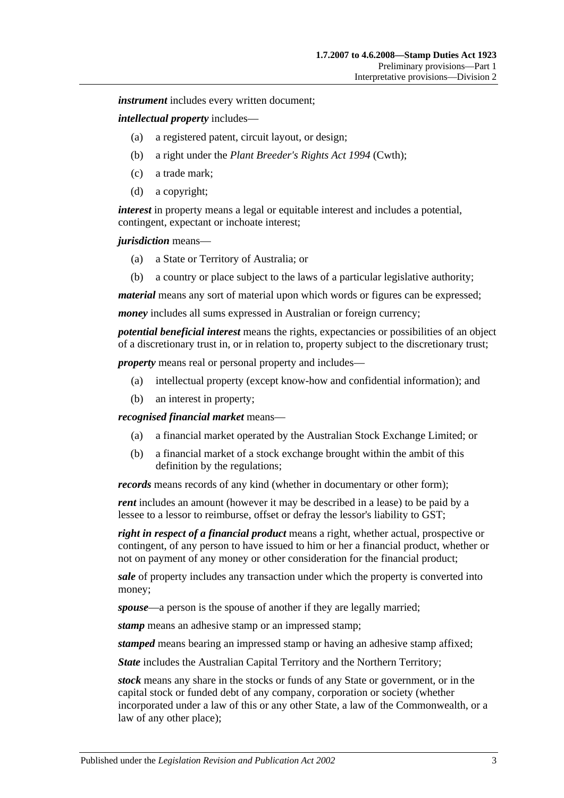*instrument* includes every written document;

*intellectual property* includes—

- (a) a registered patent, circuit layout, or design;
- (b) a right under the *Plant Breeder's Rights Act 1994* (Cwth);
- (c) a trade mark;
- (d) a copyright;

*interest* in property means a legal or equitable interest and includes a potential, contingent, expectant or inchoate interest;

#### *jurisdiction* means—

- (a) a State or Territory of Australia; or
- (b) a country or place subject to the laws of a particular legislative authority;

*material* means any sort of material upon which words or figures can be expressed;

*money* includes all sums expressed in Australian or foreign currency;

*potential beneficial interest* means the rights, expectancies or possibilities of an object of a discretionary trust in, or in relation to, property subject to the discretionary trust;

*property* means real or personal property and includes—

- (a) intellectual property (except know-how and confidential information); and
- (b) an interest in property;

*recognised financial market* means—

- (a) a financial market operated by the Australian Stock Exchange Limited; or
- (b) a financial market of a stock exchange brought within the ambit of this definition by the regulations;

*records* means records of any kind (whether in documentary or other form);

*rent* includes an amount (however it may be described in a lease) to be paid by a lessee to a lessor to reimburse, offset or defray the lessor's liability to GST;

*right in respect of a financial product* means a right, whether actual, prospective or contingent, of any person to have issued to him or her a financial product, whether or not on payment of any money or other consideration for the financial product;

*sale* of property includes any transaction under which the property is converted into money;

*spouse*—a person is the spouse of another if they are legally married;

*stamp* means an adhesive stamp or an impressed stamp;

*stamped* means bearing an impressed stamp or having an adhesive stamp affixed;

*State* includes the Australian Capital Territory and the Northern Territory;

*stock* means any share in the stocks or funds of any State or government, or in the capital stock or funded debt of any company, corporation or society (whether incorporated under a law of this or any other State, a law of the Commonwealth, or a law of any other place);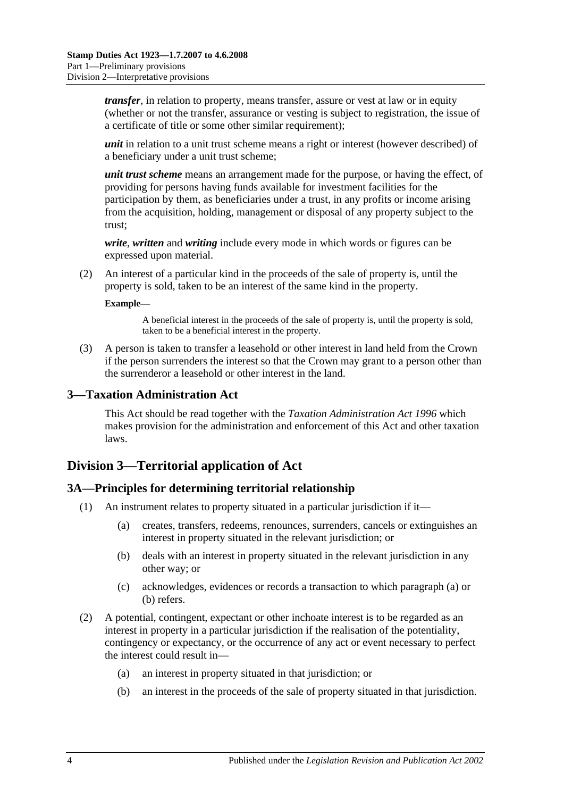*transfer*, in relation to property, means transfer, assure or vest at law or in equity (whether or not the transfer, assurance or vesting is subject to registration, the issue of a certificate of title or some other similar requirement);

*unit* in relation to a unit trust scheme means a right or interest (however described) of a beneficiary under a unit trust scheme;

*unit trust scheme* means an arrangement made for the purpose, or having the effect, of providing for persons having funds available for investment facilities for the participation by them, as beneficiaries under a trust, in any profits or income arising from the acquisition, holding, management or disposal of any property subject to the trust;

*write*, *written* and *writing* include every mode in which words or figures can be expressed upon material.

(2) An interest of a particular kind in the proceeds of the sale of property is, until the property is sold, taken to be an interest of the same kind in the property.

#### **Example—**

A beneficial interest in the proceeds of the sale of property is, until the property is sold, taken to be a beneficial interest in the property.

(3) A person is taken to transfer a leasehold or other interest in land held from the Crown if the person surrenders the interest so that the Crown may grant to a person other than the surrenderor a leasehold or other interest in the land.

#### <span id="page-9-0"></span>**3—Taxation Administration Act**

This Act should be read together with the *[Taxation Administration Act](http://www.legislation.sa.gov.au/index.aspx?action=legref&type=act&legtitle=Taxation%20Administration%20Act%201996) 1996* which makes provision for the administration and enforcement of this Act and other taxation laws.

## <span id="page-9-1"></span>**Division 3—Territorial application of Act**

#### <span id="page-9-2"></span>**3A—Principles for determining territorial relationship**

- <span id="page-9-4"></span><span id="page-9-3"></span>(1) An instrument relates to property situated in a particular jurisdiction if it—
	- (a) creates, transfers, redeems, renounces, surrenders, cancels or extinguishes an interest in property situated in the relevant jurisdiction; or
	- (b) deals with an interest in property situated in the relevant jurisdiction in any other way; or
	- (c) acknowledges, evidences or records a transaction to which [paragraph](#page-9-3) (a) or [\(b\)](#page-9-4) refers.
- (2) A potential, contingent, expectant or other inchoate interest is to be regarded as an interest in property in a particular jurisdiction if the realisation of the potentiality, contingency or expectancy, or the occurrence of any act or event necessary to perfect the interest could result in—
	- (a) an interest in property situated in that jurisdiction; or
	- (b) an interest in the proceeds of the sale of property situated in that jurisdiction.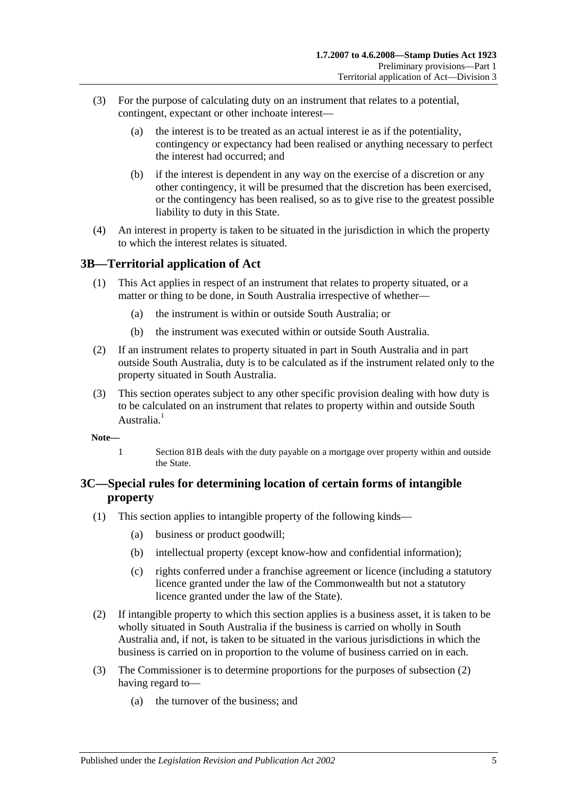- (3) For the purpose of calculating duty on an instrument that relates to a potential, contingent, expectant or other inchoate interest—
	- (a) the interest is to be treated as an actual interest ie as if the potentiality, contingency or expectancy had been realised or anything necessary to perfect the interest had occurred; and
	- (b) if the interest is dependent in any way on the exercise of a discretion or any other contingency, it will be presumed that the discretion has been exercised, or the contingency has been realised, so as to give rise to the greatest possible liability to duty in this State.
- (4) An interest in property is taken to be situated in the jurisdiction in which the property to which the interest relates is situated.

## <span id="page-10-0"></span>**3B—Territorial application of Act**

- (1) This Act applies in respect of an instrument that relates to property situated, or a matter or thing to be done, in South Australia irrespective of whether—
	- (a) the instrument is within or outside South Australia; or
	- (b) the instrument was executed within or outside South Australia.
- (2) If an instrument relates to property situated in part in South Australia and in part outside South Australia, duty is to be calculated as if the instrument related only to the property situated in South Australia.
- (3) This section operates subject to any other specific provision dealing with how duty is to be calculated on an instrument that relates to property within and outside South Australia<sup>1</sup>
- **Note—**
	- 1 [Section](#page-71-3) 81B deals with the duty payable on a mortgage over property within and outside the State.

## <span id="page-10-1"></span>**3C—Special rules for determining location of certain forms of intangible property**

- (1) This section applies to intangible property of the following kinds—
	- (a) business or product goodwill;
	- (b) intellectual property (except know-how and confidential information);
	- (c) rights conferred under a franchise agreement or licence (including a statutory licence granted under the law of the Commonwealth but not a statutory licence granted under the law of the State).
- <span id="page-10-2"></span>(2) If intangible property to which this section applies is a business asset, it is taken to be wholly situated in South Australia if the business is carried on wholly in South Australia and, if not, is taken to be situated in the various jurisdictions in which the business is carried on in proportion to the volume of business carried on in each.
- (3) The Commissioner is to determine proportions for the purposes of [subsection](#page-10-2) (2) having regard to—
	- (a) the turnover of the business; and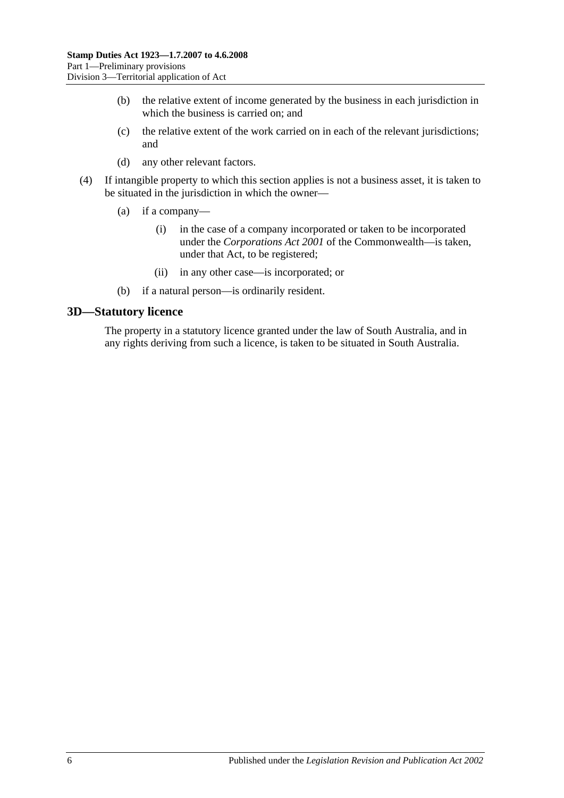- (b) the relative extent of income generated by the business in each jurisdiction in which the business is carried on; and
- (c) the relative extent of the work carried on in each of the relevant jurisdictions; and
- (d) any other relevant factors.
- (4) If intangible property to which this section applies is not a business asset, it is taken to be situated in the jurisdiction in which the owner—
	- (a) if a company—
		- (i) in the case of a company incorporated or taken to be incorporated under the *Corporations Act 2001* of the Commonwealth—is taken, under that Act, to be registered;
		- (ii) in any other case—is incorporated; or
	- (b) if a natural person—is ordinarily resident.

### <span id="page-11-0"></span>**3D—Statutory licence**

The property in a statutory licence granted under the law of South Australia, and in any rights deriving from such a licence, is taken to be situated in South Australia.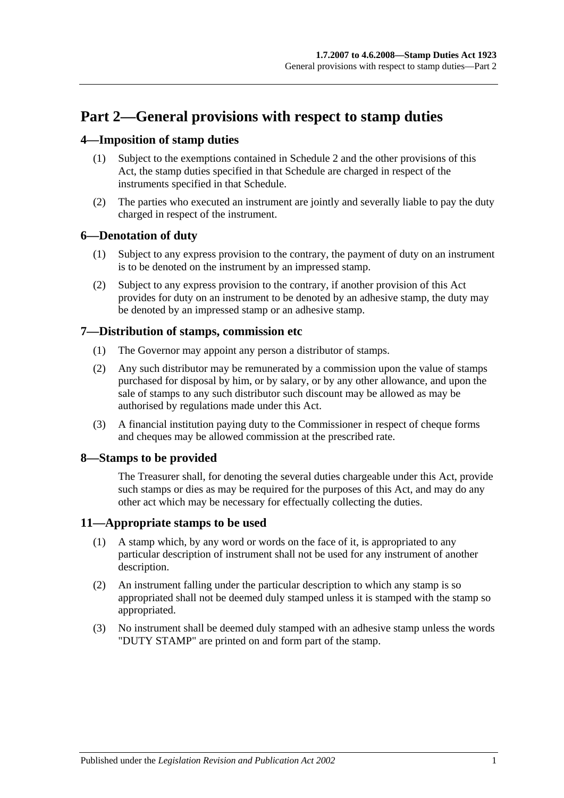# <span id="page-12-0"></span>**Part 2—General provisions with respect to stamp duties**

## <span id="page-12-1"></span>**4—Imposition of stamp duties**

- (1) Subject to the exemptions contained in [Schedule 2](#page-102-2) and the other provisions of this Act, the stamp duties specified in that Schedule are charged in respect of the instruments specified in that Schedule.
- (2) The parties who executed an instrument are jointly and severally liable to pay the duty charged in respect of the instrument.

## <span id="page-12-2"></span>**6—Denotation of duty**

- (1) Subject to any express provision to the contrary, the payment of duty on an instrument is to be denoted on the instrument by an impressed stamp.
- (2) Subject to any express provision to the contrary, if another provision of this Act provides for duty on an instrument to be denoted by an adhesive stamp, the duty may be denoted by an impressed stamp or an adhesive stamp.

## <span id="page-12-3"></span>**7—Distribution of stamps, commission etc**

- (1) The Governor may appoint any person a distributor of stamps.
- (2) Any such distributor may be remunerated by a commission upon the value of stamps purchased for disposal by him, or by salary, or by any other allowance, and upon the sale of stamps to any such distributor such discount may be allowed as may be authorised by regulations made under this Act.
- (3) A financial institution paying duty to the Commissioner in respect of cheque forms and cheques may be allowed commission at the prescribed rate.

## <span id="page-12-4"></span>**8—Stamps to be provided**

The Treasurer shall, for denoting the several duties chargeable under this Act, provide such stamps or dies as may be required for the purposes of this Act, and may do any other act which may be necessary for effectually collecting the duties.

## <span id="page-12-5"></span>**11—Appropriate stamps to be used**

- (1) A stamp which, by any word or words on the face of it, is appropriated to any particular description of instrument shall not be used for any instrument of another description.
- (2) An instrument falling under the particular description to which any stamp is so appropriated shall not be deemed duly stamped unless it is stamped with the stamp so appropriated.
- (3) No instrument shall be deemed duly stamped with an adhesive stamp unless the words "DUTY STAMP" are printed on and form part of the stamp.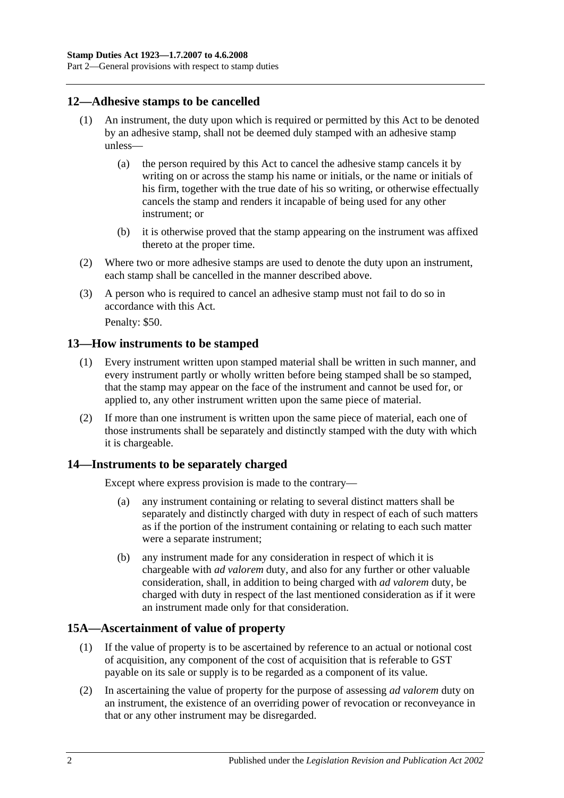Part 2—General provisions with respect to stamp duties

### <span id="page-13-0"></span>**12—Adhesive stamps to be cancelled**

- (1) An instrument, the duty upon which is required or permitted by this Act to be denoted by an adhesive stamp, shall not be deemed duly stamped with an adhesive stamp unless—
	- (a) the person required by this Act to cancel the adhesive stamp cancels it by writing on or across the stamp his name or initials, or the name or initials of his firm, together with the true date of his so writing, or otherwise effectually cancels the stamp and renders it incapable of being used for any other instrument; or
	- (b) it is otherwise proved that the stamp appearing on the instrument was affixed thereto at the proper time.
- (2) Where two or more adhesive stamps are used to denote the duty upon an instrument, each stamp shall be cancelled in the manner described above.
- (3) A person who is required to cancel an adhesive stamp must not fail to do so in accordance with this Act.

Penalty: \$50.

#### <span id="page-13-1"></span>**13—How instruments to be stamped**

- (1) Every instrument written upon stamped material shall be written in such manner, and every instrument partly or wholly written before being stamped shall be so stamped, that the stamp may appear on the face of the instrument and cannot be used for, or applied to, any other instrument written upon the same piece of material.
- (2) If more than one instrument is written upon the same piece of material, each one of those instruments shall be separately and distinctly stamped with the duty with which it is chargeable.

### <span id="page-13-2"></span>**14—Instruments to be separately charged**

Except where express provision is made to the contrary—

- (a) any instrument containing or relating to several distinct matters shall be separately and distinctly charged with duty in respect of each of such matters as if the portion of the instrument containing or relating to each such matter were a separate instrument;
- (b) any instrument made for any consideration in respect of which it is chargeable with *ad valorem* duty, and also for any further or other valuable consideration, shall, in addition to being charged with *ad valorem* duty, be charged with duty in respect of the last mentioned consideration as if it were an instrument made only for that consideration.

## <span id="page-13-3"></span>**15A—Ascertainment of value of property**

- (1) If the value of property is to be ascertained by reference to an actual or notional cost of acquisition, any component of the cost of acquisition that is referable to GST payable on its sale or supply is to be regarded as a component of its value.
- (2) In ascertaining the value of property for the purpose of assessing *ad valorem* duty on an instrument, the existence of an overriding power of revocation or reconveyance in that or any other instrument may be disregarded.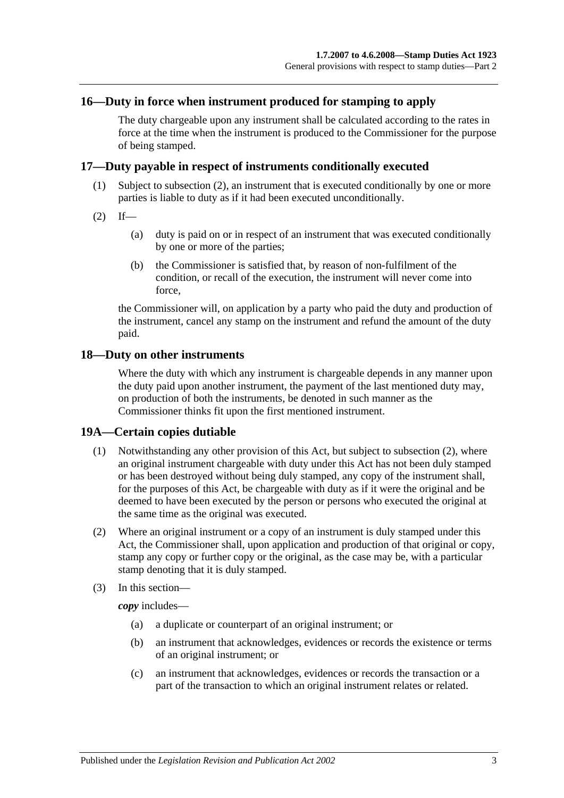### <span id="page-14-0"></span>**16—Duty in force when instrument produced for stamping to apply**

The duty chargeable upon any instrument shall be calculated according to the rates in force at the time when the instrument is produced to the Commissioner for the purpose of being stamped.

#### <span id="page-14-1"></span>**17—Duty payable in respect of instruments conditionally executed**

- (1) Subject to [subsection](#page-14-4) (2), an instrument that is executed conditionally by one or more parties is liable to duty as if it had been executed unconditionally.
- <span id="page-14-4"></span> $(2)$  If—
	- (a) duty is paid on or in respect of an instrument that was executed conditionally by one or more of the parties;
	- (b) the Commissioner is satisfied that, by reason of non-fulfilment of the condition, or recall of the execution, the instrument will never come into force,

the Commissioner will, on application by a party who paid the duty and production of the instrument, cancel any stamp on the instrument and refund the amount of the duty paid.

#### <span id="page-14-2"></span>**18—Duty on other instruments**

Where the duty with which any instrument is chargeable depends in any manner upon the duty paid upon another instrument, the payment of the last mentioned duty may, on production of both the instruments, be denoted in such manner as the Commissioner thinks fit upon the first mentioned instrument.

#### <span id="page-14-3"></span>**19A—Certain copies dutiable**

- (1) Notwithstanding any other provision of this Act, but subject to [subsection](#page-14-5) (2), where an original instrument chargeable with duty under this Act has not been duly stamped or has been destroyed without being duly stamped, any copy of the instrument shall, for the purposes of this Act, be chargeable with duty as if it were the original and be deemed to have been executed by the person or persons who executed the original at the same time as the original was executed.
- <span id="page-14-5"></span>(2) Where an original instrument or a copy of an instrument is duly stamped under this Act, the Commissioner shall, upon application and production of that original or copy, stamp any copy or further copy or the original, as the case may be, with a particular stamp denoting that it is duly stamped.
- (3) In this section—

*copy* includes—

- (a) a duplicate or counterpart of an original instrument; or
- (b) an instrument that acknowledges, evidences or records the existence or terms of an original instrument; or
- (c) an instrument that acknowledges, evidences or records the transaction or a part of the transaction to which an original instrument relates or related.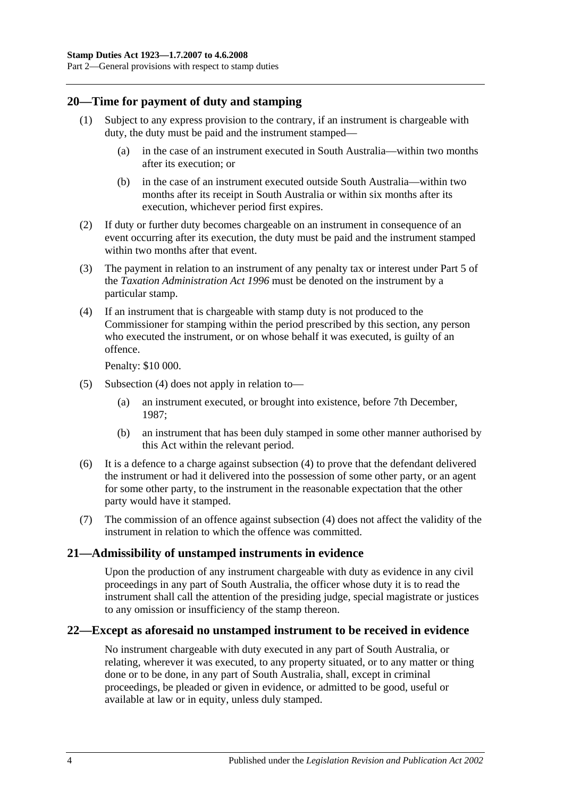## <span id="page-15-0"></span>**20—Time for payment of duty and stamping**

- (1) Subject to any express provision to the contrary, if an instrument is chargeable with duty, the duty must be paid and the instrument stamped—
	- (a) in the case of an instrument executed in South Australia—within two months after its execution; or
	- (b) in the case of an instrument executed outside South Australia—within two months after its receipt in South Australia or within six months after its execution, whichever period first expires.
- (2) If duty or further duty becomes chargeable on an instrument in consequence of an event occurring after its execution, the duty must be paid and the instrument stamped within two months after that event.
- (3) The payment in relation to an instrument of any penalty tax or interest under Part 5 of the *[Taxation Administration Act](http://www.legislation.sa.gov.au/index.aspx?action=legref&type=act&legtitle=Taxation%20Administration%20Act%201996) 1996* must be denoted on the instrument by a particular stamp.
- <span id="page-15-3"></span>(4) If an instrument that is chargeable with stamp duty is not produced to the Commissioner for stamping within the period prescribed by this section, any person who executed the instrument, or on whose behalf it was executed, is guilty of an offence.

Penalty: \$10 000.

- (5) [Subsection](#page-15-3) (4) does not apply in relation to—
	- (a) an instrument executed, or brought into existence, before 7th December, 1987;
	- (b) an instrument that has been duly stamped in some other manner authorised by this Act within the relevant period.
- (6) It is a defence to a charge against [subsection](#page-15-3) (4) to prove that the defendant delivered the instrument or had it delivered into the possession of some other party, or an agent for some other party, to the instrument in the reasonable expectation that the other party would have it stamped.
- (7) The commission of an offence against [subsection](#page-15-3) (4) does not affect the validity of the instrument in relation to which the offence was committed.

## <span id="page-15-1"></span>**21—Admissibility of unstamped instruments in evidence**

Upon the production of any instrument chargeable with duty as evidence in any civil proceedings in any part of South Australia, the officer whose duty it is to read the instrument shall call the attention of the presiding judge, special magistrate or justices to any omission or insufficiency of the stamp thereon.

## <span id="page-15-2"></span>**22—Except as aforesaid no unstamped instrument to be received in evidence**

No instrument chargeable with duty executed in any part of South Australia, or relating, wherever it was executed, to any property situated, or to any matter or thing done or to be done, in any part of South Australia, shall, except in criminal proceedings, be pleaded or given in evidence, or admitted to be good, useful or available at law or in equity, unless duly stamped.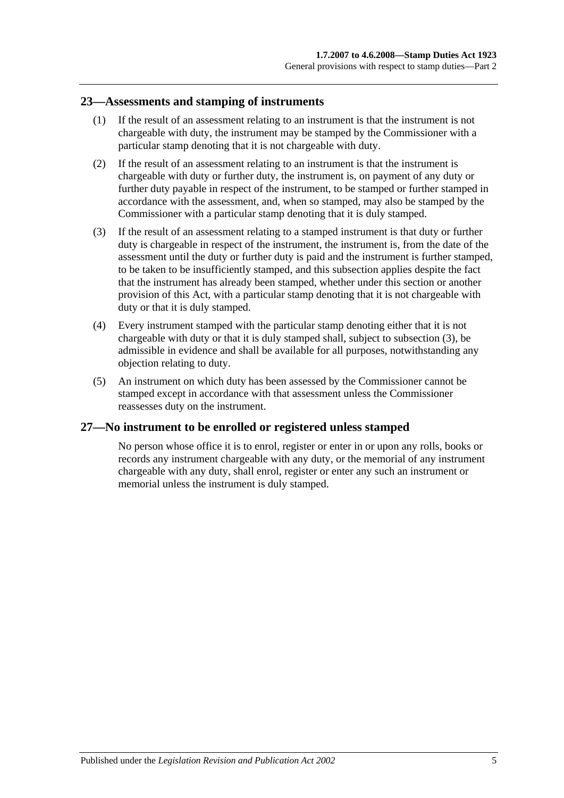### <span id="page-16-0"></span>**23—Assessments and stamping of instruments**

- (1) If the result of an assessment relating to an instrument is that the instrument is not chargeable with duty, the instrument may be stamped by the Commissioner with a particular stamp denoting that it is not chargeable with duty.
- (2) If the result of an assessment relating to an instrument is that the instrument is chargeable with duty or further duty, the instrument is, on payment of any duty or further duty payable in respect of the instrument, to be stamped or further stamped in accordance with the assessment, and, when so stamped, may also be stamped by the Commissioner with a particular stamp denoting that it is duly stamped.
- <span id="page-16-2"></span>(3) If the result of an assessment relating to a stamped instrument is that duty or further duty is chargeable in respect of the instrument, the instrument is, from the date of the assessment until the duty or further duty is paid and the instrument is further stamped, to be taken to be insufficiently stamped, and this subsection applies despite the fact that the instrument has already been stamped, whether under this section or another provision of this Act, with a particular stamp denoting that it is not chargeable with duty or that it is duly stamped.
- (4) Every instrument stamped with the particular stamp denoting either that it is not chargeable with duty or that it is duly stamped shall, subject to [subsection](#page-16-2) (3), be admissible in evidence and shall be available for all purposes, notwithstanding any objection relating to duty.
- (5) An instrument on which duty has been assessed by the Commissioner cannot be stamped except in accordance with that assessment unless the Commissioner reassesses duty on the instrument.

## <span id="page-16-1"></span>**27—No instrument to be enrolled or registered unless stamped**

No person whose office it is to enrol, register or enter in or upon any rolls, books or records any instrument chargeable with any duty, or the memorial of any instrument chargeable with any duty, shall enrol, register or enter any such an instrument or memorial unless the instrument is duly stamped.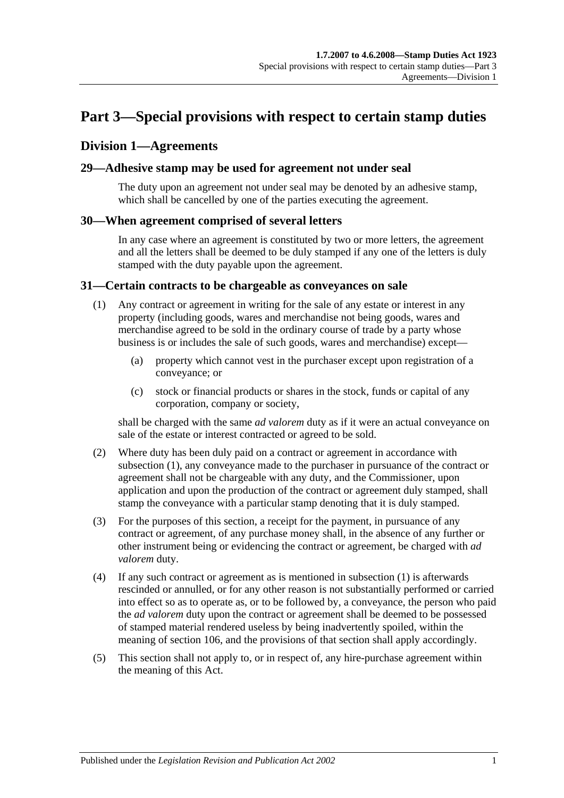# <span id="page-18-0"></span>**Part 3—Special provisions with respect to certain stamp duties**

## <span id="page-18-1"></span>**Division 1—Agreements**

## <span id="page-18-2"></span>**29—Adhesive stamp may be used for agreement not under seal**

The duty upon an agreement not under seal may be denoted by an adhesive stamp, which shall be cancelled by one of the parties executing the agreement.

### <span id="page-18-3"></span>**30—When agreement comprised of several letters**

In any case where an agreement is constituted by two or more letters, the agreement and all the letters shall be deemed to be duly stamped if any one of the letters is duly stamped with the duty payable upon the agreement.

#### <span id="page-18-5"></span><span id="page-18-4"></span>**31—Certain contracts to be chargeable as conveyances on sale**

- (1) Any contract or agreement in writing for the sale of any estate or interest in any property (including goods, wares and merchandise not being goods, wares and merchandise agreed to be sold in the ordinary course of trade by a party whose business is or includes the sale of such goods, wares and merchandise) except—
	- (a) property which cannot vest in the purchaser except upon registration of a conveyance; or
	- (c) stock or financial products or shares in the stock, funds or capital of any corporation, company or society,

shall be charged with the same *ad valorem* duty as if it were an actual conveyance on sale of the estate or interest contracted or agreed to be sold.

- (2) Where duty has been duly paid on a contract or agreement in accordance with [subsection](#page-18-5) (1), any conveyance made to the purchaser in pursuance of the contract or agreement shall not be chargeable with any duty, and the Commissioner, upon application and upon the production of the contract or agreement duly stamped, shall stamp the conveyance with a particular stamp denoting that it is duly stamped.
- (3) For the purposes of this section, a receipt for the payment, in pursuance of any contract or agreement, of any purchase money shall, in the absence of any further or other instrument being or evidencing the contract or agreement, be charged with *ad valorem* duty.
- (4) If any such contract or agreement as is mentioned in [subsection](#page-18-5) (1) is afterwards rescinded or annulled, or for any other reason is not substantially performed or carried into effect so as to operate as, or to be followed by, a conveyance, the person who paid the *ad valorem* duty upon the contract or agreement shall be deemed to be possessed of stamped material rendered useless by being inadvertently spoiled, within the meaning of [section](#page-98-1) 106, and the provisions of that section shall apply accordingly.
- (5) This section shall not apply to, or in respect of, any hire-purchase agreement within the meaning of this Act.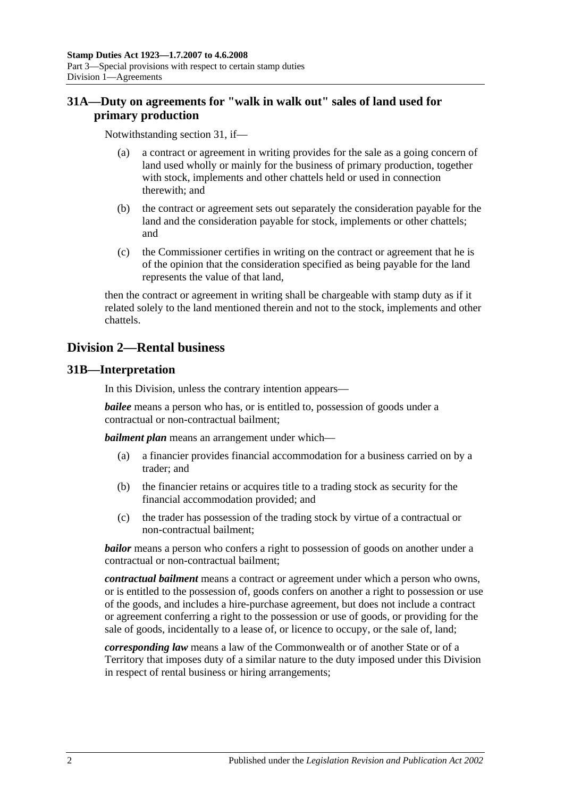## <span id="page-19-0"></span>**31A—Duty on agreements for "walk in walk out" sales of land used for primary production**

Notwithstanding [section](#page-18-4) 31, if—

- (a) a contract or agreement in writing provides for the sale as a going concern of land used wholly or mainly for the business of primary production, together with stock, implements and other chattels held or used in connection therewith; and
- (b) the contract or agreement sets out separately the consideration payable for the land and the consideration payable for stock, implements or other chattels; and
- (c) the Commissioner certifies in writing on the contract or agreement that he is of the opinion that the consideration specified as being payable for the land represents the value of that land,

then the contract or agreement in writing shall be chargeable with stamp duty as if it related solely to the land mentioned therein and not to the stock, implements and other chattels.

# <span id="page-19-1"></span>**Division 2—Rental business**

## <span id="page-19-2"></span>**31B—Interpretation**

In this Division, unless the contrary intention appears—

*bailee* means a person who has, or is entitled to, possession of goods under a contractual or non-contractual bailment;

*bailment plan* means an arrangement under which—

- (a) a financier provides financial accommodation for a business carried on by a trader; and
- (b) the financier retains or acquires title to a trading stock as security for the financial accommodation provided; and
- (c) the trader has possession of the trading stock by virtue of a contractual or non-contractual bailment;

*bailor* means a person who confers a right to possession of goods on another under a contractual or non-contractual bailment;

*contractual bailment* means a contract or agreement under which a person who owns, or is entitled to the possession of, goods confers on another a right to possession or use of the goods, and includes a hire-purchase agreement, but does not include a contract or agreement conferring a right to the possession or use of goods, or providing for the sale of goods, incidentally to a lease of, or licence to occupy, or the sale of, land;

*corresponding law* means a law of the Commonwealth or of another State or of a Territory that imposes duty of a similar nature to the duty imposed under this Division in respect of rental business or hiring arrangements;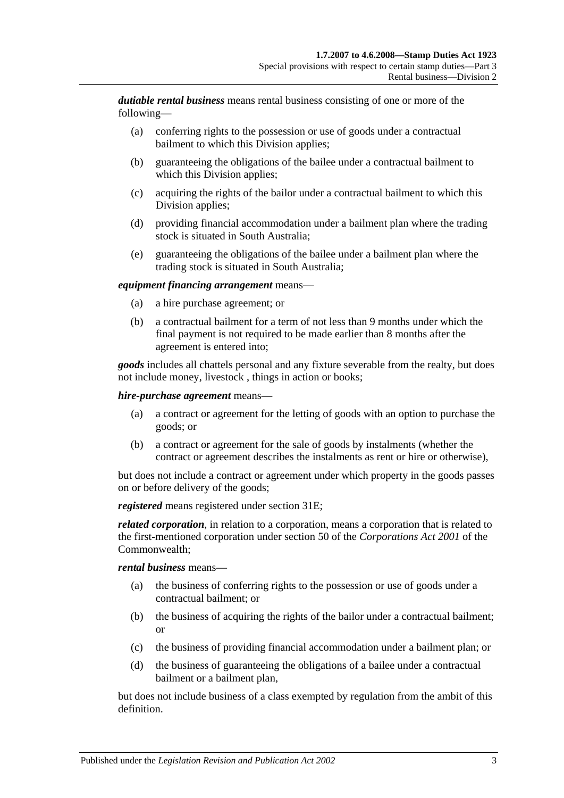*dutiable rental business* means rental business consisting of one or more of the following—

- (a) conferring rights to the possession or use of goods under a contractual bailment to which this Division applies;
- (b) guaranteeing the obligations of the bailee under a contractual bailment to which this Division applies;
- (c) acquiring the rights of the bailor under a contractual bailment to which this Division applies;
- (d) providing financial accommodation under a bailment plan where the trading stock is situated in South Australia;
- (e) guaranteeing the obligations of the bailee under a bailment plan where the trading stock is situated in South Australia;

#### *equipment financing arrangement* means—

- (a) a hire purchase agreement; or
- (b) a contractual bailment for a term of not less than 9 months under which the final payment is not required to be made earlier than 8 months after the agreement is entered into;

*goods* includes all chattels personal and any fixture severable from the realty, but does not include money, livestock , things in action or books;

#### *hire-purchase agreement* means—

- (a) a contract or agreement for the letting of goods with an option to purchase the goods; or
- (b) a contract or agreement for the sale of goods by instalments (whether the contract or agreement describes the instalments as rent or hire or otherwise),

but does not include a contract or agreement under which property in the goods passes on or before delivery of the goods;

*registered* means registered under [section](#page-21-2) 31E;

*related corporation*, in relation to a corporation, means a corporation that is related to the first-mentioned corporation under section 50 of the *Corporations Act 2001* of the Commonwealth;

#### *rental business* means—

- (a) the business of conferring rights to the possession or use of goods under a contractual bailment; or
- (b) the business of acquiring the rights of the bailor under a contractual bailment; or
- (c) the business of providing financial accommodation under a bailment plan; or
- (d) the business of guaranteeing the obligations of a bailee under a contractual bailment or a bailment plan,

but does not include business of a class exempted by regulation from the ambit of this definition.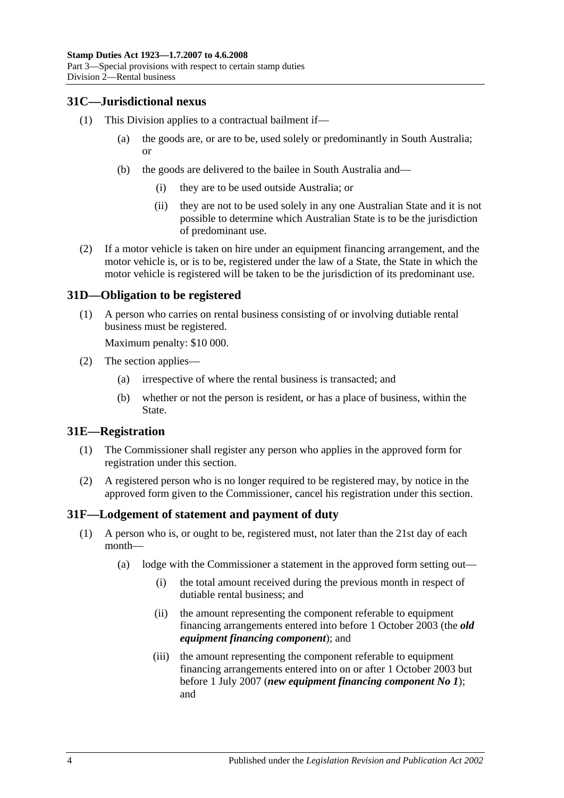## <span id="page-21-0"></span>**31C—Jurisdictional nexus**

- (1) This Division applies to a contractual bailment if—
	- (a) the goods are, or are to be, used solely or predominantly in South Australia; or
	- (b) the goods are delivered to the bailee in South Australia and—
		- (i) they are to be used outside Australia; or
		- (ii) they are not to be used solely in any one Australian State and it is not possible to determine which Australian State is to be the jurisdiction of predominant use.
- (2) If a motor vehicle is taken on hire under an equipment financing arrangement, and the motor vehicle is, or is to be, registered under the law of a State, the State in which the motor vehicle is registered will be taken to be the jurisdiction of its predominant use.

## <span id="page-21-1"></span>**31D—Obligation to be registered**

(1) A person who carries on rental business consisting of or involving dutiable rental business must be registered.

Maximum penalty: \$10 000.

- (2) The section applies—
	- (a) irrespective of where the rental business is transacted; and
	- (b) whether or not the person is resident, or has a place of business, within the State.

#### <span id="page-21-2"></span>**31E—Registration**

- (1) The Commissioner shall register any person who applies in the approved form for registration under this section.
- (2) A registered person who is no longer required to be registered may, by notice in the approved form given to the Commissioner, cancel his registration under this section.

#### <span id="page-21-4"></span><span id="page-21-3"></span>**31F—Lodgement of statement and payment of duty**

- (1) A person who is, or ought to be, registered must, not later than the 21st day of each month—
	- (a) lodge with the Commissioner a statement in the approved form setting out—
		- (i) the total amount received during the previous month in respect of dutiable rental business; and
		- (ii) the amount representing the component referable to equipment financing arrangements entered into before 1 October 2003 (the *old equipment financing component*); and
		- (iii) the amount representing the component referable to equipment financing arrangements entered into on or after 1 October 2003 but before 1 July 2007 (*new equipment financing component No 1*); and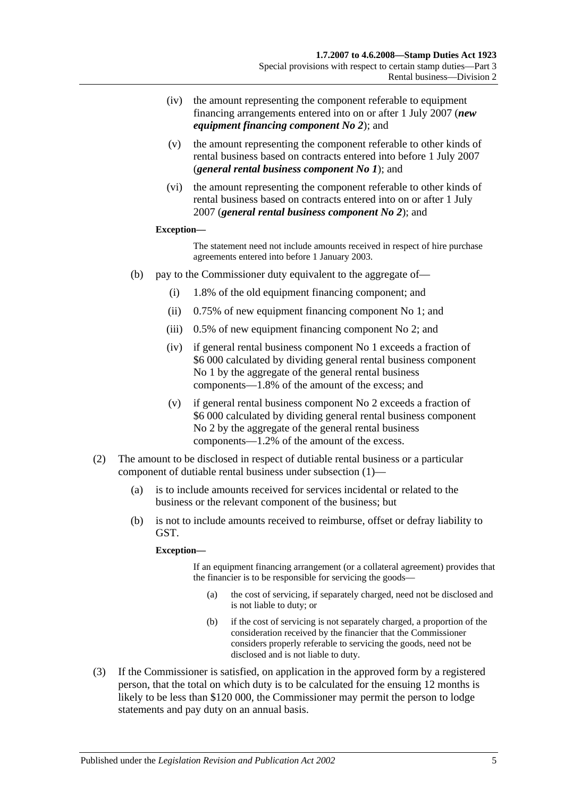- (iv) the amount representing the component referable to equipment financing arrangements entered into on or after 1 July 2007 (*new equipment financing component No 2*); and
- (v) the amount representing the component referable to other kinds of rental business based on contracts entered into before 1 July 2007 (*general rental business component No 1*); and
- (vi) the amount representing the component referable to other kinds of rental business based on contracts entered into on or after 1 July 2007 (*general rental business component No 2*); and

#### **Exception—**

The statement need not include amounts received in respect of hire purchase agreements entered into before 1 January 2003.

- (b) pay to the Commissioner duty equivalent to the aggregate of—
	- (i) 1.8% of the old equipment financing component; and
	- (ii) 0.75% of new equipment financing component No 1; and
	- (iii) 0.5% of new equipment financing component No 2; and
	- (iv) if general rental business component No 1 exceeds a fraction of \$6 000 calculated by dividing general rental business component No 1 by the aggregate of the general rental business components—1.8% of the amount of the excess; and
	- (v) if general rental business component No 2 exceeds a fraction of \$6 000 calculated by dividing general rental business component No 2 by the aggregate of the general rental business components—1.2% of the amount of the excess.
- (2) The amount to be disclosed in respect of dutiable rental business or a particular component of dutiable rental business under [subsection](#page-21-4) (1)—
	- (a) is to include amounts received for services incidental or related to the business or the relevant component of the business; but
	- (b) is not to include amounts received to reimburse, offset or defray liability to GST.

#### **Exception—**

If an equipment financing arrangement (or a collateral agreement) provides that the financier is to be responsible for servicing the goods—

- (a) the cost of servicing, if separately charged, need not be disclosed and is not liable to duty; or
- (b) if the cost of servicing is not separately charged, a proportion of the consideration received by the financier that the Commissioner considers properly referable to servicing the goods, need not be disclosed and is not liable to duty.
- <span id="page-22-0"></span>(3) If the Commissioner is satisfied, on application in the approved form by a registered person, that the total on which duty is to be calculated for the ensuing 12 months is likely to be less than \$120 000, the Commissioner may permit the person to lodge statements and pay duty on an annual basis.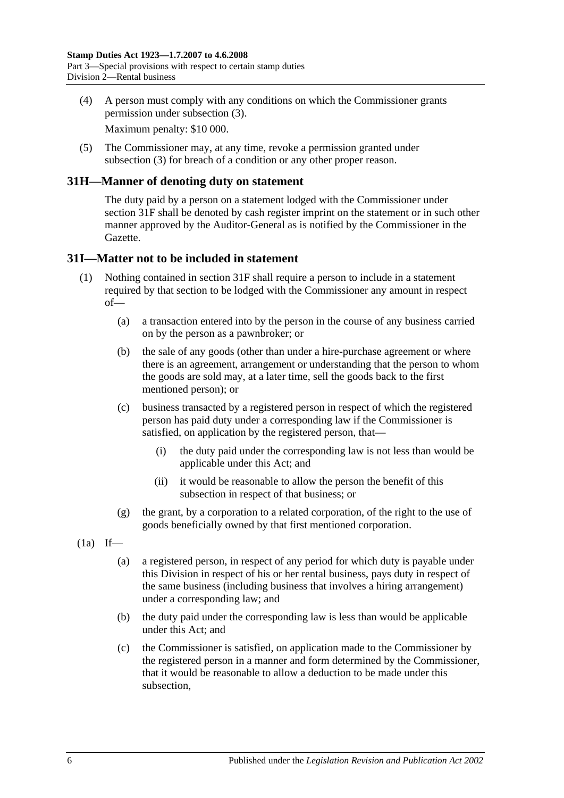(4) A person must comply with any conditions on which the Commissioner grants permission under [subsection](#page-22-0) (3).

Maximum penalty: \$10 000.

(5) The Commissioner may, at any time, revoke a permission granted under [subsection](#page-22-0) (3) for breach of a condition or any other proper reason.

## <span id="page-23-0"></span>**31H—Manner of denoting duty on statement**

The duty paid by a person on a statement lodged with the Commissioner under [section](#page-21-3) 31F shall be denoted by cash register imprint on the statement or in such other manner approved by the Auditor-General as is notified by the Commissioner in the Gazette.

### <span id="page-23-1"></span>**31I—Matter not to be included in statement**

- (1) Nothing contained in [section](#page-21-3) 31F shall require a person to include in a statement required by that section to be lodged with the Commissioner any amount in respect of—
	- (a) a transaction entered into by the person in the course of any business carried on by the person as a pawnbroker; or
	- (b) the sale of any goods (other than under a hire-purchase agreement or where there is an agreement, arrangement or understanding that the person to whom the goods are sold may, at a later time, sell the goods back to the first mentioned person); or
	- (c) business transacted by a registered person in respect of which the registered person has paid duty under a corresponding law if the Commissioner is satisfied, on application by the registered person, that—
		- (i) the duty paid under the corresponding law is not less than would be applicable under this Act; and
		- (ii) it would be reasonable to allow the person the benefit of this subsection in respect of that business; or
	- (g) the grant, by a corporation to a related corporation, of the right to the use of goods beneficially owned by that first mentioned corporation.
- <span id="page-23-3"></span><span id="page-23-2"></span> $(1a)$  If—
	- (a) a registered person, in respect of any period for which duty is payable under this Division in respect of his or her rental business, pays duty in respect of the same business (including business that involves a hiring arrangement) under a corresponding law; and
	- (b) the duty paid under the corresponding law is less than would be applicable under this Act; and
	- (c) the Commissioner is satisfied, on application made to the Commissioner by the registered person in a manner and form determined by the Commissioner, that it would be reasonable to allow a deduction to be made under this subsection,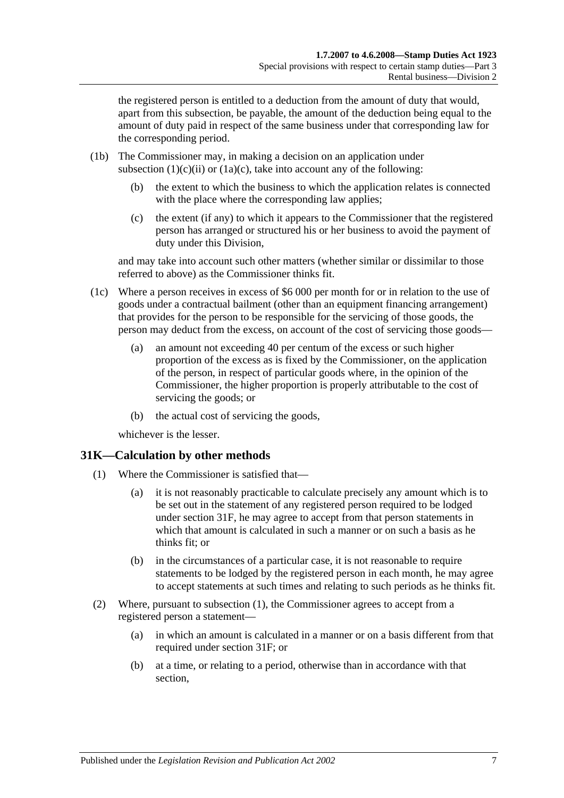the registered person is entitled to a deduction from the amount of duty that would, apart from this subsection, be payable, the amount of the deduction being equal to the amount of duty paid in respect of the same business under that corresponding law for the corresponding period.

- (1b) The Commissioner may, in making a decision on an application under [subsection](#page-23-2)  $(1)(c)(ii)$  or  $(1a)(c)$ , take into account any of the following:
	- (b) the extent to which the business to which the application relates is connected with the place where the corresponding law applies;
	- (c) the extent (if any) to which it appears to the Commissioner that the registered person has arranged or structured his or her business to avoid the payment of duty under this Division,

and may take into account such other matters (whether similar or dissimilar to those referred to above) as the Commissioner thinks fit.

- (1c) Where a person receives in excess of \$6 000 per month for or in relation to the use of goods under a contractual bailment (other than an equipment financing arrangement) that provides for the person to be responsible for the servicing of those goods, the person may deduct from the excess, on account of the cost of servicing those goods—
	- (a) an amount not exceeding 40 per centum of the excess or such higher proportion of the excess as is fixed by the Commissioner, on the application of the person, in respect of particular goods where, in the opinion of the Commissioner, the higher proportion is properly attributable to the cost of servicing the goods; or
	- (b) the actual cost of servicing the goods,

whichever is the lesser.

## <span id="page-24-1"></span><span id="page-24-0"></span>**31K—Calculation by other methods**

- (1) Where the Commissioner is satisfied that—
	- (a) it is not reasonably practicable to calculate precisely any amount which is to be set out in the statement of any registered person required to be lodged under [section](#page-21-3) 31F, he may agree to accept from that person statements in which that amount is calculated in such a manner or on such a basis as he thinks fit; or
	- (b) in the circumstances of a particular case, it is not reasonable to require statements to be lodged by the registered person in each month, he may agree to accept statements at such times and relating to such periods as he thinks fit.
- (2) Where, pursuant to [subsection](#page-24-1) (1), the Commissioner agrees to accept from a registered person a statement—
	- (a) in which an amount is calculated in a manner or on a basis different from that required under [section](#page-21-3) 31F; or
	- (b) at a time, or relating to a period, otherwise than in accordance with that section,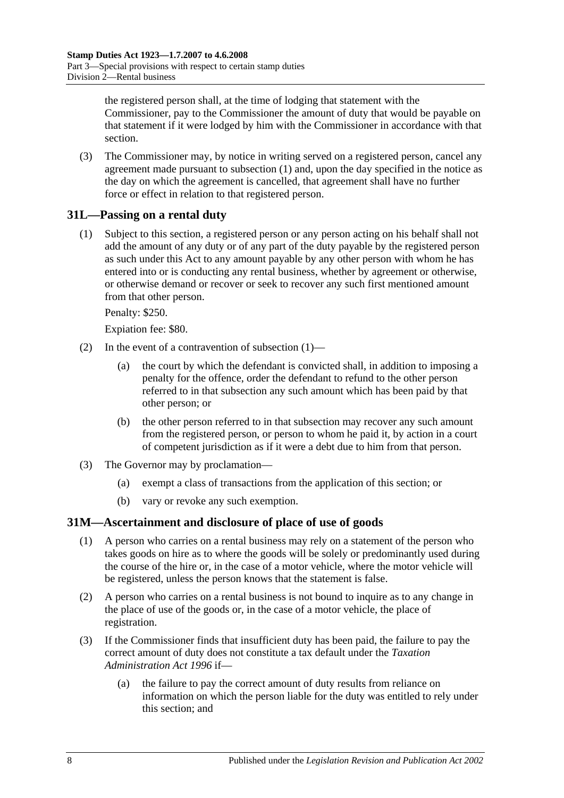the registered person shall, at the time of lodging that statement with the Commissioner, pay to the Commissioner the amount of duty that would be payable on that statement if it were lodged by him with the Commissioner in accordance with that section.

(3) The Commissioner may, by notice in writing served on a registered person, cancel any agreement made pursuant to [subsection](#page-24-1) (1) and, upon the day specified in the notice as the day on which the agreement is cancelled, that agreement shall have no further force or effect in relation to that registered person.

## <span id="page-25-2"></span><span id="page-25-0"></span>**31L—Passing on a rental duty**

(1) Subject to this section, a registered person or any person acting on his behalf shall not add the amount of any duty or of any part of the duty payable by the registered person as such under this Act to any amount payable by any other person with whom he has entered into or is conducting any rental business, whether by agreement or otherwise, or otherwise demand or recover or seek to recover any such first mentioned amount from that other person.

Penalty: \$250.

Expiation fee: \$80.

- (2) In the event of a contravention of [subsection](#page-25-2) (1)—
	- (a) the court by which the defendant is convicted shall, in addition to imposing a penalty for the offence, order the defendant to refund to the other person referred to in that subsection any such amount which has been paid by that other person; or
	- (b) the other person referred to in that subsection may recover any such amount from the registered person, or person to whom he paid it, by action in a court of competent jurisdiction as if it were a debt due to him from that person.
- (3) The Governor may by proclamation—
	- (a) exempt a class of transactions from the application of this section; or
	- (b) vary or revoke any such exemption.

## <span id="page-25-1"></span>**31M—Ascertainment and disclosure of place of use of goods**

- (1) A person who carries on a rental business may rely on a statement of the person who takes goods on hire as to where the goods will be solely or predominantly used during the course of the hire or, in the case of a motor vehicle, where the motor vehicle will be registered, unless the person knows that the statement is false.
- (2) A person who carries on a rental business is not bound to inquire as to any change in the place of use of the goods or, in the case of a motor vehicle, the place of registration.
- (3) If the Commissioner finds that insufficient duty has been paid, the failure to pay the correct amount of duty does not constitute a tax default under the *[Taxation](http://www.legislation.sa.gov.au/index.aspx?action=legref&type=act&legtitle=Taxation%20Administration%20Act%201996)  [Administration Act](http://www.legislation.sa.gov.au/index.aspx?action=legref&type=act&legtitle=Taxation%20Administration%20Act%201996) 1996* if—
	- (a) the failure to pay the correct amount of duty results from reliance on information on which the person liable for the duty was entitled to rely under this section; and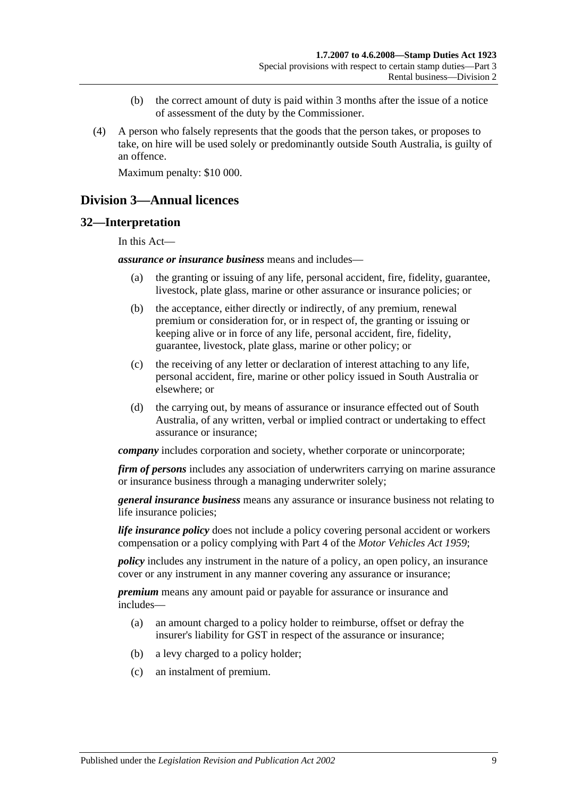- (b) the correct amount of duty is paid within 3 months after the issue of a notice of assessment of the duty by the Commissioner.
- (4) A person who falsely represents that the goods that the person takes, or proposes to take, on hire will be used solely or predominantly outside South Australia, is guilty of an offence.

Maximum penalty: \$10 000.

## <span id="page-26-0"></span>**Division 3—Annual licences**

#### <span id="page-26-1"></span>**32—Interpretation**

In this Act—

*assurance or insurance business* means and includes—

- (a) the granting or issuing of any life, personal accident, fire, fidelity, guarantee, livestock, plate glass, marine or other assurance or insurance policies; or
- (b) the acceptance, either directly or indirectly, of any premium, renewal premium or consideration for, or in respect of, the granting or issuing or keeping alive or in force of any life, personal accident, fire, fidelity, guarantee, livestock, plate glass, marine or other policy; or
- (c) the receiving of any letter or declaration of interest attaching to any life, personal accident, fire, marine or other policy issued in South Australia or elsewhere; or
- (d) the carrying out, by means of assurance or insurance effected out of South Australia, of any written, verbal or implied contract or undertaking to effect assurance or insurance;

*company* includes corporation and society, whether corporate or unincorporate;

*firm of persons* includes any association of underwriters carrying on marine assurance or insurance business through a managing underwriter solely;

*general insurance business* means any assurance or insurance business not relating to life insurance policies;

*life insurance policy* does not include a policy covering personal accident or workers compensation or a policy complying with Part 4 of the *[Motor Vehicles Act](http://www.legislation.sa.gov.au/index.aspx?action=legref&type=act&legtitle=Motor%20Vehicles%20Act%201959) 1959*;

*policy* includes any instrument in the nature of a policy, an open policy, an insurance cover or any instrument in any manner covering any assurance or insurance;

*premium* means any amount paid or payable for assurance or insurance and includes—

- (a) an amount charged to a policy holder to reimburse, offset or defray the insurer's liability for GST in respect of the assurance or insurance;
- (b) a levy charged to a policy holder;
- (c) an instalment of premium.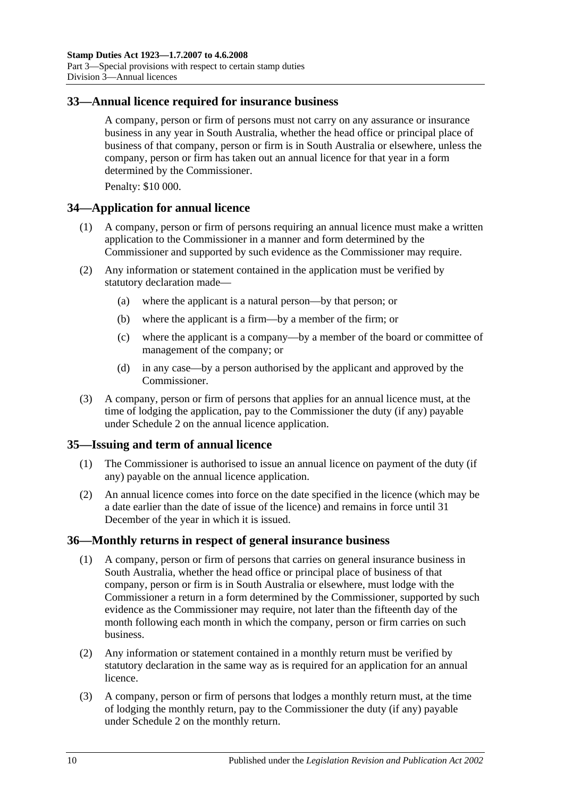## <span id="page-27-0"></span>**33—Annual licence required for insurance business**

A company, person or firm of persons must not carry on any assurance or insurance business in any year in South Australia, whether the head office or principal place of business of that company, person or firm is in South Australia or elsewhere, unless the company, person or firm has taken out an annual licence for that year in a form determined by the Commissioner.

Penalty: \$10 000.

### <span id="page-27-1"></span>**34—Application for annual licence**

- (1) A company, person or firm of persons requiring an annual licence must make a written application to the Commissioner in a manner and form determined by the Commissioner and supported by such evidence as the Commissioner may require.
- (2) Any information or statement contained in the application must be verified by statutory declaration made—
	- (a) where the applicant is a natural person—by that person; or
	- (b) where the applicant is a firm—by a member of the firm; or
	- (c) where the applicant is a company—by a member of the board or committee of management of the company; or
	- (d) in any case—by a person authorised by the applicant and approved by the Commissioner.
- (3) A company, person or firm of persons that applies for an annual licence must, at the time of lodging the application, pay to the Commissioner the duty (if any) payable under [Schedule 2](#page-102-2) on the annual licence application.

#### <span id="page-27-2"></span>**35—Issuing and term of annual licence**

- (1) The Commissioner is authorised to issue an annual licence on payment of the duty (if any) payable on the annual licence application.
- (2) An annual licence comes into force on the date specified in the licence (which may be a date earlier than the date of issue of the licence) and remains in force until 31 December of the year in which it is issued.

#### <span id="page-27-3"></span>**36—Monthly returns in respect of general insurance business**

- (1) A company, person or firm of persons that carries on general insurance business in South Australia, whether the head office or principal place of business of that company, person or firm is in South Australia or elsewhere, must lodge with the Commissioner a return in a form determined by the Commissioner, supported by such evidence as the Commissioner may require, not later than the fifteenth day of the month following each month in which the company, person or firm carries on such business.
- (2) Any information or statement contained in a monthly return must be verified by statutory declaration in the same way as is required for an application for an annual licence.
- (3) A company, person or firm of persons that lodges a monthly return must, at the time of lodging the monthly return, pay to the Commissioner the duty (if any) payable under [Schedule 2](#page-102-2) on the monthly return.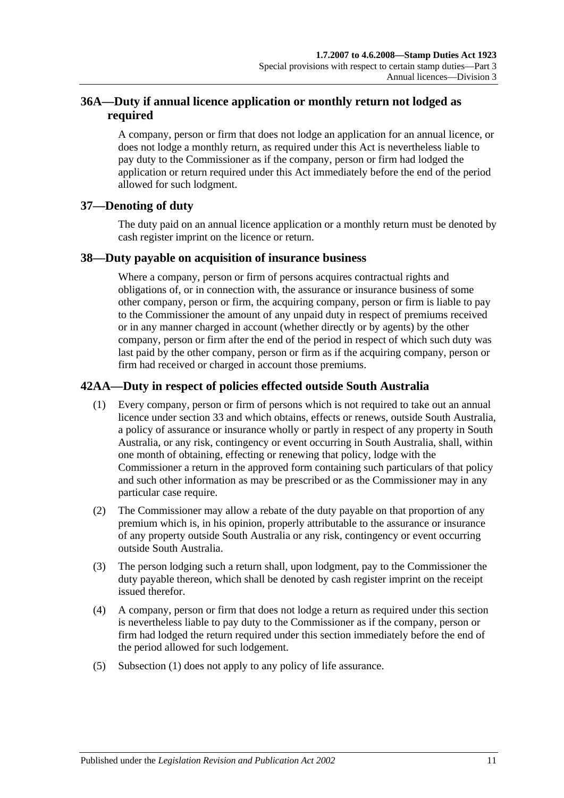## <span id="page-28-0"></span>**36A—Duty if annual licence application or monthly return not lodged as required**

A company, person or firm that does not lodge an application for an annual licence, or does not lodge a monthly return, as required under this Act is nevertheless liable to pay duty to the Commissioner as if the company, person or firm had lodged the application or return required under this Act immediately before the end of the period allowed for such lodgment.

## <span id="page-28-1"></span>**37—Denoting of duty**

The duty paid on an annual licence application or a monthly return must be denoted by cash register imprint on the licence or return.

## <span id="page-28-2"></span>**38—Duty payable on acquisition of insurance business**

Where a company, person or firm of persons acquires contractual rights and obligations of, or in connection with, the assurance or insurance business of some other company, person or firm, the acquiring company, person or firm is liable to pay to the Commissioner the amount of any unpaid duty in respect of premiums received or in any manner charged in account (whether directly or by agents) by the other company, person or firm after the end of the period in respect of which such duty was last paid by the other company, person or firm as if the acquiring company, person or firm had received or charged in account those premiums.

# <span id="page-28-4"></span><span id="page-28-3"></span>**42AA—Duty in respect of policies effected outside South Australia**

- (1) Every company, person or firm of persons which is not required to take out an annual licence under [section](#page-27-0) 33 and which obtains, effects or renews, outside South Australia, a policy of assurance or insurance wholly or partly in respect of any property in South Australia, or any risk, contingency or event occurring in South Australia, shall, within one month of obtaining, effecting or renewing that policy, lodge with the Commissioner a return in the approved form containing such particulars of that policy and such other information as may be prescribed or as the Commissioner may in any particular case require.
- (2) The Commissioner may allow a rebate of the duty payable on that proportion of any premium which is, in his opinion, properly attributable to the assurance or insurance of any property outside South Australia or any risk, contingency or event occurring outside South Australia.
- (3) The person lodging such a return shall, upon lodgment, pay to the Commissioner the duty payable thereon, which shall be denoted by cash register imprint on the receipt issued therefor.
- (4) A company, person or firm that does not lodge a return as required under this section is nevertheless liable to pay duty to the Commissioner as if the company, person or firm had lodged the return required under this section immediately before the end of the period allowed for such lodgement.
- (5) [Subsection](#page-28-4) (1) does not apply to any policy of life assurance.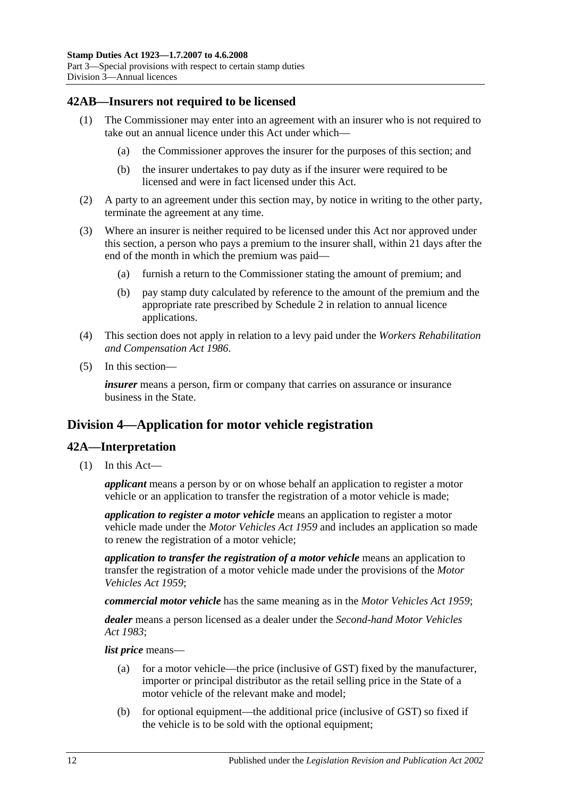## <span id="page-29-0"></span>**42AB—Insurers not required to be licensed**

- (1) The Commissioner may enter into an agreement with an insurer who is not required to take out an annual licence under this Act under which—
	- (a) the Commissioner approves the insurer for the purposes of this section; and
	- (b) the insurer undertakes to pay duty as if the insurer were required to be licensed and were in fact licensed under this Act.
- (2) A party to an agreement under this section may, by notice in writing to the other party, terminate the agreement at any time.
- (3) Where an insurer is neither required to be licensed under this Act nor approved under this section, a person who pays a premium to the insurer shall, within 21 days after the end of the month in which the premium was paid—
	- (a) furnish a return to the Commissioner stating the amount of premium; and
	- (b) pay stamp duty calculated by reference to the amount of the premium and the appropriate rate prescribed by [Schedule 2](#page-102-2) in relation to annual licence applications.
- (4) This section does not apply in relation to a levy paid under the *[Workers Rehabilitation](http://www.legislation.sa.gov.au/index.aspx?action=legref&type=act&legtitle=Workers%20Rehabilitation%20and%20Compensation%20Act%201986)  [and Compensation Act](http://www.legislation.sa.gov.au/index.aspx?action=legref&type=act&legtitle=Workers%20Rehabilitation%20and%20Compensation%20Act%201986) 1986*.
- (5) In this section—

*insurer* means a person, firm or company that carries on assurance or insurance business in the State.

# <span id="page-29-1"></span>**Division 4—Application for motor vehicle registration**

## <span id="page-29-2"></span>**42A—Interpretation**

(1) In this Act—

*applicant* means a person by or on whose behalf an application to register a motor vehicle or an application to transfer the registration of a motor vehicle is made;

*application to register a motor vehicle* means an application to register a motor vehicle made under the *[Motor Vehicles Act](http://www.legislation.sa.gov.au/index.aspx?action=legref&type=act&legtitle=Motor%20Vehicles%20Act%201959) 1959* and includes an application so made to renew the registration of a motor vehicle;

*application to transfer the registration of a motor vehicle* means an application to transfer the registration of a motor vehicle made under the provisions of the *[Motor](http://www.legislation.sa.gov.au/index.aspx?action=legref&type=act&legtitle=Motor%20Vehicles%20Act%201959)  [Vehicles Act](http://www.legislation.sa.gov.au/index.aspx?action=legref&type=act&legtitle=Motor%20Vehicles%20Act%201959) 1959*;

*commercial motor vehicle* has the same meaning as in the *[Motor Vehicles Act](http://www.legislation.sa.gov.au/index.aspx?action=legref&type=act&legtitle=Motor%20Vehicles%20Act%201959) 1959*;

*dealer* means a person licensed as a dealer under the *[Second-hand Motor Vehicles](http://www.legislation.sa.gov.au/index.aspx?action=legref&type=act&legtitle=Second-hand%20Motor%20Vehicles%20Act%201983)  Act [1983](http://www.legislation.sa.gov.au/index.aspx?action=legref&type=act&legtitle=Second-hand%20Motor%20Vehicles%20Act%201983)*;

*list price* means—

- (a) for a motor vehicle—the price (inclusive of GST) fixed by the manufacturer, importer or principal distributor as the retail selling price in the State of a motor vehicle of the relevant make and model;
- (b) for optional equipment—the additional price (inclusive of GST) so fixed if the vehicle is to be sold with the optional equipment;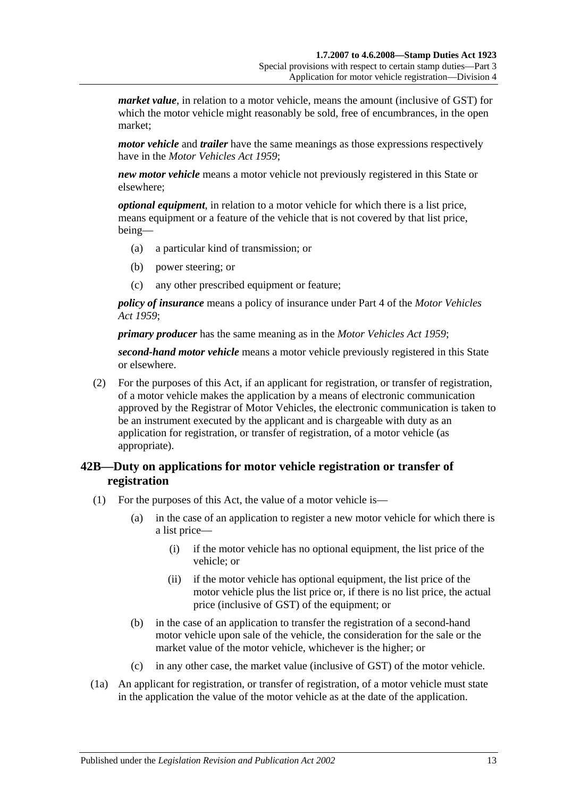*market value*, in relation to a motor vehicle, means the amount (inclusive of GST) for which the motor vehicle might reasonably be sold, free of encumbrances, in the open market;

*motor vehicle* and *trailer* have the same meanings as those expressions respectively have in the *[Motor Vehicles Act](http://www.legislation.sa.gov.au/index.aspx?action=legref&type=act&legtitle=Motor%20Vehicles%20Act%201959) 1959*;

*new motor vehicle* means a motor vehicle not previously registered in this State or elsewhere;

*optional equipment*, in relation to a motor vehicle for which there is a list price, means equipment or a feature of the vehicle that is not covered by that list price, being—

- (a) a particular kind of transmission; or
- (b) power steering; or
- (c) any other prescribed equipment or feature;

*policy of insurance* means a policy of insurance under Part 4 of the *[Motor Vehicles](http://www.legislation.sa.gov.au/index.aspx?action=legref&type=act&legtitle=Motor%20Vehicles%20Act%201959)  Act [1959](http://www.legislation.sa.gov.au/index.aspx?action=legref&type=act&legtitle=Motor%20Vehicles%20Act%201959)*;

*primary producer* has the same meaning as in the *[Motor Vehicles Act](http://www.legislation.sa.gov.au/index.aspx?action=legref&type=act&legtitle=Motor%20Vehicles%20Act%201959) 1959*;

*second-hand motor vehicle* means a motor vehicle previously registered in this State or elsewhere.

(2) For the purposes of this Act, if an applicant for registration, or transfer of registration, of a motor vehicle makes the application by a means of electronic communication approved by the Registrar of Motor Vehicles, the electronic communication is taken to be an instrument executed by the applicant and is chargeable with duty as an application for registration, or transfer of registration, of a motor vehicle (as appropriate).

## <span id="page-30-0"></span>**42B—Duty on applications for motor vehicle registration or transfer of registration**

- (1) For the purposes of this Act, the value of a motor vehicle is—
	- (a) in the case of an application to register a new motor vehicle for which there is a list price—
		- (i) if the motor vehicle has no optional equipment, the list price of the vehicle; or
		- (ii) if the motor vehicle has optional equipment, the list price of the motor vehicle plus the list price or, if there is no list price, the actual price (inclusive of GST) of the equipment; or
	- (b) in the case of an application to transfer the registration of a second-hand motor vehicle upon sale of the vehicle, the consideration for the sale or the market value of the motor vehicle, whichever is the higher; or
	- (c) in any other case, the market value (inclusive of GST) of the motor vehicle.
- (1a) An applicant for registration, or transfer of registration, of a motor vehicle must state in the application the value of the motor vehicle as at the date of the application.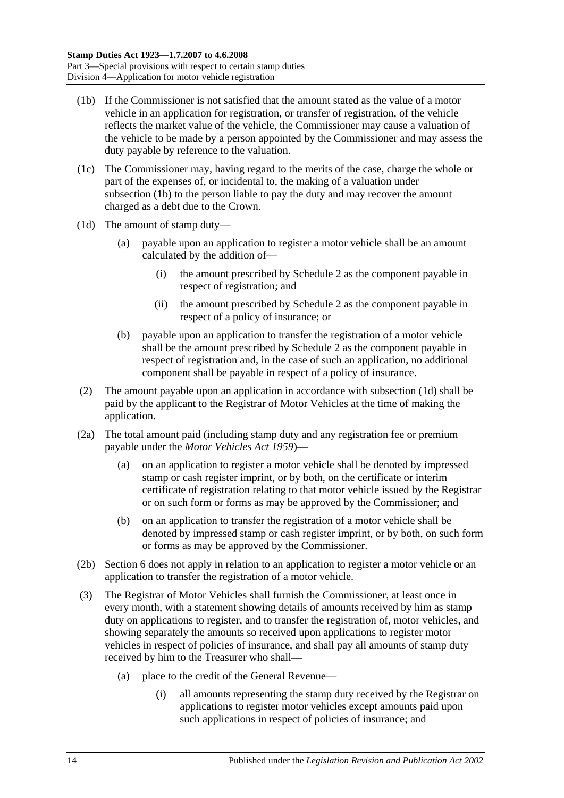- <span id="page-31-0"></span>(1b) If the Commissioner is not satisfied that the amount stated as the value of a motor vehicle in an application for registration, or transfer of registration, of the vehicle reflects the market value of the vehicle, the Commissioner may cause a valuation of the vehicle to be made by a person appointed by the Commissioner and may assess the duty payable by reference to the valuation.
- (1c) The Commissioner may, having regard to the merits of the case, charge the whole or part of the expenses of, or incidental to, the making of a valuation under [subsection](#page-31-0) (1b) to the person liable to pay the duty and may recover the amount charged as a debt due to the Crown.
- <span id="page-31-1"></span>(1d) The amount of stamp duty—
	- (a) payable upon an application to register a motor vehicle shall be an amount calculated by the addition of—
		- (i) the amount prescribed by [Schedule 2](#page-102-2) as the component payable in respect of registration; and
		- (ii) the amount prescribed by [Schedule 2](#page-102-2) as the component payable in respect of a policy of insurance; or
	- (b) payable upon an application to transfer the registration of a motor vehicle shall be the amount prescribed by [Schedule 2](#page-102-2) as the component payable in respect of registration and, in the case of such an application, no additional component shall be payable in respect of a policy of insurance.
- (2) The amount payable upon an application in accordance with [subsection](#page-31-1) (1d) shall be paid by the applicant to the Registrar of Motor Vehicles at the time of making the application.
- (2a) The total amount paid (including stamp duty and any registration fee or premium payable under the *[Motor Vehicles Act](http://www.legislation.sa.gov.au/index.aspx?action=legref&type=act&legtitle=Motor%20Vehicles%20Act%201959) 1959*)—
	- (a) on an application to register a motor vehicle shall be denoted by impressed stamp or cash register imprint, or by both, on the certificate or interim certificate of registration relating to that motor vehicle issued by the Registrar or on such form or forms as may be approved by the Commissioner; and
	- (b) on an application to transfer the registration of a motor vehicle shall be denoted by impressed stamp or cash register imprint, or by both, on such form or forms as may be approved by the Commissioner.
- (2b) Section 6 does not apply in relation to an application to register a motor vehicle or an application to transfer the registration of a motor vehicle.
- (3) The Registrar of Motor Vehicles shall furnish the Commissioner, at least once in every month, with a statement showing details of amounts received by him as stamp duty on applications to register, and to transfer the registration of, motor vehicles, and showing separately the amounts so received upon applications to register motor vehicles in respect of policies of insurance, and shall pay all amounts of stamp duty received by him to the Treasurer who shall—
	- (a) place to the credit of the General Revenue—
		- (i) all amounts representing the stamp duty received by the Registrar on applications to register motor vehicles except amounts paid upon such applications in respect of policies of insurance; and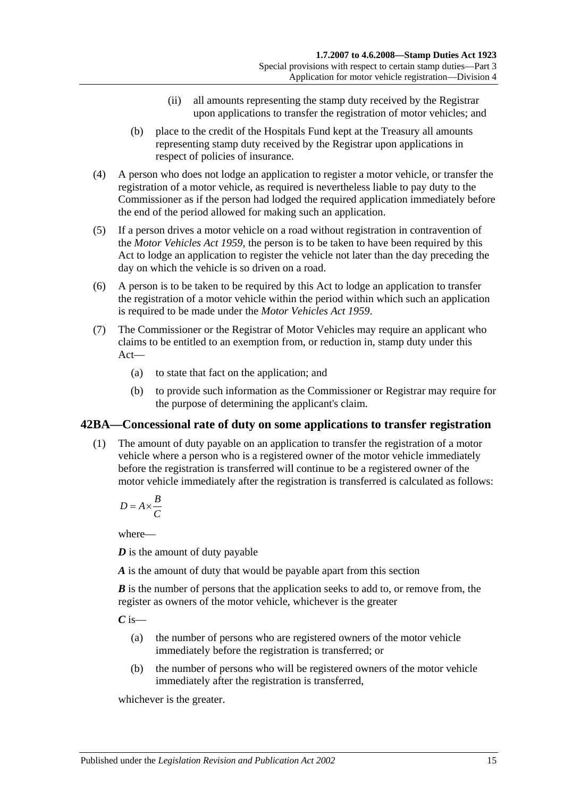- (ii) all amounts representing the stamp duty received by the Registrar upon applications to transfer the registration of motor vehicles; and
- (b) place to the credit of the Hospitals Fund kept at the Treasury all amounts representing stamp duty received by the Registrar upon applications in respect of policies of insurance.
- (4) A person who does not lodge an application to register a motor vehicle, or transfer the registration of a motor vehicle, as required is nevertheless liable to pay duty to the Commissioner as if the person had lodged the required application immediately before the end of the period allowed for making such an application.
- (5) If a person drives a motor vehicle on a road without registration in contravention of the *[Motor Vehicles Act](http://www.legislation.sa.gov.au/index.aspx?action=legref&type=act&legtitle=Motor%20Vehicles%20Act%201959) 1959*, the person is to be taken to have been required by this Act to lodge an application to register the vehicle not later than the day preceding the day on which the vehicle is so driven on a road.
- (6) A person is to be taken to be required by this Act to lodge an application to transfer the registration of a motor vehicle within the period within which such an application is required to be made under the *[Motor Vehicles Act](http://www.legislation.sa.gov.au/index.aspx?action=legref&type=act&legtitle=Motor%20Vehicles%20Act%201959) 1959*.
- (7) The Commissioner or the Registrar of Motor Vehicles may require an applicant who claims to be entitled to an exemption from, or reduction in, stamp duty under this Act—
	- (a) to state that fact on the application; and
	- (b) to provide such information as the Commissioner or Registrar may require for the purpose of determining the applicant's claim.

## <span id="page-32-0"></span>**42BA—Concessional rate of duty on some applications to transfer registration**

(1) The amount of duty payable on an application to transfer the registration of a motor vehicle where a person who is a registered owner of the motor vehicle immediately before the registration is transferred will continue to be a registered owner of the motor vehicle immediately after the registration is transferred is calculated as follows:

$$
D = A \times \frac{B}{C}
$$

where—

*D* is the amount of duty payable

*A* is the amount of duty that would be payable apart from this section

*B* is the number of persons that the application seeks to add to, or remove from, the register as owners of the motor vehicle, whichever is the greater

*C* is—

- (a) the number of persons who are registered owners of the motor vehicle immediately before the registration is transferred; or
- (b) the number of persons who will be registered owners of the motor vehicle immediately after the registration is transferred,

whichever is the greater.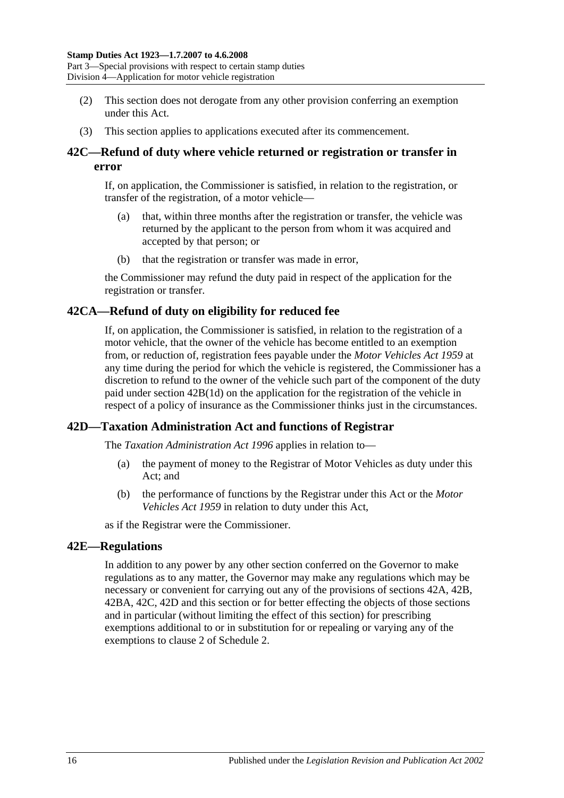Part 3—Special provisions with respect to certain stamp duties Division 4—Application for motor vehicle registration

- (2) This section does not derogate from any other provision conferring an exemption under this Act.
- (3) This section applies to applications executed after its commencement.

## <span id="page-33-0"></span>**42C—Refund of duty where vehicle returned or registration or transfer in error**

If, on application, the Commissioner is satisfied, in relation to the registration, or transfer of the registration, of a motor vehicle—

- (a) that, within three months after the registration or transfer, the vehicle was returned by the applicant to the person from whom it was acquired and accepted by that person; or
- (b) that the registration or transfer was made in error,

the Commissioner may refund the duty paid in respect of the application for the registration or transfer.

## <span id="page-33-1"></span>**42CA—Refund of duty on eligibility for reduced fee**

If, on application, the Commissioner is satisfied, in relation to the registration of a motor vehicle, that the owner of the vehicle has become entitled to an exemption from, or reduction of, registration fees payable under the *[Motor Vehicles Act](http://www.legislation.sa.gov.au/index.aspx?action=legref&type=act&legtitle=Motor%20Vehicles%20Act%201959) 1959* at any time during the period for which the vehicle is registered, the Commissioner has a discretion to refund to the owner of the vehicle such part of the component of the duty paid under section [42B\(1d\)](#page-31-1) on the application for the registration of the vehicle in respect of a policy of insurance as the Commissioner thinks just in the circumstances.

## <span id="page-33-2"></span>**42D—Taxation Administration Act and functions of Registrar**

The *[Taxation Administration Act](http://www.legislation.sa.gov.au/index.aspx?action=legref&type=act&legtitle=Taxation%20Administration%20Act%201996) 1996* applies in relation to—

- (a) the payment of money to the Registrar of Motor Vehicles as duty under this Act; and
- (b) the performance of functions by the Registrar under this Act or the *[Motor](http://www.legislation.sa.gov.au/index.aspx?action=legref&type=act&legtitle=Motor%20Vehicles%20Act%201959)  [Vehicles Act](http://www.legislation.sa.gov.au/index.aspx?action=legref&type=act&legtitle=Motor%20Vehicles%20Act%201959) 1959* in relation to duty under this Act,

as if the Registrar were the Commissioner.

#### <span id="page-33-3"></span>**42E—Regulations**

In addition to any power by any other section conferred on the Governor to make regulations as to any matter, the Governor may make any regulations which may be necessary or convenient for carrying out any of the provisions of [sections](#page-29-2) 42A, [42B,](#page-30-0) [42BA,](#page-32-0) [42C,](#page-33-0) [42D](#page-33-2) and this section or for better effecting the objects of those sections and in particular (without limiting the effect of this section) for prescribing exemptions additional to or in substitution for or repealing or varying any of the exemptions to clause 2 of [Schedule 2.](#page-102-2)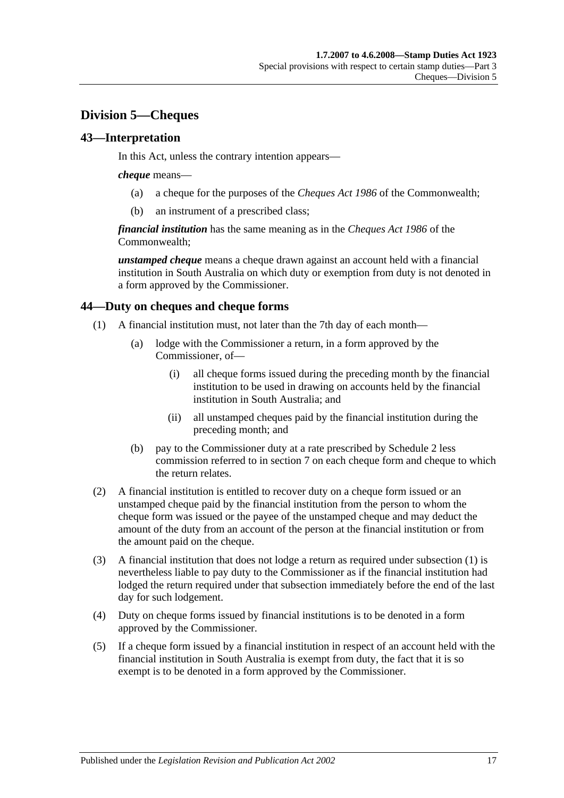# <span id="page-34-0"></span>**Division 5—Cheques**

## <span id="page-34-1"></span>**43—Interpretation**

In this Act, unless the contrary intention appears—

#### *cheque* means—

- (a) a cheque for the purposes of the *Cheques Act 1986* of the Commonwealth;
- (b) an instrument of a prescribed class;

*financial institution* has the same meaning as in the *Cheques Act 1986* of the Commonwealth;

*unstamped cheque* means a cheque drawn against an account held with a financial institution in South Australia on which duty or exemption from duty is not denoted in a form approved by the Commissioner.

## <span id="page-34-3"></span><span id="page-34-2"></span>**44—Duty on cheques and cheque forms**

- (1) A financial institution must, not later than the 7th day of each month—
	- (a) lodge with the Commissioner a return, in a form approved by the Commissioner, of—
		- (i) all cheque forms issued during the preceding month by the financial institution to be used in drawing on accounts held by the financial institution in South Australia; and
		- (ii) all unstamped cheques paid by the financial institution during the preceding month; and
	- (b) pay to the Commissioner duty at a rate prescribed by [Schedule 2](#page-102-2) less commission referred to in [section](#page-12-3) 7 on each cheque form and cheque to which the return relates.
- (2) A financial institution is entitled to recover duty on a cheque form issued or an unstamped cheque paid by the financial institution from the person to whom the cheque form was issued or the payee of the unstamped cheque and may deduct the amount of the duty from an account of the person at the financial institution or from the amount paid on the cheque.
- (3) A financial institution that does not lodge a return as required under [subsection](#page-34-3) (1) is nevertheless liable to pay duty to the Commissioner as if the financial institution had lodged the return required under that subsection immediately before the end of the last day for such lodgement.
- (4) Duty on cheque forms issued by financial institutions is to be denoted in a form approved by the Commissioner.
- (5) If a cheque form issued by a financial institution in respect of an account held with the financial institution in South Australia is exempt from duty, the fact that it is so exempt is to be denoted in a form approved by the Commissioner.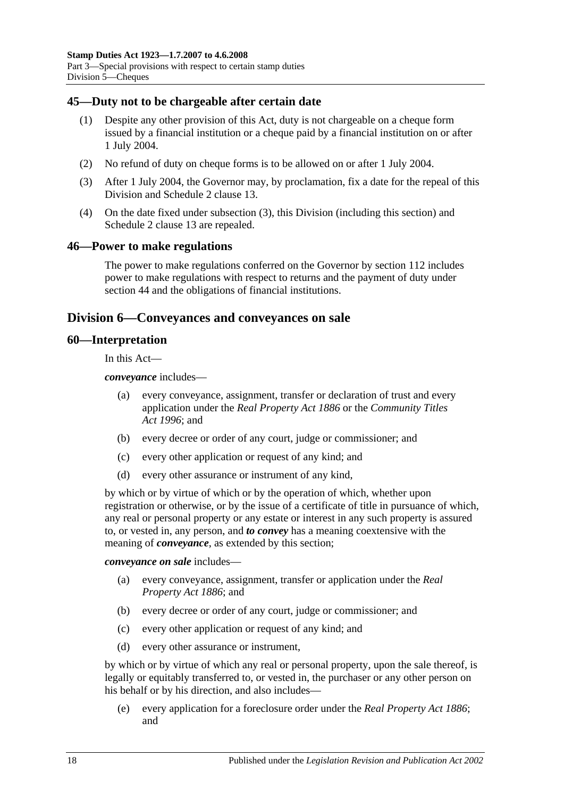## <span id="page-35-0"></span>**45—Duty not to be chargeable after certain date**

- (1) Despite any other provision of this Act, duty is not chargeable on a cheque form issued by a financial institution or a cheque paid by a financial institution on or after 1 July 2004.
- (2) No refund of duty on cheque forms is to be allowed on or after 1 July 2004.
- <span id="page-35-4"></span>(3) After 1 July 2004, the Governor may, by proclamation, fix a date for the repeal of this Division and Schedule 2 clause 13.
- (4) On the date fixed under [subsection](#page-35-4) (3), this Division (including this section) and Schedule 2 clause 13 are repealed.

#### <span id="page-35-1"></span>**46—Power to make regulations**

The power to make regulations conferred on the Governor by [section](#page-100-2) 112 includes power to make regulations with respect to returns and the payment of duty under [section](#page-34-2) 44 and the obligations of financial institutions.

## <span id="page-35-2"></span>**Division 6—Conveyances and conveyances on sale**

#### <span id="page-35-3"></span>**60—Interpretation**

In this Act—

*conveyance* includes—

- (a) every conveyance, assignment, transfer or declaration of trust and every application under the *[Real Property Act](http://www.legislation.sa.gov.au/index.aspx?action=legref&type=act&legtitle=Real%20Property%20Act%201886) 1886* or the *[Community Titles](http://www.legislation.sa.gov.au/index.aspx?action=legref&type=act&legtitle=Community%20Titles%20Act%201996)  Act [1996](http://www.legislation.sa.gov.au/index.aspx?action=legref&type=act&legtitle=Community%20Titles%20Act%201996)*; and
- (b) every decree or order of any court, judge or commissioner; and
- (c) every other application or request of any kind; and
- (d) every other assurance or instrument of any kind,

by which or by virtue of which or by the operation of which, whether upon registration or otherwise, or by the issue of a certificate of title in pursuance of which, any real or personal property or any estate or interest in any such property is assured to, or vested in, any person, and *to convey* has a meaning coextensive with the meaning of *conveyance*, as extended by this section;

*conveyance on sale* includes—

- (a) every conveyance, assignment, transfer or application under the *[Real](http://www.legislation.sa.gov.au/index.aspx?action=legref&type=act&legtitle=Real%20Property%20Act%201886)  [Property Act](http://www.legislation.sa.gov.au/index.aspx?action=legref&type=act&legtitle=Real%20Property%20Act%201886) 1886*; and
- (b) every decree or order of any court, judge or commissioner; and
- (c) every other application or request of any kind; and
- (d) every other assurance or instrument,

by which or by virtue of which any real or personal property, upon the sale thereof, is legally or equitably transferred to, or vested in, the purchaser or any other person on his behalf or by his direction, and also includes—

(e) every application for a foreclosure order under the *[Real Property Act](http://www.legislation.sa.gov.au/index.aspx?action=legref&type=act&legtitle=Real%20Property%20Act%201886) 1886*; and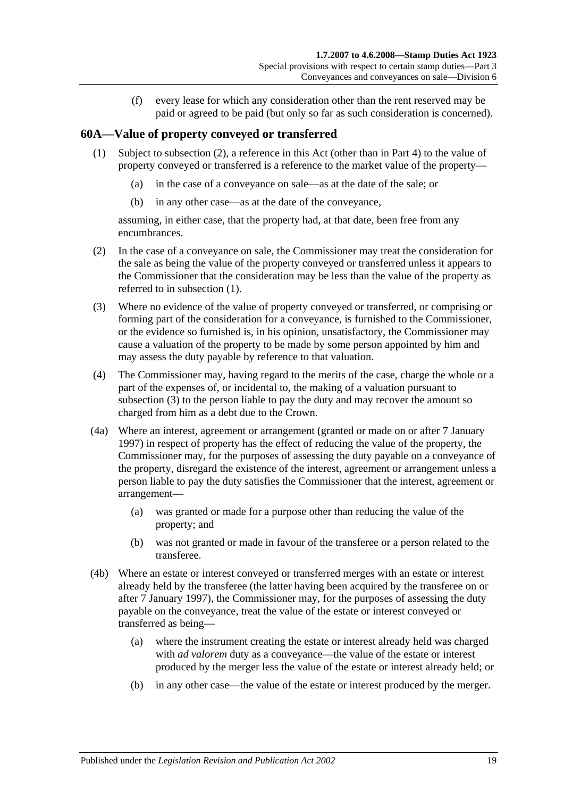(f) every lease for which any consideration other than the rent reserved may be paid or agreed to be paid (but only so far as such consideration is concerned).

## <span id="page-36-1"></span>**60A—Value of property conveyed or transferred**

- (1) Subject to [subsection](#page-36-0) (2), a reference in this Act (other than in [Part 4\)](#page-86-0) to the value of property conveyed or transferred is a reference to the market value of the property—
	- (a) in the case of a conveyance on sale—as at the date of the sale; or
	- (b) in any other case—as at the date of the conveyance,

assuming, in either case, that the property had, at that date, been free from any encumbrances.

- <span id="page-36-0"></span>(2) In the case of a conveyance on sale, the Commissioner may treat the consideration for the sale as being the value of the property conveyed or transferred unless it appears to the Commissioner that the consideration may be less than the value of the property as referred to in [subsection](#page-36-1) (1).
- <span id="page-36-2"></span>(3) Where no evidence of the value of property conveyed or transferred, or comprising or forming part of the consideration for a conveyance, is furnished to the Commissioner, or the evidence so furnished is, in his opinion, unsatisfactory, the Commissioner may cause a valuation of the property to be made by some person appointed by him and may assess the duty payable by reference to that valuation.
- (4) The Commissioner may, having regard to the merits of the case, charge the whole or a part of the expenses of, or incidental to, the making of a valuation pursuant to [subsection](#page-36-2) (3) to the person liable to pay the duty and may recover the amount so charged from him as a debt due to the Crown.
- <span id="page-36-3"></span>(4a) Where an interest, agreement or arrangement (granted or made on or after 7 January 1997) in respect of property has the effect of reducing the value of the property, the Commissioner may, for the purposes of assessing the duty payable on a conveyance of the property, disregard the existence of the interest, agreement or arrangement unless a person liable to pay the duty satisfies the Commissioner that the interest, agreement or arrangement—
	- (a) was granted or made for a purpose other than reducing the value of the property; and
	- (b) was not granted or made in favour of the transferee or a person related to the transferee.
- (4b) Where an estate or interest conveyed or transferred merges with an estate or interest already held by the transferee (the latter having been acquired by the transferee on or after 7 January 1997), the Commissioner may, for the purposes of assessing the duty payable on the conveyance, treat the value of the estate or interest conveyed or transferred as being—
	- (a) where the instrument creating the estate or interest already held was charged with *ad valorem* duty as a conveyance—the value of the estate or interest produced by the merger less the value of the estate or interest already held; or
	- (b) in any other case—the value of the estate or interest produced by the merger.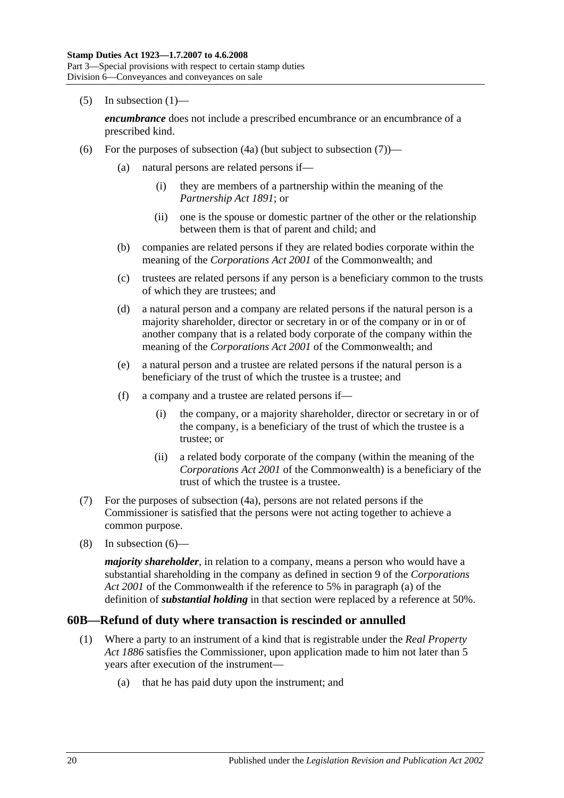$(5)$  In [subsection](#page-36-1)  $(1)$ —

*encumbrance* does not include a prescribed encumbrance or an encumbrance of a prescribed kind.

- <span id="page-37-1"></span>(6) For the purposes of [subsection](#page-37-0)  $(4a)$  (but subject to subsection  $(7)$ )—
	- (a) natural persons are related persons if—
		- (i) they are members of a partnership within the meaning of the *[Partnership Act](http://www.legislation.sa.gov.au/index.aspx?action=legref&type=act&legtitle=Partnership%20Act%201891) 1891*; or
		- (ii) one is the spouse or domestic partner of the other or the relationship between them is that of parent and child; and
	- (b) companies are related persons if they are related bodies corporate within the meaning of the *Corporations Act 2001* of the Commonwealth; and
	- (c) trustees are related persons if any person is a beneficiary common to the trusts of which they are trustees; and
	- (d) a natural person and a company are related persons if the natural person is a majority shareholder, director or secretary in or of the company or in or of another company that is a related body corporate of the company within the meaning of the *Corporations Act 2001* of the Commonwealth; and
	- (e) a natural person and a trustee are related persons if the natural person is a beneficiary of the trust of which the trustee is a trustee; and
	- (f) a company and a trustee are related persons if—
		- (i) the company, or a majority shareholder, director or secretary in or of the company, is a beneficiary of the trust of which the trustee is a trustee; or
		- (ii) a related body corporate of the company (within the meaning of the *Corporations Act 2001* of the Commonwealth) is a beneficiary of the trust of which the trustee is a trustee.
- <span id="page-37-0"></span>(7) For the purposes of [subsection](#page-36-3) (4a), persons are not related persons if the Commissioner is satisfied that the persons were not acting together to achieve a common purpose.
- (8) In [subsection](#page-37-1) (6)—

*majority shareholder*, in relation to a company, means a person who would have a substantial shareholding in the company as defined in section 9 of the *Corporations Act 2001* of the Commonwealth if the reference to 5% in paragraph (a) of the definition of *substantial holding* in that section were replaced by a reference at 50%.

### **60B—Refund of duty where transaction is rescinded or annulled**

- (1) Where a party to an instrument of a kind that is registrable under the *[Real Property](http://www.legislation.sa.gov.au/index.aspx?action=legref&type=act&legtitle=Real%20Property%20Act%201886)  Act [1886](http://www.legislation.sa.gov.au/index.aspx?action=legref&type=act&legtitle=Real%20Property%20Act%201886)* satisfies the Commissioner, upon application made to him not later than 5 years after execution of the instrument—
	- (a) that he has paid duty upon the instrument; and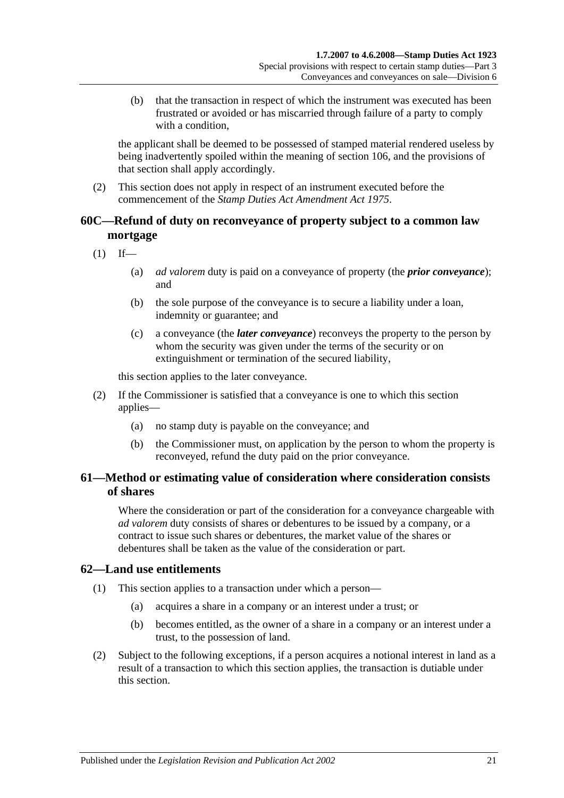(b) that the transaction in respect of which the instrument was executed has been frustrated or avoided or has miscarried through failure of a party to comply with a condition,

the applicant shall be deemed to be possessed of stamped material rendered useless by being inadvertently spoiled within the meaning of [section](#page-98-0) 106, and the provisions of that section shall apply accordingly.

(2) This section does not apply in respect of an instrument executed before the commencement of the *[Stamp Duties Act Amendment Act](http://www.legislation.sa.gov.au/index.aspx?action=legref&type=act&legtitle=Stamp%20Duties%20Act%20Amendment%20Act%201975) 1975*.

## **60C—Refund of duty on reconveyance of property subject to a common law mortgage**

 $(1)$  If—

- (a) *ad valorem* duty is paid on a conveyance of property (the *prior conveyance*); and
- (b) the sole purpose of the conveyance is to secure a liability under a loan, indemnity or guarantee; and
- (c) a conveyance (the *later conveyance*) reconveys the property to the person by whom the security was given under the terms of the security or on extinguishment or termination of the secured liability,

this section applies to the later conveyance.

- (2) If the Commissioner is satisfied that a conveyance is one to which this section applies—
	- (a) no stamp duty is payable on the conveyance; and
	- (b) the Commissioner must, on application by the person to whom the property is reconveyed, refund the duty paid on the prior conveyance.

# **61—Method or estimating value of consideration where consideration consists of shares**

Where the consideration or part of the consideration for a conveyance chargeable with *ad valorem* duty consists of shares or debentures to be issued by a company, or a contract to issue such shares or debentures, the market value of the shares or debentures shall be taken as the value of the consideration or part.

## **62—Land use entitlements**

- (1) This section applies to a transaction under which a person—
	- (a) acquires a share in a company or an interest under a trust; or
	- (b) becomes entitled, as the owner of a share in a company or an interest under a trust, to the possession of land.
- (2) Subject to the following exceptions, if a person acquires a notional interest in land as a result of a transaction to which this section applies, the transaction is dutiable under this section.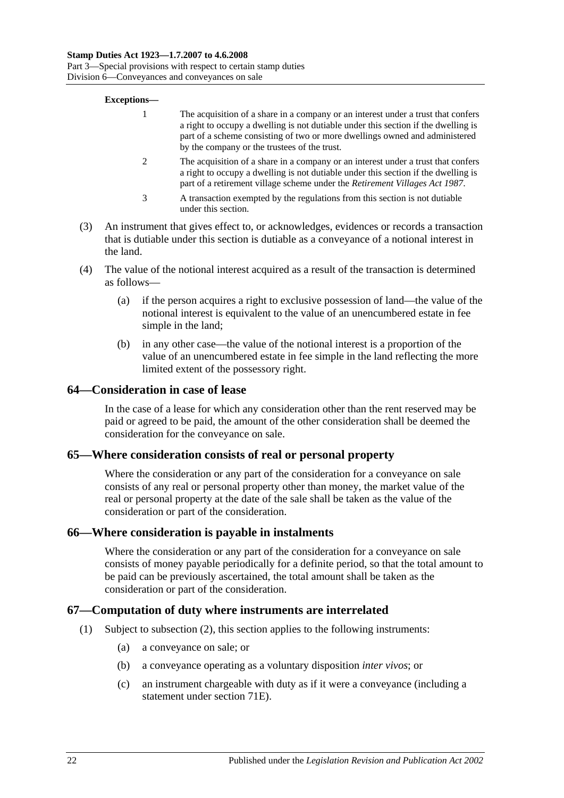Part 3—Special provisions with respect to certain stamp duties Division 6—Conveyances and conveyances on sale

#### **Exceptions—**

- 1 The acquisition of a share in a company or an interest under a trust that confers a right to occupy a dwelling is not dutiable under this section if the dwelling is part of a scheme consisting of two or more dwellings owned and administered by the company or the trustees of the trust.
- 2 The acquisition of a share in a company or an interest under a trust that confers a right to occupy a dwelling is not dutiable under this section if the dwelling is part of a retirement village scheme under the *[Retirement Villages Act](http://www.legislation.sa.gov.au/index.aspx?action=legref&type=act&legtitle=Retirement%20Villages%20Act%201987) 1987*.
- 3 A transaction exempted by the regulations from this section is not dutiable under this section.
- (3) An instrument that gives effect to, or acknowledges, evidences or records a transaction that is dutiable under this section is dutiable as a conveyance of a notional interest in the land.
- (4) The value of the notional interest acquired as a result of the transaction is determined as follows—
	- (a) if the person acquires a right to exclusive possession of land—the value of the notional interest is equivalent to the value of an unencumbered estate in fee simple in the land;
	- (b) in any other case—the value of the notional interest is a proportion of the value of an unencumbered estate in fee simple in the land reflecting the more limited extent of the possessory right.

### **64—Consideration in case of lease**

In the case of a lease for which any consideration other than the rent reserved may be paid or agreed to be paid, the amount of the other consideration shall be deemed the consideration for the conveyance on sale.

### **65—Where consideration consists of real or personal property**

Where the consideration or any part of the consideration for a conveyance on sale consists of any real or personal property other than money, the market value of the real or personal property at the date of the sale shall be taken as the value of the consideration or part of the consideration.

### **66—Where consideration is payable in instalments**

Where the consideration or any part of the consideration for a conveyance on sale consists of money payable periodically for a definite period, so that the total amount to be paid can be previously ascertained, the total amount shall be taken as the consideration or part of the consideration.

### **67—Computation of duty where instruments are interrelated**

- (1) Subject to [subsection](#page-40-0) (2), this section applies to the following instruments:
	- (a) a conveyance on sale; or
	- (b) a conveyance operating as a voluntary disposition *inter vivos*; or
	- (c) an instrument chargeable with duty as if it were a conveyance (including a statement under [section](#page-64-0) 71E).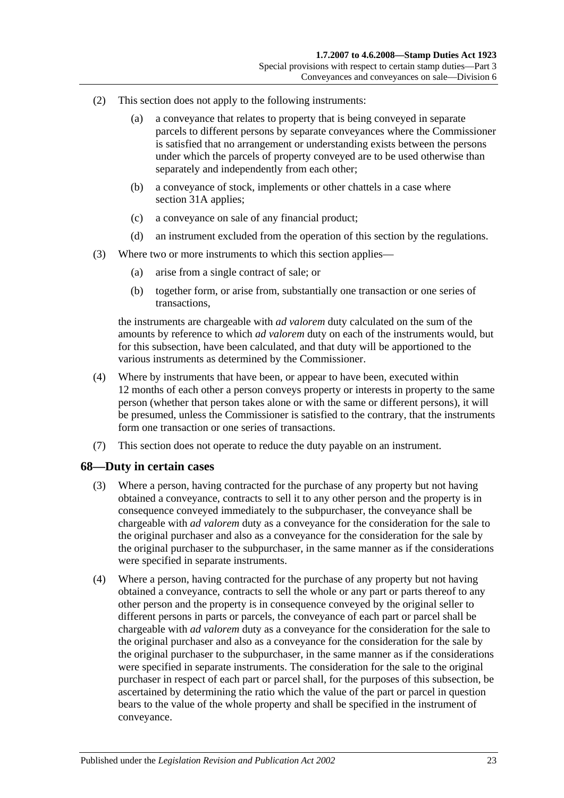- <span id="page-40-0"></span>(2) This section does not apply to the following instruments:
	- (a) a conveyance that relates to property that is being conveyed in separate parcels to different persons by separate conveyances where the Commissioner is satisfied that no arrangement or understanding exists between the persons under which the parcels of property conveyed are to be used otherwise than separately and independently from each other;
	- (b) a conveyance of stock, implements or other chattels in a case where [section](#page-19-0) 31A applies;
	- (c) a conveyance on sale of any financial product;
	- (d) an instrument excluded from the operation of this section by the regulations.
- (3) Where two or more instruments to which this section applies—
	- (a) arise from a single contract of sale; or
	- (b) together form, or arise from, substantially one transaction or one series of transactions,

the instruments are chargeable with *ad valorem* duty calculated on the sum of the amounts by reference to which *ad valorem* duty on each of the instruments would, but for this subsection, have been calculated, and that duty will be apportioned to the various instruments as determined by the Commissioner.

- (4) Where by instruments that have been, or appear to have been, executed within 12 months of each other a person conveys property or interests in property to the same person (whether that person takes alone or with the same or different persons), it will be presumed, unless the Commissioner is satisfied to the contrary, that the instruments form one transaction or one series of transactions.
- (7) This section does not operate to reduce the duty payable on an instrument.

### **68—Duty in certain cases**

- (3) Where a person, having contracted for the purchase of any property but not having obtained a conveyance, contracts to sell it to any other person and the property is in consequence conveyed immediately to the subpurchaser, the conveyance shall be chargeable with *ad valorem* duty as a conveyance for the consideration for the sale to the original purchaser and also as a conveyance for the consideration for the sale by the original purchaser to the subpurchaser, in the same manner as if the considerations were specified in separate instruments.
- (4) Where a person, having contracted for the purchase of any property but not having obtained a conveyance, contracts to sell the whole or any part or parts thereof to any other person and the property is in consequence conveyed by the original seller to different persons in parts or parcels, the conveyance of each part or parcel shall be chargeable with *ad valorem* duty as a conveyance for the consideration for the sale to the original purchaser and also as a conveyance for the consideration for the sale by the original purchaser to the subpurchaser, in the same manner as if the considerations were specified in separate instruments. The consideration for the sale to the original purchaser in respect of each part or parcel shall, for the purposes of this subsection, be ascertained by determining the ratio which the value of the part or parcel in question bears to the value of the whole property and shall be specified in the instrument of conveyance.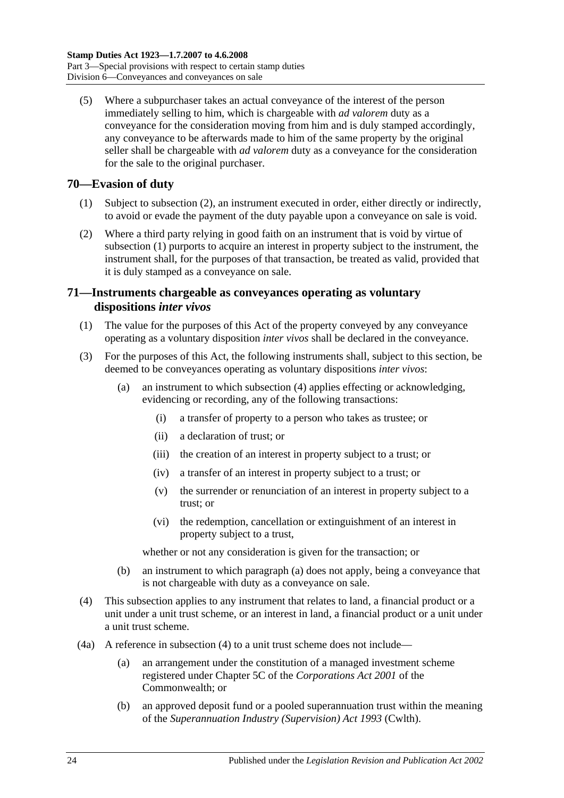(5) Where a subpurchaser takes an actual conveyance of the interest of the person immediately selling to him, which is chargeable with *ad valorem* duty as a conveyance for the consideration moving from him and is duly stamped accordingly, any conveyance to be afterwards made to him of the same property by the original seller shall be chargeable with *ad valorem* duty as a conveyance for the consideration for the sale to the original purchaser.

## <span id="page-41-1"></span>**70—Evasion of duty**

- (1) Subject to [subsection](#page-41-0) (2), an instrument executed in order, either directly or indirectly, to avoid or evade the payment of the duty payable upon a conveyance on sale is void.
- <span id="page-41-0"></span>(2) Where a third party relying in good faith on an instrument that is void by virtue of [subsection](#page-41-1) (1) purports to acquire an interest in property subject to the instrument, the instrument shall, for the purposes of that transaction, be treated as valid, provided that it is duly stamped as a conveyance on sale.

## **71—Instruments chargeable as conveyances operating as voluntary dispositions** *inter vivos*

- (1) The value for the purposes of this Act of the property conveyed by any conveyance operating as a voluntary disposition *inter vivos* shall be declared in the conveyance.
- <span id="page-41-3"></span>(3) For the purposes of this Act, the following instruments shall, subject to this section, be deemed to be conveyances operating as voluntary dispositions *inter vivos*:
	- (a) an instrument to which [subsection](#page-41-2) (4) applies effecting or acknowledging, evidencing or recording, any of the following transactions:
		- (i) a transfer of property to a person who takes as trustee; or
		- (ii) a declaration of trust; or
		- (iii) the creation of an interest in property subject to a trust; or
		- (iv) a transfer of an interest in property subject to a trust; or
		- (v) the surrender or renunciation of an interest in property subject to a trust; or
		- (vi) the redemption, cancellation or extinguishment of an interest in property subject to a trust,

whether or not any consideration is given for the transaction; or

- (b) an instrument to which [paragraph](#page-41-3) (a) does not apply, being a conveyance that is not chargeable with duty as a conveyance on sale.
- <span id="page-41-2"></span>(4) This subsection applies to any instrument that relates to land, a financial product or a unit under a unit trust scheme, or an interest in land, a financial product or a unit under a unit trust scheme.
- (4a) A reference in [subsection](#page-41-2) (4) to a unit trust scheme does not include—
	- (a) an arrangement under the constitution of a managed investment scheme registered under Chapter 5C of the *Corporations Act 2001* of the Commonwealth; or
	- (b) an approved deposit fund or a pooled superannuation trust within the meaning of the *Superannuation Industry (Supervision) Act 1993* (Cwlth).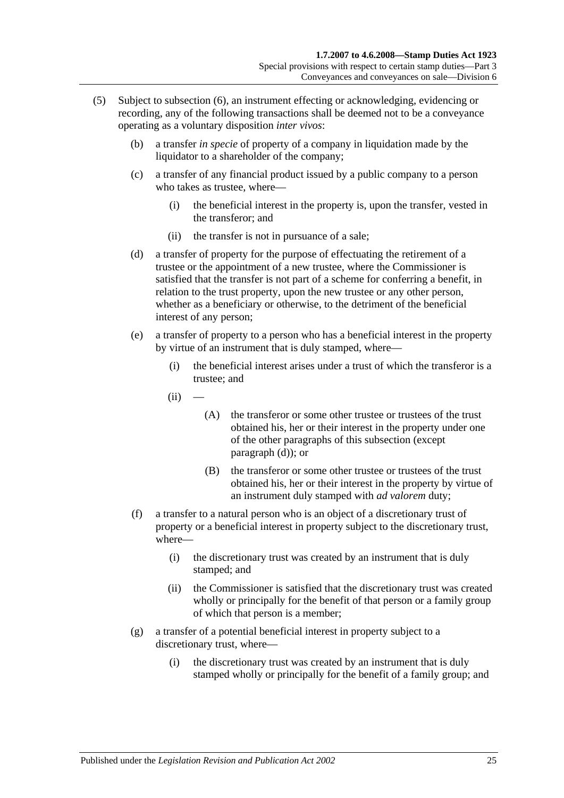- <span id="page-42-2"></span><span id="page-42-1"></span><span id="page-42-0"></span>(5) Subject to [subsection](#page-43-0) (6), an instrument effecting or acknowledging, evidencing or recording, any of the following transactions shall be deemed not to be a conveyance operating as a voluntary disposition *inter vivos*:
	- (b) a transfer *in specie* of property of a company in liquidation made by the liquidator to a shareholder of the company;
	- (c) a transfer of any financial product issued by a public company to a person who takes as trustee, where—
		- (i) the beneficial interest in the property is, upon the transfer, vested in the transferor; and
		- (ii) the transfer is not in pursuance of a sale;
	- (d) a transfer of property for the purpose of effectuating the retirement of a trustee or the appointment of a new trustee, where the Commissioner is satisfied that the transfer is not part of a scheme for conferring a benefit, in relation to the trust property, upon the new trustee or any other person, whether as a beneficiary or otherwise, to the detriment of the beneficial interest of any person;
	- (e) a transfer of property to a person who has a beneficial interest in the property by virtue of an instrument that is duly stamped, where—
		- (i) the beneficial interest arises under a trust of which the transferor is a trustee; and
		- $(ii)$ 
			- (A) the transferor or some other trustee or trustees of the trust obtained his, her or their interest in the property under one of the other paragraphs of this subsection (except [paragraph](#page-42-0) (d)); or
			- (B) the transferor or some other trustee or trustees of the trust obtained his, her or their interest in the property by virtue of an instrument duly stamped with *ad valorem* duty;
	- (f) a transfer to a natural person who is an object of a discretionary trust of property or a beneficial interest in property subject to the discretionary trust, where—
		- (i) the discretionary trust was created by an instrument that is duly stamped; and
		- (ii) the Commissioner is satisfied that the discretionary trust was created wholly or principally for the benefit of that person or a family group of which that person is a member;
	- (g) a transfer of a potential beneficial interest in property subject to a discretionary trust, where—
		- (i) the discretionary trust was created by an instrument that is duly stamped wholly or principally for the benefit of a family group; and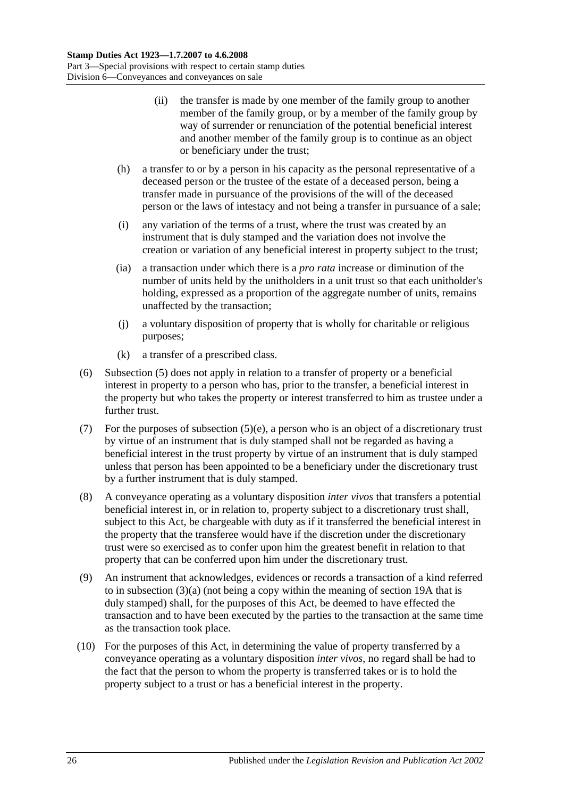- (ii) the transfer is made by one member of the family group to another member of the family group, or by a member of the family group by way of surrender or renunciation of the potential beneficial interest and another member of the family group is to continue as an object or beneficiary under the trust;
- (h) a transfer to or by a person in his capacity as the personal representative of a deceased person or the trustee of the estate of a deceased person, being a transfer made in pursuance of the provisions of the will of the deceased person or the laws of intestacy and not being a transfer in pursuance of a sale;
- (i) any variation of the terms of a trust, where the trust was created by an instrument that is duly stamped and the variation does not involve the creation or variation of any beneficial interest in property subject to the trust;
- (ia) a transaction under which there is a *pro rata* increase or diminution of the number of units held by the unitholders in a unit trust so that each unitholder's holding, expressed as a proportion of the aggregate number of units, remains unaffected by the transaction;
- (j) a voluntary disposition of property that is wholly for charitable or religious purposes;
- (k) a transfer of a prescribed class.
- <span id="page-43-0"></span>(6) [Subsection](#page-42-1) (5) does not apply in relation to a transfer of property or a beneficial interest in property to a person who has, prior to the transfer, a beneficial interest in the property but who takes the property or interest transferred to him as trustee under a further trust.
- (7) For the purposes of [subsection](#page-42-2)  $(5)(e)$ , a person who is an object of a discretionary trust by virtue of an instrument that is duly stamped shall not be regarded as having a beneficial interest in the trust property by virtue of an instrument that is duly stamped unless that person has been appointed to be a beneficiary under the discretionary trust by a further instrument that is duly stamped.
- (8) A conveyance operating as a voluntary disposition *inter vivos* that transfers a potential beneficial interest in, or in relation to, property subject to a discretionary trust shall, subject to this Act, be chargeable with duty as if it transferred the beneficial interest in the property that the transferee would have if the discretion under the discretionary trust were so exercised as to confer upon him the greatest benefit in relation to that property that can be conferred upon him under the discretionary trust.
- (9) An instrument that acknowledges, evidences or records a transaction of a kind referred to in [subsection](#page-41-3)  $(3)(a)$  (not being a copy within the meaning of [section](#page-14-0) 19A that is duly stamped) shall, for the purposes of this Act, be deemed to have effected the transaction and to have been executed by the parties to the transaction at the same time as the transaction took place.
- (10) For the purposes of this Act, in determining the value of property transferred by a conveyance operating as a voluntary disposition *inter vivos*, no regard shall be had to the fact that the person to whom the property is transferred takes or is to hold the property subject to a trust or has a beneficial interest in the property.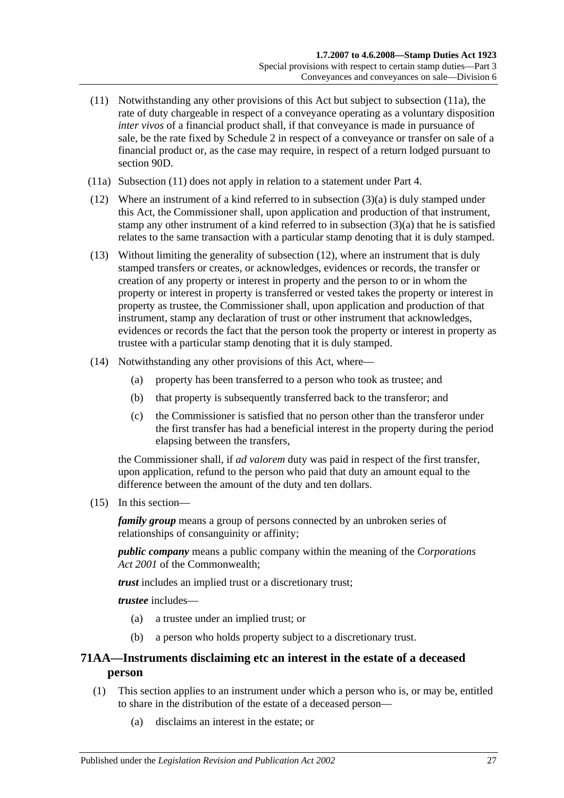- <span id="page-44-1"></span>(11) Notwithstanding any other provisions of this Act but subject to [subsection](#page-44-0) (11a), the rate of duty chargeable in respect of a conveyance operating as a voluntary disposition *inter vivos* of a financial product shall, if that conveyance is made in pursuance of sale, be the rate fixed by [Schedule 2](#page-102-0) in respect of a conveyance or transfer on sale of a financial product or, as the case may require, in respect of a return lodged pursuant to [section](#page-78-0) 90D.
- <span id="page-44-0"></span>(11a) [Subsection](#page-44-1) (11) does not apply in relation to a statement under [Part 4.](#page-86-0)
- <span id="page-44-2"></span>(12) Where an instrument of a kind referred to in [subsection](#page-41-3) (3)(a) is duly stamped under this Act, the Commissioner shall, upon application and production of that instrument, stamp any other instrument of a kind referred to in [subsection](#page-41-3) (3)(a) that he is satisfied relates to the same transaction with a particular stamp denoting that it is duly stamped.
- (13) Without limiting the generality of [subsection](#page-44-2) (12), where an instrument that is duly stamped transfers or creates, or acknowledges, evidences or records, the transfer or creation of any property or interest in property and the person to or in whom the property or interest in property is transferred or vested takes the property or interest in property as trustee, the Commissioner shall, upon application and production of that instrument, stamp any declaration of trust or other instrument that acknowledges, evidences or records the fact that the person took the property or interest in property as trustee with a particular stamp denoting that it is duly stamped.
- (14) Notwithstanding any other provisions of this Act, where—
	- (a) property has been transferred to a person who took as trustee; and
	- (b) that property is subsequently transferred back to the transferor; and
	- (c) the Commissioner is satisfied that no person other than the transferor under the first transfer has had a beneficial interest in the property during the period elapsing between the transfers,

the Commissioner shall, if *ad valorem* duty was paid in respect of the first transfer, upon application, refund to the person who paid that duty an amount equal to the difference between the amount of the duty and ten dollars.

<span id="page-44-3"></span>(15) In this section—

*family group* means a group of persons connected by an unbroken series of relationships of consanguinity or affinity;

*public company* means a public company within the meaning of the *Corporations Act 2001* of the Commonwealth;

*trust* includes an implied trust or a discretionary trust;

*trustee* includes—

- (a) a trustee under an implied trust; or
- (b) a person who holds property subject to a discretionary trust.

## **71AA—Instruments disclaiming etc an interest in the estate of a deceased person**

- (1) This section applies to an instrument under which a person who is, or may be, entitled to share in the distribution of the estate of a deceased person—
	- (a) disclaims an interest in the estate; or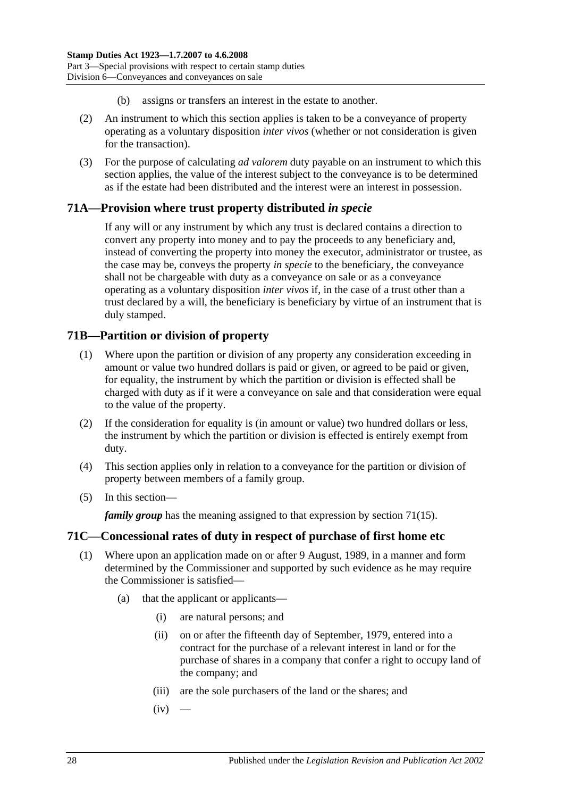- (b) assigns or transfers an interest in the estate to another.
- (2) An instrument to which this section applies is taken to be a conveyance of property operating as a voluntary disposition *inter vivos* (whether or not consideration is given for the transaction).
- (3) For the purpose of calculating *ad valorem* duty payable on an instrument to which this section applies, the value of the interest subject to the conveyance is to be determined as if the estate had been distributed and the interest were an interest in possession.

# **71A—Provision where trust property distributed** *in specie*

If any will or any instrument by which any trust is declared contains a direction to convert any property into money and to pay the proceeds to any beneficiary and, instead of converting the property into money the executor, administrator or trustee, as the case may be, conveys the property *in specie* to the beneficiary, the conveyance shall not be chargeable with duty as a conveyance on sale or as a conveyance operating as a voluntary disposition *inter vivos* if, in the case of a trust other than a trust declared by a will, the beneficiary is beneficiary by virtue of an instrument that is duly stamped.

## **71B—Partition or division of property**

- (1) Where upon the partition or division of any property any consideration exceeding in amount or value two hundred dollars is paid or given, or agreed to be paid or given, for equality, the instrument by which the partition or division is effected shall be charged with duty as if it were a conveyance on sale and that consideration were equal to the value of the property.
- (2) If the consideration for equality is (in amount or value) two hundred dollars or less, the instrument by which the partition or division is effected is entirely exempt from duty.
- (4) This section applies only in relation to a conveyance for the partition or division of property between members of a family group.
- (5) In this section—

*family group* has the meaning assigned to that expression by [section](#page-44-3) 71(15).

## **71C—Concessional rates of duty in respect of purchase of first home etc**

- <span id="page-45-1"></span><span id="page-45-0"></span>(1) Where upon an application made on or after 9 August, 1989, in a manner and form determined by the Commissioner and supported by such evidence as he may require the Commissioner is satisfied—
	- (a) that the applicant or applicants—
		- (i) are natural persons; and
		- (ii) on or after the fifteenth day of September, 1979, entered into a contract for the purchase of a relevant interest in land or for the purchase of shares in a company that confer a right to occupy land of the company; and
		- (iii) are the sole purchasers of the land or the shares; and
		- $(iv)$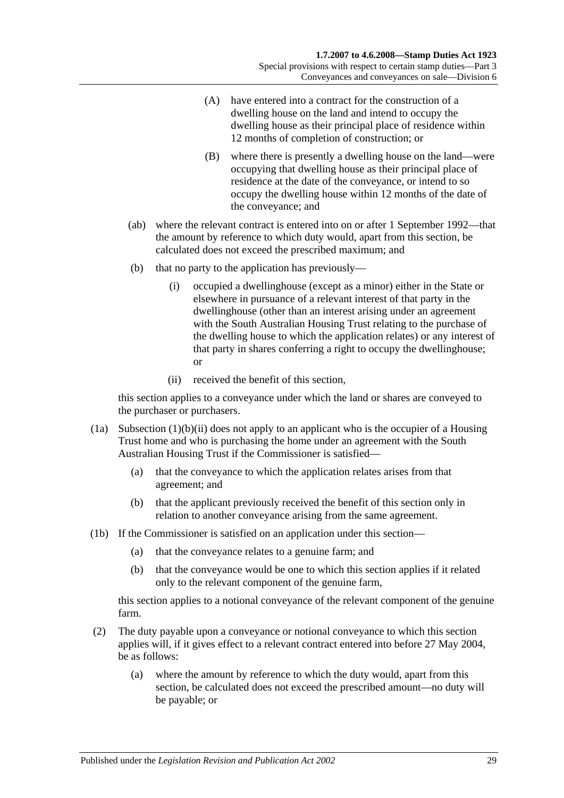- (A) have entered into a contract for the construction of a dwelling house on the land and intend to occupy the dwelling house as their principal place of residence within 12 months of completion of construction; or
- (B) where there is presently a dwelling house on the land—were occupying that dwelling house as their principal place of residence at the date of the conveyance, or intend to so occupy the dwelling house within 12 months of the date of the conveyance; and
- (ab) where the relevant contract is entered into on or after 1 September 1992—that the amount by reference to which duty would, apart from this section, be calculated does not exceed the prescribed maximum; and
- (b) that no party to the application has previously—
	- (i) occupied a dwellinghouse (except as a minor) either in the State or elsewhere in pursuance of a relevant interest of that party in the dwellinghouse (other than an interest arising under an agreement with the South Australian Housing Trust relating to the purchase of the dwelling house to which the application relates) or any interest of that party in shares conferring a right to occupy the dwellinghouse; or
	- (ii) received the benefit of this section,

<span id="page-46-0"></span>this section applies to a conveyance under which the land or shares are conveyed to the purchaser or purchasers.

- (1a) [Subsection](#page-46-0)  $(1)(b)(ii)$  does not apply to an applicant who is the occupier of a Housing Trust home and who is purchasing the home under an agreement with the South Australian Housing Trust if the Commissioner is satisfied—
	- (a) that the conveyance to which the application relates arises from that agreement; and
	- (b) that the applicant previously received the benefit of this section only in relation to another conveyance arising from the same agreement.
- (1b) If the Commissioner is satisfied on an application under this section—
	- (a) that the conveyance relates to a genuine farm; and
	- (b) that the conveyance would be one to which this section applies if it related only to the relevant component of the genuine farm,

this section applies to a notional conveyance of the relevant component of the genuine farm.

- (2) The duty payable upon a conveyance or notional conveyance to which this section applies will, if it gives effect to a relevant contract entered into before 27 May 2004, be as follows:
	- (a) where the amount by reference to which the duty would, apart from this section, be calculated does not exceed the prescribed amount—no duty will be payable; or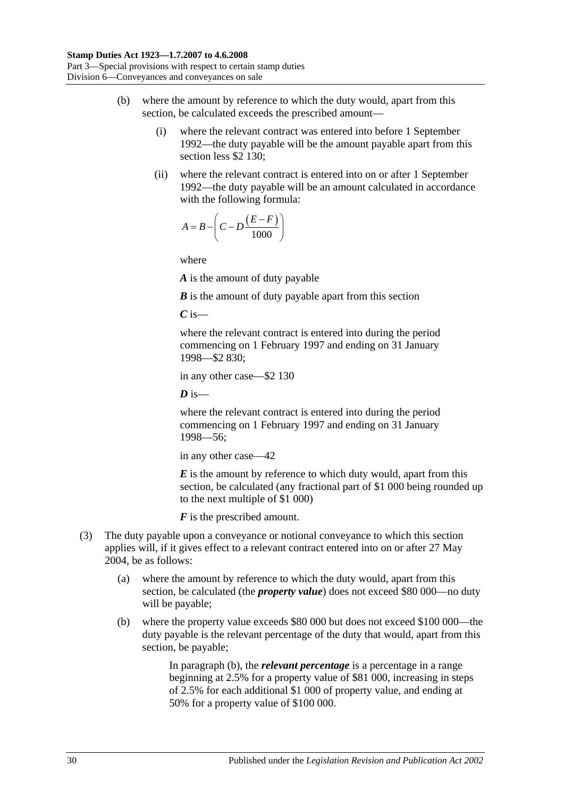- (b) where the amount by reference to which the duty would, apart from this section, be calculated exceeds the prescribed amount—
	- (i) where the relevant contract was entered into before 1 September 1992—the duty payable will be the amount payable apart from this section less \$2 130;
	- (ii) where the relevant contract is entered into on or after 1 September 1992—the duty payable will be an amount calculated in accordance with the following formula:

$$
A = B - \left(C - D \frac{(E - F)}{1000}\right)
$$

where

*A* is the amount of duty payable

*B* is the amount of duty payable apart from this section

*C* is—

where the relevant contract is entered into during the period commencing on 1 February 1997 and ending on 31 January 1998—\$2 830;

in any other case—\$2 130

 $\boldsymbol{D}$  is—

where the relevant contract is entered into during the period commencing on 1 February 1997 and ending on 31 January 1998—56;

in any other case—42

*E* is the amount by reference to which duty would, apart from this section, be calculated (any fractional part of \$1 000 being rounded up to the next multiple of \$1 000)

*F* is the prescribed amount.

- <span id="page-47-0"></span>(3) The duty payable upon a conveyance or notional conveyance to which this section applies will, if it gives effect to a relevant contract entered into on or after 27 May 2004, be as follows:
	- (a) where the amount by reference to which the duty would, apart from this section, be calculated (the *property value*) does not exceed \$80 000—no duty will be payable;
	- (b) where the property value exceeds \$80 000 but does not exceed \$100 000—the duty payable is the relevant percentage of the duty that would, apart from this section, be payable;

In [paragraph](#page-47-0) (b), the *relevant percentage* is a percentage in a range beginning at 2.5% for a property value of \$81 000, increasing in steps of 2.5% for each additional \$1 000 of property value, and ending at 50% for a property value of \$100 000.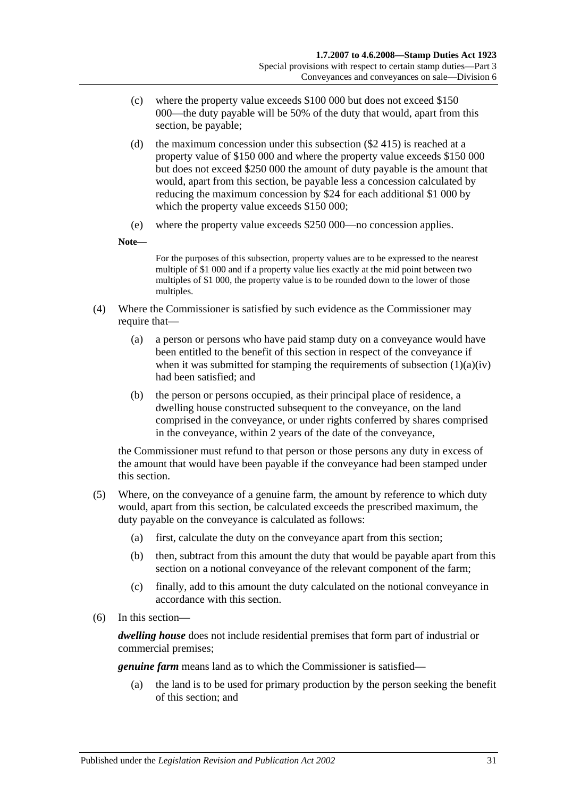- (c) where the property value exceeds \$100 000 but does not exceed \$150 000—the duty payable will be 50% of the duty that would, apart from this section, be payable;
- (d) the maximum concession under this subsection  $(\$2\;415)$  is reached at a property value of \$150 000 and where the property value exceeds \$150 000 but does not exceed \$250 000 the amount of duty payable is the amount that would, apart from this section, be payable less a concession calculated by reducing the maximum concession by \$24 for each additional \$1 000 by which the property value exceeds \$150 000;
- (e) where the property value exceeds \$250 000—no concession applies.

**Note—**

For the purposes of this subsection, property values are to be expressed to the nearest multiple of \$1 000 and if a property value lies exactly at the mid point between two multiples of \$1 000, the property value is to be rounded down to the lower of those multiples.

- (4) Where the Commissioner is satisfied by such evidence as the Commissioner may require that—
	- (a) a person or persons who have paid stamp duty on a conveyance would have been entitled to the benefit of this section in respect of the conveyance if when it was submitted for stamping the requirements of [subsection](#page-45-0)  $(1)(a)(iv)$ had been satisfied; and
	- (b) the person or persons occupied, as their principal place of residence, a dwelling house constructed subsequent to the conveyance, on the land comprised in the conveyance, or under rights conferred by shares comprised in the conveyance, within 2 years of the date of the conveyance,

the Commissioner must refund to that person or those persons any duty in excess of the amount that would have been payable if the conveyance had been stamped under this section.

- (5) Where, on the conveyance of a genuine farm, the amount by reference to which duty would, apart from this section, be calculated exceeds the prescribed maximum, the duty payable on the conveyance is calculated as follows:
	- (a) first, calculate the duty on the conveyance apart from this section;
	- (b) then, subtract from this amount the duty that would be payable apart from this section on a notional conveyance of the relevant component of the farm;
	- (c) finally, add to this amount the duty calculated on the notional conveyance in accordance with this section.
- (6) In this section—

*dwelling house* does not include residential premises that form part of industrial or commercial premises;

*genuine farm* means land as to which the Commissioner is satisfied—

(a) the land is to be used for primary production by the person seeking the benefit of this section; and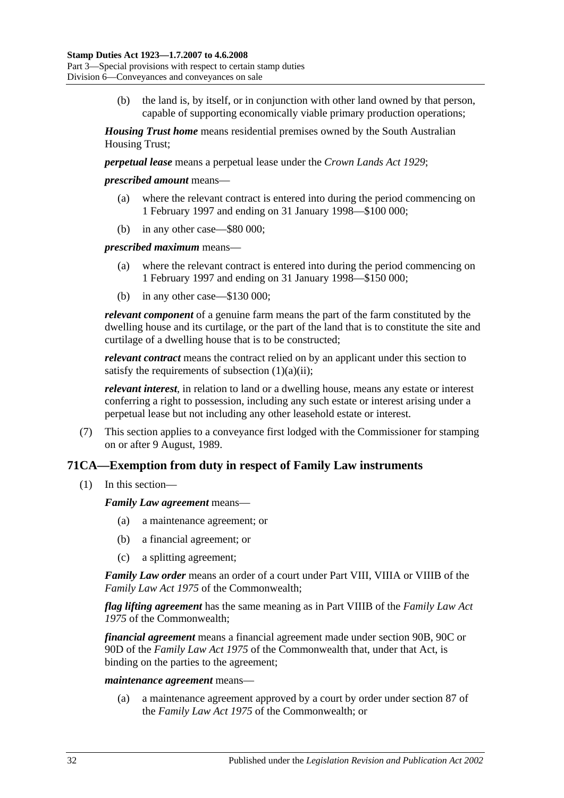(b) the land is, by itself, or in conjunction with other land owned by that person, capable of supporting economically viable primary production operations;

*Housing Trust home* means residential premises owned by the South Australian Housing Trust;

*perpetual lease* means a perpetual lease under the *[Crown Lands Act](http://www.legislation.sa.gov.au/index.aspx?action=legref&type=act&legtitle=Crown%20Lands%20Act%201929) 1929*;

*prescribed amount* means—

- (a) where the relevant contract is entered into during the period commencing on 1 February 1997 and ending on 31 January 1998—\$100 000;
- (b) in any other case—\$80 000;

*prescribed maximum* means—

- (a) where the relevant contract is entered into during the period commencing on 1 February 1997 and ending on 31 January 1998—\$150 000;
- (b) in any other case—\$130 000;

*relevant component* of a genuine farm means the part of the farm constituted by the dwelling house and its curtilage, or the part of the land that is to constitute the site and curtilage of a dwelling house that is to be constructed;

*relevant contract* means the contract relied on by an applicant under this section to satisfy the requirements of [subsection](#page-45-1)  $(1)(a)(ii)$ :

*relevant interest*, in relation to land or a dwelling house, means any estate or interest conferring a right to possession, including any such estate or interest arising under a perpetual lease but not including any other leasehold estate or interest.

(7) This section applies to a conveyance first lodged with the Commissioner for stamping on or after 9 August, 1989.

## **71CA—Exemption from duty in respect of Family Law instruments**

(1) In this section—

*Family Law agreement* means—

- (a) a maintenance agreement; or
- (b) a financial agreement; or
- (c) a splitting agreement;

*Family Law order* means an order of a court under Part VIII, VIIIA or VIIIB of the *Family Law Act 1975* of the Commonwealth;

*flag lifting agreement* has the same meaning as in Part VIIIB of the *Family Law Act 1975* of the Commonwealth;

*financial agreement* means a financial agreement made under section 90B, 90C or 90D of the *Family Law Act 1975* of the Commonwealth that, under that Act, is binding on the parties to the agreement;

#### *maintenance agreement* means—

(a) a maintenance agreement approved by a court by order under section 87 of the *Family Law Act 1975* of the Commonwealth; or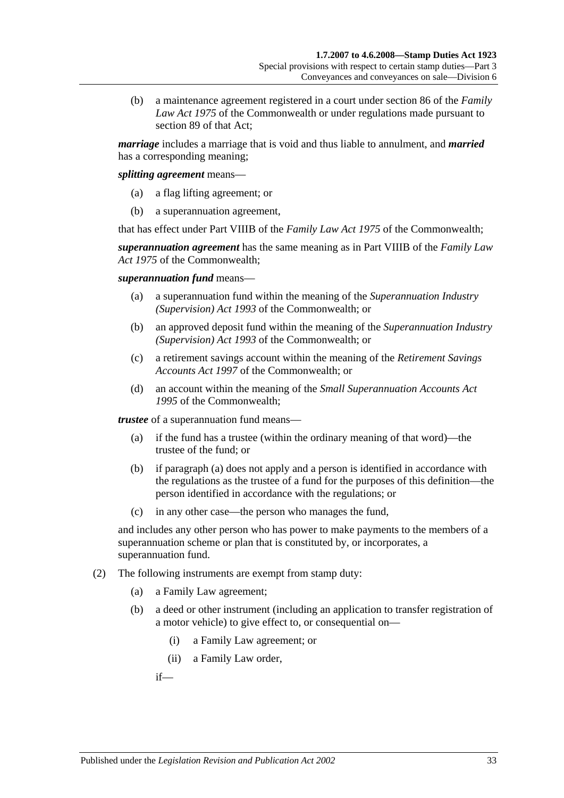(b) a maintenance agreement registered in a court under section 86 of the *Family Law Act 1975* of the Commonwealth or under regulations made pursuant to section 89 of that Act;

*marriage* includes a marriage that is void and thus liable to annulment, and *married* has a corresponding meaning;

*splitting agreement* means—

- (a) a flag lifting agreement; or
- (b) a superannuation agreement,

that has effect under Part VIIIB of the *Family Law Act 1975* of the Commonwealth;

*superannuation agreement* has the same meaning as in Part VIIIB of the *Family Law Act 1975* of the Commonwealth;

*superannuation fund* means—

- (a) a superannuation fund within the meaning of the *Superannuation Industry (Supervision) Act 1993* of the Commonwealth; or
- (b) an approved deposit fund within the meaning of the *Superannuation Industry (Supervision) Act 1993* of the Commonwealth; or
- (c) a retirement savings account within the meaning of the *Retirement Savings Accounts Act 1997* of the Commonwealth; or
- (d) an account within the meaning of the *Small Superannuation Accounts Act 1995* of the Commonwealth;

<span id="page-50-0"></span>*trustee* of a superannuation fund means—

- (a) if the fund has a trustee (within the ordinary meaning of that word)—the trustee of the fund; or
- (b) if [paragraph](#page-50-0) (a) does not apply and a person is identified in accordance with the regulations as the trustee of a fund for the purposes of this definition—the person identified in accordance with the regulations; or
- (c) in any other case—the person who manages the fund,

and includes any other person who has power to make payments to the members of a superannuation scheme or plan that is constituted by, or incorporates, a superannuation fund.

- (2) The following instruments are exempt from stamp duty:
	- (a) a Family Law agreement;
	- (b) a deed or other instrument (including an application to transfer registration of a motor vehicle) to give effect to, or consequential on—
		- (i) a Family Law agreement; or
		- (ii) a Family Law order,

if—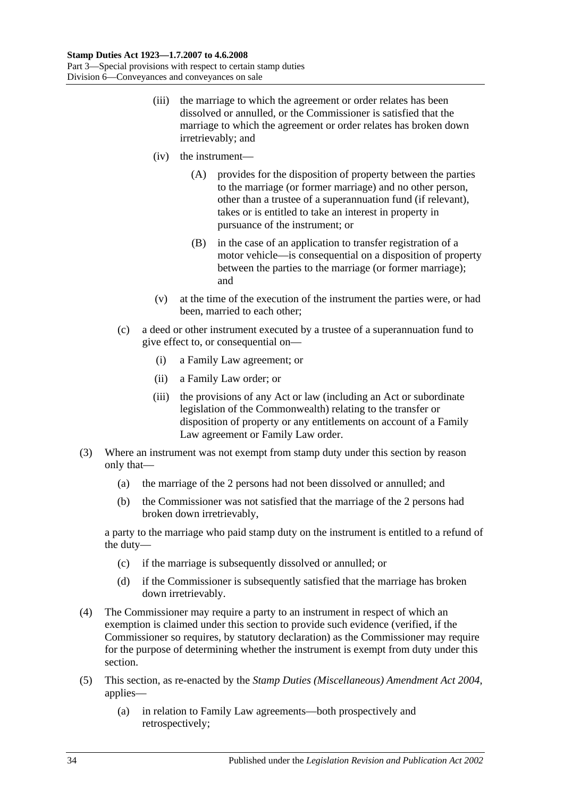- (iii) the marriage to which the agreement or order relates has been dissolved or annulled, or the Commissioner is satisfied that the marriage to which the agreement or order relates has broken down irretrievably; and
- (iv) the instrument—
	- (A) provides for the disposition of property between the parties to the marriage (or former marriage) and no other person, other than a trustee of a superannuation fund (if relevant), takes or is entitled to take an interest in property in pursuance of the instrument; or
	- (B) in the case of an application to transfer registration of a motor vehicle—is consequential on a disposition of property between the parties to the marriage (or former marriage); and
- (v) at the time of the execution of the instrument the parties were, or had been, married to each other;
- (c) a deed or other instrument executed by a trustee of a superannuation fund to give effect to, or consequential on—
	- (i) a Family Law agreement; or
	- (ii) a Family Law order; or
	- (iii) the provisions of any Act or law (including an Act or subordinate legislation of the Commonwealth) relating to the transfer or disposition of property or any entitlements on account of a Family Law agreement or Family Law order.
- (3) Where an instrument was not exempt from stamp duty under this section by reason only that—
	- (a) the marriage of the 2 persons had not been dissolved or annulled; and
	- (b) the Commissioner was not satisfied that the marriage of the 2 persons had broken down irretrievably,

a party to the marriage who paid stamp duty on the instrument is entitled to a refund of the duty—

- (c) if the marriage is subsequently dissolved or annulled; or
- (d) if the Commissioner is subsequently satisfied that the marriage has broken down irretrievably.
- (4) The Commissioner may require a party to an instrument in respect of which an exemption is claimed under this section to provide such evidence (verified, if the Commissioner so requires, by statutory declaration) as the Commissioner may require for the purpose of determining whether the instrument is exempt from duty under this section.
- (5) This section, as re-enacted by the *[Stamp Duties \(Miscellaneous\) Amendment Act 2004](http://www.legislation.sa.gov.au/index.aspx?action=legref&type=act&legtitle=Stamp%20Duties%20(Miscellaneous)%20Amendment%20Act%202004)*, applies—
	- (a) in relation to Family Law agreements—both prospectively and retrospectively;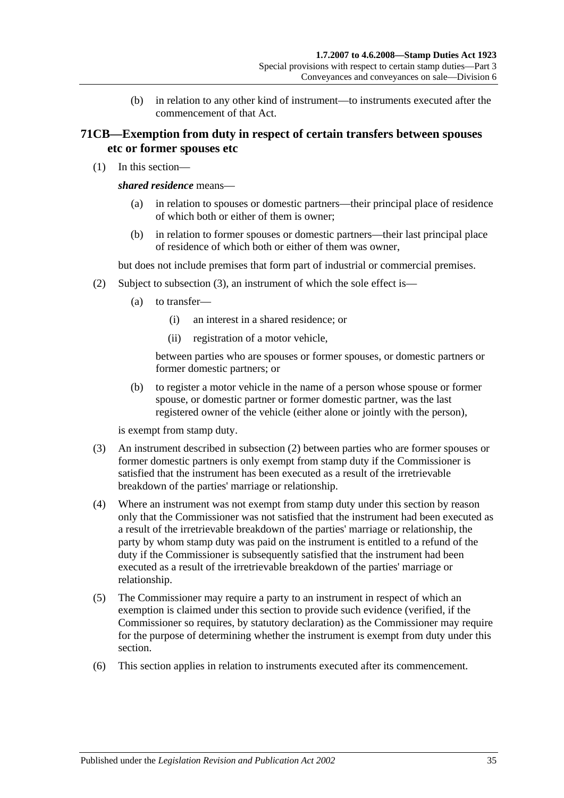(b) in relation to any other kind of instrument—to instruments executed after the commencement of that Act.

## **71CB—Exemption from duty in respect of certain transfers between spouses etc or former spouses etc**

(1) In this section—

#### *shared residence* means—

- (a) in relation to spouses or domestic partners—their principal place of residence of which both or either of them is owner;
- (b) in relation to former spouses or domestic partners—their last principal place of residence of which both or either of them was owner,

but does not include premises that form part of industrial or commercial premises.

- (2) Subject to [subsection](#page-52-0) (3), an instrument of which the sole effect is—
	- (a) to transfer—
		- (i) an interest in a shared residence; or
		- (ii) registration of a motor vehicle,

between parties who are spouses or former spouses, or domestic partners or former domestic partners; or

(b) to register a motor vehicle in the name of a person whose spouse or former spouse, or domestic partner or former domestic partner, was the last registered owner of the vehicle (either alone or jointly with the person),

is exempt from stamp duty.

- <span id="page-52-0"></span>(3) An instrument described in subsection (2) between parties who are former spouses or former domestic partners is only exempt from stamp duty if the Commissioner is satisfied that the instrument has been executed as a result of the irretrievable breakdown of the parties' marriage or relationship.
- (4) Where an instrument was not exempt from stamp duty under this section by reason only that the Commissioner was not satisfied that the instrument had been executed as a result of the irretrievable breakdown of the parties' marriage or relationship, the party by whom stamp duty was paid on the instrument is entitled to a refund of the duty if the Commissioner is subsequently satisfied that the instrument had been executed as a result of the irretrievable breakdown of the parties' marriage or relationship.
- (5) The Commissioner may require a party to an instrument in respect of which an exemption is claimed under this section to provide such evidence (verified, if the Commissioner so requires, by statutory declaration) as the Commissioner may require for the purpose of determining whether the instrument is exempt from duty under this section.
- (6) This section applies in relation to instruments executed after its commencement.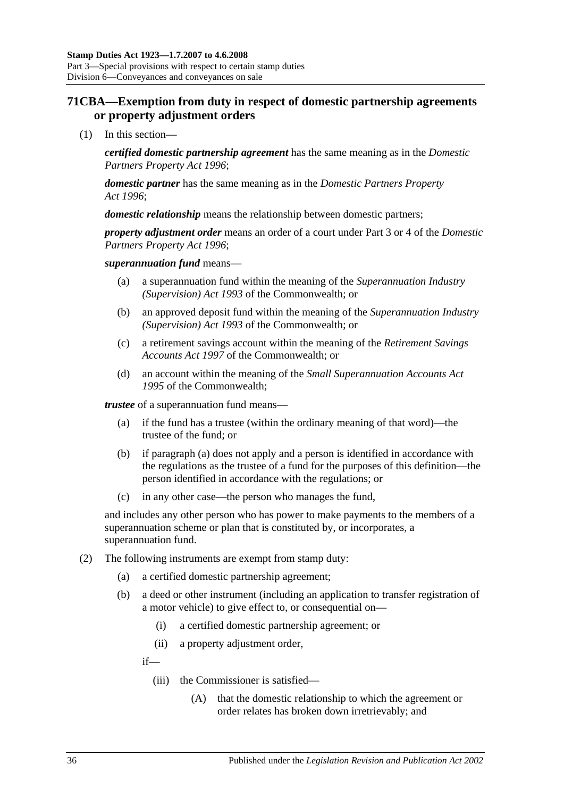## **71CBA—Exemption from duty in respect of domestic partnership agreements or property adjustment orders**

(1) In this section—

*certified domestic partnership agreement* has the same meaning as in the *[Domestic](http://www.legislation.sa.gov.au/index.aspx?action=legref&type=act&legtitle=Domestic%20Partners%20Property%20Act%201996)  [Partners Property Act](http://www.legislation.sa.gov.au/index.aspx?action=legref&type=act&legtitle=Domestic%20Partners%20Property%20Act%201996) 1996*;

*domestic partner* has the same meaning as in the *[Domestic Partners Property](http://www.legislation.sa.gov.au/index.aspx?action=legref&type=act&legtitle=Domestic%20Partners%20Property%20Act%201996)  Act [1996](http://www.legislation.sa.gov.au/index.aspx?action=legref&type=act&legtitle=Domestic%20Partners%20Property%20Act%201996)*;

*domestic relationship* means the relationship between domestic partners;

*property adjustment order* means an order of a court under Part 3 or 4 of the *[Domestic](http://www.legislation.sa.gov.au/index.aspx?action=legref&type=act&legtitle=Domestic%20Partners%20Property%20Act%201996)  [Partners Property Act](http://www.legislation.sa.gov.au/index.aspx?action=legref&type=act&legtitle=Domestic%20Partners%20Property%20Act%201996) 1996*;

#### *superannuation fund* means—

- (a) a superannuation fund within the meaning of the *Superannuation Industry (Supervision) Act 1993* of the Commonwealth; or
- (b) an approved deposit fund within the meaning of the *Superannuation Industry (Supervision) Act 1993* of the Commonwealth; or
- (c) a retirement savings account within the meaning of the *Retirement Savings Accounts Act 1997* of the Commonwealth; or
- (d) an account within the meaning of the *Small Superannuation Accounts Act 1995* of the Commonwealth;

<span id="page-53-0"></span>*trustee* of a superannuation fund means—

- (a) if the fund has a trustee (within the ordinary meaning of that word)—the trustee of the fund; or
- (b) if [paragraph](#page-53-0) (a) does not apply and a person is identified in accordance with the regulations as the trustee of a fund for the purposes of this definition—the person identified in accordance with the regulations; or
- (c) in any other case—the person who manages the fund,

and includes any other person who has power to make payments to the members of a superannuation scheme or plan that is constituted by, or incorporates, a superannuation fund.

- (2) The following instruments are exempt from stamp duty:
	- (a) a certified domestic partnership agreement;
	- (b) a deed or other instrument (including an application to transfer registration of a motor vehicle) to give effect to, or consequential on—
		- (i) a certified domestic partnership agreement; or
		- (ii) a property adjustment order,

if—

- (iii) the Commissioner is satisfied—
	- (A) that the domestic relationship to which the agreement or order relates has broken down irretrievably; and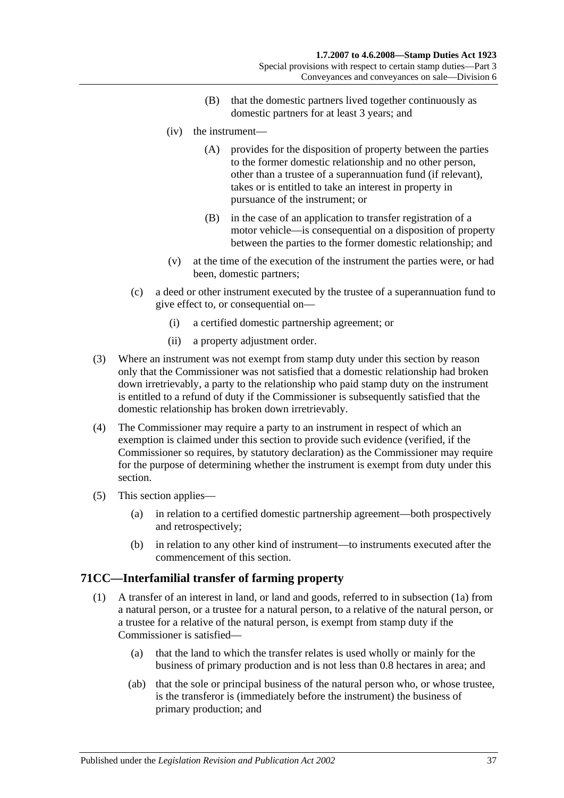- (B) that the domestic partners lived together continuously as domestic partners for at least 3 years; and
- (iv) the instrument—
	- (A) provides for the disposition of property between the parties to the former domestic relationship and no other person, other than a trustee of a superannuation fund (if relevant), takes or is entitled to take an interest in property in pursuance of the instrument; or
	- (B) in the case of an application to transfer registration of a motor vehicle—is consequential on a disposition of property between the parties to the former domestic relationship; and
- (v) at the time of the execution of the instrument the parties were, or had been, domestic partners;
- (c) a deed or other instrument executed by the trustee of a superannuation fund to give effect to, or consequential on—
	- (i) a certified domestic partnership agreement; or
	- (ii) a property adjustment order.
- (3) Where an instrument was not exempt from stamp duty under this section by reason only that the Commissioner was not satisfied that a domestic relationship had broken down irretrievably, a party to the relationship who paid stamp duty on the instrument is entitled to a refund of duty if the Commissioner is subsequently satisfied that the domestic relationship has broken down irretrievably.
- (4) The Commissioner may require a party to an instrument in respect of which an exemption is claimed under this section to provide such evidence (verified, if the Commissioner so requires, by statutory declaration) as the Commissioner may require for the purpose of determining whether the instrument is exempt from duty under this section.
- (5) This section applies—
	- (a) in relation to a certified domestic partnership agreement—both prospectively and retrospectively;
	- (b) in relation to any other kind of instrument—to instruments executed after the commencement of this section.

# <span id="page-54-0"></span>**71CC—Interfamilial transfer of farming property**

- (1) A transfer of an interest in land, or land and goods, referred to in [subsection](#page-55-0) (1a) from a natural person, or a trustee for a natural person, to a relative of the natural person, or a trustee for a relative of the natural person, is exempt from stamp duty if the Commissioner is satisfied—
	- (a) that the land to which the transfer relates is used wholly or mainly for the business of primary production and is not less than 0.8 hectares in area; and
	- (ab) that the sole or principal business of the natural person who, or whose trustee, is the transferor is (immediately before the instrument) the business of primary production; and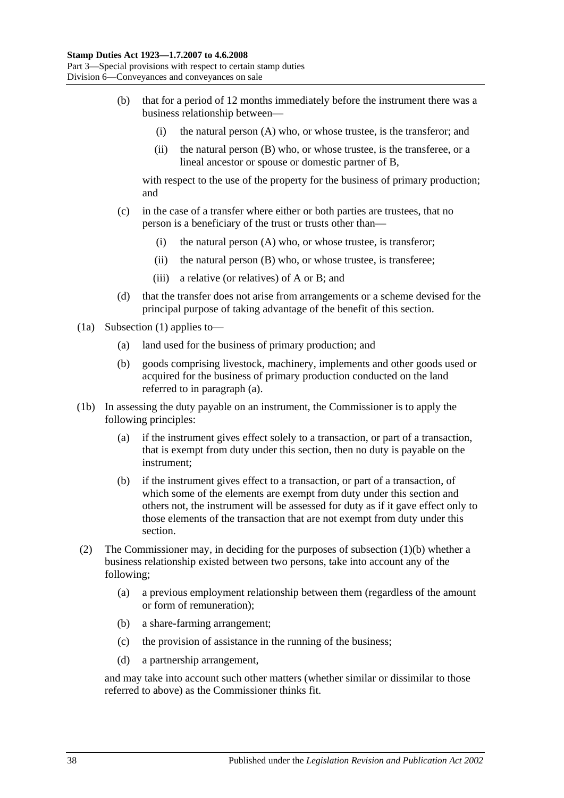- <span id="page-55-2"></span>(b) that for a period of 12 months immediately before the instrument there was a business relationship between—
	- (i) the natural person (A) who, or whose trustee, is the transferor; and
	- (ii) the natural person (B) who, or whose trustee, is the transferee, or a lineal ancestor or spouse or domestic partner of B,

with respect to the use of the property for the business of primary production; and

- (c) in the case of a transfer where either or both parties are trustees, that no person is a beneficiary of the trust or trusts other than—
	- (i) the natural person (A) who, or whose trustee, is transferor;
	- (ii) the natural person (B) who, or whose trustee, is transferee;
	- (iii) a relative (or relatives) of A or B; and
- (d) that the transfer does not arise from arrangements or a scheme devised for the principal purpose of taking advantage of the benefit of this section.
- <span id="page-55-1"></span><span id="page-55-0"></span>(1a) [Subsection](#page-54-0) (1) applies to—
	- (a) land used for the business of primary production; and
	- (b) goods comprising livestock, machinery, implements and other goods used or acquired for the business of primary production conducted on the land referred to in [paragraph](#page-55-1) (a).
- (1b) In assessing the duty payable on an instrument, the Commissioner is to apply the following principles:
	- (a) if the instrument gives effect solely to a transaction, or part of a transaction, that is exempt from duty under this section, then no duty is payable on the instrument;
	- (b) if the instrument gives effect to a transaction, or part of a transaction, of which some of the elements are exempt from duty under this section and others not, the instrument will be assessed for duty as if it gave effect only to those elements of the transaction that are not exempt from duty under this section.
- (2) The Commissioner may, in deciding for the purposes of [subsection](#page-55-2) (1)(b) whether a business relationship existed between two persons, take into account any of the following;
	- (a) a previous employment relationship between them (regardless of the amount or form of remuneration);
	- (b) a share-farming arrangement;
	- (c) the provision of assistance in the running of the business;
	- (d) a partnership arrangement,

and may take into account such other matters (whether similar or dissimilar to those referred to above) as the Commissioner thinks fit.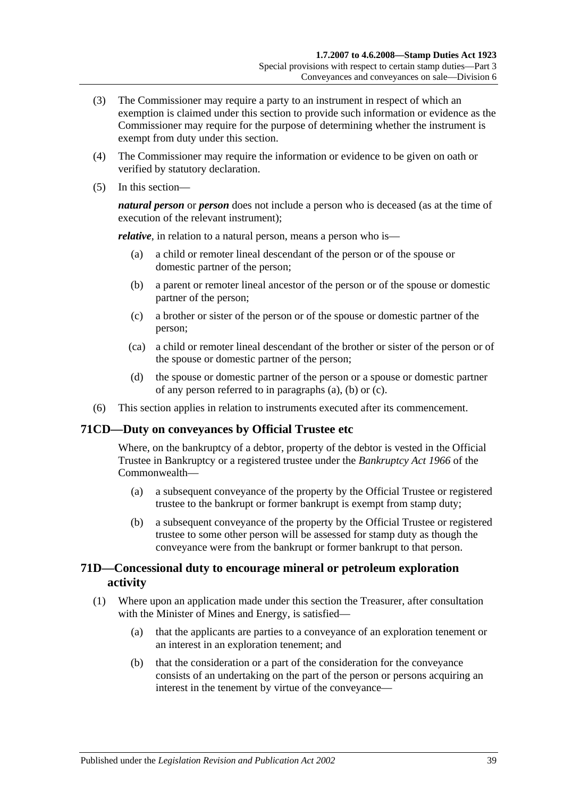- (3) The Commissioner may require a party to an instrument in respect of which an exemption is claimed under this section to provide such information or evidence as the Commissioner may require for the purpose of determining whether the instrument is exempt from duty under this section.
- (4) The Commissioner may require the information or evidence to be given on oath or verified by statutory declaration.
- (5) In this section—

*natural person* or *person* does not include a person who is deceased (as at the time of execution of the relevant instrument);

<span id="page-56-0"></span>*relative*, in relation to a natural person, means a person who is—

- (a) a child or remoter lineal descendant of the person or of the spouse or domestic partner of the person;
- <span id="page-56-1"></span>(b) a parent or remoter lineal ancestor of the person or of the spouse or domestic partner of the person;
- <span id="page-56-2"></span>(c) a brother or sister of the person or of the spouse or domestic partner of the person;
- (ca) a child or remoter lineal descendant of the brother or sister of the person or of the spouse or domestic partner of the person;
- (d) the spouse or domestic partner of the person or a spouse or domestic partner of any person referred to in [paragraphs](#page-56-0) (a), [\(b\)](#page-56-1) or [\(c\).](#page-56-2)
- (6) This section applies in relation to instruments executed after its commencement.

### **71CD—Duty on conveyances by Official Trustee etc**

Where, on the bankruptcy of a debtor, property of the debtor is vested in the Official Trustee in Bankruptcy or a registered trustee under the *Bankruptcy Act 1966* of the Commonwealth—

- (a) a subsequent conveyance of the property by the Official Trustee or registered trustee to the bankrupt or former bankrupt is exempt from stamp duty;
- (b) a subsequent conveyance of the property by the Official Trustee or registered trustee to some other person will be assessed for stamp duty as though the conveyance were from the bankrupt or former bankrupt to that person.

## **71D—Concessional duty to encourage mineral or petroleum exploration activity**

- <span id="page-56-3"></span>(1) Where upon an application made under this section the Treasurer, after consultation with the Minister of Mines and Energy, is satisfied—
	- (a) that the applicants are parties to a conveyance of an exploration tenement or an interest in an exploration tenement; and
	- (b) that the consideration or a part of the consideration for the conveyance consists of an undertaking on the part of the person or persons acquiring an interest in the tenement by virtue of the conveyance—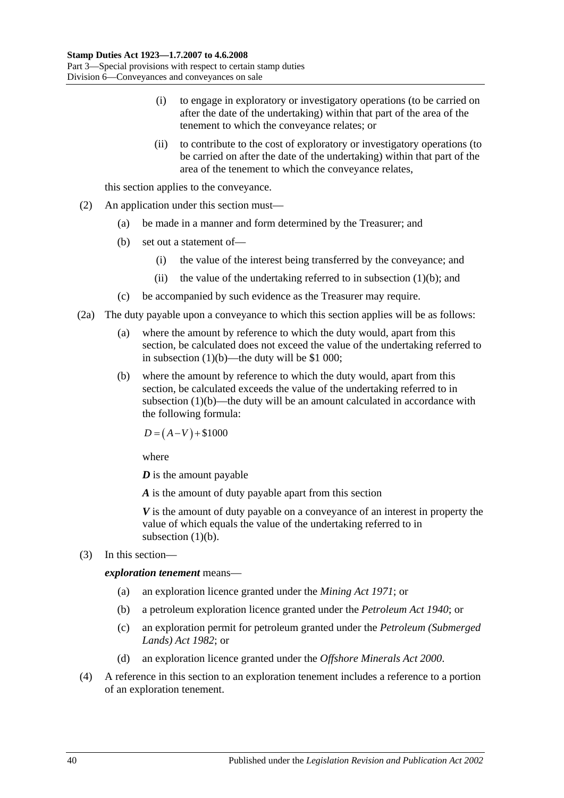- (i) to engage in exploratory or investigatory operations (to be carried on after the date of the undertaking) within that part of the area of the tenement to which the conveyance relates; or
- (ii) to contribute to the cost of exploratory or investigatory operations (to be carried on after the date of the undertaking) within that part of the area of the tenement to which the conveyance relates,

this section applies to the conveyance.

- (2) An application under this section must—
	- (a) be made in a manner and form determined by the Treasurer; and
	- (b) set out a statement of—
		- (i) the value of the interest being transferred by the conveyance; and
		- (ii) the value of the undertaking referred to in [subsection](#page-56-3)  $(1)(b)$ ; and
	- (c) be accompanied by such evidence as the Treasurer may require.
- (2a) The duty payable upon a conveyance to which this section applies will be as follows:
	- (a) where the amount by reference to which the duty would, apart from this section, be calculated does not exceed the value of the undertaking referred to in [subsection](#page-56-3)  $(1)(b)$ —the duty will be \$1 000;
	- (b) where the amount by reference to which the duty would, apart from this section, be calculated exceeds the value of the undertaking referred to in [subsection](#page-56-3) (1)(b)—the duty will be an amount calculated in accordance with the following formula:

 $D = (A-V) + $1000$ 

where

*D* is the amount payable

*A* is the amount of duty payable apart from this section

*V* is the amount of duty payable on a conveyance of an interest in property the value of which equals the value of the undertaking referred to in [subsection](#page-56-3)  $(1)(b)$ .

(3) In this section—

*exploration tenement* means—

- (a) an exploration licence granted under the *[Mining Act](http://www.legislation.sa.gov.au/index.aspx?action=legref&type=act&legtitle=Mining%20Act%201971) 1971*; or
- (b) a petroleum exploration licence granted under the *[Petroleum Act](http://www.legislation.sa.gov.au/index.aspx?action=legref&type=act&legtitle=Petroleum%20Act%201940) 1940*; or
- (c) an exploration permit for petroleum granted under the *[Petroleum \(Submerged](http://www.legislation.sa.gov.au/index.aspx?action=legref&type=act&legtitle=Petroleum%20(Submerged%20Lands)%20Act%201982)  [Lands\) Act](http://www.legislation.sa.gov.au/index.aspx?action=legref&type=act&legtitle=Petroleum%20(Submerged%20Lands)%20Act%201982) 1982*; or
- (d) an exploration licence granted under the *[Offshore Minerals Act](http://www.legislation.sa.gov.au/index.aspx?action=legref&type=act&legtitle=Offshore%20Minerals%20Act%202000) 2000*.
- (4) A reference in this section to an exploration tenement includes a reference to a portion of an exploration tenement.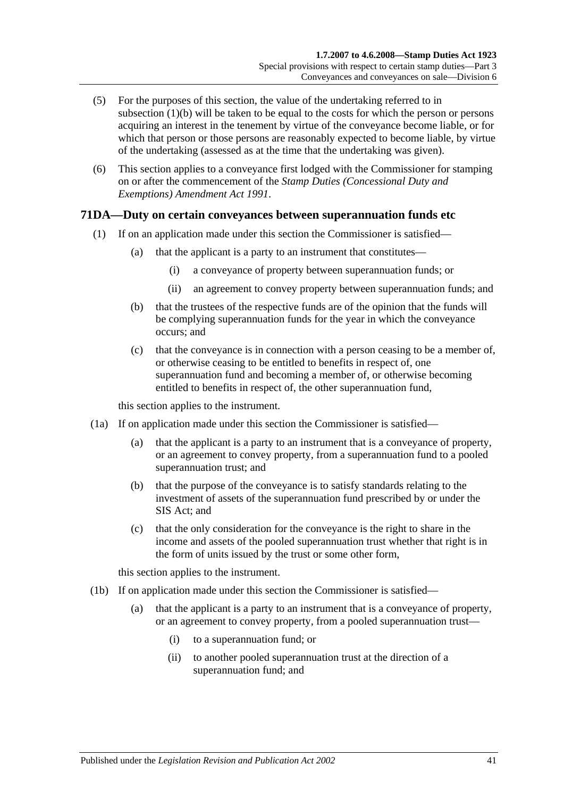- (5) For the purposes of this section, the value of the undertaking referred to in [subsection](#page-56-3) (1)(b) will be taken to be equal to the costs for which the person or persons acquiring an interest in the tenement by virtue of the conveyance become liable, or for which that person or those persons are reasonably expected to become liable, by virtue of the undertaking (assessed as at the time that the undertaking was given).
- (6) This section applies to a conveyance first lodged with the Commissioner for stamping on or after the commencement of the *[Stamp Duties \(Concessional Duty and](http://www.legislation.sa.gov.au/index.aspx?action=legref&type=act&legtitle=Stamp%20Duties%20(Concessional%20Duty%20and%20Exemptions)%20Amendment%20Act%201991)  [Exemptions\) Amendment Act](http://www.legislation.sa.gov.au/index.aspx?action=legref&type=act&legtitle=Stamp%20Duties%20(Concessional%20Duty%20and%20Exemptions)%20Amendment%20Act%201991) 1991*.

## <span id="page-58-0"></span>**71DA—Duty on certain conveyances between superannuation funds etc**

- (1) If on an application made under this section the Commissioner is satisfied—
	- (a) that the applicant is a party to an instrument that constitutes—
		- (i) a conveyance of property between superannuation funds; or
		- (ii) an agreement to convey property between superannuation funds; and
	- (b) that the trustees of the respective funds are of the opinion that the funds will be complying superannuation funds for the year in which the conveyance occurs; and
	- (c) that the conveyance is in connection with a person ceasing to be a member of, or otherwise ceasing to be entitled to benefits in respect of, one superannuation fund and becoming a member of, or otherwise becoming entitled to benefits in respect of, the other superannuation fund,

this section applies to the instrument.

- <span id="page-58-1"></span>(1a) If on application made under this section the Commissioner is satisfied—
	- (a) that the applicant is a party to an instrument that is a conveyance of property, or an agreement to convey property, from a superannuation fund to a pooled superannuation trust; and
	- (b) that the purpose of the conveyance is to satisfy standards relating to the investment of assets of the superannuation fund prescribed by or under the SIS Act; and
	- (c) that the only consideration for the conveyance is the right to share in the income and assets of the pooled superannuation trust whether that right is in the form of units issued by the trust or some other form,

this section applies to the instrument.

- <span id="page-58-2"></span>(1b) If on application made under this section the Commissioner is satisfied—
	- (a) that the applicant is a party to an instrument that is a conveyance of property, or an agreement to convey property, from a pooled superannuation trust—
		- (i) to a superannuation fund; or
		- (ii) to another pooled superannuation trust at the direction of a superannuation fund; and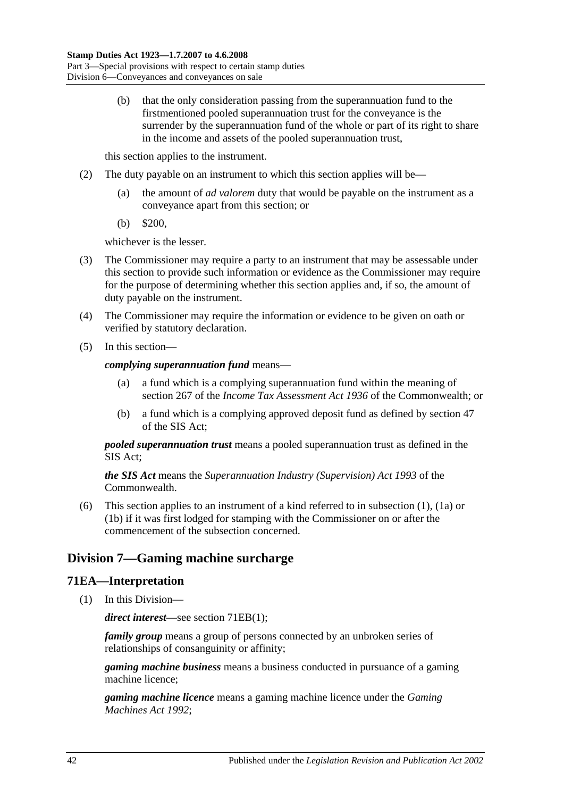(b) that the only consideration passing from the superannuation fund to the firstmentioned pooled superannuation trust for the conveyance is the surrender by the superannuation fund of the whole or part of its right to share in the income and assets of the pooled superannuation trust,

this section applies to the instrument.

- (2) The duty payable on an instrument to which this section applies will be—
	- (a) the amount of *ad valorem* duty that would be payable on the instrument as a conveyance apart from this section; or
	- (b) \$200,

whichever is the lesser.

- (3) The Commissioner may require a party to an instrument that may be assessable under this section to provide such information or evidence as the Commissioner may require for the purpose of determining whether this section applies and, if so, the amount of duty payable on the instrument.
- (4) The Commissioner may require the information or evidence to be given on oath or verified by statutory declaration.
- (5) In this section—

*complying superannuation fund* means—

- (a) a fund which is a complying superannuation fund within the meaning of section 267 of the *Income Tax Assessment Act 1936* of the Commonwealth; or
- (b) a fund which is a complying approved deposit fund as defined by section 47 of the SIS Act;

*pooled superannuation trust* means a pooled superannuation trust as defined in the SIS Act;

*the SIS Act* means the *Superannuation Industry (Supervision) Act 1993* of the **Commonwealth** 

(6) This section applies to an instrument of a kind referred to in [subsection](#page-58-0) (1), [\(1a\)](#page-58-1) or [\(1b\)](#page-58-2) if it was first lodged for stamping with the Commissioner on or after the commencement of the subsection concerned.

# **Division 7—Gaming machine surcharge**

## **71EA—Interpretation**

(1) In this Division—

*direct interest*—see section [71EB\(1\);](#page-61-0)

*family group* means a group of persons connected by an unbroken series of relationships of consanguinity or affinity;

*gaming machine business* means a business conducted in pursuance of a gaming machine licence;

*gaming machine licence* means a gaming machine licence under the *[Gaming](http://www.legislation.sa.gov.au/index.aspx?action=legref&type=act&legtitle=Gaming%20Machines%20Act%201992)  [Machines Act](http://www.legislation.sa.gov.au/index.aspx?action=legref&type=act&legtitle=Gaming%20Machines%20Act%201992) 1992*;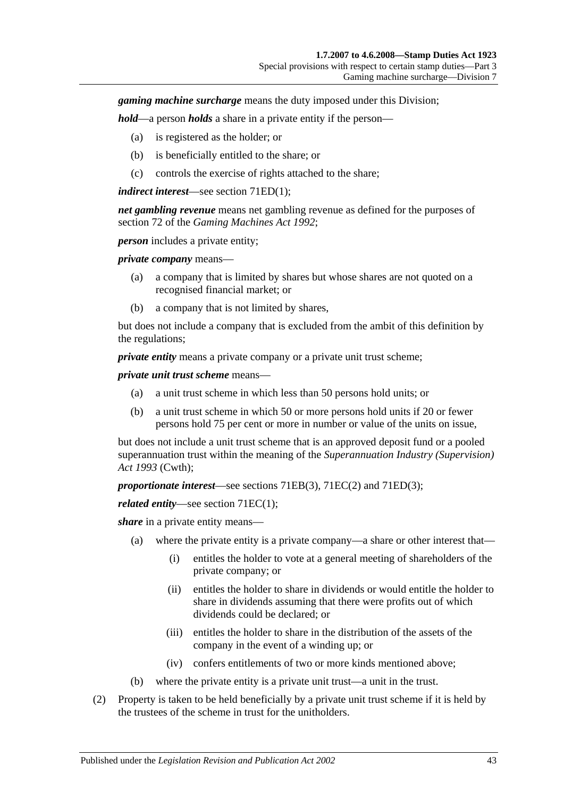*gaming machine surcharge* means the duty imposed under this Division;

*hold*—a person *holds* a share in a private entity if the person—

- (a) is registered as the holder; or
- (b) is beneficially entitled to the share; or
- (c) controls the exercise of rights attached to the share;

*indirect interest*—see section [71ED\(1\);](#page-61-1)

*net gambling revenue* means net gambling revenue as defined for the purposes of section 72 of the *[Gaming Machines Act](http://www.legislation.sa.gov.au/index.aspx?action=legref&type=act&legtitle=Gaming%20Machines%20Act%201992) 1992*;

*person* includes a private entity;

*private company* means—

- (a) a company that is limited by shares but whose shares are not quoted on a recognised financial market; or
- (b) a company that is not limited by shares,

but does not include a company that is excluded from the ambit of this definition by the regulations;

*private entity* means a private company or a private unit trust scheme;

*private unit trust scheme* means—

- (a) a unit trust scheme in which less than 50 persons hold units; or
- (b) a unit trust scheme in which 50 or more persons hold units if 20 or fewer persons hold 75 per cent or more in number or value of the units on issue,

but does not include a unit trust scheme that is an approved deposit fund or a pooled superannuation trust within the meaning of the *Superannuation Industry (Supervision) Act 1993* (Cwth);

*proportionate interest*—see sections [71EB\(3\),](#page-61-2) [71EC\(2\)](#page-61-3) and [71ED\(3\);](#page-61-4)

*related entity*—see section [71EC\(1\);](#page-61-5)

*share* in a private entity means—

- (a) where the private entity is a private company—a share or other interest that—
	- (i) entitles the holder to vote at a general meeting of shareholders of the private company; or
	- (ii) entitles the holder to share in dividends or would entitle the holder to share in dividends assuming that there were profits out of which dividends could be declared; or
	- (iii) entitles the holder to share in the distribution of the assets of the company in the event of a winding up; or
	- (iv) confers entitlements of two or more kinds mentioned above;
- (b) where the private entity is a private unit trust—a unit in the trust.
- (2) Property is taken to be held beneficially by a private unit trust scheme if it is held by the trustees of the scheme in trust for the unitholders.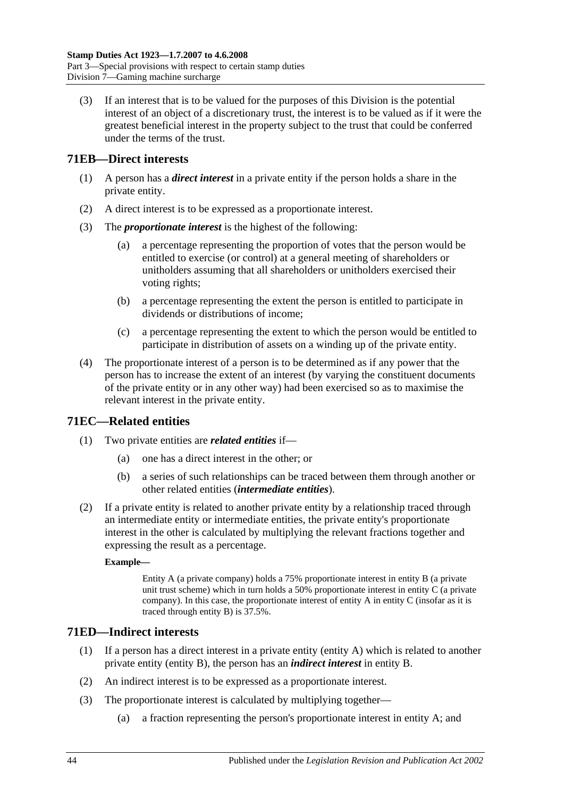(3) If an interest that is to be valued for the purposes of this Division is the potential interest of an object of a discretionary trust, the interest is to be valued as if it were the greatest beneficial interest in the property subject to the trust that could be conferred under the terms of the trust.

## <span id="page-61-0"></span>**71EB—Direct interests**

- (1) A person has a *direct interest* in a private entity if the person holds a share in the private entity.
- (2) A direct interest is to be expressed as a proportionate interest.
- <span id="page-61-2"></span>(3) The *proportionate interest* is the highest of the following:
	- (a) a percentage representing the proportion of votes that the person would be entitled to exercise (or control) at a general meeting of shareholders or unitholders assuming that all shareholders or unitholders exercised their voting rights;
	- (b) a percentage representing the extent the person is entitled to participate in dividends or distributions of income;
	- (c) a percentage representing the extent to which the person would be entitled to participate in distribution of assets on a winding up of the private entity.
- (4) The proportionate interest of a person is to be determined as if any power that the person has to increase the extent of an interest (by varying the constituent documents of the private entity or in any other way) had been exercised so as to maximise the relevant interest in the private entity.

# <span id="page-61-5"></span>**71EC—Related entities**

- (1) Two private entities are *related entities* if—
	- (a) one has a direct interest in the other; or
	- (b) a series of such relationships can be traced between them through another or other related entities (*intermediate entities*).
- <span id="page-61-3"></span>(2) If a private entity is related to another private entity by a relationship traced through an intermediate entity or intermediate entities, the private entity's proportionate interest in the other is calculated by multiplying the relevant fractions together and expressing the result as a percentage.

### **Example—**

Entity A (a private company) holds a 75% proportionate interest in entity B (a private unit trust scheme) which in turn holds a 50% proportionate interest in entity C (a private company). In this case, the proportionate interest of entity A in entity C (insofar as it is traced through entity B) is 37.5%.

# <span id="page-61-1"></span>**71ED—Indirect interests**

- (1) If a person has a direct interest in a private entity (entity A) which is related to another private entity (entity B), the person has an *indirect interest* in entity B.
- (2) An indirect interest is to be expressed as a proportionate interest.
- <span id="page-61-4"></span>(3) The proportionate interest is calculated by multiplying together—
	- (a) a fraction representing the person's proportionate interest in entity A; and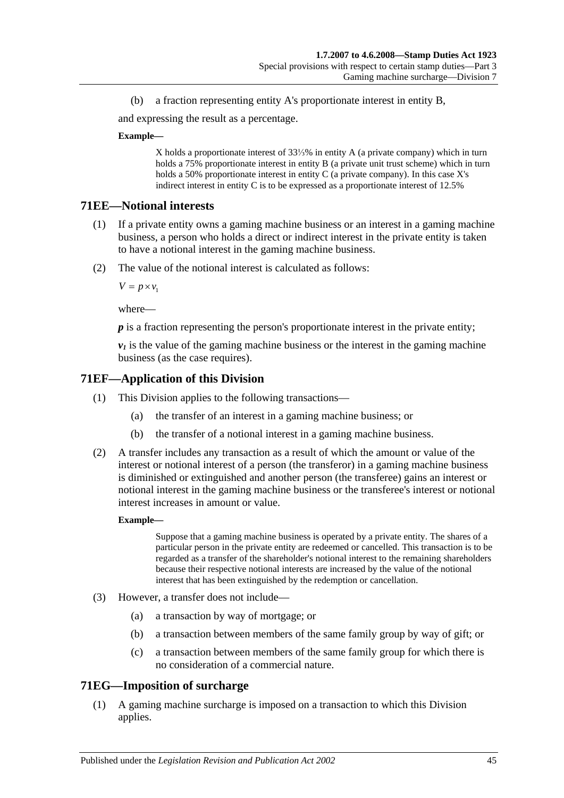(b) a fraction representing entity A's proportionate interest in entity B,

and expressing the result as a percentage.

#### **Example—**

X holds a proportionate interest of 33⅓% in entity A (a private company) which in turn holds a 75% proportionate interest in entity B (a private unit trust scheme) which in turn holds a 50% proportionate interest in entity C (a private company). In this case X's indirect interest in entity C is to be expressed as a proportionate interest of 12.5%

### **71EE—Notional interests**

- (1) If a private entity owns a gaming machine business or an interest in a gaming machine business, a person who holds a direct or indirect interest in the private entity is taken to have a notional interest in the gaming machine business.
- (2) The value of the notional interest is calculated as follows:

 $V = p \times v_1$ 

where—

*p* is a fraction representing the person's proportionate interest in the private entity;

 $v_1$  is the value of the gaming machine business or the interest in the gaming machine business (as the case requires).

## **71EF—Application of this Division**

- (1) This Division applies to the following transactions—
	- (a) the transfer of an interest in a gaming machine business; or
	- (b) the transfer of a notional interest in a gaming machine business.
- (2) A transfer includes any transaction as a result of which the amount or value of the interest or notional interest of a person (the transferor) in a gaming machine business is diminished or extinguished and another person (the transferee) gains an interest or notional interest in the gaming machine business or the transferee's interest or notional interest increases in amount or value.

#### **Example—**

Suppose that a gaming machine business is operated by a private entity. The shares of a particular person in the private entity are redeemed or cancelled. This transaction is to be regarded as a transfer of the shareholder's notional interest to the remaining shareholders because their respective notional interests are increased by the value of the notional interest that has been extinguished by the redemption or cancellation.

- (3) However, a transfer does not include—
	- (a) a transaction by way of mortgage; or
	- (b) a transaction between members of the same family group by way of gift; or
	- (c) a transaction between members of the same family group for which there is no consideration of a commercial nature.

### **71EG—Imposition of surcharge**

(1) A gaming machine surcharge is imposed on a transaction to which this Division applies.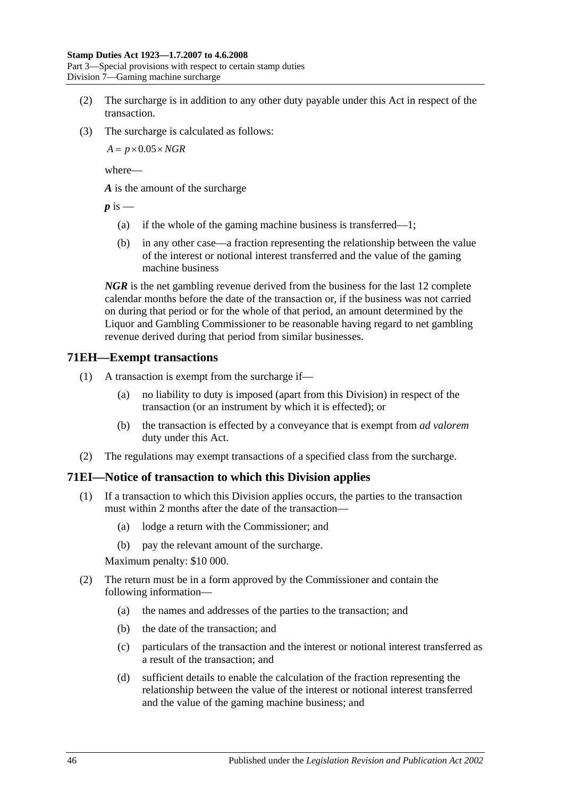Part 3—Special provisions with respect to certain stamp duties Division 7—Gaming machine surcharge

- (2) The surcharge is in addition to any other duty payable under this Act in respect of the transaction.
- (3) The surcharge is calculated as follows:

 $A = p \times 0.05 \times NGR$ 

where—

*A* is the amount of the surcharge

 $p$  is  $-$ 

- (a) if the whole of the gaming machine business is transferred—1;
- (b) in any other case—a fraction representing the relationship between the value of the interest or notional interest transferred and the value of the gaming machine business

*NGR* is the net gambling revenue derived from the business for the last 12 complete calendar months before the date of the transaction or, if the business was not carried on during that period or for the whole of that period, an amount determined by the Liquor and Gambling Commissioner to be reasonable having regard to net gambling revenue derived during that period from similar businesses.

## **71EH—Exempt transactions**

- (1) A transaction is exempt from the surcharge if—
	- (a) no liability to duty is imposed (apart from this Division) in respect of the transaction (or an instrument by which it is effected); or
	- (b) the transaction is effected by a conveyance that is exempt from *ad valorem* duty under this Act.
- (2) The regulations may exempt transactions of a specified class from the surcharge.

# **71EI—Notice of transaction to which this Division applies**

- (1) If a transaction to which this Division applies occurs, the parties to the transaction must within 2 months after the date of the transaction—
	- (a) lodge a return with the Commissioner; and
	- (b) pay the relevant amount of the surcharge.

Maximum penalty: \$10 000.

- (2) The return must be in a form approved by the Commissioner and contain the following information—
	- (a) the names and addresses of the parties to the transaction; and
	- (b) the date of the transaction; and
	- (c) particulars of the transaction and the interest or notional interest transferred as a result of the transaction; and
	- (d) sufficient details to enable the calculation of the fraction representing the relationship between the value of the interest or notional interest transferred and the value of the gaming machine business; and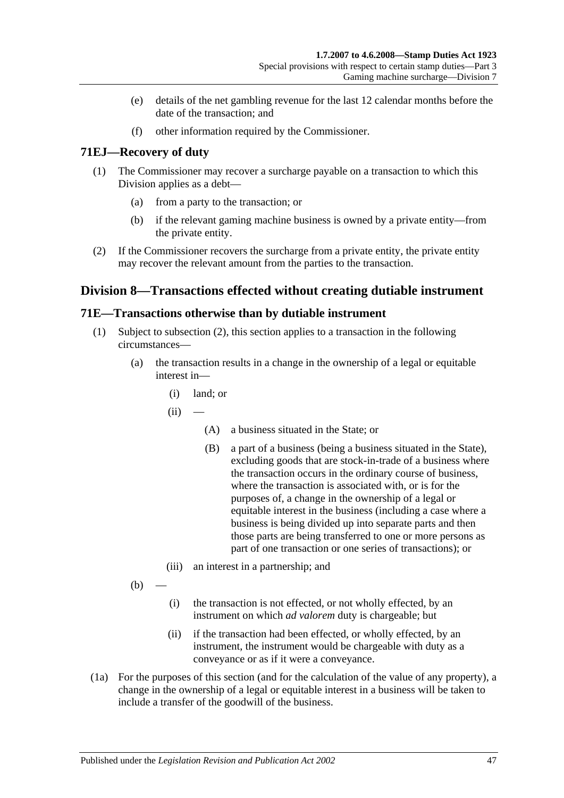- (e) details of the net gambling revenue for the last 12 calendar months before the date of the transaction; and
- (f) other information required by the Commissioner.

## **71EJ—Recovery of duty**

- (1) The Commissioner may recover a surcharge payable on a transaction to which this Division applies as a debt—
	- (a) from a party to the transaction; or
	- (b) if the relevant gaming machine business is owned by a private entity—from the private entity.
- (2) If the Commissioner recovers the surcharge from a private entity, the private entity may recover the relevant amount from the parties to the transaction.

# **Division 8—Transactions effected without creating dutiable instrument**

## <span id="page-64-0"></span>**71E—Transactions otherwise than by dutiable instrument**

- (1) Subject to [subsection](#page-65-0) (2), this section applies to a transaction in the following circumstances—
	- (a) the transaction results in a change in the ownership of a legal or equitable interest in—
		- (i) land; or
		- $(ii)$ 
			- (A) a business situated in the State; or
			- (B) a part of a business (being a business situated in the State), excluding goods that are stock-in-trade of a business where the transaction occurs in the ordinary course of business, where the transaction is associated with, or is for the purposes of, a change in the ownership of a legal or equitable interest in the business (including a case where a business is being divided up into separate parts and then those parts are being transferred to one or more persons as part of one transaction or one series of transactions); or
		- (iii) an interest in a partnership; and

 $(b)$ 

- (i) the transaction is not effected, or not wholly effected, by an instrument on which *ad valorem* duty is chargeable; but
- (ii) if the transaction had been effected, or wholly effected, by an instrument, the instrument would be chargeable with duty as a conveyance or as if it were a conveyance.
- (1a) For the purposes of this section (and for the calculation of the value of any property), a change in the ownership of a legal or equitable interest in a business will be taken to include a transfer of the goodwill of the business.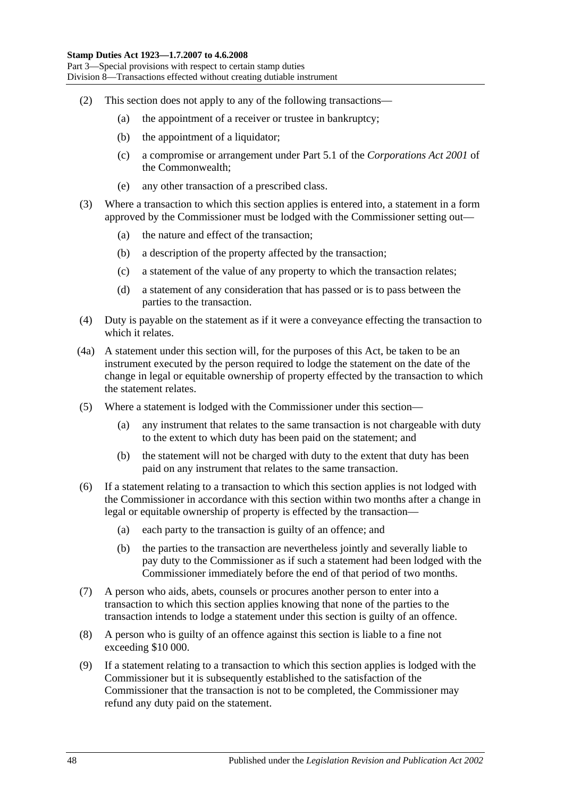- <span id="page-65-0"></span>(2) This section does not apply to any of the following transactions—
	- (a) the appointment of a receiver or trustee in bankruptcy;
	- (b) the appointment of a liquidator;
	- (c) a compromise or arrangement under Part 5.1 of the *Corporations Act 2001* of the Commonwealth;
	- (e) any other transaction of a prescribed class.
- (3) Where a transaction to which this section applies is entered into, a statement in a form approved by the Commissioner must be lodged with the Commissioner setting out—
	- (a) the nature and effect of the transaction;
	- (b) a description of the property affected by the transaction;
	- (c) a statement of the value of any property to which the transaction relates;
	- (d) a statement of any consideration that has passed or is to pass between the parties to the transaction.
- (4) Duty is payable on the statement as if it were a conveyance effecting the transaction to which it relates.
- (4a) A statement under this section will, for the purposes of this Act, be taken to be an instrument executed by the person required to lodge the statement on the date of the change in legal or equitable ownership of property effected by the transaction to which the statement relates.
- (5) Where a statement is lodged with the Commissioner under this section—
	- (a) any instrument that relates to the same transaction is not chargeable with duty to the extent to which duty has been paid on the statement; and
	- (b) the statement will not be charged with duty to the extent that duty has been paid on any instrument that relates to the same transaction.
- (6) If a statement relating to a transaction to which this section applies is not lodged with the Commissioner in accordance with this section within two months after a change in legal or equitable ownership of property is effected by the transaction—
	- (a) each party to the transaction is guilty of an offence; and
	- (b) the parties to the transaction are nevertheless jointly and severally liable to pay duty to the Commissioner as if such a statement had been lodged with the Commissioner immediately before the end of that period of two months.
- (7) A person who aids, abets, counsels or procures another person to enter into a transaction to which this section applies knowing that none of the parties to the transaction intends to lodge a statement under this section is guilty of an offence.
- (8) A person who is guilty of an offence against this section is liable to a fine not exceeding \$10 000.
- (9) If a statement relating to a transaction to which this section applies is lodged with the Commissioner but it is subsequently established to the satisfaction of the Commissioner that the transaction is not to be completed, the Commissioner may refund any duty paid on the statement.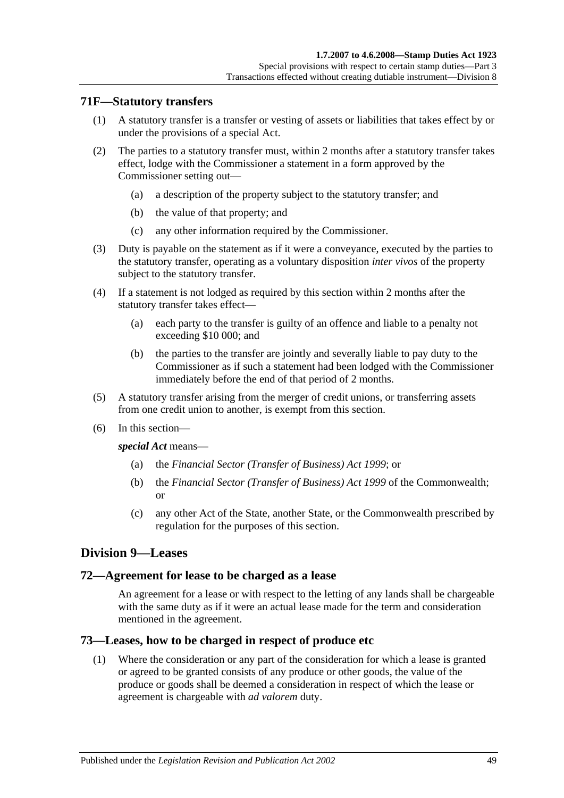## **71F—Statutory transfers**

- (1) A statutory transfer is a transfer or vesting of assets or liabilities that takes effect by or under the provisions of a special Act.
- (2) The parties to a statutory transfer must, within 2 months after a statutory transfer takes effect, lodge with the Commissioner a statement in a form approved by the Commissioner setting out—
	- (a) a description of the property subject to the statutory transfer; and
	- (b) the value of that property; and
	- (c) any other information required by the Commissioner.
- (3) Duty is payable on the statement as if it were a conveyance, executed by the parties to the statutory transfer, operating as a voluntary disposition *inter vivos* of the property subject to the statutory transfer.
- (4) If a statement is not lodged as required by this section within 2 months after the statutory transfer takes effect—
	- (a) each party to the transfer is guilty of an offence and liable to a penalty not exceeding \$10 000; and
	- (b) the parties to the transfer are jointly and severally liable to pay duty to the Commissioner as if such a statement had been lodged with the Commissioner immediately before the end of that period of 2 months.
- (5) A statutory transfer arising from the merger of credit unions, or transferring assets from one credit union to another, is exempt from this section.
- (6) In this section—

*special Act* means—

- (a) the *[Financial Sector \(Transfer of Business\) Act](http://www.legislation.sa.gov.au/index.aspx?action=legref&type=act&legtitle=Financial%20Sector%20(Transfer%20of%20Business)%20Act%201999) 1999*; or
- (b) the *Financial Sector (Transfer of Business) Act 1999* of the Commonwealth; or
- (c) any other Act of the State, another State, or the Commonwealth prescribed by regulation for the purposes of this section.

## **Division 9—Leases**

### **72—Agreement for lease to be charged as a lease**

An agreement for a lease or with respect to the letting of any lands shall be chargeable with the same duty as if it were an actual lease made for the term and consideration mentioned in the agreement.

### **73—Leases, how to be charged in respect of produce etc**

(1) Where the consideration or any part of the consideration for which a lease is granted or agreed to be granted consists of any produce or other goods, the value of the produce or goods shall be deemed a consideration in respect of which the lease or agreement is chargeable with *ad valorem* duty.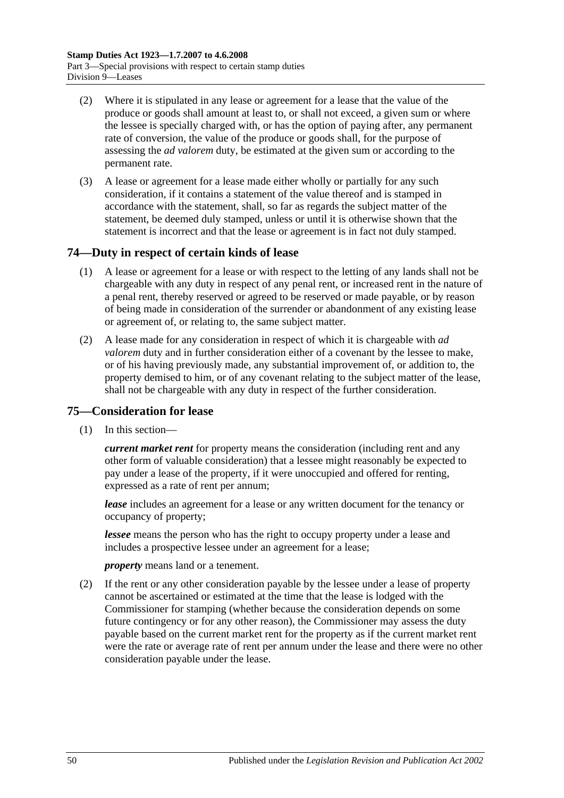- (2) Where it is stipulated in any lease or agreement for a lease that the value of the produce or goods shall amount at least to, or shall not exceed, a given sum or where the lessee is specially charged with, or has the option of paying after, any permanent rate of conversion, the value of the produce or goods shall, for the purpose of assessing the *ad valorem* duty, be estimated at the given sum or according to the permanent rate.
- (3) A lease or agreement for a lease made either wholly or partially for any such consideration, if it contains a statement of the value thereof and is stamped in accordance with the statement, shall, so far as regards the subject matter of the statement, be deemed duly stamped, unless or until it is otherwise shown that the statement is incorrect and that the lease or agreement is in fact not duly stamped.

## **74—Duty in respect of certain kinds of lease**

- (1) A lease or agreement for a lease or with respect to the letting of any lands shall not be chargeable with any duty in respect of any penal rent, or increased rent in the nature of a penal rent, thereby reserved or agreed to be reserved or made payable, or by reason of being made in consideration of the surrender or abandonment of any existing lease or agreement of, or relating to, the same subject matter.
- (2) A lease made for any consideration in respect of which it is chargeable with *ad valorem* duty and in further consideration either of a covenant by the lessee to make, or of his having previously made, any substantial improvement of, or addition to, the property demised to him, or of any covenant relating to the subject matter of the lease, shall not be chargeable with any duty in respect of the further consideration.

## **75—Consideration for lease**

(1) In this section—

*current market rent* for property means the consideration (including rent and any other form of valuable consideration) that a lessee might reasonably be expected to pay under a lease of the property, if it were unoccupied and offered for renting, expressed as a rate of rent per annum;

*lease* includes an agreement for a lease or any written document for the tenancy or occupancy of property;

*lessee* means the person who has the right to occupy property under a lease and includes a prospective lessee under an agreement for a lease;

*property* means land or a tenement.

(2) If the rent or any other consideration payable by the lessee under a lease of property cannot be ascertained or estimated at the time that the lease is lodged with the Commissioner for stamping (whether because the consideration depends on some future contingency or for any other reason), the Commissioner may assess the duty payable based on the current market rent for the property as if the current market rent were the rate or average rate of rent per annum under the lease and there were no other consideration payable under the lease.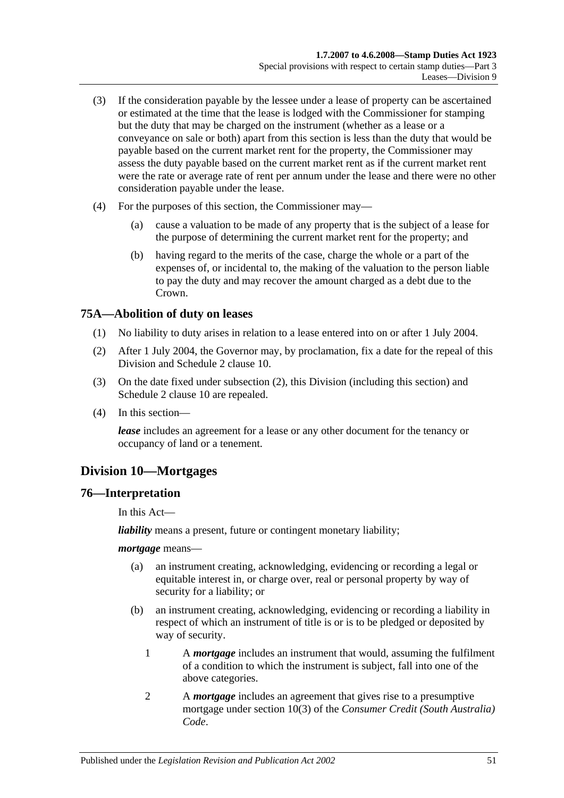- (3) If the consideration payable by the lessee under a lease of property can be ascertained or estimated at the time that the lease is lodged with the Commissioner for stamping but the duty that may be charged on the instrument (whether as a lease or a conveyance on sale or both) apart from this section is less than the duty that would be payable based on the current market rent for the property, the Commissioner may assess the duty payable based on the current market rent as if the current market rent were the rate or average rate of rent per annum under the lease and there were no other consideration payable under the lease.
- (4) For the purposes of this section, the Commissioner may—
	- (a) cause a valuation to be made of any property that is the subject of a lease for the purpose of determining the current market rent for the property; and
	- (b) having regard to the merits of the case, charge the whole or a part of the expenses of, or incidental to, the making of the valuation to the person liable to pay the duty and may recover the amount charged as a debt due to the Crown.

# **75A—Abolition of duty on leases**

- (1) No liability to duty arises in relation to a lease entered into on or after 1 July 2004.
- <span id="page-68-0"></span>(2) After 1 July 2004, the Governor may, by proclamation, fix a date for the repeal of this Division and Schedule 2 clause 10.
- (3) On the date fixed under [subsection](#page-68-0) (2), this Division (including this section) and Schedule 2 clause 10 are repealed.
- (4) In this section—

*lease* includes an agreement for a lease or any other document for the tenancy or occupancy of land or a tenement.

# **Division 10—Mortgages**

## **76—Interpretation**

In this Act—

*liability* means a present, future or contingent monetary liability;

*mortgage* means—

- (a) an instrument creating, acknowledging, evidencing or recording a legal or equitable interest in, or charge over, real or personal property by way of security for a liability; or
- (b) an instrument creating, acknowledging, evidencing or recording a liability in respect of which an instrument of title is or is to be pledged or deposited by way of security.
	- 1 A *mortgage* includes an instrument that would, assuming the fulfilment of a condition to which the instrument is subject, fall into one of the above categories.
	- 2 A *mortgage* includes an agreement that gives rise to a presumptive mortgage under section 10(3) of the *Consumer Credit (South Australia) Code*.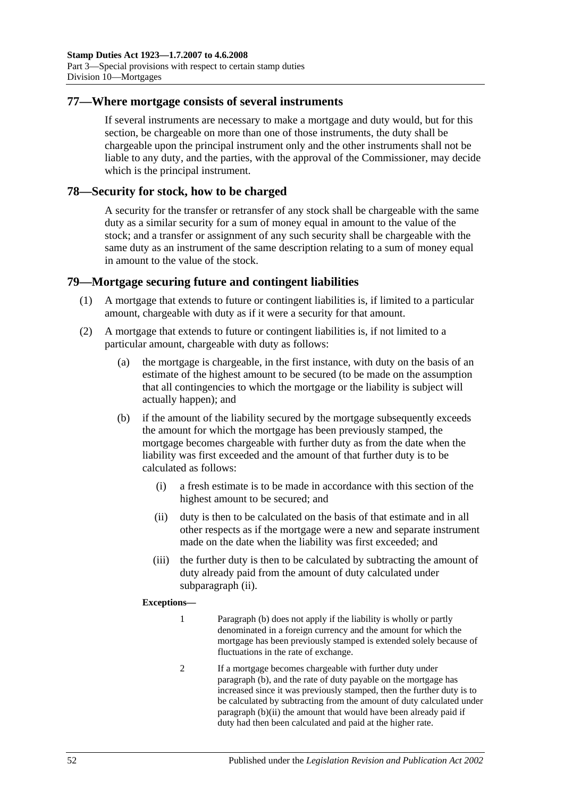### **77—Where mortgage consists of several instruments**

If several instruments are necessary to make a mortgage and duty would, but for this section, be chargeable on more than one of those instruments, the duty shall be chargeable upon the principal instrument only and the other instruments shall not be liable to any duty, and the parties, with the approval of the Commissioner, may decide which is the principal instrument.

### **78—Security for stock, how to be charged**

A security for the transfer or retransfer of any stock shall be chargeable with the same duty as a similar security for a sum of money equal in amount to the value of the stock; and a transfer or assignment of any such security shall be chargeable with the same duty as an instrument of the same description relating to a sum of money equal in amount to the value of the stock.

### **79—Mortgage securing future and contingent liabilities**

- (1) A mortgage that extends to future or contingent liabilities is, if limited to a particular amount, chargeable with duty as if it were a security for that amount.
- <span id="page-69-2"></span><span id="page-69-1"></span>(2) A mortgage that extends to future or contingent liabilities is, if not limited to a particular amount, chargeable with duty as follows:
	- (a) the mortgage is chargeable, in the first instance, with duty on the basis of an estimate of the highest amount to be secured (to be made on the assumption that all contingencies to which the mortgage or the liability is subject will actually happen); and
	- (b) if the amount of the liability secured by the mortgage subsequently exceeds the amount for which the mortgage has been previously stamped, the mortgage becomes chargeable with further duty as from the date when the liability was first exceeded and the amount of that further duty is to be calculated as follows:
		- (i) a fresh estimate is to be made in accordance with this section of the highest amount to be secured; and
		- (ii) duty is then to be calculated on the basis of that estimate and in all other respects as if the mortgage were a new and separate instrument made on the date when the liability was first exceeded; and
		- (iii) the further duty is then to be calculated by subtracting the amount of duty already paid from the amount of duty calculated under [subparagraph](#page-69-0) (ii).

#### <span id="page-69-0"></span>**Exceptions—**

- 1 [Paragraph](#page-69-1) (b) does not apply if the liability is wholly or partly denominated in a foreign currency and the amount for which the mortgage has been previously stamped is extended solely because of fluctuations in the rate of exchange.
- 2 If a mortgage becomes chargeable with further duty under [paragraph](#page-69-1) (b), and the rate of duty payable on the mortgage has increased since it was previously stamped, then the further duty is to be calculated by subtracting from the amount of duty calculated under [paragraph](#page-69-0) (b)(ii) the amount that would have been already paid if duty had then been calculated and paid at the higher rate.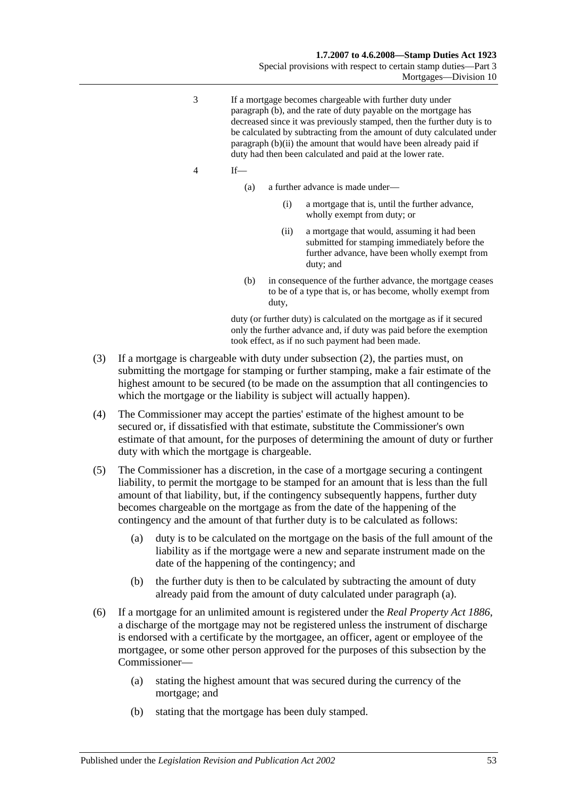Special provisions with respect to certain stamp duties—Part 3 Mortgages—Division 10

- 3 If a mortgage becomes chargeable with further duty under [paragraph](#page-69-1) (b), and the rate of duty payable on the mortgage has decreased since it was previously stamped, then the further duty is to be calculated by subtracting from the amount of duty calculated under [paragraph](#page-69-0) (b)(ii) the amount that would have been already paid if duty had then been calculated and paid at the lower rate.
- 4 If—
	- (a) a further advance is made under—
		- (i) a mortgage that is, until the further advance, wholly exempt from duty; or
		- (ii) a mortgage that would, assuming it had been submitted for stamping immediately before the further advance, have been wholly exempt from duty; and
	- (b) in consequence of the further advance, the mortgage ceases to be of a type that is, or has become, wholly exempt from duty,

duty (or further duty) is calculated on the mortgage as if it secured only the further advance and, if duty was paid before the exemption took effect, as if no such payment had been made.

- (3) If a mortgage is chargeable with duty under [subsection](#page-69-2) (2), the parties must, on submitting the mortgage for stamping or further stamping, make a fair estimate of the highest amount to be secured (to be made on the assumption that all contingencies to which the mortgage or the liability is subject will actually happen).
- (4) The Commissioner may accept the parties' estimate of the highest amount to be secured or, if dissatisfied with that estimate, substitute the Commissioner's own estimate of that amount, for the purposes of determining the amount of duty or further duty with which the mortgage is chargeable.
- <span id="page-70-0"></span>(5) The Commissioner has a discretion, in the case of a mortgage securing a contingent liability, to permit the mortgage to be stamped for an amount that is less than the full amount of that liability, but, if the contingency subsequently happens, further duty becomes chargeable on the mortgage as from the date of the happening of the contingency and the amount of that further duty is to be calculated as follows:
	- (a) duty is to be calculated on the mortgage on the basis of the full amount of the liability as if the mortgage were a new and separate instrument made on the date of the happening of the contingency; and
	- (b) the further duty is then to be calculated by subtracting the amount of duty already paid from the amount of duty calculated under [paragraph](#page-70-0) (a).
- <span id="page-70-1"></span>(6) If a mortgage for an unlimited amount is registered under the *[Real Property Act](http://www.legislation.sa.gov.au/index.aspx?action=legref&type=act&legtitle=Real%20Property%20Act%201886) 1886*, a discharge of the mortgage may not be registered unless the instrument of discharge is endorsed with a certificate by the mortgagee, an officer, agent or employee of the mortgagee, or some other person approved for the purposes of this subsection by the Commissioner—
	- (a) stating the highest amount that was secured during the currency of the mortgage; and
	- (b) stating that the mortgage has been duly stamped.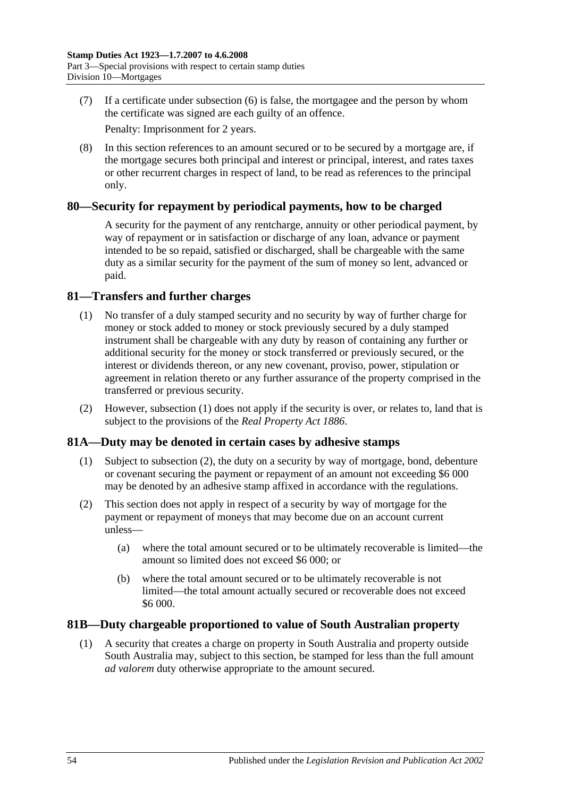(7) If a certificate under [subsection](#page-70-1) (6) is false, the mortgagee and the person by whom the certificate was signed are each guilty of an offence.

Penalty: Imprisonment for 2 years.

(8) In this section references to an amount secured or to be secured by a mortgage are, if the mortgage secures both principal and interest or principal, interest, and rates taxes or other recurrent charges in respect of land, to be read as references to the principal only.

## **80—Security for repayment by periodical payments, how to be charged**

A security for the payment of any rentcharge, annuity or other periodical payment, by way of repayment or in satisfaction or discharge of any loan, advance or payment intended to be so repaid, satisfied or discharged, shall be chargeable with the same duty as a similar security for the payment of the sum of money so lent, advanced or paid.

## <span id="page-71-0"></span>**81—Transfers and further charges**

- (1) No transfer of a duly stamped security and no security by way of further charge for money or stock added to money or stock previously secured by a duly stamped instrument shall be chargeable with any duty by reason of containing any further or additional security for the money or stock transferred or previously secured, or the interest or dividends thereon, or any new covenant, proviso, power, stipulation or agreement in relation thereto or any further assurance of the property comprised in the transferred or previous security.
- (2) However, [subsection](#page-71-0) (1) does not apply if the security is over, or relates to, land that is subject to the provisions of the *[Real Property Act](http://www.legislation.sa.gov.au/index.aspx?action=legref&type=act&legtitle=Real%20Property%20Act%201886) 1886*.

# **81A—Duty may be denoted in certain cases by adhesive stamps**

- (1) Subject to [subsection](#page-71-1) (2), the duty on a security by way of mortgage, bond, debenture or covenant securing the payment or repayment of an amount not exceeding \$6 000 may be denoted by an adhesive stamp affixed in accordance with the regulations.
- <span id="page-71-1"></span>(2) This section does not apply in respect of a security by way of mortgage for the payment or repayment of moneys that may become due on an account current unless—
	- (a) where the total amount secured or to be ultimately recoverable is limited—the amount so limited does not exceed \$6 000; or
	- (b) where the total amount secured or to be ultimately recoverable is not limited—the total amount actually secured or recoverable does not exceed \$6 000.

## **81B—Duty chargeable proportioned to value of South Australian property**

(1) A security that creates a charge on property in South Australia and property outside South Australia may, subject to this section, be stamped for less than the full amount *ad valorem* duty otherwise appropriate to the amount secured.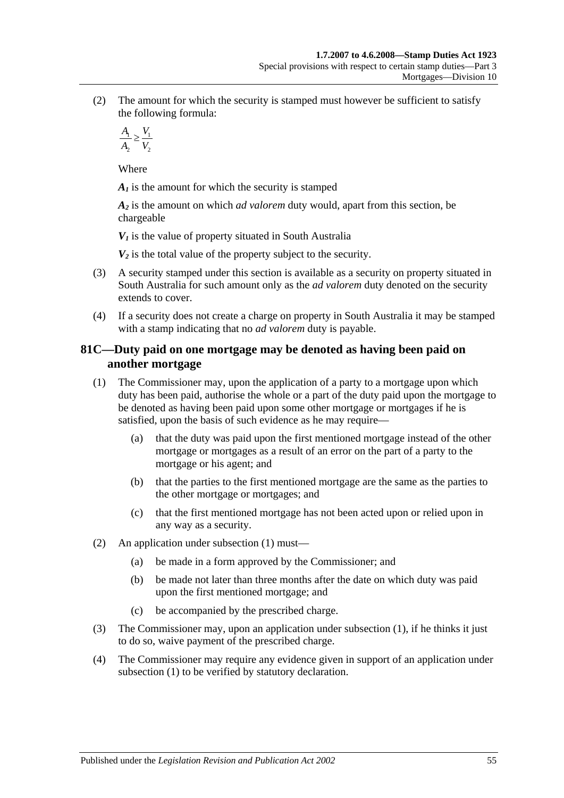(2) The amount for which the security is stamped must however be sufficient to satisfy the following formula:

$$
\frac{A_1}{A_2} \ge \frac{V_1}{V_2}
$$

Where

*A<sub>1</sub>* is the amount for which the security is stamped

*A2* is the amount on which *ad valorem* duty would, apart from this section, be chargeable

 $V_1$  is the value of property situated in South Australia

 $V_2$  is the total value of the property subject to the security.

- (3) A security stamped under this section is available as a security on property situated in South Australia for such amount only as the *ad valorem* duty denoted on the security extends to cover.
- (4) If a security does not create a charge on property in South Australia it may be stamped with a stamp indicating that no *ad valorem* duty is payable.

# **81C—Duty paid on one mortgage may be denoted as having been paid on another mortgage**

- <span id="page-72-0"></span>(1) The Commissioner may, upon the application of a party to a mortgage upon which duty has been paid, authorise the whole or a part of the duty paid upon the mortgage to be denoted as having been paid upon some other mortgage or mortgages if he is satisfied, upon the basis of such evidence as he may require—
	- (a) that the duty was paid upon the first mentioned mortgage instead of the other mortgage or mortgages as a result of an error on the part of a party to the mortgage or his agent; and
	- (b) that the parties to the first mentioned mortgage are the same as the parties to the other mortgage or mortgages; and
	- (c) that the first mentioned mortgage has not been acted upon or relied upon in any way as a security.
- (2) An application under [subsection](#page-72-0) (1) must—
	- (a) be made in a form approved by the Commissioner; and
	- (b) be made not later than three months after the date on which duty was paid upon the first mentioned mortgage; and
	- (c) be accompanied by the prescribed charge.
- (3) The Commissioner may, upon an application under [subsection](#page-72-0) (1), if he thinks it just to do so, waive payment of the prescribed charge.
- (4) The Commissioner may require any evidence given in support of an application under [subsection](#page-72-0) (1) to be verified by statutory declaration.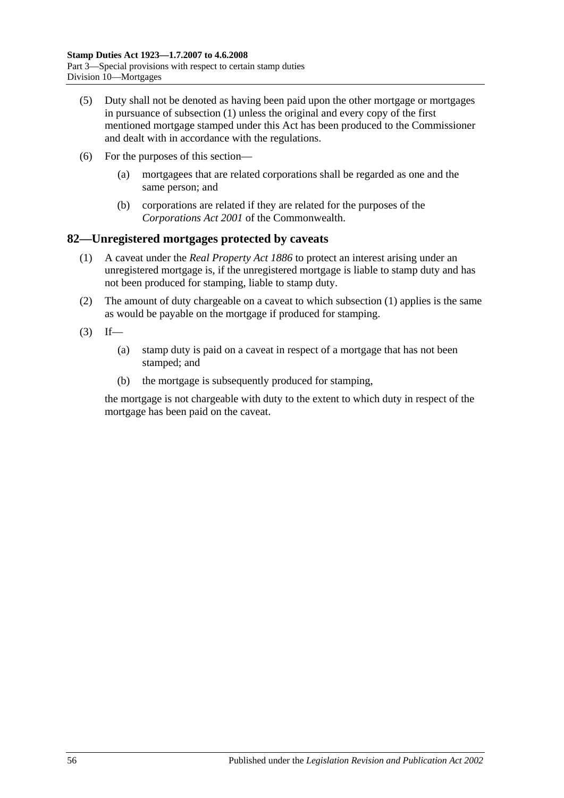- (5) Duty shall not be denoted as having been paid upon the other mortgage or mortgages in pursuance of [subsection](#page-72-0) (1) unless the original and every copy of the first mentioned mortgage stamped under this Act has been produced to the Commissioner and dealt with in accordance with the regulations.
- (6) For the purposes of this section—
	- (a) mortgagees that are related corporations shall be regarded as one and the same person; and
	- (b) corporations are related if they are related for the purposes of the *Corporations Act 2001* of the Commonwealth.

#### <span id="page-73-0"></span>**82—Unregistered mortgages protected by caveats**

- (1) A caveat under the *[Real Property Act](http://www.legislation.sa.gov.au/index.aspx?action=legref&type=act&legtitle=Real%20Property%20Act%201886) 1886* to protect an interest arising under an unregistered mortgage is, if the unregistered mortgage is liable to stamp duty and has not been produced for stamping, liable to stamp duty.
- (2) The amount of duty chargeable on a caveat to which [subsection](#page-73-0) (1) applies is the same as would be payable on the mortgage if produced for stamping.
- $(3)$  If—
	- (a) stamp duty is paid on a caveat in respect of a mortgage that has not been stamped; and
	- (b) the mortgage is subsequently produced for stamping,

the mortgage is not chargeable with duty to the extent to which duty in respect of the mortgage has been paid on the caveat.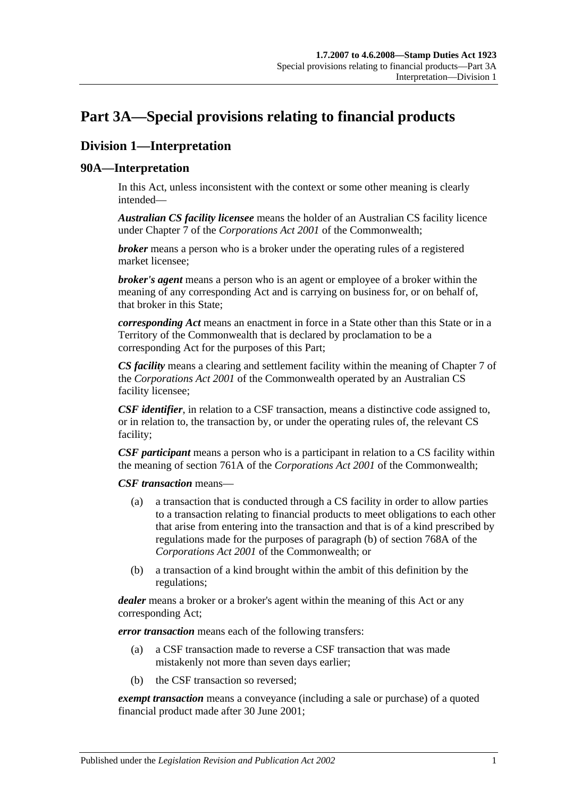# <span id="page-74-0"></span>**Part 3A—Special provisions relating to financial products**

# **Division 1—Interpretation**

#### **90A—Interpretation**

In this Act, unless inconsistent with the context or some other meaning is clearly intended—

*Australian CS facility licensee* means the holder of an Australian CS facility licence under Chapter 7 of the *Corporations Act 2001* of the Commonwealth;

*broker* means a person who is a broker under the operating rules of a registered market licensee;

*broker's agent* means a person who is an agent or employee of a broker within the meaning of any corresponding Act and is carrying on business for, or on behalf of, that broker in this State;

*corresponding Act* means an enactment in force in a State other than this State or in a Territory of the Commonwealth that is declared by proclamation to be a corresponding Act for the purposes of this Part;

*CS facility* means a clearing and settlement facility within the meaning of Chapter 7 of the *Corporations Act 2001* of the Commonwealth operated by an Australian CS facility licensee;

*CSF identifier*, in relation to a CSF transaction, means a distinctive code assigned to, or in relation to, the transaction by, or under the operating rules of, the relevant CS facility;

*CSF participant* means a person who is a participant in relation to a CS facility within the meaning of section 761A of the *Corporations Act 2001* of the Commonwealth;

*CSF transaction* means—

- (a) a transaction that is conducted through a CS facility in order to allow parties to a transaction relating to financial products to meet obligations to each other that arise from entering into the transaction and that is of a kind prescribed by regulations made for the purposes of paragraph (b) of section 768A of the *Corporations Act 2001* of the Commonwealth; or
- (b) a transaction of a kind brought within the ambit of this definition by the regulations;

*dealer* means a broker or a broker's agent within the meaning of this Act or any corresponding Act;

*error transaction* means each of the following transfers:

- (a) a CSF transaction made to reverse a CSF transaction that was made mistakenly not more than seven days earlier;
- (b) the CSF transaction so reversed;

*exempt transaction* means a conveyance (including a sale or purchase) of a quoted financial product made after 30 June 2001;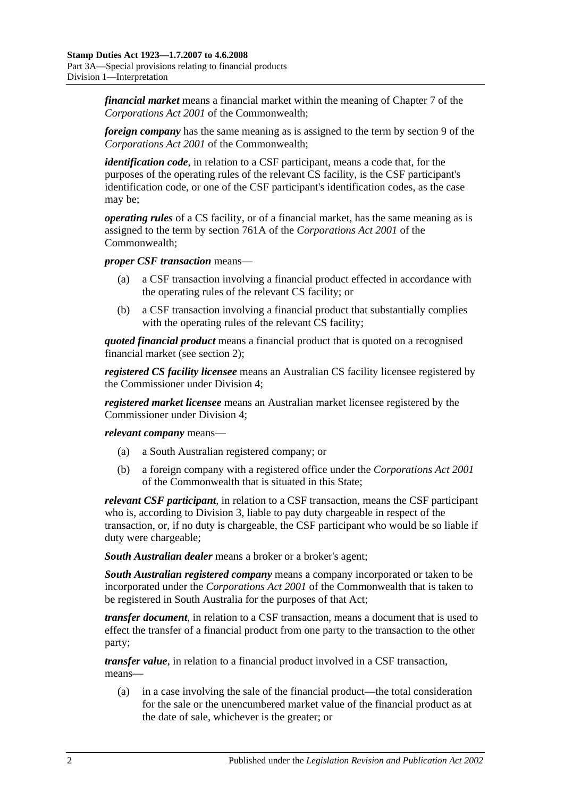*financial market* means a financial market within the meaning of Chapter 7 of the *Corporations Act 2001* of the Commonwealth;

*foreign company* has the same meaning as is assigned to the term by section 9 of the *Corporations Act 2001* of the Commonwealth;

*identification code*, in relation to a CSF participant, means a code that, for the purposes of the operating rules of the relevant CS facility, is the CSF participant's identification code, or one of the CSF participant's identification codes, as the case may be;

*operating rules* of a CS facility, or of a financial market, has the same meaning as is assigned to the term by section 761A of the *Corporations Act 2001* of the Commonwealth;

*proper CSF transaction* means—

- (a) a CSF transaction involving a financial product effected in accordance with the operating rules of the relevant CS facility; or
- (b) a CSF transaction involving a financial product that substantially complies with the operating rules of the relevant CS facility;

*quoted financial product* means a financial product that is quoted on a recognised financial market (see [section](#page-6-0) 2);

*registered CS facility licensee* means an Australian CS facility licensee registered by the Commissioner under [Division 4;](#page-84-0)

*registered market licensee* means an Australian market licensee registered by the Commissioner under [Division 4;](#page-84-0)

*relevant company* means—

- (a) a South Australian registered company; or
- (b) a foreign company with a registered office under the *Corporations Act 2001* of the Commonwealth that is situated in this State;

*relevant CSF participant*, in relation to a CSF transaction, means the CSF participant who is, according to [Division 3,](#page-81-0) liable to pay duty chargeable in respect of the transaction, or, if no duty is chargeable, the CSF participant who would be so liable if duty were chargeable;

*South Australian dealer* means a broker or a broker's agent;

*South Australian registered company* means a company incorporated or taken to be incorporated under the *Corporations Act 2001* of the Commonwealth that is taken to be registered in South Australia for the purposes of that Act;

*transfer document*, in relation to a CSF transaction, means a document that is used to effect the transfer of a financial product from one party to the transaction to the other party;

*transfer value*, in relation to a financial product involved in a CSF transaction, means—

(a) in a case involving the sale of the financial product—the total consideration for the sale or the unencumbered market value of the financial product as at the date of sale, whichever is the greater; or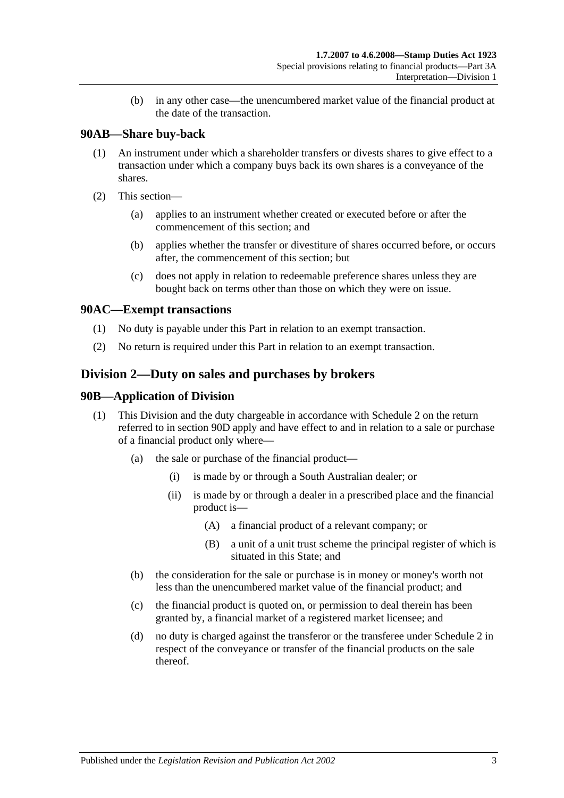(b) in any other case—the unencumbered market value of the financial product at the date of the transaction.

## **90AB—Share buy-back**

- (1) An instrument under which a shareholder transfers or divests shares to give effect to a transaction under which a company buys back its own shares is a conveyance of the shares.
- (2) This section—
	- (a) applies to an instrument whether created or executed before or after the commencement of this section; and
	- (b) applies whether the transfer or divestiture of shares occurred before, or occurs after, the commencement of this section; but
	- (c) does not apply in relation to redeemable preference shares unless they are bought back on terms other than those on which they were on issue.

## **90AC—Exempt transactions**

- (1) No duty is payable under this Part in relation to an exempt transaction.
- (2) No return is required under this Part in relation to an exempt transaction.

# <span id="page-76-0"></span>**Division 2—Duty on sales and purchases by brokers**

### **90B—Application of Division**

- (1) This Division and the duty chargeable in accordance with [Schedule 2](#page-102-0) on the return referred to in [section](#page-78-0) 90D apply and have effect to and in relation to a sale or purchase of a financial product only where—
	- (a) the sale or purchase of the financial product—
		- (i) is made by or through a South Australian dealer; or
		- (ii) is made by or through a dealer in a prescribed place and the financial product is—
			- (A) a financial product of a relevant company; or
			- (B) a unit of a unit trust scheme the principal register of which is situated in this State; and
	- (b) the consideration for the sale or purchase is in money or money's worth not less than the unencumbered market value of the financial product; and
	- (c) the financial product is quoted on, or permission to deal therein has been granted by, a financial market of a registered market licensee; and
	- (d) no duty is charged against the transferor or the transferee under [Schedule 2](#page-102-0) in respect of the conveyance or transfer of the financial products on the sale thereof.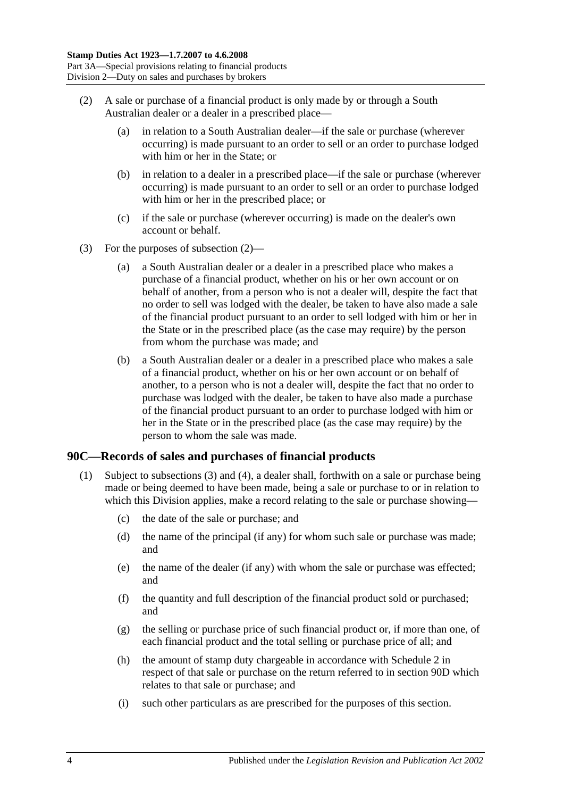- <span id="page-77-0"></span>(2) A sale or purchase of a financial product is only made by or through a South Australian dealer or a dealer in a prescribed place—
	- (a) in relation to a South Australian dealer—if the sale or purchase (wherever occurring) is made pursuant to an order to sell or an order to purchase lodged with him or her in the State; or
	- (b) in relation to a dealer in a prescribed place—if the sale or purchase (wherever occurring) is made pursuant to an order to sell or an order to purchase lodged with him or her in the prescribed place; or
	- (c) if the sale or purchase (wherever occurring) is made on the dealer's own account or behalf.
- (3) For the purposes of [subsection](#page-77-0) (2)—
	- (a) a South Australian dealer or a dealer in a prescribed place who makes a purchase of a financial product, whether on his or her own account or on behalf of another, from a person who is not a dealer will, despite the fact that no order to sell was lodged with the dealer, be taken to have also made a sale of the financial product pursuant to an order to sell lodged with him or her in the State or in the prescribed place (as the case may require) by the person from whom the purchase was made; and
	- (b) a South Australian dealer or a dealer in a prescribed place who makes a sale of a financial product, whether on his or her own account or on behalf of another, to a person who is not a dealer will, despite the fact that no order to purchase was lodged with the dealer, be taken to have also made a purchase of the financial product pursuant to an order to purchase lodged with him or her in the State or in the prescribed place (as the case may require) by the person to whom the sale was made.

#### <span id="page-77-2"></span><span id="page-77-1"></span>**90C—Records of sales and purchases of financial products**

- (1) Subject to [subsections](#page-78-1) (3) and [\(4\),](#page-78-2) a dealer shall, forthwith on a sale or purchase being made or being deemed to have been made, being a sale or purchase to or in relation to which this Division applies, make a record relating to the sale or purchase showing—
	- (c) the date of the sale or purchase; and
	- (d) the name of the principal (if any) for whom such sale or purchase was made; and
	- (e) the name of the dealer (if any) with whom the sale or purchase was effected; and
	- (f) the quantity and full description of the financial product sold or purchased; and
	- (g) the selling or purchase price of such financial product or, if more than one, of each financial product and the total selling or purchase price of all; and
	- (h) the amount of stamp duty chargeable in accordance with [Schedule 2](#page-102-0) in respect of that sale or purchase on the return referred to in [section](#page-78-0) 90D which relates to that sale or purchase; and
	- (i) such other particulars as are prescribed for the purposes of this section.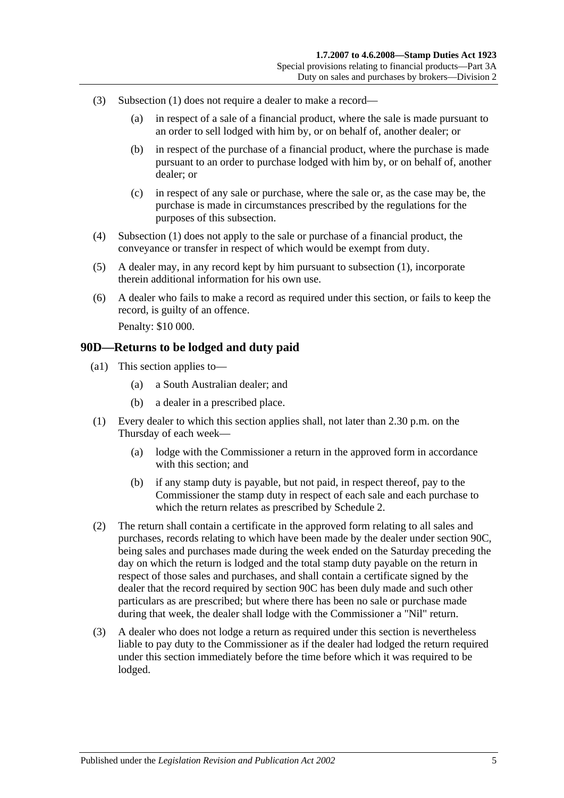- <span id="page-78-1"></span>(3) [Subsection](#page-77-1) (1) does not require a dealer to make a record—
	- (a) in respect of a sale of a financial product, where the sale is made pursuant to an order to sell lodged with him by, or on behalf of, another dealer; or
	- (b) in respect of the purchase of a financial product, where the purchase is made pursuant to an order to purchase lodged with him by, or on behalf of, another dealer; or
	- (c) in respect of any sale or purchase, where the sale or, as the case may be, the purchase is made in circumstances prescribed by the regulations for the purposes of this subsection.
- <span id="page-78-2"></span>(4) [Subsection](#page-77-1) (1) does not apply to the sale or purchase of a financial product, the conveyance or transfer in respect of which would be exempt from duty.
- (5) A dealer may, in any record kept by him pursuant to [subsection](#page-77-1) (1), incorporate therein additional information for his own use.
- (6) A dealer who fails to make a record as required under this section, or fails to keep the record, is guilty of an offence. Penalty: \$10 000.

#### <span id="page-78-0"></span>**90D—Returns to be lodged and duty paid**

- (a1) This section applies to—
	- (a) a South Australian dealer; and
	- (b) a dealer in a prescribed place.
- (1) Every dealer to which this section applies shall, not later than 2.30 p.m. on the Thursday of each week—
	- (a) lodge with the Commissioner a return in the approved form in accordance with this section; and
	- (b) if any stamp duty is payable, but not paid, in respect thereof, pay to the Commissioner the stamp duty in respect of each sale and each purchase to which the return relates as prescribed by [Schedule 2.](#page-102-0)
- (2) The return shall contain a certificate in the approved form relating to all sales and purchases, records relating to which have been made by the dealer under [section](#page-77-2) 90C, being sales and purchases made during the week ended on the Saturday preceding the day on which the return is lodged and the total stamp duty payable on the return in respect of those sales and purchases, and shall contain a certificate signed by the dealer that the record required by [section](#page-77-2) 90C has been duly made and such other particulars as are prescribed; but where there has been no sale or purchase made during that week, the dealer shall lodge with the Commissioner a "Nil" return.
- (3) A dealer who does not lodge a return as required under this section is nevertheless liable to pay duty to the Commissioner as if the dealer had lodged the return required under this section immediately before the time before which it was required to be lodged.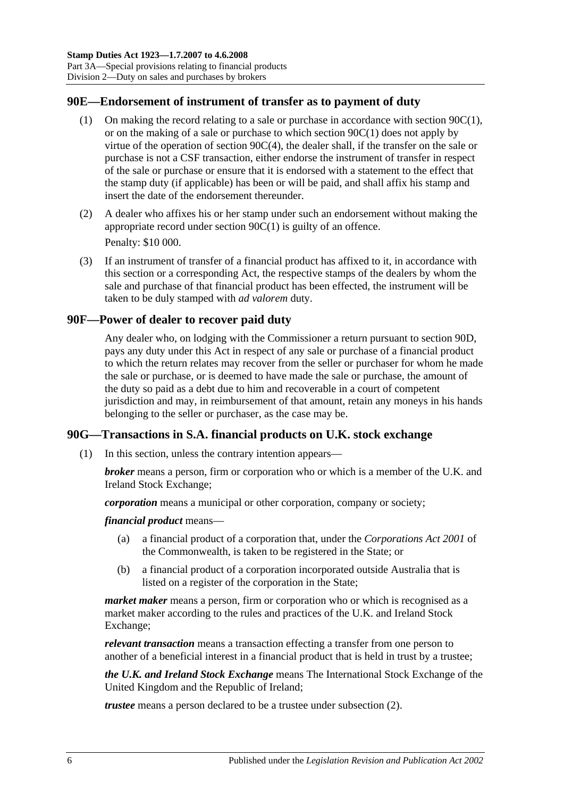### **90E—Endorsement of instrument of transfer as to payment of duty**

- (1) On making the record relating to a sale or purchase in accordance with [section](#page-77-1) 90C(1), or on the making of a sale or purchase to which [section](#page-77-1) 90C(1) does not apply by virtue of the operation of section [90C\(4\),](#page-78-2) the dealer shall, if the transfer on the sale or purchase is not a CSF transaction, either endorse the instrument of transfer in respect of the sale or purchase or ensure that it is endorsed with a statement to the effect that the stamp duty (if applicable) has been or will be paid, and shall affix his stamp and insert the date of the endorsement thereunder.
- (2) A dealer who affixes his or her stamp under such an endorsement without making the appropriate record under [section](#page-77-1) 90C(1) is guilty of an offence. Penalty: \$10 000.
- <span id="page-79-0"></span>(3) If an instrument of transfer of a financial product has affixed to it, in accordance with this section or a corresponding Act, the respective stamps of the dealers by whom the sale and purchase of that financial product has been effected, the instrument will be taken to be duly stamped with *ad valorem* duty.

#### **90F—Power of dealer to recover paid duty**

Any dealer who, on lodging with the Commissioner a return pursuant to [section](#page-78-0) 90D, pays any duty under this Act in respect of any sale or purchase of a financial product to which the return relates may recover from the seller or purchaser for whom he made the sale or purchase, or is deemed to have made the sale or purchase, the amount of the duty so paid as a debt due to him and recoverable in a court of competent jurisdiction and may, in reimbursement of that amount, retain any moneys in his hands belonging to the seller or purchaser, as the case may be.

#### **90G—Transactions in S.A. financial products on U.K. stock exchange**

(1) In this section, unless the contrary intention appears—

*broker* means a person, firm or corporation who or which is a member of the U.K. and Ireland Stock Exchange;

*corporation* means a municipal or other corporation, company or society;

*financial product* means—

- (a) a financial product of a corporation that, under the *Corporations Act 2001* of the Commonwealth, is taken to be registered in the State; or
- (b) a financial product of a corporation incorporated outside Australia that is listed on a register of the corporation in the State;

*market maker* means a person, firm or corporation who or which is recognised as a market maker according to the rules and practices of the U.K. and Ireland Stock Exchange;

*relevant transaction* means a transaction effecting a transfer from one person to another of a beneficial interest in a financial product that is held in trust by a trustee;

*the U.K. and Ireland Stock Exchange* means The International Stock Exchange of the United Kingdom and the Republic of Ireland;

*trustee* means a person declared to be a trustee under [subsection](#page-80-0) (2).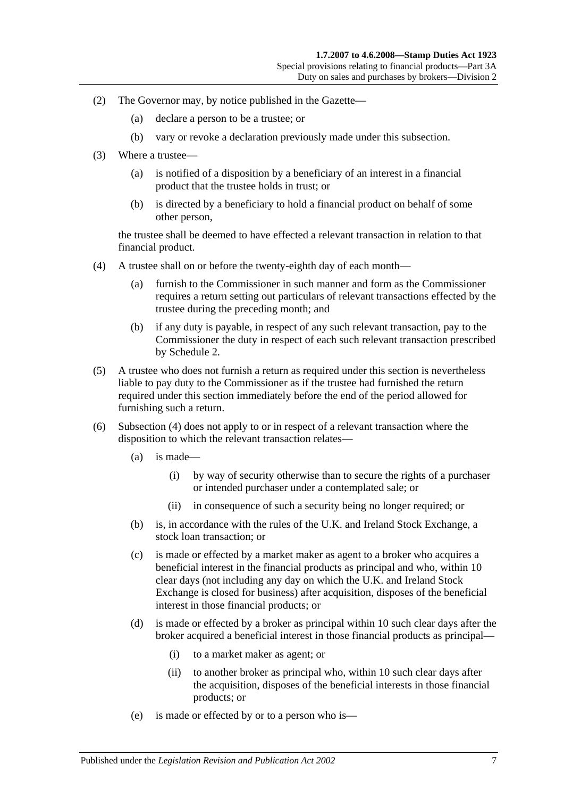- <span id="page-80-0"></span>(2) The Governor may, by notice published in the Gazette—
	- (a) declare a person to be a trustee; or
	- (b) vary or revoke a declaration previously made under this subsection.
- (3) Where a trustee—
	- (a) is notified of a disposition by a beneficiary of an interest in a financial product that the trustee holds in trust; or
	- (b) is directed by a beneficiary to hold a financial product on behalf of some other person,

the trustee shall be deemed to have effected a relevant transaction in relation to that financial product.

- <span id="page-80-1"></span>(4) A trustee shall on or before the twenty-eighth day of each month—
	- (a) furnish to the Commissioner in such manner and form as the Commissioner requires a return setting out particulars of relevant transactions effected by the trustee during the preceding month; and
	- (b) if any duty is payable, in respect of any such relevant transaction, pay to the Commissioner the duty in respect of each such relevant transaction prescribed by [Schedule 2.](#page-102-0)
- (5) A trustee who does not furnish a return as required under this section is nevertheless liable to pay duty to the Commissioner as if the trustee had furnished the return required under this section immediately before the end of the period allowed for furnishing such a return.
- (6) [Subsection](#page-80-1) (4) does not apply to or in respect of a relevant transaction where the disposition to which the relevant transaction relates—
	- (a) is made—
		- (i) by way of security otherwise than to secure the rights of a purchaser or intended purchaser under a contemplated sale; or
		- (ii) in consequence of such a security being no longer required; or
	- (b) is, in accordance with the rules of the U.K. and Ireland Stock Exchange, a stock loan transaction; or
	- (c) is made or effected by a market maker as agent to a broker who acquires a beneficial interest in the financial products as principal and who, within 10 clear days (not including any day on which the U.K. and Ireland Stock Exchange is closed for business) after acquisition, disposes of the beneficial interest in those financial products; or
	- (d) is made or effected by a broker as principal within 10 such clear days after the broker acquired a beneficial interest in those financial products as principal—
		- (i) to a market maker as agent; or
		- (ii) to another broker as principal who, within 10 such clear days after the acquisition, disposes of the beneficial interests in those financial products; or
	- (e) is made or effected by or to a person who is—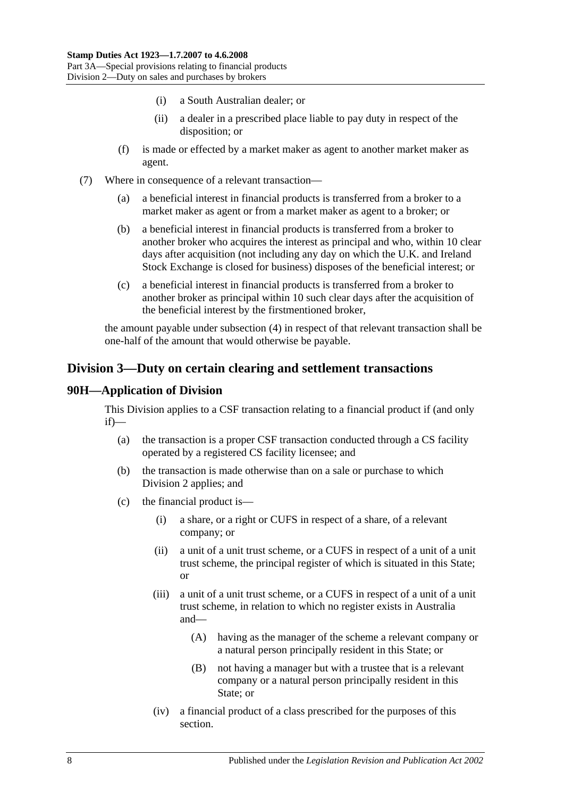- (i) a South Australian dealer; or
- (ii) a dealer in a prescribed place liable to pay duty in respect of the disposition; or
- (f) is made or effected by a market maker as agent to another market maker as agent.
- (7) Where in consequence of a relevant transaction—
	- (a) a beneficial interest in financial products is transferred from a broker to a market maker as agent or from a market maker as agent to a broker; or
	- (b) a beneficial interest in financial products is transferred from a broker to another broker who acquires the interest as principal and who, within 10 clear days after acquisition (not including any day on which the U.K. and Ireland Stock Exchange is closed for business) disposes of the beneficial interest; or
	- (c) a beneficial interest in financial products is transferred from a broker to another broker as principal within 10 such clear days after the acquisition of the beneficial interest by the firstmentioned broker,

the amount payable under [subsection](#page-80-1) (4) in respect of that relevant transaction shall be one-half of the amount that would otherwise be payable.

# <span id="page-81-0"></span>**Division 3—Duty on certain clearing and settlement transactions**

#### **90H—Application of Division**

This Division applies to a CSF transaction relating to a financial product if (and only if)—

- (a) the transaction is a proper CSF transaction conducted through a CS facility operated by a registered CS facility licensee; and
- (b) the transaction is made otherwise than on a sale or purchase to which [Division 2](#page-76-0) applies; and
- (c) the financial product is—
	- (i) a share, or a right or CUFS in respect of a share, of a relevant company; or
	- (ii) a unit of a unit trust scheme, or a CUFS in respect of a unit of a unit trust scheme, the principal register of which is situated in this State; or
	- (iii) a unit of a unit trust scheme, or a CUFS in respect of a unit of a unit trust scheme, in relation to which no register exists in Australia and—
		- (A) having as the manager of the scheme a relevant company or a natural person principally resident in this State; or
		- (B) not having a manager but with a trustee that is a relevant company or a natural person principally resident in this State; or
	- (iv) a financial product of a class prescribed for the purposes of this section.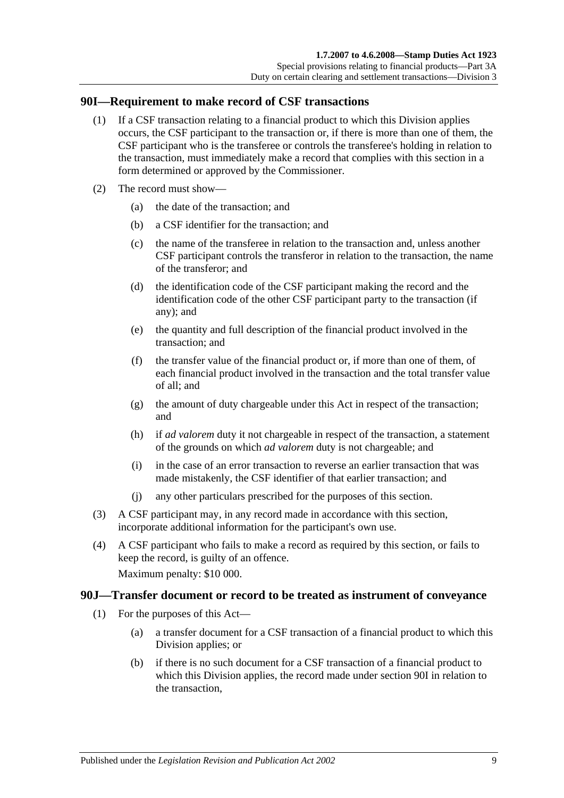#### <span id="page-82-0"></span>**90I—Requirement to make record of CSF transactions**

- (1) If a CSF transaction relating to a financial product to which this Division applies occurs, the CSF participant to the transaction or, if there is more than one of them, the CSF participant who is the transferee or controls the transferee's holding in relation to the transaction, must immediately make a record that complies with this section in a form determined or approved by the Commissioner.
- (2) The record must show—
	- (a) the date of the transaction; and
	- (b) a CSF identifier for the transaction; and
	- (c) the name of the transferee in relation to the transaction and, unless another CSF participant controls the transferor in relation to the transaction, the name of the transferor; and
	- (d) the identification code of the CSF participant making the record and the identification code of the other CSF participant party to the transaction (if any); and
	- (e) the quantity and full description of the financial product involved in the transaction; and
	- (f) the transfer value of the financial product or, if more than one of them, of each financial product involved in the transaction and the total transfer value of all; and
	- (g) the amount of duty chargeable under this Act in respect of the transaction; and
	- (h) if *ad valorem* duty it not chargeable in respect of the transaction, a statement of the grounds on which *ad valorem* duty is not chargeable; and
	- (i) in the case of an error transaction to reverse an earlier transaction that was made mistakenly, the CSF identifier of that earlier transaction; and
	- (j) any other particulars prescribed for the purposes of this section.
- (3) A CSF participant may, in any record made in accordance with this section, incorporate additional information for the participant's own use.
- (4) A CSF participant who fails to make a record as required by this section, or fails to keep the record, is guilty of an offence.

Maximum penalty: \$10 000.

#### <span id="page-82-1"></span>**90J—Transfer document or record to be treated as instrument of conveyance**

- (1) For the purposes of this Act—
	- (a) a transfer document for a CSF transaction of a financial product to which this Division applies; or
	- (b) if there is no such document for a CSF transaction of a financial product to which this Division applies, the record made under [section](#page-82-0) 90I in relation to the transaction,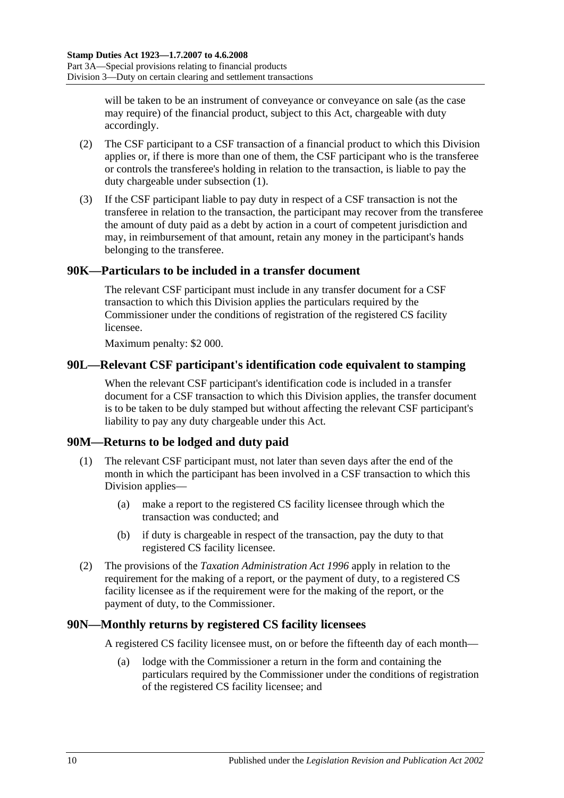will be taken to be an instrument of conveyance or conveyance on sale (as the case may require) of the financial product, subject to this Act, chargeable with duty accordingly.

- (2) The CSF participant to a CSF transaction of a financial product to which this Division applies or, if there is more than one of them, the CSF participant who is the transferee or controls the transferee's holding in relation to the transaction, is liable to pay the duty chargeable under [subsection](#page-82-1) (1).
- (3) If the CSF participant liable to pay duty in respect of a CSF transaction is not the transferee in relation to the transaction, the participant may recover from the transferee the amount of duty paid as a debt by action in a court of competent jurisdiction and may, in reimbursement of that amount, retain any money in the participant's hands belonging to the transferee.

## **90K—Particulars to be included in a transfer document**

The relevant CSF participant must include in any transfer document for a CSF transaction to which this Division applies the particulars required by the Commissioner under the conditions of registration of the registered CS facility licensee.

Maximum penalty: \$2 000.

#### **90L—Relevant CSF participant's identification code equivalent to stamping**

When the relevant CSF participant's identification code is included in a transfer document for a CSF transaction to which this Division applies, the transfer document is to be taken to be duly stamped but without affecting the relevant CSF participant's liability to pay any duty chargeable under this Act.

#### **90M—Returns to be lodged and duty paid**

- (1) The relevant CSF participant must, not later than seven days after the end of the month in which the participant has been involved in a CSF transaction to which this Division applies—
	- (a) make a report to the registered CS facility licensee through which the transaction was conducted; and
	- (b) if duty is chargeable in respect of the transaction, pay the duty to that registered CS facility licensee.
- (2) The provisions of the *[Taxation Administration Act](http://www.legislation.sa.gov.au/index.aspx?action=legref&type=act&legtitle=Taxation%20Administration%20Act%201996) 1996* apply in relation to the requirement for the making of a report, or the payment of duty, to a registered CS facility licensee as if the requirement were for the making of the report, or the payment of duty, to the Commissioner.

#### **90N—Monthly returns by registered CS facility licensees**

A registered CS facility licensee must, on or before the fifteenth day of each month—

(a) lodge with the Commissioner a return in the form and containing the particulars required by the Commissioner under the conditions of registration of the registered CS facility licensee; and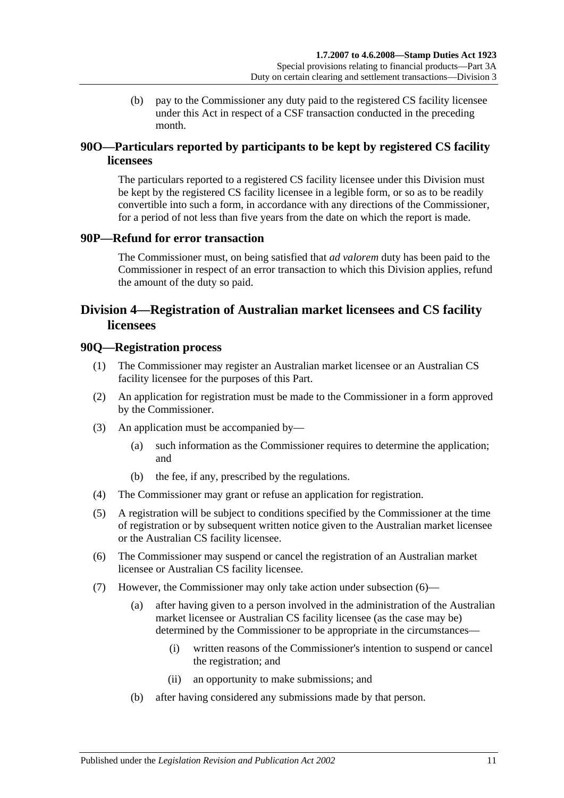(b) pay to the Commissioner any duty paid to the registered CS facility licensee under this Act in respect of a CSF transaction conducted in the preceding month.

# **90O—Particulars reported by participants to be kept by registered CS facility licensees**

The particulars reported to a registered CS facility licensee under this Division must be kept by the registered CS facility licensee in a legible form, or so as to be readily convertible into such a form, in accordance with any directions of the Commissioner, for a period of not less than five years from the date on which the report is made.

#### **90P—Refund for error transaction**

The Commissioner must, on being satisfied that *ad valorem* duty has been paid to the Commissioner in respect of an error transaction to which this Division applies, refund the amount of the duty so paid.

# <span id="page-84-0"></span>**Division 4—Registration of Australian market licensees and CS facility licensees**

#### **90Q—Registration process**

- (1) The Commissioner may register an Australian market licensee or an Australian CS facility licensee for the purposes of this Part.
- (2) An application for registration must be made to the Commissioner in a form approved by the Commissioner.
- (3) An application must be accompanied by—
	- (a) such information as the Commissioner requires to determine the application; and
	- (b) the fee, if any, prescribed by the regulations.
- (4) The Commissioner may grant or refuse an application for registration.
- (5) A registration will be subject to conditions specified by the Commissioner at the time of registration or by subsequent written notice given to the Australian market licensee or the Australian CS facility licensee.
- <span id="page-84-1"></span>(6) The Commissioner may suspend or cancel the registration of an Australian market licensee or Australian CS facility licensee.
- <span id="page-84-2"></span>(7) However, the Commissioner may only take action under [subsection](#page-84-1) (6)—
	- (a) after having given to a person involved in the administration of the Australian market licensee or Australian CS facility licensee (as the case may be) determined by the Commissioner to be appropriate in the circumstances—
		- (i) written reasons of the Commissioner's intention to suspend or cancel the registration; and
		- (ii) an opportunity to make submissions; and
	- (b) after having considered any submissions made by that person.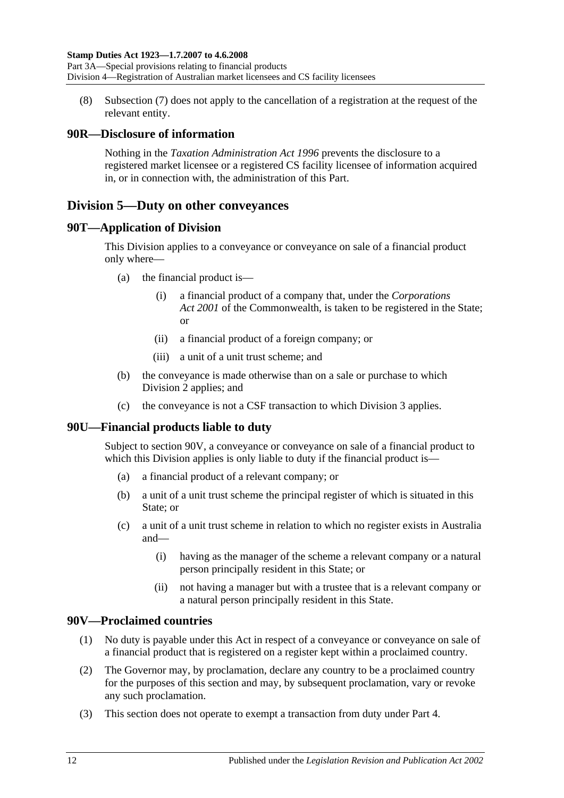(8) [Subsection](#page-84-2) (7) does not apply to the cancellation of a registration at the request of the relevant entity.

## **90R—Disclosure of information**

Nothing in the *[Taxation Administration Act](http://www.legislation.sa.gov.au/index.aspx?action=legref&type=act&legtitle=Taxation%20Administration%20Act%201996) 1996* prevents the disclosure to a registered market licensee or a registered CS facility licensee of information acquired in, or in connection with, the administration of this Part.

# <span id="page-85-1"></span>**Division 5—Duty on other conveyances**

#### **90T—Application of Division**

This Division applies to a conveyance or conveyance on sale of a financial product only where—

- (a) the financial product is—
	- (i) a financial product of a company that, under the *Corporations Act 2001* of the Commonwealth, is taken to be registered in the State; or
	- (ii) a financial product of a foreign company; or
	- (iii) a unit of a unit trust scheme; and
- (b) the conveyance is made otherwise than on a sale or purchase to which [Division 2](#page-76-0) applies; and
- (c) the conveyance is not a CSF transaction to which [Division 3](#page-81-0) applies.

# **90U—Financial products liable to duty**

Subject to [section](#page-85-0) 90V, a conveyance or conveyance on sale of a financial product to which this Division applies is only liable to duty if the financial product is—

- (a) a financial product of a relevant company; or
- (b) a unit of a unit trust scheme the principal register of which is situated in this State; or
- (c) a unit of a unit trust scheme in relation to which no register exists in Australia and—
	- (i) having as the manager of the scheme a relevant company or a natural person principally resident in this State; or
	- (ii) not having a manager but with a trustee that is a relevant company or a natural person principally resident in this State.

# <span id="page-85-0"></span>**90V—Proclaimed countries**

- (1) No duty is payable under this Act in respect of a conveyance or conveyance on sale of a financial product that is registered on a register kept within a proclaimed country.
- (2) The Governor may, by proclamation, declare any country to be a proclaimed country for the purposes of this section and may, by subsequent proclamation, vary or revoke any such proclamation.
- (3) This section does not operate to exempt a transaction from duty under [Part 4.](#page-86-0)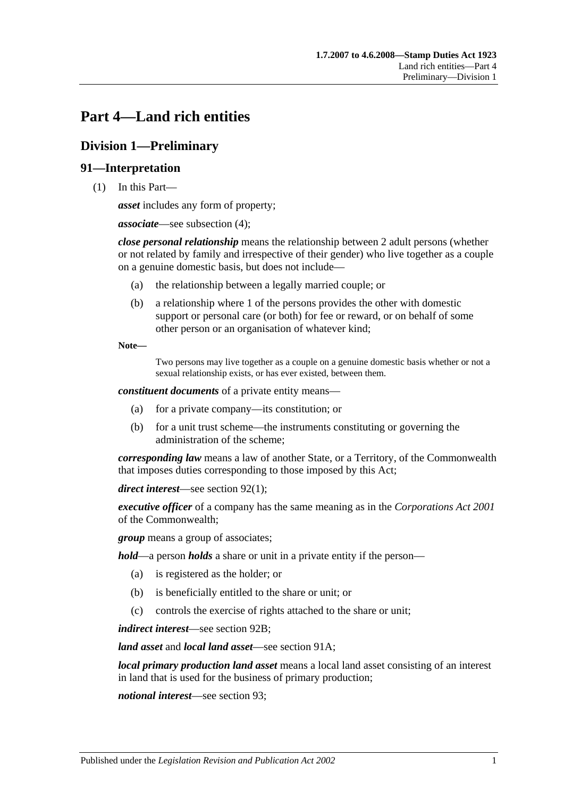# <span id="page-86-0"></span>**Part 4—Land rich entities**

# **Division 1—Preliminary**

# **91—Interpretation**

(1) In this Part—

*asset* includes any form of property;

*associate*—see [subsection](#page-88-0) (4);

*close personal relationship* means the relationship between 2 adult persons (whether or not related by family and irrespective of their gender) who live together as a couple on a genuine domestic basis, but does not include—

- (a) the relationship between a legally married couple; or
- (b) a relationship where 1 of the persons provides the other with domestic support or personal care (or both) for fee or reward, or on behalf of some other person or an organisation of whatever kind;

**Note—**

Two persons may live together as a couple on a genuine domestic basis whether or not a sexual relationship exists, or has ever existed, between them.

*constituent documents* of a private entity means—

- (a) for a private company—its constitution; or
- (b) for a unit trust scheme—the instruments constituting or governing the administration of the scheme;

*corresponding law* means a law of another State, or a Territory, of the Commonwealth that imposes duties corresponding to those imposed by this Act;

*direct interest*—see [section](#page-89-0) 92(1);

*executive officer* of a company has the same meaning as in the *Corporations Act 2001* of the Commonwealth;

*group* means a group of associates;

*hold*—a person *holds* a share or unit in a private entity if the person—

- (a) is registered as the holder; or
- (b) is beneficially entitled to the share or unit; or
- (c) controls the exercise of rights attached to the share or unit;

*indirect interest*—see [section](#page-90-0) 92B;

*land asset* and *local land asset*—see [section](#page-88-1) 91A;

*local primary production land asset* means a local land asset consisting of an interest in land that is used for the business of primary production;

*notional interest*—see [section](#page-90-1) 93;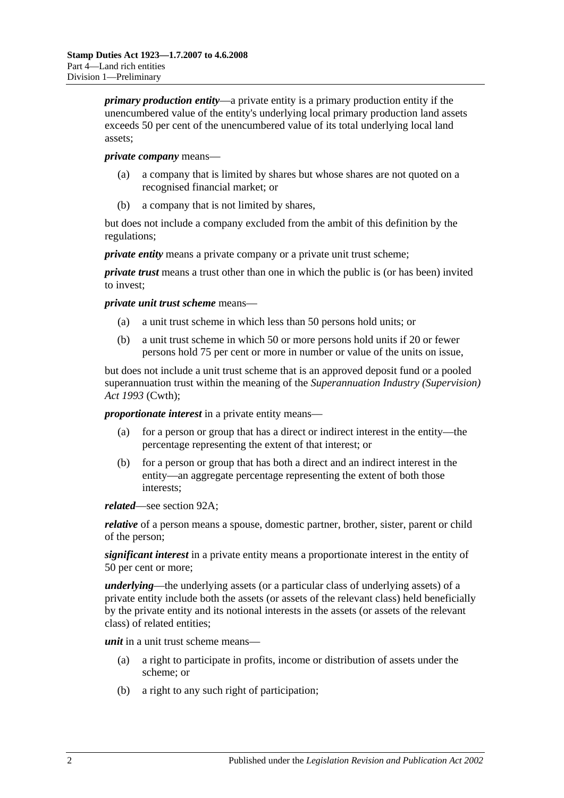*primary production entity*—a private entity is a primary production entity if the unencumbered value of the entity's underlying local primary production land assets exceeds 50 per cent of the unencumbered value of its total underlying local land assets;

#### *private company* means—

- (a) a company that is limited by shares but whose shares are not quoted on a recognised financial market; or
- (b) a company that is not limited by shares,

but does not include a company excluded from the ambit of this definition by the regulations;

*private entity* means a private company or a private unit trust scheme;

*private trust* means a trust other than one in which the public is (or has been) invited to invest;

*private unit trust scheme* means—

- (a) a unit trust scheme in which less than 50 persons hold units; or
- (b) a unit trust scheme in which 50 or more persons hold units if 20 or fewer persons hold 75 per cent or more in number or value of the units on issue,

but does not include a unit trust scheme that is an approved deposit fund or a pooled superannuation trust within the meaning of the *Superannuation Industry (Supervision) Act 1993* (Cwth);

*proportionate interest* in a private entity means—

- (a) for a person or group that has a direct or indirect interest in the entity—the percentage representing the extent of that interest; or
- (b) for a person or group that has both a direct and an indirect interest in the entity—an aggregate percentage representing the extent of both those interests;

*related*—see [section](#page-89-1) 92A;

*relative* of a person means a spouse, domestic partner, brother, sister, parent or child of the person;

*significant interest* in a private entity means a proportionate interest in the entity of 50 per cent or more;

*underlying*—the underlying assets (or a particular class of underlying assets) of a private entity include both the assets (or assets of the relevant class) held beneficially by the private entity and its notional interests in the assets (or assets of the relevant class) of related entities;

*unit* in a unit trust scheme means—

- (a) a right to participate in profits, income or distribution of assets under the scheme; or
- (b) a right to any such right of participation;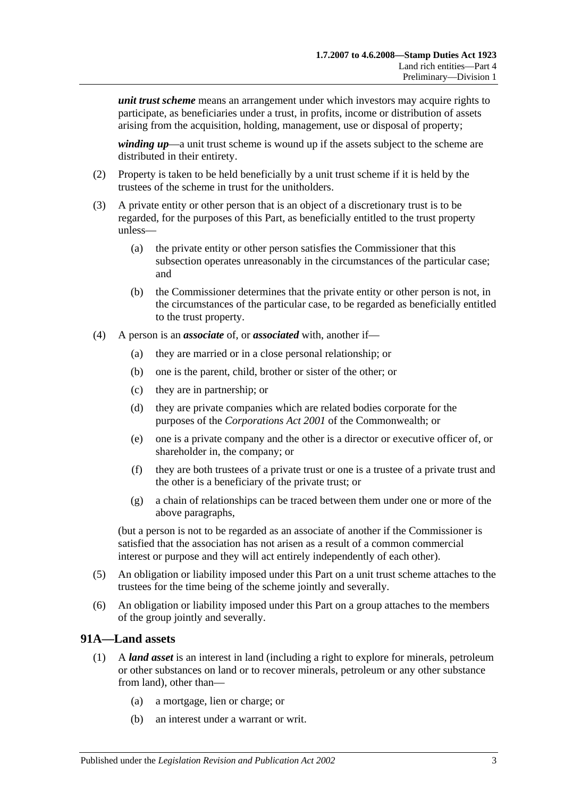*unit trust scheme* means an arrangement under which investors may acquire rights to participate, as beneficiaries under a trust, in profits, income or distribution of assets arising from the acquisition, holding, management, use or disposal of property;

*winding up*—a unit trust scheme is wound up if the assets subject to the scheme are distributed in their entirety.

- (2) Property is taken to be held beneficially by a unit trust scheme if it is held by the trustees of the scheme in trust for the unitholders.
- (3) A private entity or other person that is an object of a discretionary trust is to be regarded, for the purposes of this Part, as beneficially entitled to the trust property unless—
	- (a) the private entity or other person satisfies the Commissioner that this subsection operates unreasonably in the circumstances of the particular case; and
	- (b) the Commissioner determines that the private entity or other person is not, in the circumstances of the particular case, to be regarded as beneficially entitled to the trust property.
- <span id="page-88-0"></span>(4) A person is an *associate* of, or *associated* with, another if—
	- (a) they are married or in a close personal relationship; or
	- (b) one is the parent, child, brother or sister of the other; or
	- (c) they are in partnership; or
	- (d) they are private companies which are related bodies corporate for the purposes of the *Corporations Act 2001* of the Commonwealth; or
	- (e) one is a private company and the other is a director or executive officer of, or shareholder in, the company; or
	- (f) they are both trustees of a private trust or one is a trustee of a private trust and the other is a beneficiary of the private trust; or
	- (g) a chain of relationships can be traced between them under one or more of the above paragraphs,

(but a person is not to be regarded as an associate of another if the Commissioner is satisfied that the association has not arisen as a result of a common commercial interest or purpose and they will act entirely independently of each other).

- (5) An obligation or liability imposed under this Part on a unit trust scheme attaches to the trustees for the time being of the scheme jointly and severally.
- (6) An obligation or liability imposed under this Part on a group attaches to the members of the group jointly and severally.

#### <span id="page-88-1"></span>**91A—Land assets**

- (1) A *land asset* is an interest in land (including a right to explore for minerals, petroleum or other substances on land or to recover minerals, petroleum or any other substance from land), other than—
	- (a) a mortgage, lien or charge; or
	- (b) an interest under a warrant or writ.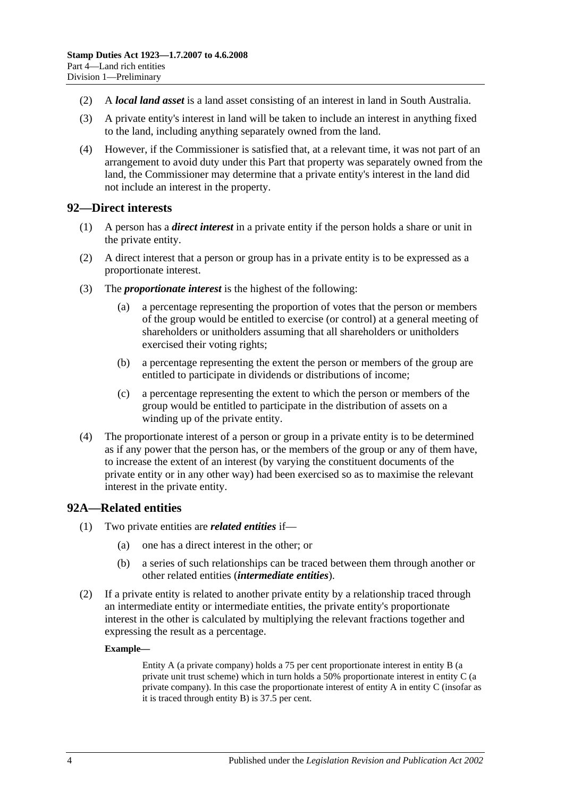- (2) A *local land asset* is a land asset consisting of an interest in land in South Australia.
- (3) A private entity's interest in land will be taken to include an interest in anything fixed to the land, including anything separately owned from the land.
- (4) However, if the Commissioner is satisfied that, at a relevant time, it was not part of an arrangement to avoid duty under this Part that property was separately owned from the land, the Commissioner may determine that a private entity's interest in the land did not include an interest in the property.

#### <span id="page-89-0"></span>**92—Direct interests**

- (1) A person has a *direct interest* in a private entity if the person holds a share or unit in the private entity.
- (2) A direct interest that a person or group has in a private entity is to be expressed as a proportionate interest.
- (3) The *proportionate interest* is the highest of the following:
	- (a) a percentage representing the proportion of votes that the person or members of the group would be entitled to exercise (or control) at a general meeting of shareholders or unitholders assuming that all shareholders or unitholders exercised their voting rights;
	- (b) a percentage representing the extent the person or members of the group are entitled to participate in dividends or distributions of income;
	- (c) a percentage representing the extent to which the person or members of the group would be entitled to participate in the distribution of assets on a winding up of the private entity.
- (4) The proportionate interest of a person or group in a private entity is to be determined as if any power that the person has, or the members of the group or any of them have, to increase the extent of an interest (by varying the constituent documents of the private entity or in any other way) had been exercised so as to maximise the relevant interest in the private entity.

#### <span id="page-89-1"></span>**92A—Related entities**

- (1) Two private entities are *related entities* if—
	- (a) one has a direct interest in the other; or
	- (b) a series of such relationships can be traced between them through another or other related entities (*intermediate entities*).
- (2) If a private entity is related to another private entity by a relationship traced through an intermediate entity or intermediate entities, the private entity's proportionate interest in the other is calculated by multiplying the relevant fractions together and expressing the result as a percentage.

#### **Example—**

Entity A (a private company) holds a 75 per cent proportionate interest in entity B (a private unit trust scheme) which in turn holds a 50% proportionate interest in entity C (a private company). In this case the proportionate interest of entity A in entity C (insofar as it is traced through entity B) is 37.5 per cent.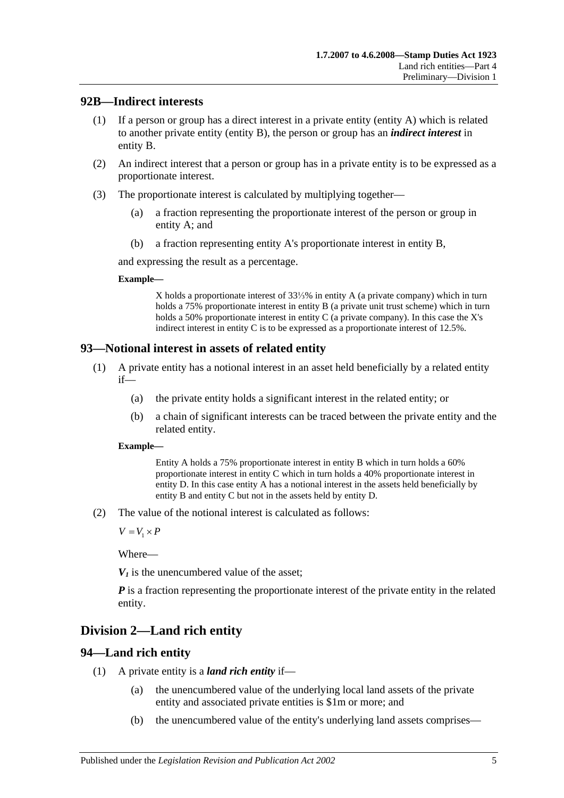### <span id="page-90-0"></span>**92B—Indirect interests**

- (1) If a person or group has a direct interest in a private entity (entity A) which is related to another private entity (entity B), the person or group has an *indirect interest* in entity B.
- (2) An indirect interest that a person or group has in a private entity is to be expressed as a proportionate interest.
- (3) The proportionate interest is calculated by multiplying together—
	- (a) a fraction representing the proportionate interest of the person or group in entity A; and
	- (b) a fraction representing entity A's proportionate interest in entity B,

and expressing the result as a percentage.

#### **Example—**

X holds a proportionate interest of 33⅓% in entity A (a private company) which in turn holds a 75% proportionate interest in entity B (a private unit trust scheme) which in turn holds a 50% proportionate interest in entity C (a private company). In this case the X's indirect interest in entity C is to be expressed as a proportionate interest of 12.5%.

## <span id="page-90-1"></span>**93—Notional interest in assets of related entity**

- (1) A private entity has a notional interest in an asset held beneficially by a related entity if—
	- (a) the private entity holds a significant interest in the related entity; or
	- (b) a chain of significant interests can be traced between the private entity and the related entity.

#### **Example—**

Entity A holds a 75% proportionate interest in entity B which in turn holds a 60% proportionate interest in entity C which in turn holds a 40% proportionate interest in entity D. In this case entity A has a notional interest in the assets held beneficially by entity B and entity C but not in the assets held by entity D.

(2) The value of the notional interest is calculated as follows:

 $V = V_1 \times P$ 

Where—

 $V_1$  is the unencumbered value of the asset:

*P* is a fraction representing the proportionate interest of the private entity in the related entity.

# **Division 2—Land rich entity**

# <span id="page-90-2"></span>**94—Land rich entity**

- (1) A private entity is a *land rich entity* if—
	- (a) the unencumbered value of the underlying local land assets of the private entity and associated private entities is \$1m or more; and
	- (b) the unencumbered value of the entity's underlying land assets comprises—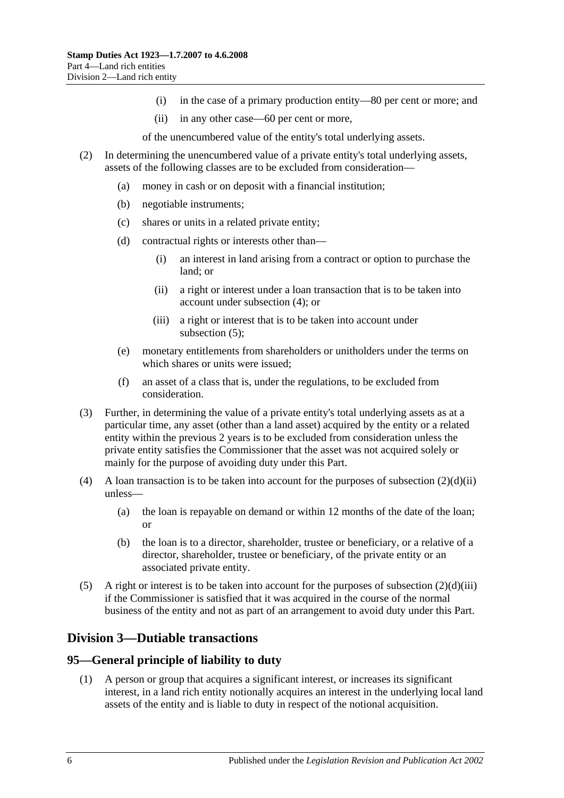- (i) in the case of a primary production entity—80 per cent or more; and
- (ii) in any other case—60 per cent or more,

of the unencumbered value of the entity's total underlying assets.

- <span id="page-91-2"></span>(2) In determining the unencumbered value of a private entity's total underlying assets, assets of the following classes are to be excluded from consideration—
	- (a) money in cash or on deposit with a financial institution;
	- (b) negotiable instruments;
	- (c) shares or units in a related private entity;
	- (d) contractual rights or interests other than—
		- (i) an interest in land arising from a contract or option to purchase the land; or
		- (ii) a right or interest under a loan transaction that is to be taken into account under [subsection](#page-91-0) (4); or
		- (iii) a right or interest that is to be taken into account under [subsection](#page-91-1) (5);
	- (e) monetary entitlements from shareholders or unitholders under the terms on which shares or units were issued;
	- (f) an asset of a class that is, under the regulations, to be excluded from consideration.
- <span id="page-91-3"></span>(3) Further, in determining the value of a private entity's total underlying assets as at a particular time, any asset (other than a land asset) acquired by the entity or a related entity within the previous 2 years is to be excluded from consideration unless the private entity satisfies the Commissioner that the asset was not acquired solely or mainly for the purpose of avoiding duty under this Part.
- <span id="page-91-0"></span>(4) A loan transaction is to be taken into account for the purposes of [subsection](#page-91-2)  $(2)(d)(ii)$ unless—
	- (a) the loan is repayable on demand or within 12 months of the date of the loan; or
	- (b) the loan is to a director, shareholder, trustee or beneficiary, or a relative of a director, shareholder, trustee or beneficiary, of the private entity or an associated private entity.
- <span id="page-91-1"></span>(5) A right or interest is to be taken into account for the purposes of [subsection](#page-91-3)  $(2)(d)(iii)$ if the Commissioner is satisfied that it was acquired in the course of the normal business of the entity and not as part of an arrangement to avoid duty under this Part.

# **Division 3—Dutiable transactions**

#### **95—General principle of liability to duty**

(1) A person or group that acquires a significant interest, or increases its significant interest, in a land rich entity notionally acquires an interest in the underlying local land assets of the entity and is liable to duty in respect of the notional acquisition.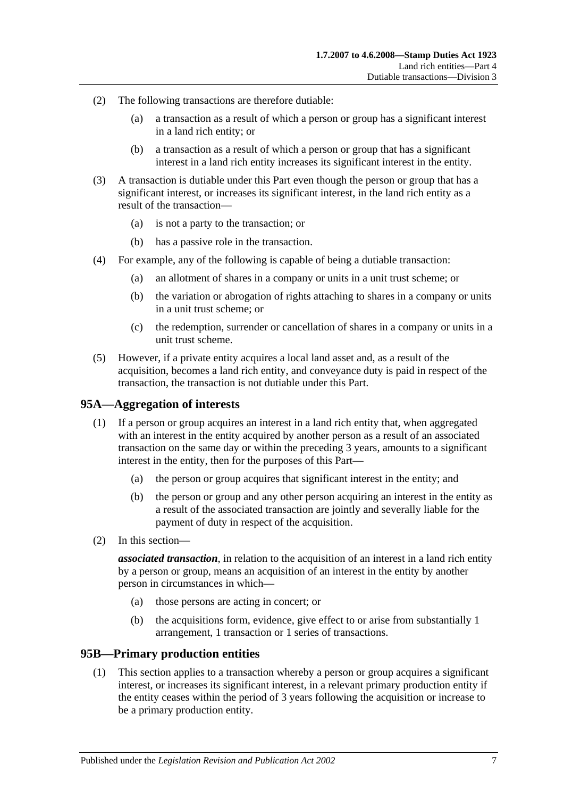- (2) The following transactions are therefore dutiable:
	- (a) a transaction as a result of which a person or group has a significant interest in a land rich entity; or
	- (b) a transaction as a result of which a person or group that has a significant interest in a land rich entity increases its significant interest in the entity.
- (3) A transaction is dutiable under this Part even though the person or group that has a significant interest, or increases its significant interest, in the land rich entity as a result of the transaction—
	- (a) is not a party to the transaction; or
	- (b) has a passive role in the transaction.
- (4) For example, any of the following is capable of being a dutiable transaction:
	- (a) an allotment of shares in a company or units in a unit trust scheme; or
	- (b) the variation or abrogation of rights attaching to shares in a company or units in a unit trust scheme; or
	- (c) the redemption, surrender or cancellation of shares in a company or units in a unit trust scheme.
- (5) However, if a private entity acquires a local land asset and, as a result of the acquisition, becomes a land rich entity, and conveyance duty is paid in respect of the transaction, the transaction is not dutiable under this Part.

#### **95A—Aggregation of interests**

- (1) If a person or group acquires an interest in a land rich entity that, when aggregated with an interest in the entity acquired by another person as a result of an associated transaction on the same day or within the preceding 3 years, amounts to a significant interest in the entity, then for the purposes of this Part—
	- (a) the person or group acquires that significant interest in the entity; and
	- (b) the person or group and any other person acquiring an interest in the entity as a result of the associated transaction are jointly and severally liable for the payment of duty in respect of the acquisition.
- (2) In this section—

*associated transaction*, in relation to the acquisition of an interest in a land rich entity by a person or group, means an acquisition of an interest in the entity by another person in circumstances in which—

- (a) those persons are acting in concert; or
- (b) the acquisitions form, evidence, give effect to or arise from substantially 1 arrangement, 1 transaction or 1 series of transactions.

#### <span id="page-92-0"></span>**95B—Primary production entities**

(1) This section applies to a transaction whereby a person or group acquires a significant interest, or increases its significant interest, in a relevant primary production entity if the entity ceases within the period of 3 years following the acquisition or increase to be a primary production entity.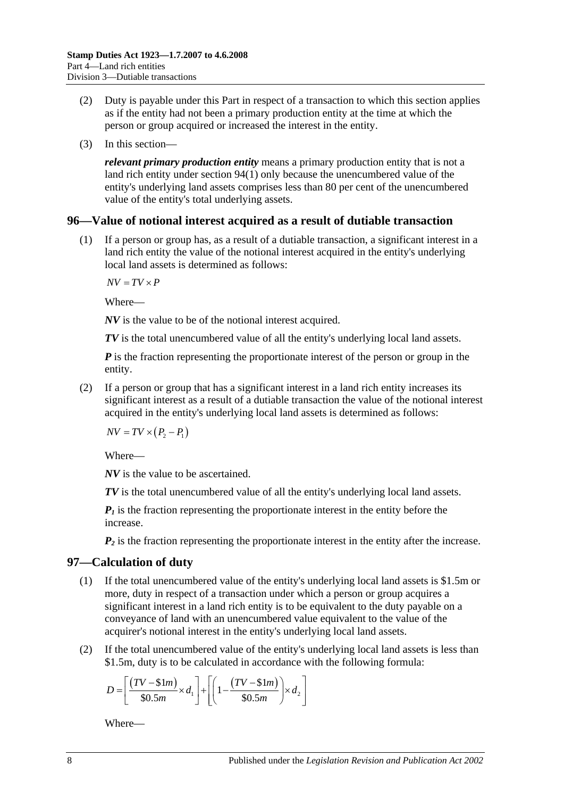- (2) Duty is payable under this Part in respect of a transaction to which this section applies as if the entity had not been a primary production entity at the time at which the person or group acquired or increased the interest in the entity.
- (3) In this section—

*relevant primary production entity* means a primary production entity that is not a land rich entity under [section](#page-90-2) 94(1) only because the unencumbered value of the entity's underlying land assets comprises less than 80 per cent of the unencumbered value of the entity's total underlying assets.

#### **96—Value of notional interest acquired as a result of dutiable transaction**

(1) If a person or group has, as a result of a dutiable transaction, a significant interest in a land rich entity the value of the notional interest acquired in the entity's underlying local land assets is determined as follows:

 $\overline{AV} = \overline{TV} \times \overline{P}$ 

Where—

*NV* is the value to be of the notional interest acquired.

*TV* is the total unencumbered value of all the entity's underlying local land assets.

*P* is the fraction representing the proportionate interest of the person or group in the entity.

(2) If a person or group that has a significant interest in a land rich entity increases its significant interest as a result of a dutiable transaction the value of the notional interest acquired in the entity's underlying local land assets is determined as follows:

 $NV = TV \times (P_2 - P_1)$ 

Where—

*NV* is the value to be ascertained.

*TV* is the total unencumbered value of all the entity's underlying local land assets.

 $P_1$  is the fraction representing the proportionate interest in the entity before the increase.

 $P_2$  is the fraction representing the proportionate interest in the entity after the increase.

#### <span id="page-93-0"></span>**97—Calculation of duty**

- (1) If the total unencumbered value of the entity's underlying local land assets is \$1.5m or more, duty in respect of a transaction under which a person or group acquires a significant interest in a land rich entity is to be equivalent to the duty payable on a conveyance of land with an unencumbered value equivalent to the value of the acquirer's notional interest in the entity's underlying local land assets.
- (2) If the total unencumbered value of the entity's underlying local land assets is less than \$1.5m, duty is to be calculated in accordance with the following formula:

$$
D = \left[ \frac{(TV - $1m)}{$30.5m} \times d_1 \right] + \left[ \left( 1 - \frac{(TV - $1m)}{$30.5m} \right) \times d_2 \right]
$$

Where—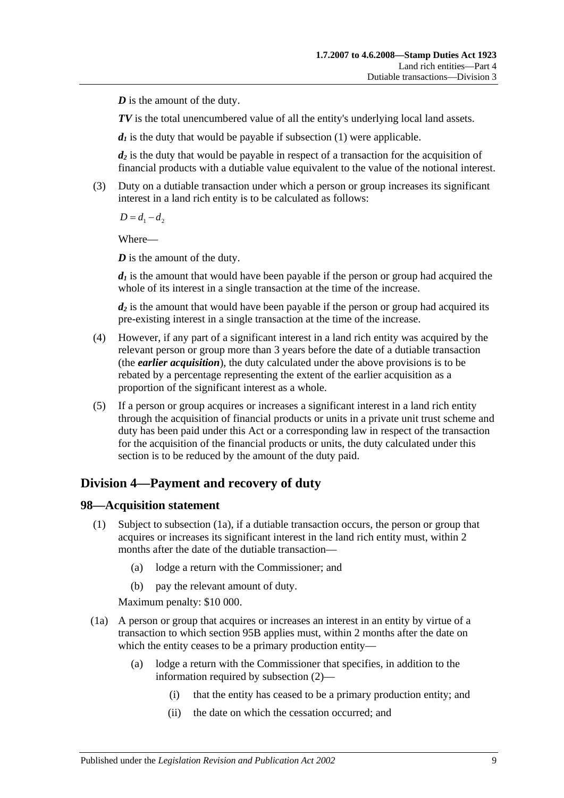*D* is the amount of the duty.

*TV* is the total unencumbered value of all the entity's underlying local land assets.

 $d_1$  is the duty that would be payable if [subsection](#page-93-0) (1) were applicable.

*d2* is the duty that would be payable in respect of a transaction for the acquisition of financial products with a dutiable value equivalent to the value of the notional interest.

(3) Duty on a dutiable transaction under which a person or group increases its significant interest in a land rich entity is to be calculated as follows:

 $D = d_1 - d_2$ 

Where—

*D* is the amount of the duty.

 $d_1$  is the amount that would have been payable if the person or group had acquired the whole of its interest in a single transaction at the time of the increase.

*d2* is the amount that would have been payable if the person or group had acquired its pre-existing interest in a single transaction at the time of the increase.

- (4) However, if any part of a significant interest in a land rich entity was acquired by the relevant person or group more than 3 years before the date of a dutiable transaction (the *earlier acquisition*), the duty calculated under the above provisions is to be rebated by a percentage representing the extent of the earlier acquisition as a proportion of the significant interest as a whole.
- (5) If a person or group acquires or increases a significant interest in a land rich entity through the acquisition of financial products or units in a private unit trust scheme and duty has been paid under this Act or a corresponding law in respect of the transaction for the acquisition of the financial products or units, the duty calculated under this section is to be reduced by the amount of the duty paid.

# **Division 4—Payment and recovery of duty**

#### **98—Acquisition statement**

- (1) Subject to [subsection](#page-94-0) (1a), if a dutiable transaction occurs, the person or group that acquires or increases its significant interest in the land rich entity must, within 2 months after the date of the dutiable transaction—
	- (a) lodge a return with the Commissioner; and
	- (b) pay the relevant amount of duty.

Maximum penalty: \$10 000.

- <span id="page-94-0"></span>(1a) A person or group that acquires or increases an interest in an entity by virtue of a transaction to which [section](#page-92-0) 95B applies must, within 2 months after the date on which the entity ceases to be a primary production entity—
	- (a) lodge a return with the Commissioner that specifies, in addition to the information required by [subsection](#page-95-0) (2)—
		- (i) that the entity has ceased to be a primary production entity; and
		- (ii) the date on which the cessation occurred; and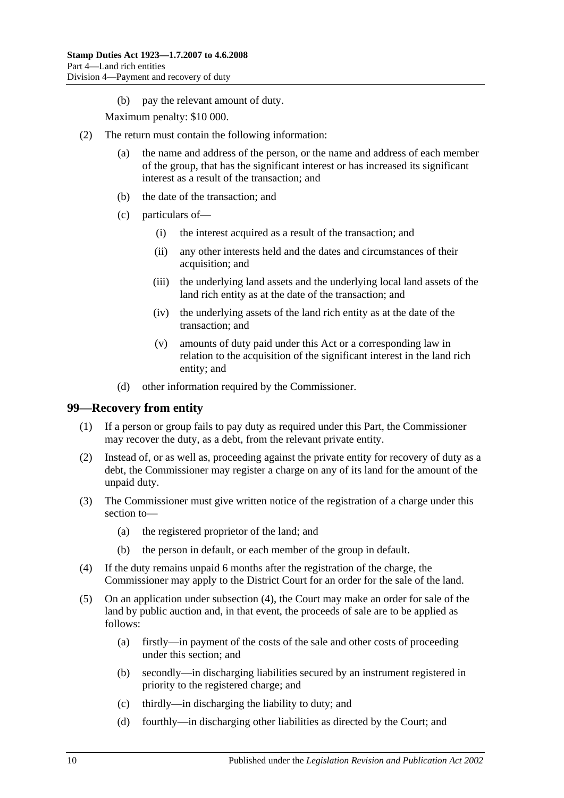(b) pay the relevant amount of duty.

Maximum penalty: \$10 000.

- <span id="page-95-0"></span>(2) The return must contain the following information:
	- (a) the name and address of the person, or the name and address of each member of the group, that has the significant interest or has increased its significant interest as a result of the transaction; and
	- (b) the date of the transaction; and
	- (c) particulars of—
		- (i) the interest acquired as a result of the transaction; and
		- (ii) any other interests held and the dates and circumstances of their acquisition; and
		- (iii) the underlying land assets and the underlying local land assets of the land rich entity as at the date of the transaction; and
		- (iv) the underlying assets of the land rich entity as at the date of the transaction; and
		- (v) amounts of duty paid under this Act or a corresponding law in relation to the acquisition of the significant interest in the land rich entity; and
	- (d) other information required by the Commissioner.

#### **99—Recovery from entity**

- (1) If a person or group fails to pay duty as required under this Part, the Commissioner may recover the duty, as a debt, from the relevant private entity.
- (2) Instead of, or as well as, proceeding against the private entity for recovery of duty as a debt, the Commissioner may register a charge on any of its land for the amount of the unpaid duty.
- (3) The Commissioner must give written notice of the registration of a charge under this section to—
	- (a) the registered proprietor of the land; and
	- (b) the person in default, or each member of the group in default.
- <span id="page-95-1"></span>(4) If the duty remains unpaid 6 months after the registration of the charge, the Commissioner may apply to the District Court for an order for the sale of the land.
- (5) On an application under [subsection](#page-95-1) (4), the Court may make an order for sale of the land by public auction and, in that event, the proceeds of sale are to be applied as follows:
	- (a) firstly—in payment of the costs of the sale and other costs of proceeding under this section; and
	- (b) secondly—in discharging liabilities secured by an instrument registered in priority to the registered charge; and
	- (c) thirdly—in discharging the liability to duty; and
	- (d) fourthly—in discharging other liabilities as directed by the Court; and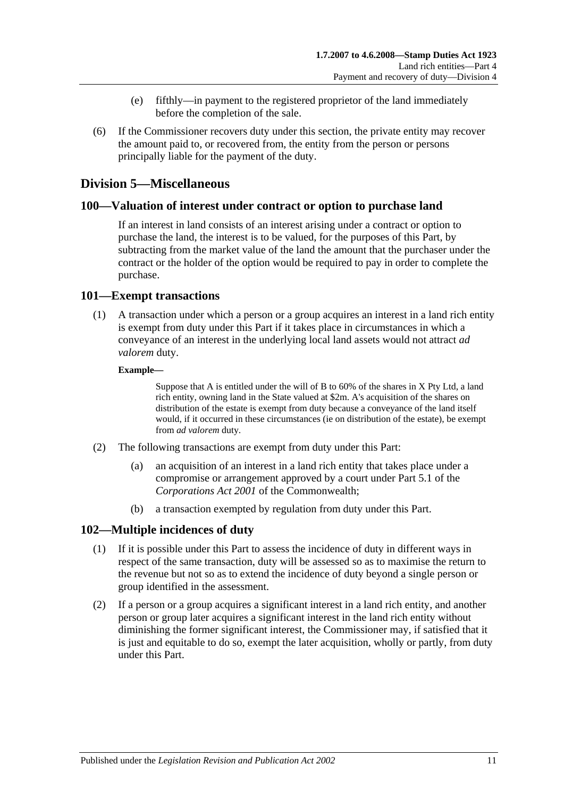- (e) fifthly—in payment to the registered proprietor of the land immediately before the completion of the sale.
- (6) If the Commissioner recovers duty under this section, the private entity may recover the amount paid to, or recovered from, the entity from the person or persons principally liable for the payment of the duty.

# **Division 5—Miscellaneous**

#### **100—Valuation of interest under contract or option to purchase land**

If an interest in land consists of an interest arising under a contract or option to purchase the land, the interest is to be valued, for the purposes of this Part, by subtracting from the market value of the land the amount that the purchaser under the contract or the holder of the option would be required to pay in order to complete the purchase.

#### **101—Exempt transactions**

(1) A transaction under which a person or a group acquires an interest in a land rich entity is exempt from duty under this Part if it takes place in circumstances in which a conveyance of an interest in the underlying local land assets would not attract *ad valorem* duty.

#### **Example—**

Suppose that A is entitled under the will of B to 60% of the shares in X Pty Ltd, a land rich entity, owning land in the State valued at \$2m. A's acquisition of the shares on distribution of the estate is exempt from duty because a conveyance of the land itself would, if it occurred in these circumstances (ie on distribution of the estate), be exempt from *ad valorem* duty.

- (2) The following transactions are exempt from duty under this Part:
	- (a) an acquisition of an interest in a land rich entity that takes place under a compromise or arrangement approved by a court under Part 5.1 of the *Corporations Act 2001* of the Commonwealth;
	- (b) a transaction exempted by regulation from duty under this Part.

#### **102—Multiple incidences of duty**

- (1) If it is possible under this Part to assess the incidence of duty in different ways in respect of the same transaction, duty will be assessed so as to maximise the return to the revenue but not so as to extend the incidence of duty beyond a single person or group identified in the assessment.
- (2) If a person or a group acquires a significant interest in a land rich entity, and another person or group later acquires a significant interest in the land rich entity without diminishing the former significant interest, the Commissioner may, if satisfied that it is just and equitable to do so, exempt the later acquisition, wholly or partly, from duty under this Part.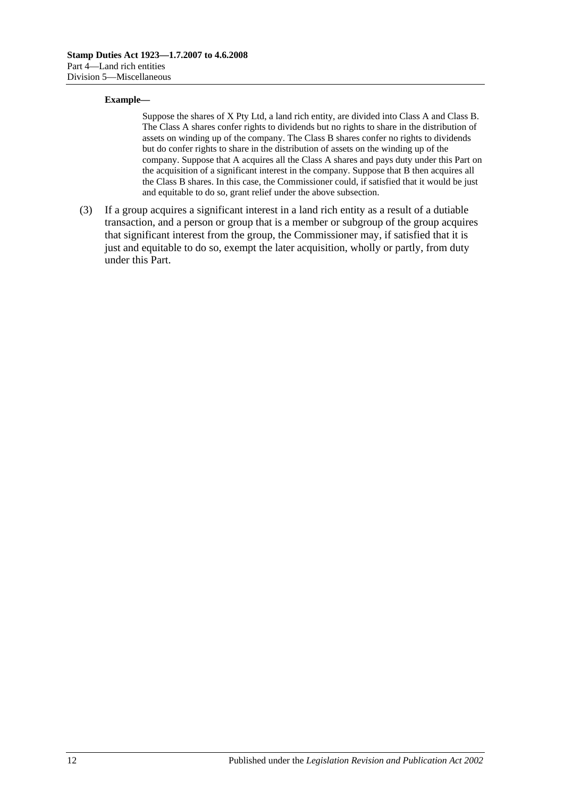#### **Example—**

Suppose the shares of X Pty Ltd, a land rich entity, are divided into Class A and Class B. The Class A shares confer rights to dividends but no rights to share in the distribution of assets on winding up of the company. The Class B shares confer no rights to dividends but do confer rights to share in the distribution of assets on the winding up of the company. Suppose that A acquires all the Class A shares and pays duty under this Part on the acquisition of a significant interest in the company. Suppose that B then acquires all the Class B shares. In this case, the Commissioner could, if satisfied that it would be just and equitable to do so, grant relief under the above subsection.

(3) If a group acquires a significant interest in a land rich entity as a result of a dutiable transaction, and a person or group that is a member or subgroup of the group acquires that significant interest from the group, the Commissioner may, if satisfied that it is just and equitable to do so, exempt the later acquisition, wholly or partly, from duty under this Part.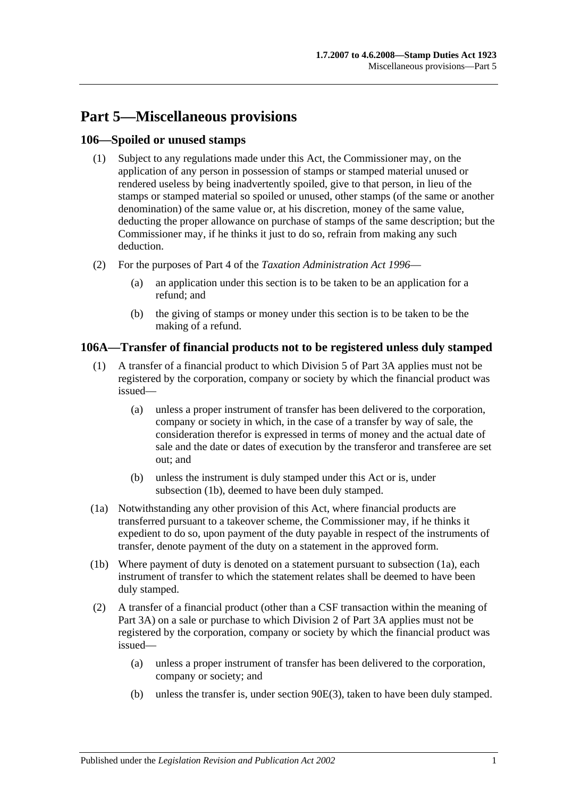# **Part 5—Miscellaneous provisions**

## **106—Spoiled or unused stamps**

- (1) Subject to any regulations made under this Act, the Commissioner may, on the application of any person in possession of stamps or stamped material unused or rendered useless by being inadvertently spoiled, give to that person, in lieu of the stamps or stamped material so spoiled or unused, other stamps (of the same or another denomination) of the same value or, at his discretion, money of the same value, deducting the proper allowance on purchase of stamps of the same description; but the Commissioner may, if he thinks it just to do so, refrain from making any such deduction.
- (2) For the purposes of Part 4 of the *[Taxation Administration Act](http://www.legislation.sa.gov.au/index.aspx?action=legref&type=act&legtitle=Taxation%20Administration%20Act%201996) 1996*
	- (a) an application under this section is to be taken to be an application for a refund; and
	- (b) the giving of stamps or money under this section is to be taken to be the making of a refund.

## **106A—Transfer of financial products not to be registered unless duly stamped**

- (1) A transfer of a financial product to which [Division 5](#page-85-1) of [Part 3A](#page-74-0) applies must not be registered by the corporation, company or society by which the financial product was issued—
	- (a) unless a proper instrument of transfer has been delivered to the corporation, company or society in which, in the case of a transfer by way of sale, the consideration therefor is expressed in terms of money and the actual date of sale and the date or dates of execution by the transferor and transferee are set out; and
	- (b) unless the instrument is duly stamped under this Act or is, under [subsection](#page-98-0) (1b), deemed to have been duly stamped.
- <span id="page-98-1"></span>(1a) Notwithstanding any other provision of this Act, where financial products are transferred pursuant to a takeover scheme, the Commissioner may, if he thinks it expedient to do so, upon payment of the duty payable in respect of the instruments of transfer, denote payment of the duty on a statement in the approved form.
- <span id="page-98-0"></span>(1b) Where payment of duty is denoted on a statement pursuant to [subsection](#page-98-1) (1a), each instrument of transfer to which the statement relates shall be deemed to have been duly stamped.
- (2) A transfer of a financial product (other than a CSF transaction within the meaning of [Part 3A\)](#page-74-0) on a sale or purchase to which [Division 2](#page-76-0) of [Part 3A](#page-74-0) applies must not be registered by the corporation, company or society by which the financial product was issued—
	- (a) unless a proper instrument of transfer has been delivered to the corporation, company or society; and
	- (b) unless the transfer is, under [section](#page-79-0) 90E(3), taken to have been duly stamped.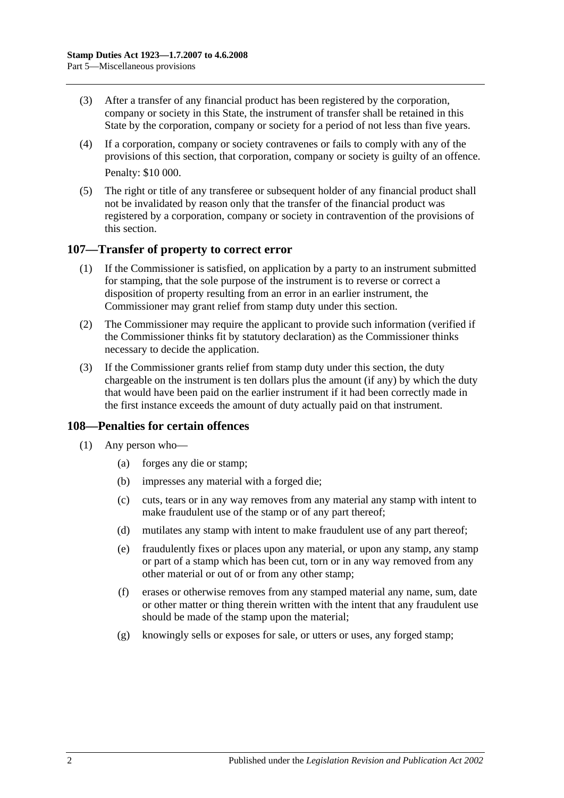- (3) After a transfer of any financial product has been registered by the corporation, company or society in this State, the instrument of transfer shall be retained in this State by the corporation, company or society for a period of not less than five years.
- (4) If a corporation, company or society contravenes or fails to comply with any of the provisions of this section, that corporation, company or society is guilty of an offence. Penalty: \$10 000.
- (5) The right or title of any transferee or subsequent holder of any financial product shall not be invalidated by reason only that the transfer of the financial product was registered by a corporation, company or society in contravention of the provisions of this section.

#### **107—Transfer of property to correct error**

- (1) If the Commissioner is satisfied, on application by a party to an instrument submitted for stamping, that the sole purpose of the instrument is to reverse or correct a disposition of property resulting from an error in an earlier instrument, the Commissioner may grant relief from stamp duty under this section.
- (2) The Commissioner may require the applicant to provide such information (verified if the Commissioner thinks fit by statutory declaration) as the Commissioner thinks necessary to decide the application.
- (3) If the Commissioner grants relief from stamp duty under this section, the duty chargeable on the instrument is ten dollars plus the amount (if any) by which the duty that would have been paid on the earlier instrument if it had been correctly made in the first instance exceeds the amount of duty actually paid on that instrument.

#### **108—Penalties for certain offences**

- <span id="page-99-0"></span>(1) Any person who—
	- (a) forges any die or stamp;
	- (b) impresses any material with a forged die;
	- (c) cuts, tears or in any way removes from any material any stamp with intent to make fraudulent use of the stamp or of any part thereof;
	- (d) mutilates any stamp with intent to make fraudulent use of any part thereof;
	- (e) fraudulently fixes or places upon any material, or upon any stamp, any stamp or part of a stamp which has been cut, torn or in any way removed from any other material or out of or from any other stamp;
	- (f) erases or otherwise removes from any stamped material any name, sum, date or other matter or thing therein written with the intent that any fraudulent use should be made of the stamp upon the material;
	- (g) knowingly sells or exposes for sale, or utters or uses, any forged stamp;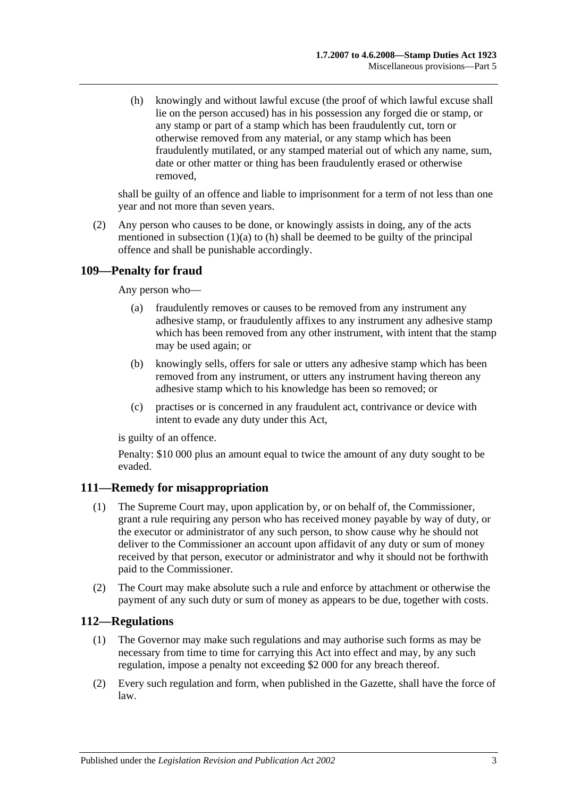<span id="page-100-0"></span>(h) knowingly and without lawful excuse (the proof of which lawful excuse shall lie on the person accused) has in his possession any forged die or stamp, or any stamp or part of a stamp which has been fraudulently cut, torn or otherwise removed from any material, or any stamp which has been fraudulently mutilated, or any stamped material out of which any name, sum, date or other matter or thing has been fraudulently erased or otherwise removed,

shall be guilty of an offence and liable to imprisonment for a term of not less than one year and not more than seven years.

(2) Any person who causes to be done, or knowingly assists in doing, any of the acts mentioned in [subsection](#page-99-0)  $(1)(a)$  to  $(h)$  shall be deemed to be guilty of the principal offence and shall be punishable accordingly.

## **109—Penalty for fraud**

Any person who—

- (a) fraudulently removes or causes to be removed from any instrument any adhesive stamp, or fraudulently affixes to any instrument any adhesive stamp which has been removed from any other instrument, with intent that the stamp may be used again; or
- (b) knowingly sells, offers for sale or utters any adhesive stamp which has been removed from any instrument, or utters any instrument having thereon any adhesive stamp which to his knowledge has been so removed; or
- (c) practises or is concerned in any fraudulent act, contrivance or device with intent to evade any duty under this Act,

is guilty of an offence.

Penalty: \$10 000 plus an amount equal to twice the amount of any duty sought to be evaded.

#### **111—Remedy for misappropriation**

- (1) The Supreme Court may, upon application by, or on behalf of, the Commissioner, grant a rule requiring any person who has received money payable by way of duty, or the executor or administrator of any such person, to show cause why he should not deliver to the Commissioner an account upon affidavit of any duty or sum of money received by that person, executor or administrator and why it should not be forthwith paid to the Commissioner.
- (2) The Court may make absolute such a rule and enforce by attachment or otherwise the payment of any such duty or sum of money as appears to be due, together with costs.

#### **112—Regulations**

- (1) The Governor may make such regulations and may authorise such forms as may be necessary from time to time for carrying this Act into effect and may, by any such regulation, impose a penalty not exceeding \$2 000 for any breach thereof.
- (2) Every such regulation and form, when published in the Gazette, shall have the force of law.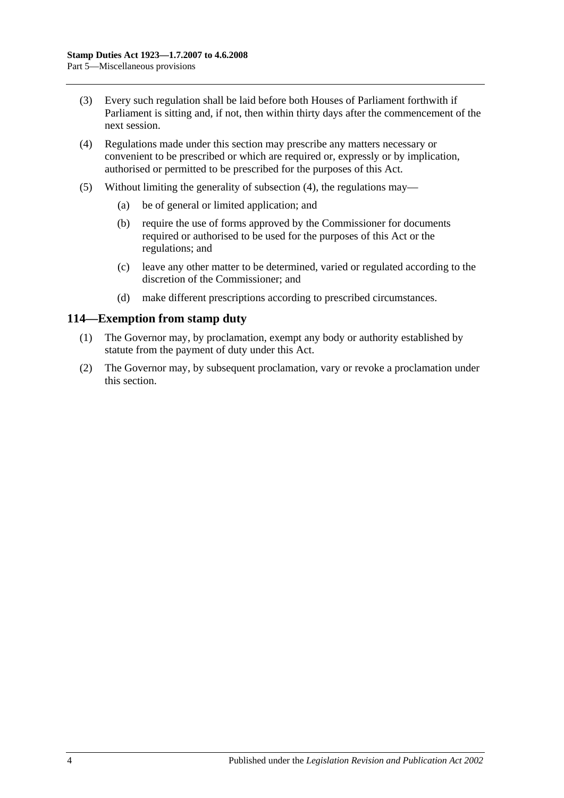- (3) Every such regulation shall be laid before both Houses of Parliament forthwith if Parliament is sitting and, if not, then within thirty days after the commencement of the next session.
- <span id="page-101-0"></span>(4) Regulations made under this section may prescribe any matters necessary or convenient to be prescribed or which are required or, expressly or by implication, authorised or permitted to be prescribed for the purposes of this Act.
- (5) Without limiting the generality of [subsection](#page-101-0) (4), the regulations may—
	- (a) be of general or limited application; and
	- (b) require the use of forms approved by the Commissioner for documents required or authorised to be used for the purposes of this Act or the regulations; and
	- (c) leave any other matter to be determined, varied or regulated according to the discretion of the Commissioner; and
	- (d) make different prescriptions according to prescribed circumstances.

#### **114—Exemption from stamp duty**

- (1) The Governor may, by proclamation, exempt any body or authority established by statute from the payment of duty under this Act.
- (2) The Governor may, by subsequent proclamation, vary or revoke a proclamation under this section.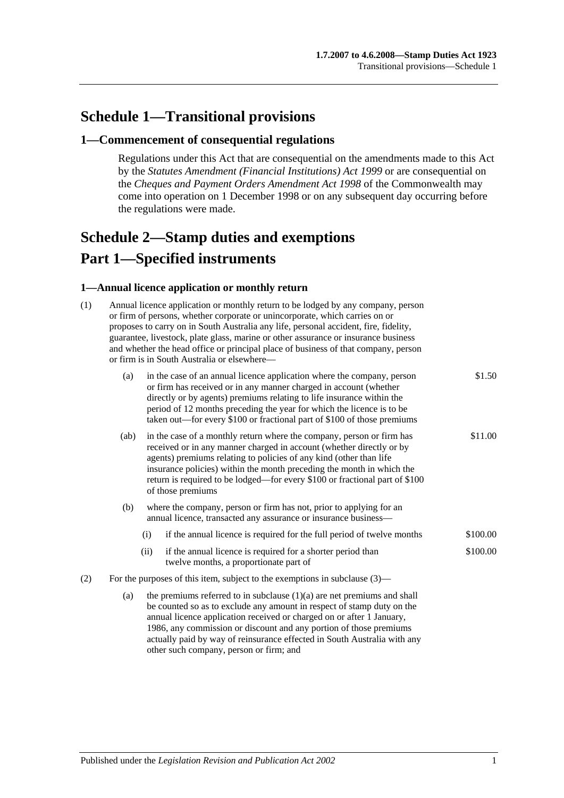# **Schedule 1—Transitional provisions**

#### **1—Commencement of consequential regulations**

Regulations under this Act that are consequential on the amendments made to this Act by the *[Statutes Amendment \(Financial Institutions\) Act](http://www.legislation.sa.gov.au/index.aspx?action=legref&type=act&legtitle=Statutes%20Amendment%20(Financial%20Institutions)%20Act%201999) 1999* or are consequential on the *Cheques and Payment Orders Amendment Act 1998* of the Commonwealth may come into operation on 1 December 1998 or on any subsequent day occurring before the regulations were made.

# <span id="page-102-0"></span>**Schedule 2—Stamp duties and exemptions Part 1—Specified instruments**

#### **1—Annual licence application or monthly return**

| (1) | Annual licence application or monthly return to be lodged by any company, person<br>or firm of persons, whether corporate or unincorporate, which carries on or<br>proposes to carry on in South Australia any life, personal accident, fire, fidelity,<br>guarantee, livestock, plate glass, marine or other assurance or insurance business<br>and whether the head office or principal place of business of that company, person<br>or firm is in South Australia or elsewhere- |                                                                                                                                                                                                                                                                                                                                                                                                  |                                                                                                       |          |  |  |  |
|-----|------------------------------------------------------------------------------------------------------------------------------------------------------------------------------------------------------------------------------------------------------------------------------------------------------------------------------------------------------------------------------------------------------------------------------------------------------------------------------------|--------------------------------------------------------------------------------------------------------------------------------------------------------------------------------------------------------------------------------------------------------------------------------------------------------------------------------------------------------------------------------------------------|-------------------------------------------------------------------------------------------------------|----------|--|--|--|
|     | (a)                                                                                                                                                                                                                                                                                                                                                                                                                                                                                | in the case of an annual licence application where the company, person<br>or firm has received or in any manner charged in account (whether<br>directly or by agents) premiums relating to life insurance within the<br>period of 12 months preceding the year for which the licence is to be<br>taken out—for every \$100 or fractional part of \$100 of those premiums                         | \$1.50                                                                                                |          |  |  |  |
|     | (ab)                                                                                                                                                                                                                                                                                                                                                                                                                                                                               | in the case of a monthly return where the company, person or firm has<br>received or in any manner charged in account (whether directly or by<br>agents) premiums relating to policies of any kind (other than life<br>insurance policies) within the month preceding the month in which the<br>return is required to be lodged-for every \$100 or fractional part of \$100<br>of those premiums |                                                                                                       |          |  |  |  |
|     | (b)                                                                                                                                                                                                                                                                                                                                                                                                                                                                                | where the company, person or firm has not, prior to applying for an<br>annual licence, transacted any assurance or insurance business-                                                                                                                                                                                                                                                           |                                                                                                       |          |  |  |  |
|     |                                                                                                                                                                                                                                                                                                                                                                                                                                                                                    | (i)                                                                                                                                                                                                                                                                                                                                                                                              | if the annual licence is required for the full period of twelve months                                | \$100.00 |  |  |  |
|     |                                                                                                                                                                                                                                                                                                                                                                                                                                                                                    | (ii)                                                                                                                                                                                                                                                                                                                                                                                             | if the annual licence is required for a shorter period than<br>twelve months, a proportionate part of | \$100.00 |  |  |  |
| (2) | For the purposes of this item, subject to the exemptions in subclause $(3)$ —                                                                                                                                                                                                                                                                                                                                                                                                      |                                                                                                                                                                                                                                                                                                                                                                                                  |                                                                                                       |          |  |  |  |
|     | (a)                                                                                                                                                                                                                                                                                                                                                                                                                                                                                | the premiums referred to in subclause $(1)(a)$ are net premiums and shall<br>be counted so as to exclude any amount in respect of stamp duty on the<br>annual licence application received or charged on or after 1 January,<br>1986, any commission or discount and any portion of those premiums<br>actually paid by way of reinsurance effected in South Australia with any                   |                                                                                                       |          |  |  |  |

other such company, person or firm; and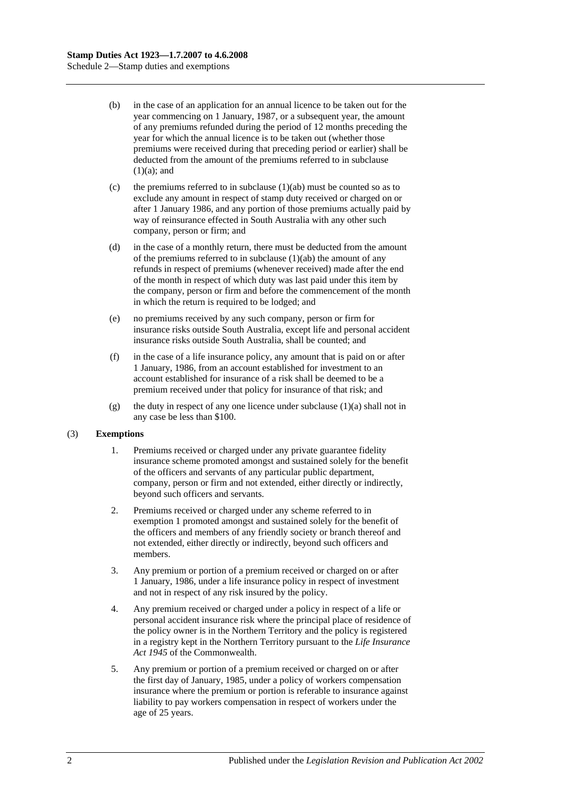- (b) in the case of an application for an annual licence to be taken out for the year commencing on 1 January, 1987, or a subsequent year, the amount of any premiums refunded during the period of 12 months preceding the year for which the annual licence is to be taken out (whether those premiums were received during that preceding period or earlier) shall be deducted from the amount of the premiums referred to in subclause  $(1)(a)$ ; and
- (c) the premiums referred to in subclause  $(1)(ab)$  must be counted so as to exclude any amount in respect of stamp duty received or charged on or after 1 January 1986, and any portion of those premiums actually paid by way of reinsurance effected in South Australia with any other such company, person or firm; and
- (d) in the case of a monthly return, there must be deducted from the amount of the premiums referred to in subclause  $(1)(ab)$  the amount of any refunds in respect of premiums (whenever received) made after the end of the month in respect of which duty was last paid under this item by the company, person or firm and before the commencement of the month in which the return is required to be lodged; and
- (e) no premiums received by any such company, person or firm for insurance risks outside South Australia, except life and personal accident insurance risks outside South Australia, shall be counted; and
- (f) in the case of a life insurance policy, any amount that is paid on or after 1 January, 1986, from an account established for investment to an account established for insurance of a risk shall be deemed to be a premium received under that policy for insurance of that risk; and
- (g) the duty in respect of any one licence under subclause  $(1)(a)$  shall not in any case be less than \$100.

#### (3) **Exemptions**

- 1. Premiums received or charged under any private guarantee fidelity insurance scheme promoted amongst and sustained solely for the benefit of the officers and servants of any particular public department, company, person or firm and not extended, either directly or indirectly, beyond such officers and servants.
- 2. Premiums received or charged under any scheme referred to in exemption 1 promoted amongst and sustained solely for the benefit of the officers and members of any friendly society or branch thereof and not extended, either directly or indirectly, beyond such officers and members.
- 3. Any premium or portion of a premium received or charged on or after 1 January, 1986, under a life insurance policy in respect of investment and not in respect of any risk insured by the policy.
- 4. Any premium received or charged under a policy in respect of a life or personal accident insurance risk where the principal place of residence of the policy owner is in the Northern Territory and the policy is registered in a registry kept in the Northern Territory pursuant to the *Life Insurance Act 1945* of the Commonwealth.
- 5. Any premium or portion of a premium received or charged on or after the first day of January, 1985, under a policy of workers compensation insurance where the premium or portion is referable to insurance against liability to pay workers compensation in respect of workers under the age of 25 years.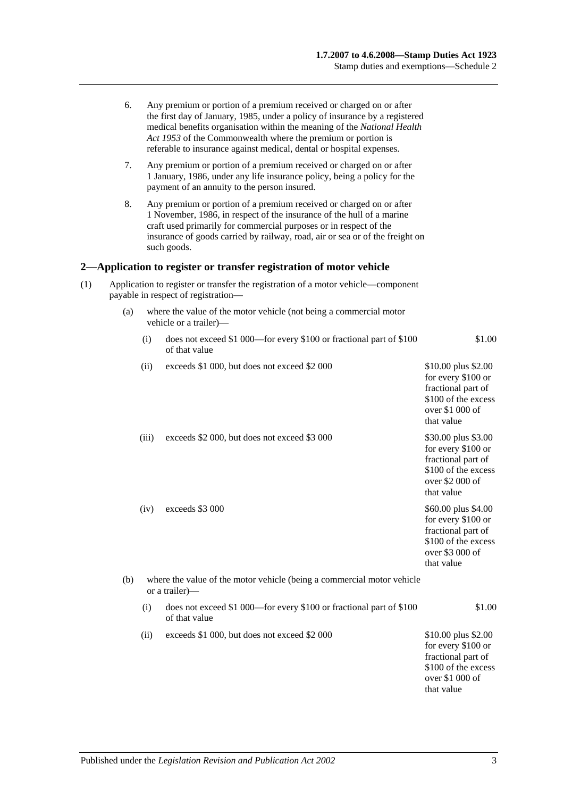|     | 6.                                                                                                                       |                                                                                              | Any premium or portion of a premium received or charged on or after<br>the first day of January, 1985, under a policy of insurance by a registered<br>medical benefits organisation within the meaning of the National Health<br>Act 1953 of the Commonwealth where the premium or portion is<br>referable to insurance against medical, dental or hospital expenses. |                                                                                                                         |  |  |  |  |
|-----|--------------------------------------------------------------------------------------------------------------------------|----------------------------------------------------------------------------------------------|-----------------------------------------------------------------------------------------------------------------------------------------------------------------------------------------------------------------------------------------------------------------------------------------------------------------------------------------------------------------------|-------------------------------------------------------------------------------------------------------------------------|--|--|--|--|
|     | 7.                                                                                                                       |                                                                                              | Any premium or portion of a premium received or charged on or after<br>1 January, 1986, under any life insurance policy, being a policy for the<br>payment of an annuity to the person insured.                                                                                                                                                                       |                                                                                                                         |  |  |  |  |
|     | 8.                                                                                                                       |                                                                                              | Any premium or portion of a premium received or charged on or after<br>1 November, 1986, in respect of the insurance of the hull of a marine<br>craft used primarily for commercial purposes or in respect of the<br>insurance of goods carried by railway, road, air or sea or of the freight on<br>such goods.                                                      |                                                                                                                         |  |  |  |  |
|     |                                                                                                                          |                                                                                              | 2—Application to register or transfer registration of motor vehicle                                                                                                                                                                                                                                                                                                   |                                                                                                                         |  |  |  |  |
| (1) | Application to register or transfer the registration of a motor vehicle—component<br>payable in respect of registration- |                                                                                              |                                                                                                                                                                                                                                                                                                                                                                       |                                                                                                                         |  |  |  |  |
|     | (a)                                                                                                                      | where the value of the motor vehicle (not being a commercial motor<br>vehicle or a trailer)- |                                                                                                                                                                                                                                                                                                                                                                       |                                                                                                                         |  |  |  |  |
|     |                                                                                                                          | (i)                                                                                          | does not exceed \$1 000—for every \$100 or fractional part of \$100<br>of that value                                                                                                                                                                                                                                                                                  | \$1.00                                                                                                                  |  |  |  |  |
|     |                                                                                                                          | (ii)                                                                                         | exceeds \$1 000, but does not exceed \$2 000                                                                                                                                                                                                                                                                                                                          | \$10.00 plus \$2.00<br>for every \$100 or<br>fractional part of<br>\$100 of the excess<br>over \$1 000 of<br>that value |  |  |  |  |
|     |                                                                                                                          | (iii)                                                                                        | exceeds \$2 000, but does not exceed \$3 000                                                                                                                                                                                                                                                                                                                          | \$30.00 plus \$3.00<br>for every \$100 or<br>fractional part of<br>\$100 of the excess<br>over \$2 000 of<br>that value |  |  |  |  |
|     |                                                                                                                          | (iv)                                                                                         | exceeds \$3 000                                                                                                                                                                                                                                                                                                                                                       | \$60.00 plus \$4.00<br>for every \$100 or<br>fractional part of<br>\$100 of the excess<br>over \$3 000 of<br>that value |  |  |  |  |
|     | (b)                                                                                                                      | where the value of the motor vehicle (being a commercial motor vehicle<br>or a trailer)—     |                                                                                                                                                                                                                                                                                                                                                                       |                                                                                                                         |  |  |  |  |
|     |                                                                                                                          | (i)                                                                                          | does not exceed \$1 000—for every \$100 or fractional part of \$100<br>of that value                                                                                                                                                                                                                                                                                  | \$1.00                                                                                                                  |  |  |  |  |
|     |                                                                                                                          | (ii)                                                                                         | exceeds \$1 000, but does not exceed \$2 000                                                                                                                                                                                                                                                                                                                          | \$10.00 plus \$2.00<br>for every \$100 or<br>fractional part of<br>\$100 of the excess<br>over \$1 000 of<br>that value |  |  |  |  |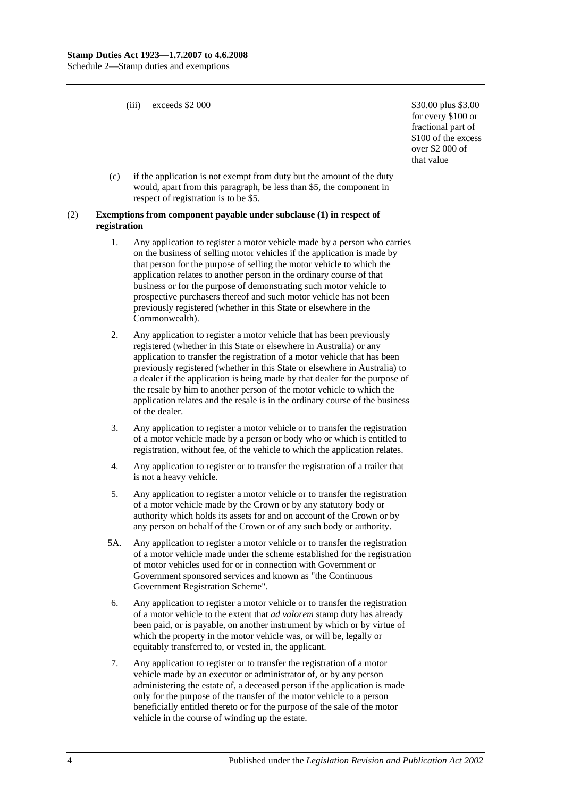(iii) exceeds  $$2\,000$   $$30.00 \, \text{plus } $3.00$ 

for every \$100 or fractional part of \$100 of the excess over \$2 000 of that value

(c) if the application is not exempt from duty but the amount of the duty would, apart from this paragraph, be less than \$5, the component in respect of registration is to be \$5.

#### (2) **Exemptions from component payable under subclause (1) in respect of registration**

- 1. Any application to register a motor vehicle made by a person who carries on the business of selling motor vehicles if the application is made by that person for the purpose of selling the motor vehicle to which the application relates to another person in the ordinary course of that business or for the purpose of demonstrating such motor vehicle to prospective purchasers thereof and such motor vehicle has not been previously registered (whether in this State or elsewhere in the Commonwealth).
- 2. Any application to register a motor vehicle that has been previously registered (whether in this State or elsewhere in Australia) or any application to transfer the registration of a motor vehicle that has been previously registered (whether in this State or elsewhere in Australia) to a dealer if the application is being made by that dealer for the purpose of the resale by him to another person of the motor vehicle to which the application relates and the resale is in the ordinary course of the business of the dealer.
- 3. Any application to register a motor vehicle or to transfer the registration of a motor vehicle made by a person or body who or which is entitled to registration, without fee, of the vehicle to which the application relates.
- 4. Any application to register or to transfer the registration of a trailer that is not a heavy vehicle.
- 5. Any application to register a motor vehicle or to transfer the registration of a motor vehicle made by the Crown or by any statutory body or authority which holds its assets for and on account of the Crown or by any person on behalf of the Crown or of any such body or authority.
- 5A. Any application to register a motor vehicle or to transfer the registration of a motor vehicle made under the scheme established for the registration of motor vehicles used for or in connection with Government or Government sponsored services and known as "the Continuous Government Registration Scheme".
- 6. Any application to register a motor vehicle or to transfer the registration of a motor vehicle to the extent that *ad valorem* stamp duty has already been paid, or is payable, on another instrument by which or by virtue of which the property in the motor vehicle was, or will be, legally or equitably transferred to, or vested in, the applicant.
- 7. Any application to register or to transfer the registration of a motor vehicle made by an executor or administrator of, or by any person administering the estate of, a deceased person if the application is made only for the purpose of the transfer of the motor vehicle to a person beneficially entitled thereto or for the purpose of the sale of the motor vehicle in the course of winding up the estate.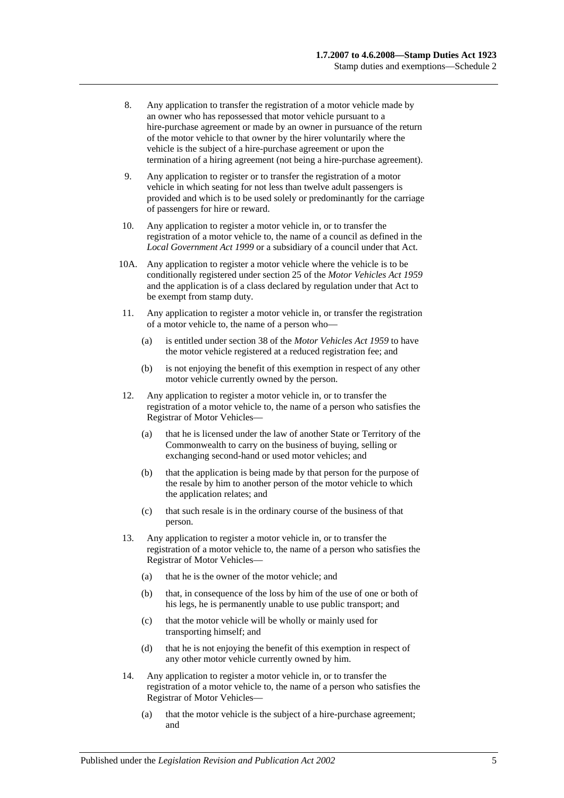- 8. Any application to transfer the registration of a motor vehicle made by an owner who has repossessed that motor vehicle pursuant to a hire-purchase agreement or made by an owner in pursuance of the return of the motor vehicle to that owner by the hirer voluntarily where the vehicle is the subject of a hire-purchase agreement or upon the termination of a hiring agreement (not being a hire-purchase agreement).
- 9. Any application to register or to transfer the registration of a motor vehicle in which seating for not less than twelve adult passengers is provided and which is to be used solely or predominantly for the carriage of passengers for hire or reward.
- 10. Any application to register a motor vehicle in, or to transfer the registration of a motor vehicle to, the name of a council as defined in the *[Local Government Act](http://www.legislation.sa.gov.au/index.aspx?action=legref&type=act&legtitle=Local%20Government%20Act%201999) 1999* or a subsidiary of a council under that Act.
- 10A. Any application to register a motor vehicle where the vehicle is to be conditionally registered under section 25 of the *[Motor Vehicles Act](http://www.legislation.sa.gov.au/index.aspx?action=legref&type=act&legtitle=Motor%20Vehicles%20Act%201959) 1959* and the application is of a class declared by regulation under that Act to be exempt from stamp duty.
- 11. Any application to register a motor vehicle in, or transfer the registration of a motor vehicle to, the name of a person who—
	- (a) is entitled under section 38 of the *[Motor Vehicles Act](http://www.legislation.sa.gov.au/index.aspx?action=legref&type=act&legtitle=Motor%20Vehicles%20Act%201959) 1959* to have the motor vehicle registered at a reduced registration fee; and
	- (b) is not enjoying the benefit of this exemption in respect of any other motor vehicle currently owned by the person.
- 12. Any application to register a motor vehicle in, or to transfer the registration of a motor vehicle to, the name of a person who satisfies the Registrar of Motor Vehicles—
	- (a) that he is licensed under the law of another State or Territory of the Commonwealth to carry on the business of buying, selling or exchanging second-hand or used motor vehicles; and
	- (b) that the application is being made by that person for the purpose of the resale by him to another person of the motor vehicle to which the application relates; and
	- (c) that such resale is in the ordinary course of the business of that person.
- 13. Any application to register a motor vehicle in, or to transfer the registration of a motor vehicle to, the name of a person who satisfies the Registrar of Motor Vehicles—
	- (a) that he is the owner of the motor vehicle; and
	- (b) that, in consequence of the loss by him of the use of one or both of his legs, he is permanently unable to use public transport; and
	- (c) that the motor vehicle will be wholly or mainly used for transporting himself; and
	- (d) that he is not enjoying the benefit of this exemption in respect of any other motor vehicle currently owned by him.
- 14. Any application to register a motor vehicle in, or to transfer the registration of a motor vehicle to, the name of a person who satisfies the Registrar of Motor Vehicles—
	- (a) that the motor vehicle is the subject of a hire-purchase agreement; and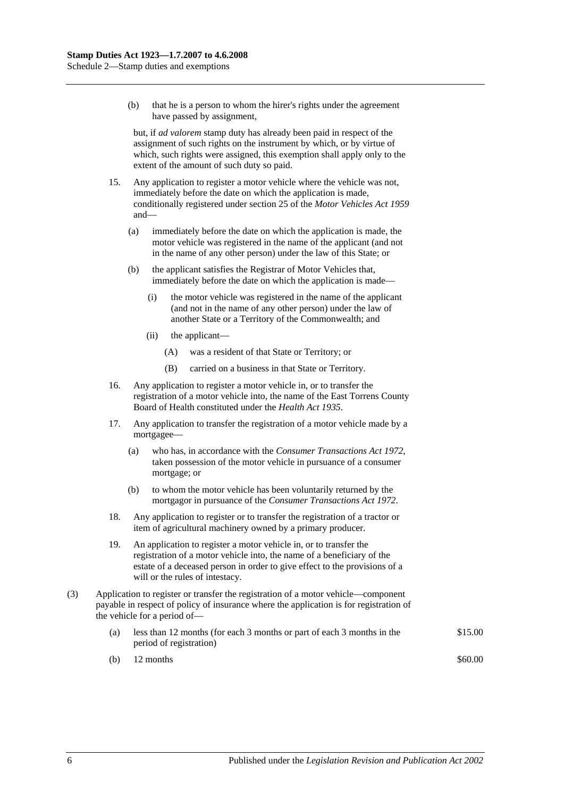(b) that he is a person to whom the hirer's rights under the agreement have passed by assignment,

but, if *ad valorem* stamp duty has already been paid in respect of the assignment of such rights on the instrument by which, or by virtue of which, such rights were assigned, this exemption shall apply only to the extent of the amount of such duty so paid.

- 15. Any application to register a motor vehicle where the vehicle was not, immediately before the date on which the application is made, conditionally registered under section 25 of the *[Motor Vehicles Act](http://www.legislation.sa.gov.au/index.aspx?action=legref&type=act&legtitle=Motor%20Vehicles%20Act%201959) 1959* and—
	- (a) immediately before the date on which the application is made, the motor vehicle was registered in the name of the applicant (and not in the name of any other person) under the law of this State; or
	- (b) the applicant satisfies the Registrar of Motor Vehicles that, immediately before the date on which the application is made—
		- (i) the motor vehicle was registered in the name of the applicant (and not in the name of any other person) under the law of another State or a Territory of the Commonwealth; and
		- (ii) the applicant—
			- (A) was a resident of that State or Territory; or
			- (B) carried on a business in that State or Territory.
- 16. Any application to register a motor vehicle in, or to transfer the registration of a motor vehicle into, the name of the East Torrens County Board of Health constituted under the *[Health Act](http://www.legislation.sa.gov.au/index.aspx?action=legref&type=act&legtitle=Health%20Act%201935) 1935*.
- 17. Any application to transfer the registration of a motor vehicle made by a mortgagee—
	- (a) who has, in accordance with the *[Consumer Transactions Act](http://www.legislation.sa.gov.au/index.aspx?action=legref&type=act&legtitle=Consumer%20Transactions%20Act%201972) 1972*, taken possession of the motor vehicle in pursuance of a consumer mortgage; or
	- (b) to whom the motor vehicle has been voluntarily returned by the mortgagor in pursuance of the *[Consumer Transactions Act](http://www.legislation.sa.gov.au/index.aspx?action=legref&type=act&legtitle=Consumer%20Transactions%20Act%201972) 1972*.
- 18. Any application to register or to transfer the registration of a tractor or item of agricultural machinery owned by a primary producer.
- 19. An application to register a motor vehicle in, or to transfer the registration of a motor vehicle into, the name of a beneficiary of the estate of a deceased person in order to give effect to the provisions of a will or the rules of intestacy.
- (3) Application to register or transfer the registration of a motor vehicle—component payable in respect of policy of insurance where the application is for registration of the vehicle for a period of—
	- (a) less than 12 months (for each 3 months or part of each 3 months in the period of registration) \$15.00
	- (b)  $12 \text{ months}$  \$60.00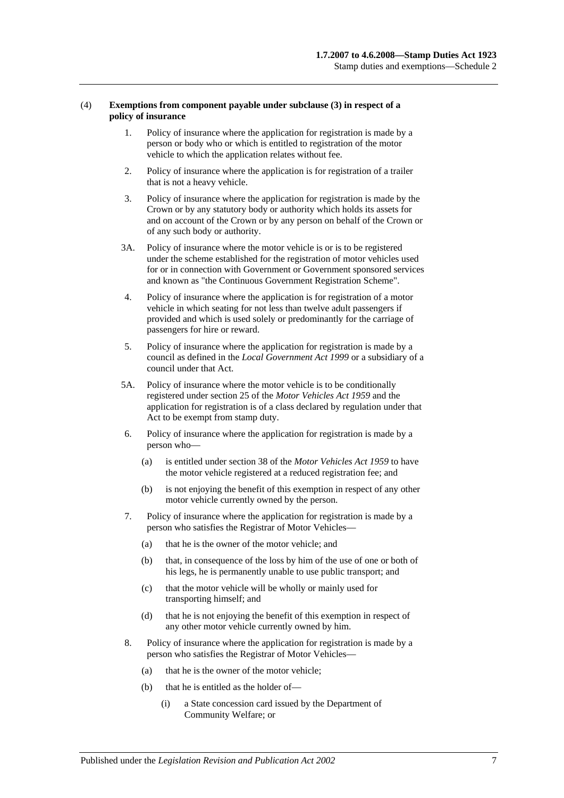#### (4) **Exemptions from component payable under subclause (3) in respect of a policy of insurance**

- 1. Policy of insurance where the application for registration is made by a person or body who or which is entitled to registration of the motor vehicle to which the application relates without fee.
- 2. Policy of insurance where the application is for registration of a trailer that is not a heavy vehicle.
- 3. Policy of insurance where the application for registration is made by the Crown or by any statutory body or authority which holds its assets for and on account of the Crown or by any person on behalf of the Crown or of any such body or authority.
- 3A. Policy of insurance where the motor vehicle is or is to be registered under the scheme established for the registration of motor vehicles used for or in connection with Government or Government sponsored services and known as "the Continuous Government Registration Scheme".
- 4. Policy of insurance where the application is for registration of a motor vehicle in which seating for not less than twelve adult passengers if provided and which is used solely or predominantly for the carriage of passengers for hire or reward.
- 5. Policy of insurance where the application for registration is made by a council as defined in the *[Local Government Act](http://www.legislation.sa.gov.au/index.aspx?action=legref&type=act&legtitle=Local%20Government%20Act%201999) 1999* or a subsidiary of a council under that Act.
- 5A. Policy of insurance where the motor vehicle is to be conditionally registered under section 25 of the *[Motor Vehicles Act](http://www.legislation.sa.gov.au/index.aspx?action=legref&type=act&legtitle=Motor%20Vehicles%20Act%201959) 1959* and the application for registration is of a class declared by regulation under that Act to be exempt from stamp duty.
- 6. Policy of insurance where the application for registration is made by a person who—
	- (a) is entitled under section 38 of the *[Motor Vehicles Act](http://www.legislation.sa.gov.au/index.aspx?action=legref&type=act&legtitle=Motor%20Vehicles%20Act%201959) 1959* to have the motor vehicle registered at a reduced registration fee; and
	- (b) is not enjoying the benefit of this exemption in respect of any other motor vehicle currently owned by the person.
- 7. Policy of insurance where the application for registration is made by a person who satisfies the Registrar of Motor Vehicles—
	- (a) that he is the owner of the motor vehicle; and
	- (b) that, in consequence of the loss by him of the use of one or both of his legs, he is permanently unable to use public transport; and
	- (c) that the motor vehicle will be wholly or mainly used for transporting himself; and
	- (d) that he is not enjoying the benefit of this exemption in respect of any other motor vehicle currently owned by him.
- 8. Policy of insurance where the application for registration is made by a person who satisfies the Registrar of Motor Vehicles—
	- (a) that he is the owner of the motor vehicle;
	- (b) that he is entitled as the holder of—
		- (i) a State concession card issued by the Department of Community Welfare; or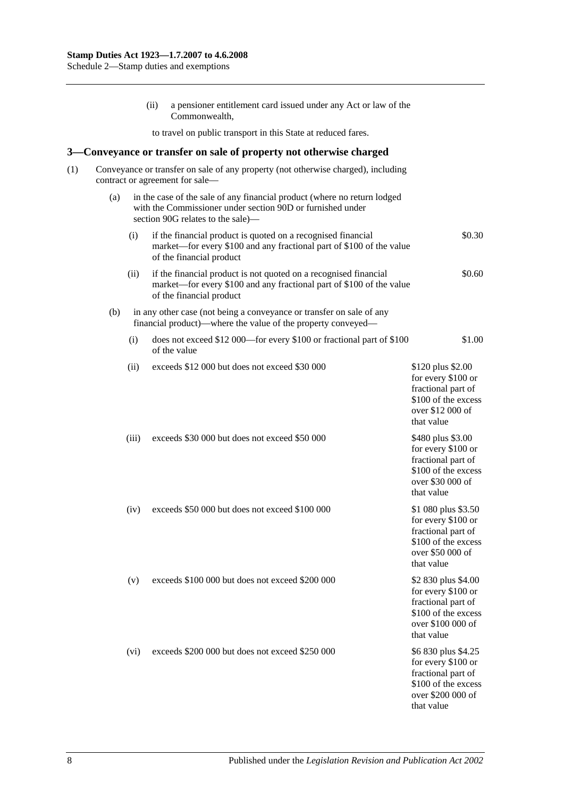|     |     |       | (ii) | a pensioner entitlement card issued under any Act or law of the<br>Commonwealth,                                                                                            |                                                                                                                           |
|-----|-----|-------|------|-----------------------------------------------------------------------------------------------------------------------------------------------------------------------------|---------------------------------------------------------------------------------------------------------------------------|
|     |     |       |      | to travel on public transport in this State at reduced fares.                                                                                                               |                                                                                                                           |
| 3—  |     |       |      | Conveyance or transfer on sale of property not otherwise charged                                                                                                            |                                                                                                                           |
| (1) |     |       |      | Conveyance or transfer on sale of any property (not otherwise charged), including<br>contract or agreement for sale-                                                        |                                                                                                                           |
|     | (a) |       |      | in the case of the sale of any financial product (where no return lodged<br>with the Commissioner under section 90D or furnished under<br>section 90G relates to the sale)— |                                                                                                                           |
|     |     | (i)   |      | if the financial product is quoted on a recognised financial<br>market—for every \$100 and any fractional part of \$100 of the value<br>of the financial product            | \$0.30                                                                                                                    |
|     |     | (ii)  |      | if the financial product is not quoted on a recognised financial<br>market—for every \$100 and any fractional part of \$100 of the value<br>of the financial product        | \$0.60                                                                                                                    |
|     | (b) |       |      | in any other case (not being a conveyance or transfer on sale of any<br>financial product)—where the value of the property conveyed—                                        |                                                                                                                           |
|     |     | (i)   |      | does not exceed \$12 000—for every \$100 or fractional part of \$100<br>of the value                                                                                        | \$1.00                                                                                                                    |
|     |     | (ii)  |      | exceeds \$12 000 but does not exceed \$30 000                                                                                                                               | \$120 plus \$2.00<br>for every \$100 or<br>fractional part of<br>\$100 of the excess<br>over \$12 000 of<br>that value    |
|     |     | (iii) |      | exceeds \$30 000 but does not exceed \$50 000                                                                                                                               | \$480 plus \$3.00<br>for every \$100 or<br>fractional part of<br>\$100 of the excess<br>over \$30 000 of<br>that value    |
|     |     | (iv)  |      | exceeds \$50 000 but does not exceed \$100 000                                                                                                                              | \$1 080 plus \$3.50<br>for every \$100 or<br>fractional part of<br>\$100 of the excess<br>over \$50 000 of<br>that value  |
|     |     | (v)   |      | exceeds \$100 000 but does not exceed \$200 000                                                                                                                             | \$2 830 plus \$4.00<br>for every \$100 or<br>fractional part of<br>\$100 of the excess<br>over \$100 000 of<br>that value |
|     |     | (vi)  |      | exceeds \$200 000 but does not exceed \$250 000                                                                                                                             | \$6 830 plus \$4.25<br>for every \$100 or<br>fractional part of<br>\$100 of the excess<br>over \$200 000 of<br>that value |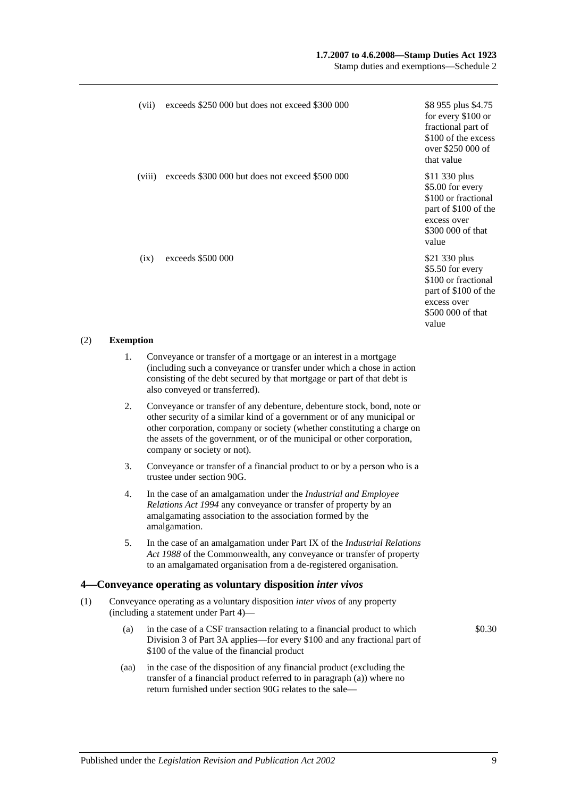## **1.7.2007 to 4.6.2008—Stamp Duties Act 1923**

Stamp duties and exemptions—Schedule 2

| (vii)  | exceeds \$250,000 but does not exceed \$300,000 | \$8 955 plus \$4.75<br>for every \$100 or<br>fractional part of<br>\$100 of the excess<br>over \$250 000 of<br>that value     |
|--------|-------------------------------------------------|-------------------------------------------------------------------------------------------------------------------------------|
| (viii) | exceeds \$300 000 but does not exceed \$500 000 | \$11 330 plus<br>\$5.00 for every<br>\$100 or fractional<br>part of \$100 of the<br>excess over<br>\$300 000 of that<br>value |
| (ix)   | exceeds \$500 000                               | \$21 330 plus<br>\$5.50 for every<br>\$100 or fractional<br>part of \$100 of the<br>excess over<br>\$500 000 of that<br>value |

#### (2) **Exemption**

- 1. Conveyance or transfer of a mortgage or an interest in a mortgage (including such a conveyance or transfer under which a chose in action consisting of the debt secured by that mortgage or part of that debt is also conveyed or transferred).
- 2. Conveyance or transfer of any debenture, debenture stock, bond, note or other security of a similar kind of a government or of any municipal or other corporation, company or society (whether constituting a charge on the assets of the government, or of the municipal or other corporation, company or society or not).
- 3. Conveyance or transfer of a financial product to or by a person who is a trustee unde[r section](#page-79-0) 90G.
- 4. In the case of an amalgamation under the *[Industrial and Employee](http://www.legislation.sa.gov.au/index.aspx?action=legref&type=act&legtitle=Industrial%20and%20Employee%20Relations%20Act%201994)  [Relations Act](http://www.legislation.sa.gov.au/index.aspx?action=legref&type=act&legtitle=Industrial%20and%20Employee%20Relations%20Act%201994) 1994* any conveyance or transfer of property by an amalgamating association to the association formed by the amalgamation.
- 5. In the case of an amalgamation under Part IX of the *Industrial Relations Act 1988* of the Commonwealth, any conveyance or transfer of property to an amalgamated organisation from a de-registered organisation.

# **4—Conveyance operating as voluntary disposition** *inter vivos*

- (1) Conveyance operating as a voluntary disposition *inter vivos* of any property (including a statement under [Part 4\)](#page-86-0)—
	- (a) in the case of a CSF transaction relating to a financial product to which [Division 3](#page-81-0) of [Part 3A](#page-74-0) applies—for every \$100 and any fractional part of \$100 of the value of the financial product
	- (aa) in the case of the disposition of any financial product (excluding the transfer of a financial product referred to in paragraph (a)) where no return furnished under [section](#page-79-0) 90G relates to the sale—

\$0.30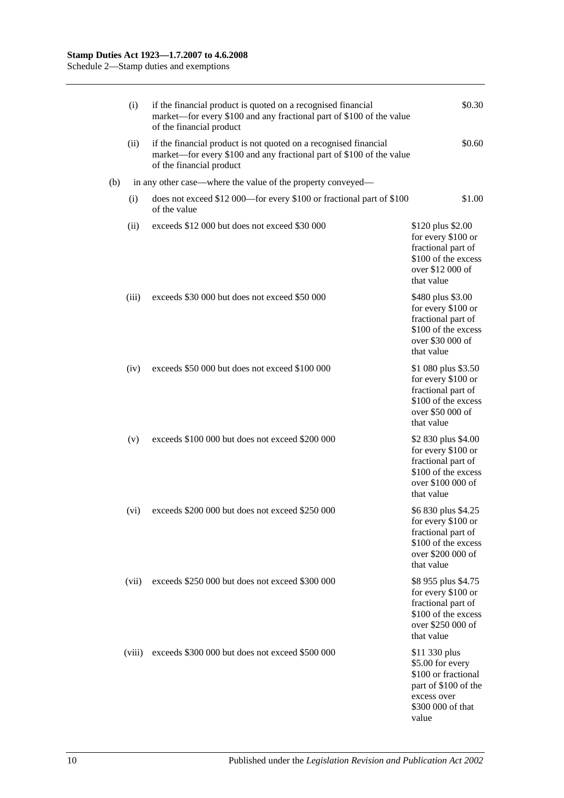|     | (i)    | if the financial product is quoted on a recognised financial<br>market—for every \$100 and any fractional part of \$100 of the value<br>of the financial product     | \$0.30                                                                                                                        |
|-----|--------|----------------------------------------------------------------------------------------------------------------------------------------------------------------------|-------------------------------------------------------------------------------------------------------------------------------|
|     | (ii)   | if the financial product is not quoted on a recognised financial<br>market—for every \$100 and any fractional part of \$100 of the value<br>of the financial product | \$0.60                                                                                                                        |
| (b) |        | in any other case—where the value of the property conveyed—                                                                                                          |                                                                                                                               |
|     | (i)    | does not exceed \$12 000—for every \$100 or fractional part of \$100<br>of the value                                                                                 | \$1.00                                                                                                                        |
|     | (ii)   | exceeds \$12 000 but does not exceed \$30 000                                                                                                                        | \$120 plus \$2.00<br>for every \$100 or<br>fractional part of<br>\$100 of the excess<br>over \$12 000 of<br>that value        |
|     | (iii)  | exceeds \$30 000 but does not exceed \$50 000                                                                                                                        | \$480 plus \$3.00<br>for every \$100 or<br>fractional part of<br>\$100 of the excess<br>over \$30 000 of<br>that value        |
|     | (iv)   | exceeds \$50 000 but does not exceed \$100 000                                                                                                                       | \$1 080 plus \$3.50<br>for every \$100 or<br>fractional part of<br>\$100 of the excess<br>over \$50 000 of<br>that value      |
|     | (v)    | exceeds \$100 000 but does not exceed \$200 000                                                                                                                      | \$2 830 plus \$4.00<br>for every \$100 or<br>fractional part of<br>\$100 of the excess<br>over \$100 000 of<br>that value     |
|     | (vi)   | exceeds \$200 000 but does not exceed \$250 000                                                                                                                      | \$6 830 plus \$4.25<br>for every \$100 or<br>fractional part of<br>\$100 of the excess<br>over \$200 000 of<br>that value     |
|     | (vii)  | exceeds \$250 000 but does not exceed \$300 000                                                                                                                      | \$8 955 plus \$4.75<br>for every \$100 or<br>fractional part of<br>\$100 of the excess<br>over \$250 000 of<br>that value     |
|     | (viii) | exceeds \$300 000 but does not exceed \$500 000                                                                                                                      | \$11 330 plus<br>\$5.00 for every<br>\$100 or fractional<br>part of \$100 of the<br>excess over<br>\$300 000 of that<br>value |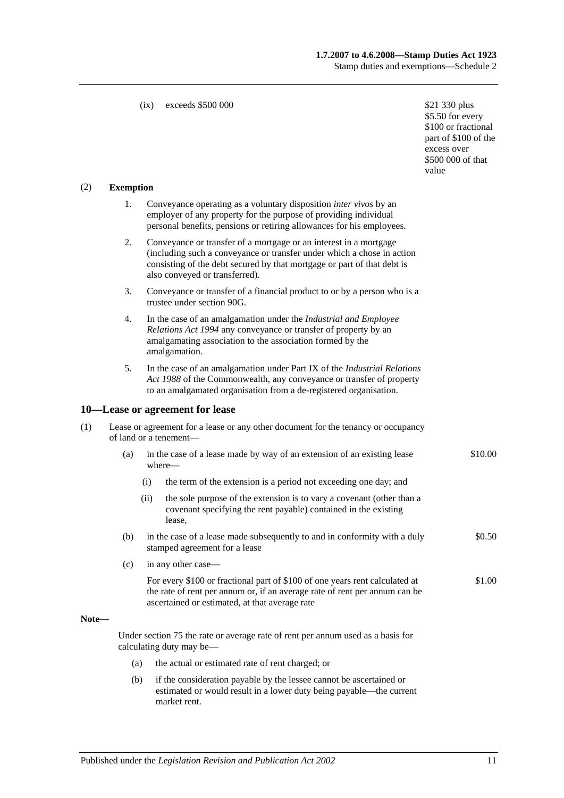## **1.7.2007 to 4.6.2008—Stamp Duties Act 1923** Stamp duties and exemptions—Schedule 2

#### (ix) exceeds  $$500,000$  \$21 330 plus

\$5.50 for every \$100 or fractional part of \$100 of the excess over \$500 000 of that value

#### (2) **Exemption**

- 1. Conveyance operating as a voluntary disposition *inter vivos* by an employer of any property for the purpose of providing individual personal benefits, pensions or retiring allowances for his employees.
- 2. Conveyance or transfer of a mortgage or an interest in a mortgage (including such a conveyance or transfer under which a chose in action consisting of the debt secured by that mortgage or part of that debt is also conveyed or transferred).
- 3. Conveyance or transfer of a financial product to or by a person who is a trustee unde[r section](#page-79-0) 90G.
- 4. In the case of an amalgamation under the *[Industrial and Employee](http://www.legislation.sa.gov.au/index.aspx?action=legref&type=act&legtitle=Industrial%20and%20Employee%20Relations%20Act%201994)  [Relations Act](http://www.legislation.sa.gov.au/index.aspx?action=legref&type=act&legtitle=Industrial%20and%20Employee%20Relations%20Act%201994) 1994* any conveyance or transfer of property by an amalgamating association to the association formed by the amalgamation.
- 5. In the case of an amalgamation under Part IX of the *Industrial Relations Act 1988* of the Commonwealth, any conveyance or transfer of property to an amalgamated organisation from a de-registered organisation.

#### **10—Lease or agreement for lease**

| Lease or agreement for a lease or any other document for the tenancy or occupancy |  |
|-----------------------------------------------------------------------------------|--|
| of land or a tenement—                                                            |  |

- (a) in the case of a lease made by way of an extension of an existing lease where— \$10.00
	- (i) the term of the extension is a period not exceeding one day; and
	- (ii) the sole purpose of the extension is to vary a covenant (other than a covenant specifying the rent payable) contained in the existing lease,
- (b) in the case of a lease made subsequently to and in conformity with a duly stamped agreement for a lease \$0.50
- (c) in any other case—
	- For every \$100 or fractional part of \$100 of one years rent calculated at the rate of rent per annum or, if an average rate of rent per annum can be ascertained or estimated, at that average rate \$1.00

#### **Note—**

Under [section](#page-67-0) 75 the rate or average rate of rent per annum used as a basis for calculating duty may be—

- (a) the actual or estimated rate of rent charged; or
- (b) if the consideration payable by the lessee cannot be ascertained or estimated or would result in a lower duty being payable—the current market rent.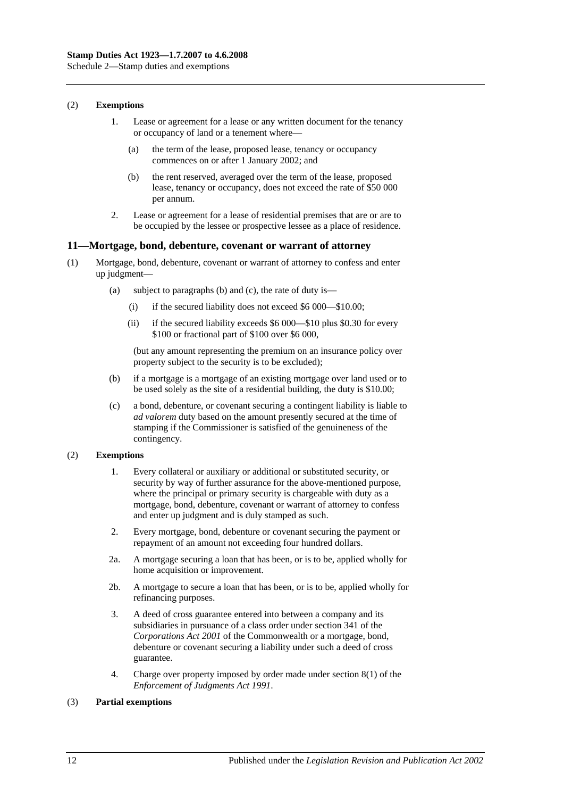Schedule 2—Stamp duties and exemptions

#### (2) **Exemptions**

- 1. Lease or agreement for a lease or any written document for the tenancy or occupancy of land or a tenement where—
	- (a) the term of the lease, proposed lease, tenancy or occupancy commences on or after 1 January 2002; and
	- (b) the rent reserved, averaged over the term of the lease, proposed lease, tenancy or occupancy, does not exceed the rate of \$50 000 per annum.
- 2. Lease or agreement for a lease of residential premises that are or are to be occupied by the lessee or prospective lessee as a place of residence.

#### **11—Mortgage, bond, debenture, covenant or warrant of attorney**

- (1) Mortgage, bond, debenture, covenant or warrant of attorney to confess and enter up judgment—
	- (a) subject to paragraphs (b) and (c), the rate of duty is—
		- (i) if the secured liability does not exceed \$6 000—\$10.00;
		- (ii) if the secured liability exceeds \$6 000—\$10 plus \$0.30 for every \$100 or fractional part of \$100 over \$6 000,

(but any amount representing the premium on an insurance policy over property subject to the security is to be excluded);

- (b) if a mortgage is a mortgage of an existing mortgage over land used or to be used solely as the site of a residential building, the duty is \$10.00;
- (c) a bond, debenture, or covenant securing a contingent liability is liable to *ad valorem* duty based on the amount presently secured at the time of stamping if the Commissioner is satisfied of the genuineness of the contingency.

#### (2) **Exemptions**

- 1. Every collateral or auxiliary or additional or substituted security, or security by way of further assurance for the above-mentioned purpose, where the principal or primary security is chargeable with duty as a mortgage, bond, debenture, covenant or warrant of attorney to confess and enter up judgment and is duly stamped as such.
- 2. Every mortgage, bond, debenture or covenant securing the payment or repayment of an amount not exceeding four hundred dollars.
- 2a. A mortgage securing a loan that has been, or is to be, applied wholly for home acquisition or improvement.
- 2b. A mortgage to secure a loan that has been, or is to be, applied wholly for refinancing purposes.
- 3. A deed of cross guarantee entered into between a company and its subsidiaries in pursuance of a class order under section 341 of the *Corporations Act 2001* of the Commonwealth or a mortgage, bond, debenture or covenant securing a liability under such a deed of cross guarantee.
- 4. Charge over property imposed by order made under section 8(1) of the *[Enforcement of Judgments Act](http://www.legislation.sa.gov.au/index.aspx?action=legref&type=act&legtitle=Enforcement%20of%20Judgments%20Act%201991) 1991*.

## (3) **Partial exemptions**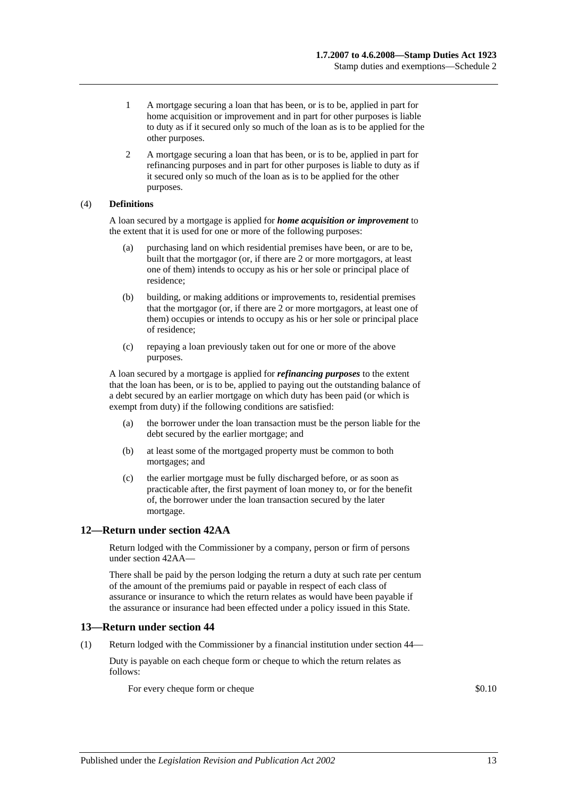- 1 A mortgage securing a loan that has been, or is to be, applied in part for home acquisition or improvement and in part for other purposes is liable to duty as if it secured only so much of the loan as is to be applied for the other purposes.
- 2 A mortgage securing a loan that has been, or is to be, applied in part for refinancing purposes and in part for other purposes is liable to duty as if it secured only so much of the loan as is to be applied for the other purposes.

## (4) **Definitions**

A loan secured by a mortgage is applied for *home acquisition or improvement* to the extent that it is used for one or more of the following purposes:

- (a) purchasing land on which residential premises have been, or are to be, built that the mortgagor (or, if there are 2 or more mortgagors, at least one of them) intends to occupy as his or her sole or principal place of residence;
- (b) building, or making additions or improvements to, residential premises that the mortgagor (or, if there are 2 or more mortgagors, at least one of them) occupies or intends to occupy as his or her sole or principal place of residence;
- (c) repaying a loan previously taken out for one or more of the above purposes.

A loan secured by a mortgage is applied for *refinancing purposes* to the extent that the loan has been, or is to be, applied to paying out the outstanding balance of a debt secured by an earlier mortgage on which duty has been paid (or which is exempt from duty) if the following conditions are satisfied:

- (a) the borrower under the loan transaction must be the person liable for the debt secured by the earlier mortgage; and
- (b) at least some of the mortgaged property must be common to both mortgages; and
- (c) the earlier mortgage must be fully discharged before, or as soon as practicable after, the first payment of loan money to, or for the benefit of, the borrower under the loan transaction secured by the later mortgage.

# **12—Return under section 42AA**

Return lodged with the Commissioner by a company, person or firm of persons unde[r section](#page-28-0) 42AA—

There shall be paid by the person lodging the return a duty at such rate per centum of the amount of the premiums paid or payable in respect of each class of assurance or insurance to which the return relates as would have been payable if the assurance or insurance had been effected under a policy issued in this State.

## **13—Return under section 44**

(1) Return lodged with the Commissioner by a financial institution under [section](#page-34-0) 44—

Duty is payable on each cheque form or cheque to which the return relates as follows:

For every cheque form or cheque  $\qquad$  \$0.10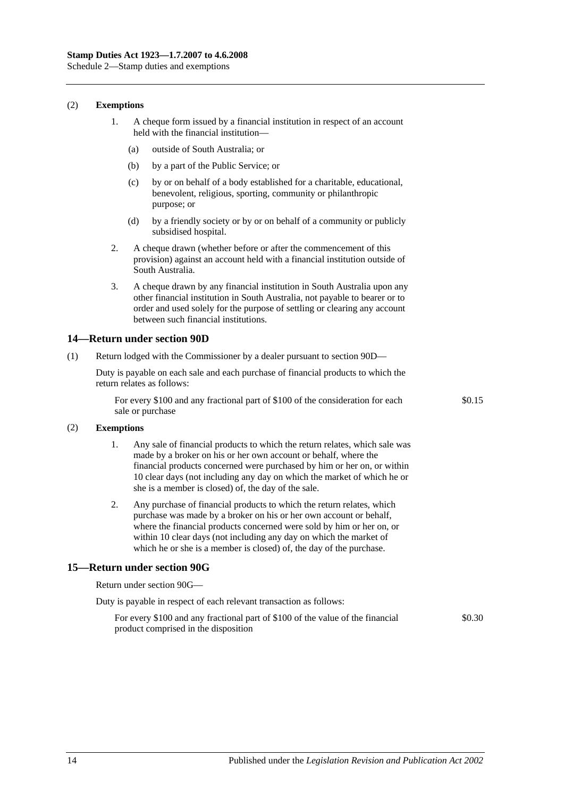Schedule 2—Stamp duties and exemptions

#### (2) **Exemptions**

- 1. A cheque form issued by a financial institution in respect of an account held with the financial institution—
	- (a) outside of South Australia; or
	- (b) by a part of the Public Service; or
	- (c) by or on behalf of a body established for a charitable, educational, benevolent, religious, sporting, community or philanthropic purpose; or
	- (d) by a friendly society or by or on behalf of a community or publicly subsidised hospital.
- 2. A cheque drawn (whether before or after the commencement of this provision) against an account held with a financial institution outside of South Australia.
- 3. A cheque drawn by any financial institution in South Australia upon any other financial institution in South Australia, not payable to bearer or to order and used solely for the purpose of settling or clearing any account between such financial institutions.

#### **14—Return under section 90D**

(1) Return lodged with the Commissioner by a dealer pursuant to [section](#page-78-0) 90D—

Duty is payable on each sale and each purchase of financial products to which the return relates as follows:

For every \$100 and any fractional part of \$100 of the consideration for each sale or purchase

\$0.15

#### (2) **Exemptions**

- 1. Any sale of financial products to which the return relates, which sale was made by a broker on his or her own account or behalf, where the financial products concerned were purchased by him or her on, or within 10 clear days (not including any day on which the market of which he or she is a member is closed) of, the day of the sale.
- 2. Any purchase of financial products to which the return relates, which purchase was made by a broker on his or her own account or behalf, where the financial products concerned were sold by him or her on, or within 10 clear days (not including any day on which the market of which he or she is a member is closed) of, the day of the purchase.

## **15—Return under section 90G**

Return under [section](#page-79-0) 90G—

| Duty is payable in respect of each relevant transaction as follows: |  |
|---------------------------------------------------------------------|--|
|---------------------------------------------------------------------|--|

For every \$100 and any fractional part of \$100 of the value of the financial product comprised in the disposition \$0.30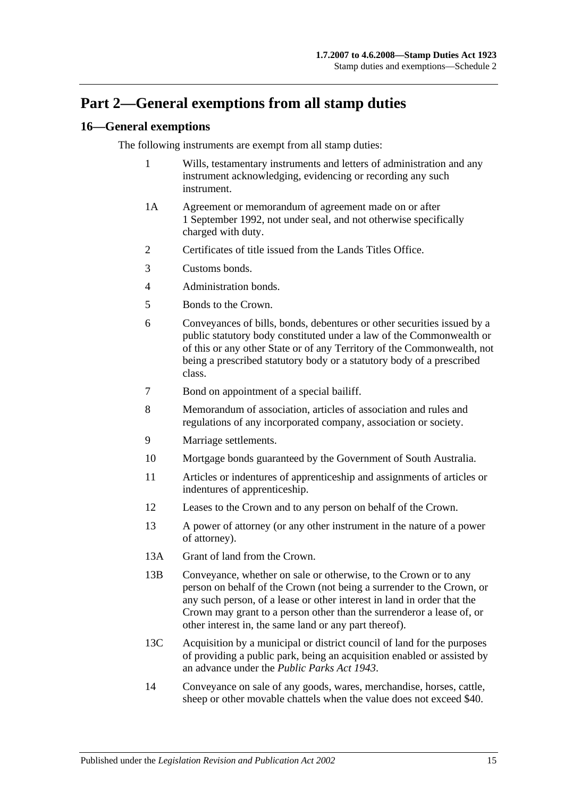# **Part 2—General exemptions from all stamp duties**

# **16—General exemptions**

The following instruments are exempt from all stamp duties:

- 1 Wills, testamentary instruments and letters of administration and any instrument acknowledging, evidencing or recording any such instrument.
- 1A Agreement or memorandum of agreement made on or after 1 September 1992, not under seal, and not otherwise specifically charged with duty.
- 2 Certificates of title issued from the Lands Titles Office.
- 3 Customs bonds.
- 4 Administration bonds.
- 5 Bonds to the Crown.
- 6 Conveyances of bills, bonds, debentures or other securities issued by a public statutory body constituted under a law of the Commonwealth or of this or any other State or of any Territory of the Commonwealth, not being a prescribed statutory body or a statutory body of a prescribed class.
- 7 Bond on appointment of a special bailiff.
- 8 Memorandum of association, articles of association and rules and regulations of any incorporated company, association or society.
- 9 Marriage settlements.
- 10 Mortgage bonds guaranteed by the Government of South Australia.
- 11 Articles or indentures of apprenticeship and assignments of articles or indentures of apprenticeship.
- 12 Leases to the Crown and to any person on behalf of the Crown.
- 13 A power of attorney (or any other instrument in the nature of a power of attorney).
- 13A Grant of land from the Crown.
- 13B Conveyance, whether on sale or otherwise, to the Crown or to any person on behalf of the Crown (not being a surrender to the Crown, or any such person, of a lease or other interest in land in order that the Crown may grant to a person other than the surrenderor a lease of, or other interest in, the same land or any part thereof).
- 13C Acquisition by a municipal or district council of land for the purposes of providing a public park, being an acquisition enabled or assisted by an advance under the *[Public Parks Act](http://www.legislation.sa.gov.au/index.aspx?action=legref&type=act&legtitle=Public%20Parks%20Act%201943) 1943*.
- 14 Conveyance on sale of any goods, wares, merchandise, horses, cattle, sheep or other movable chattels when the value does not exceed \$40.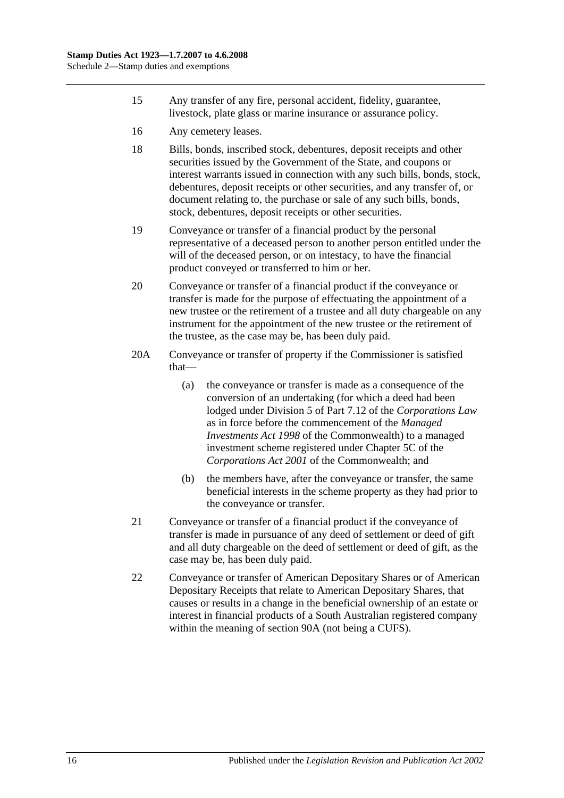- 15 Any transfer of any fire, personal accident, fidelity, guarantee, livestock, plate glass or marine insurance or assurance policy.
- 16 Any cemetery leases.
- 18 Bills, bonds, inscribed stock, debentures, deposit receipts and other securities issued by the Government of the State, and coupons or interest warrants issued in connection with any such bills, bonds, stock, debentures, deposit receipts or other securities, and any transfer of, or document relating to, the purchase or sale of any such bills, bonds, stock, debentures, deposit receipts or other securities.
- 19 Conveyance or transfer of a financial product by the personal representative of a deceased person to another person entitled under the will of the deceased person, or on intestacy, to have the financial product conveyed or transferred to him or her.
- 20 Conveyance or transfer of a financial product if the conveyance or transfer is made for the purpose of effectuating the appointment of a new trustee or the retirement of a trustee and all duty chargeable on any instrument for the appointment of the new trustee or the retirement of the trustee, as the case may be, has been duly paid.
- 20A Conveyance or transfer of property if the Commissioner is satisfied that—
	- (a) the conveyance or transfer is made as a consequence of the conversion of an undertaking (for which a deed had been lodged under Division 5 of Part 7.12 of the *Corporations Law* as in force before the commencement of the *Managed Investments Act 1998* of the Commonwealth) to a managed investment scheme registered under Chapter 5C of the *Corporations Act 2001* of the Commonwealth; and
	- (b) the members have, after the conveyance or transfer, the same beneficial interests in the scheme property as they had prior to the conveyance or transfer.
- 21 Conveyance or transfer of a financial product if the conveyance of transfer is made in pursuance of any deed of settlement or deed of gift and all duty chargeable on the deed of settlement or deed of gift, as the case may be, has been duly paid.
- 22 Conveyance or transfer of American Depositary Shares or of American Depositary Receipts that relate to American Depositary Shares, that causes or results in a change in the beneficial ownership of an estate or interest in financial products of a South Australian registered company within the meaning of [section](#page-74-1) 90A (not being a CUFS).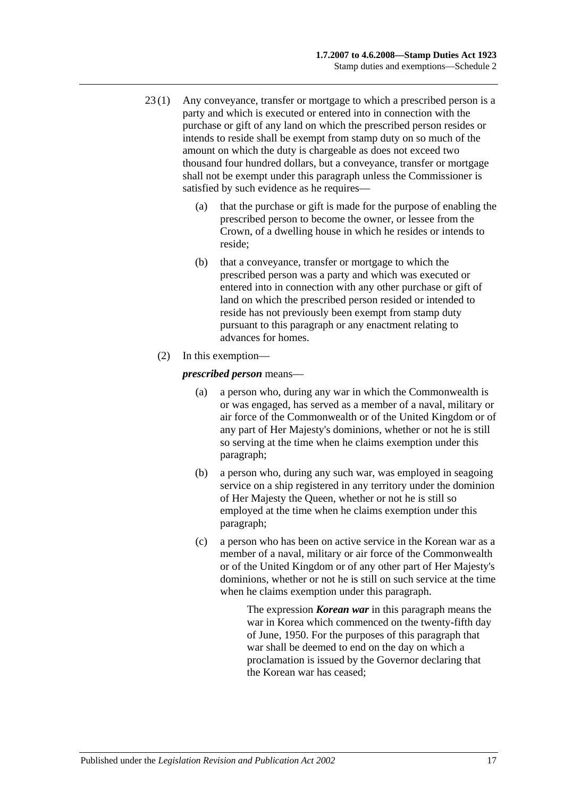- 23 (1) Any conveyance, transfer or mortgage to which a prescribed person is a party and which is executed or entered into in connection with the purchase or gift of any land on which the prescribed person resides or intends to reside shall be exempt from stamp duty on so much of the amount on which the duty is chargeable as does not exceed two thousand four hundred dollars, but a conveyance, transfer or mortgage shall not be exempt under this paragraph unless the Commissioner is satisfied by such evidence as he requires—
	- (a) that the purchase or gift is made for the purpose of enabling the prescribed person to become the owner, or lessee from the Crown, of a dwelling house in which he resides or intends to reside;
	- (b) that a conveyance, transfer or mortgage to which the prescribed person was a party and which was executed or entered into in connection with any other purchase or gift of land on which the prescribed person resided or intended to reside has not previously been exempt from stamp duty pursuant to this paragraph or any enactment relating to advances for homes.
	- (2) In this exemption—

<span id="page-118-0"></span>*prescribed person* means—

- (a) a person who, during any war in which the Commonwealth is or was engaged, has served as a member of a naval, military or air force of the Commonwealth or of the United Kingdom or of any part of Her Majesty's dominions, whether or not he is still so serving at the time when he claims exemption under this paragraph;
- <span id="page-118-1"></span>(b) a person who, during any such war, was employed in seagoing service on a ship registered in any territory under the dominion of Her Majesty the Queen, whether or not he is still so employed at the time when he claims exemption under this paragraph;
- <span id="page-118-2"></span>(c) a person who has been on active service in the Korean war as a member of a naval, military or air force of the Commonwealth or of the United Kingdom or of any other part of Her Majesty's dominions, whether or not he is still on such service at the time when he claims exemption under this paragraph.

The expression *Korean war* in this paragraph means the war in Korea which commenced on the twenty-fifth day of June, 1950. For the purposes of this paragraph that war shall be deemed to end on the day on which a proclamation is issued by the Governor declaring that the Korean war has ceased;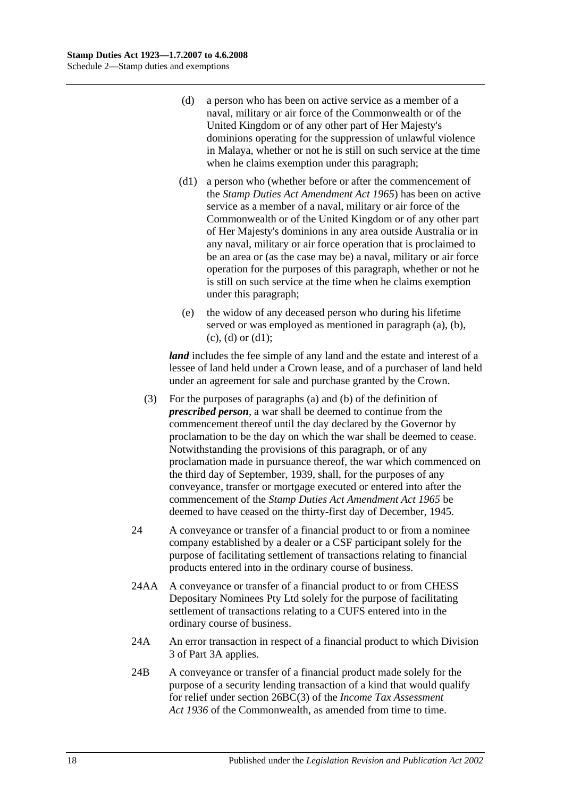- <span id="page-119-0"></span>(d) a person who has been on active service as a member of a naval, military or air force of the Commonwealth or of the United Kingdom or of any other part of Her Majesty's dominions operating for the suppression of unlawful violence in Malaya, whether or not he is still on such service at the time when he claims exemption under this paragraph;
- <span id="page-119-1"></span>(d1) a person who (whether before or after the commencement of the *[Stamp Duties Act Amendment Act](http://www.legislation.sa.gov.au/index.aspx?action=legref&type=act&legtitle=Stamp%20Duties%20Act%20Amendment%20Act%201965) 1965*) has been on active service as a member of a naval, military or air force of the Commonwealth or of the United Kingdom or of any other part of Her Majesty's dominions in any area outside Australia or in any naval, military or air force operation that is proclaimed to be an area or (as the case may be) a naval, military or air force operation for the purposes of this paragraph, whether or not he is still on such service at the time when he claims exemption under this paragraph;
- (e) the widow of any deceased person who during his lifetime served or was employed as mentioned in [paragraph](#page-118-0) (a), [\(b\),](#page-118-1)  $(c)$ ,  $(d)$  or  $(d1)$ ;

*land* includes the fee simple of any land and the estate and interest of a lessee of land held under a Crown lease, and of a purchaser of land held under an agreement for sale and purchase granted by the Crown.

- (3) For the purposes of [paragraphs](#page-118-0) (a) and [\(b\)](#page-118-1) of the definition of *prescribed person*, a war shall be deemed to continue from the commencement thereof until the day declared by the Governor by proclamation to be the day on which the war shall be deemed to cease. Notwithstanding the provisions of this paragraph, or of any proclamation made in pursuance thereof, the war which commenced on the third day of September, 1939, shall, for the purposes of any conveyance, transfer or mortgage executed or entered into after the commencement of the *[Stamp Duties Act Amendment Act](http://www.legislation.sa.gov.au/index.aspx?action=legref&type=act&legtitle=Stamp%20Duties%20Act%20Amendment%20Act%201965) 1965* be deemed to have ceased on the thirty-first day of December, 1945.
- 24 A conveyance or transfer of a financial product to or from a nominee company established by a dealer or a CSF participant solely for the purpose of facilitating settlement of transactions relating to financial products entered into in the ordinary course of business.
- 24AA A conveyance or transfer of a financial product to or from CHESS Depositary Nominees Pty Ltd solely for the purpose of facilitating settlement of transactions relating to a CUFS entered into in the ordinary course of business.
- 24A An error transaction in respect of a financial product to which [Division](#page-81-0)  [3](#page-81-0) of [Part 3A](#page-74-0) applies.
- 24B A conveyance or transfer of a financial product made solely for the purpose of a security lending transaction of a kind that would qualify for relief under section 26BC(3) of the *Income Tax Assessment Act 1936* of the Commonwealth, as amended from time to time.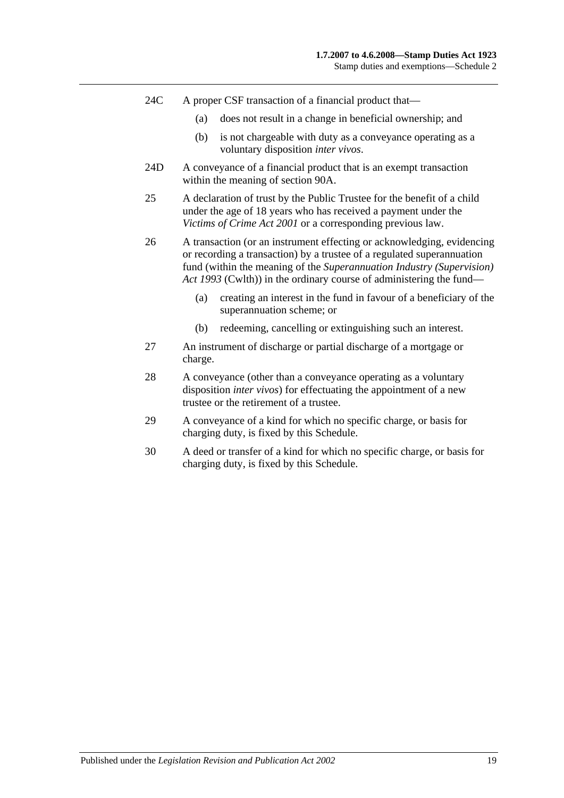- 24C A proper CSF transaction of a financial product that—
	- (a) does not result in a change in beneficial ownership; and
	- (b) is not chargeable with duty as a conveyance operating as a voluntary disposition *inter vivos*.
- 24D A conveyance of a financial product that is an exempt transaction within the meaning of [section](#page-74-1) 90A.
- 25 A declaration of trust by the Public Trustee for the benefit of a child under the age of 18 years who has received a payment under the *[Victims of Crime Act](http://www.legislation.sa.gov.au/index.aspx?action=legref&type=act&legtitle=Victims%20of%20Crime%20Act%202001) 2001* or a corresponding previous law.
- 26 A transaction (or an instrument effecting or acknowledging, evidencing or recording a transaction) by a trustee of a regulated superannuation fund (within the meaning of the *Superannuation Industry (Supervision) Act 1993* (Cwlth)) in the ordinary course of administering the fund—
	- (a) creating an interest in the fund in favour of a beneficiary of the superannuation scheme; or
	- (b) redeeming, cancelling or extinguishing such an interest.
- 27 An instrument of discharge or partial discharge of a mortgage or charge.
- 28 A conveyance (other than a conveyance operating as a voluntary disposition *inter vivos*) for effectuating the appointment of a new trustee or the retirement of a trustee.
- 29 A conveyance of a kind for which no specific charge, or basis for charging duty, is fixed by this Schedule.
- 30 A deed or transfer of a kind for which no specific charge, or basis for charging duty, is fixed by this Schedule.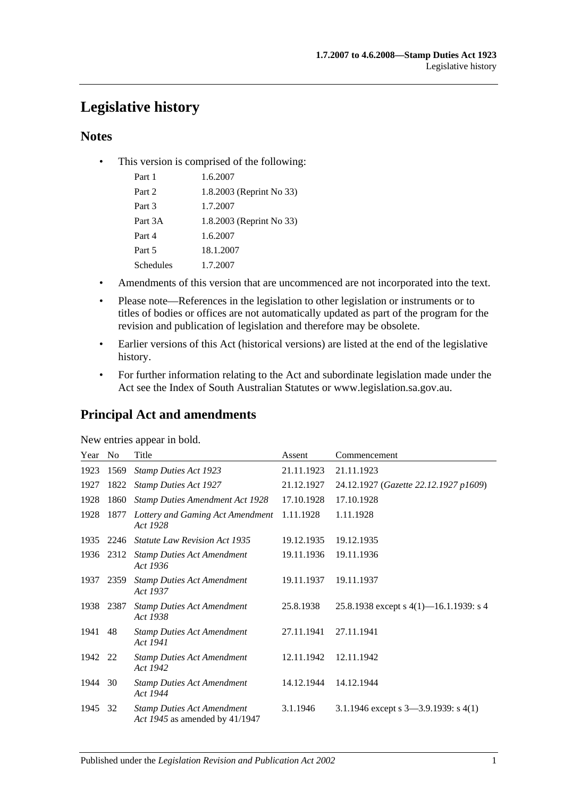# **Legislative history**

# **Notes**

• This version is comprised of the following:

| Part 1    | 1.6.2007                 |
|-----------|--------------------------|
| Part 2    | 1.8.2003 (Reprint No 33) |
| Part 3    | 1.7.2007                 |
| Part 3A   | 1.8.2003 (Reprint No 33) |
| Part 4    | 1.6.2007                 |
| Part 5    | 18.1.2007                |
| Schedules | 1.7.2007                 |

- Amendments of this version that are uncommenced are not incorporated into the text.
- Please note—References in the legislation to other legislation or instruments or to titles of bodies or offices are not automatically updated as part of the program for the revision and publication of legislation and therefore may be obsolete.
- Earlier versions of this Act (historical versions) are listed at the end of the legislative history.
- For further information relating to the Act and subordinate legislation made under the Act see the Index of South Australian Statutes or www.legislation.sa.gov.au.

# **Principal Act and amendments**

# New entries appear in bold.

| Year No |      | Title                                                               | Assent     | Commencement                              |
|---------|------|---------------------------------------------------------------------|------------|-------------------------------------------|
| 1923    | 1569 | <b>Stamp Duties Act 1923</b>                                        | 21.11.1923 | 21.11.1923                                |
| 1927    | 1822 | <b>Stamp Duties Act 1927</b>                                        | 21.12.1927 | 24.12.1927 (Gazette 22.12.1927 p1609)     |
| 1928    | 1860 | <b>Stamp Duties Amendment Act 1928</b>                              | 17.10.1928 | 17.10.1928                                |
| 1928    | 1877 | Lottery and Gaming Act Amendment<br>Act 1928                        | 1.11.1928  | 1.11.1928                                 |
| 1935    | 2246 | <b>Statute Law Revision Act 1935</b>                                | 19.12.1935 | 19.12.1935                                |
| 1936    | 2312 | <b>Stamp Duties Act Amendment</b><br>Act 1936                       | 19.11.1936 | 19.11.1936                                |
| 1937    | 2359 | <b>Stamp Duties Act Amendment</b><br>Act 1937                       | 19.11.1937 | 19.11.1937                                |
| 1938    | 2387 | <b>Stamp Duties Act Amendment</b><br>Act 1938                       | 25.8.1938  | 25.8.1938 except s $4(1)$ —16.1.1939: s 4 |
| 1941    | 48   | <b>Stamp Duties Act Amendment</b><br>Act 1941                       | 27.11.1941 | 27.11.1941                                |
| 1942    | 22   | <b>Stamp Duties Act Amendment</b><br>Act 1942                       | 12.11.1942 | 12.11.1942                                |
| 1944    | 30   | <b>Stamp Duties Act Amendment</b><br>Act 1944                       | 14.12.1944 | 14.12.1944                                |
| 1945    | 32   | <b>Stamp Duties Act Amendment</b><br>Act 1945 as amended by 41/1947 | 3.1.1946   | 3.1.1946 except s 3-3.9.1939: s 4(1)      |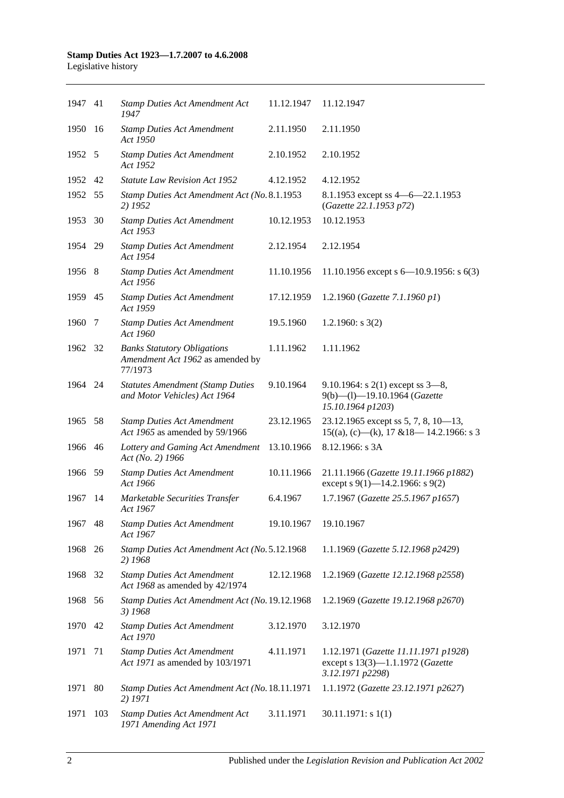| 1947 41 |      | <b>Stamp Duties Act Amendment Act</b><br>1947                                     | 11.12.1947 | 11.12.1947                                                                                   |
|---------|------|-----------------------------------------------------------------------------------|------------|----------------------------------------------------------------------------------------------|
| 1950    | - 16 | <b>Stamp Duties Act Amendment</b><br>Act 1950                                     | 2.11.1950  | 2.11.1950                                                                                    |
| 1952 5  |      | <b>Stamp Duties Act Amendment</b><br>Act 1952                                     | 2.10.1952  | 2.10.1952                                                                                    |
| 1952 42 |      | <b>Statute Law Revision Act 1952</b>                                              | 4.12.1952  | 4.12.1952                                                                                    |
| 1952 55 |      | Stamp Duties Act Amendment Act (No. 8.1.1953<br>2) 1952                           |            | 8.1.1953 except ss 4 - 6 - 22.1.1953<br>(Gazette 22.1.1953 p72)                              |
| 1953    | 30   | <b>Stamp Duties Act Amendment</b><br>Act 1953                                     | 10.12.1953 | 10.12.1953                                                                                   |
| 1954 29 |      | <b>Stamp Duties Act Amendment</b><br>Act 1954                                     | 2.12.1954  | 2.12.1954                                                                                    |
| 1956 8  |      | <b>Stamp Duties Act Amendment</b><br>Act 1956                                     | 11.10.1956 | 11.10.1956 except s $6-10.9.1956$ : s $6(3)$                                                 |
| 1959 45 |      | <b>Stamp Duties Act Amendment</b><br>Act 1959                                     | 17.12.1959 | 1.2.1960 (Gazette 7.1.1960 p1)                                                               |
| 1960    | 7    | <b>Stamp Duties Act Amendment</b><br>Act 1960                                     | 19.5.1960  | 1.2.1960: $s$ 3(2)                                                                           |
| 1962 32 |      | <b>Banks Statutory Obligations</b><br>Amendment Act 1962 as amended by<br>77/1973 | 1.11.1962  | 1.11.1962                                                                                    |
| 1964 24 |      | <b>Statutes Amendment (Stamp Duties</b><br>and Motor Vehicles) Act 1964           | 9.10.1964  | 9.10.1964: s $2(1)$ except ss $3-8$ ,<br>9(b)-(l)-19.10.1964 (Gazette<br>15.10.1964 p1203)   |
| 1965 58 |      | <b>Stamp Duties Act Amendment</b><br>Act 1965 as amended by 59/1966               | 23.12.1965 | 23.12.1965 except ss 5, 7, 8, $10-13$ ,<br>$15((a), (c)$ —(k), 17 & 18—14.2.1966: s 3        |
| 1966    | 46   | Lottery and Gaming Act Amendment<br>Act (No. 2) 1966                              | 13.10.1966 | 8.12.1966: s 3A                                                                              |
| 1966 59 |      | <b>Stamp Duties Act Amendment</b><br>Act 1966                                     | 10.11.1966 | 21.11.1966 (Gazette 19.11.1966 p1882)<br>except s 9(1)-14.2.1966: s 9(2)                     |
| 1967    | -14  | Marketable Securities Transfer<br>Act 1967                                        | 6.4.1967   | 1.7.1967 (Gazette 25.5.1967 p1657)                                                           |
| 1967    | 48   | <b>Stamp Duties Act Amendment</b><br>Act 1967                                     | 19.10.1967 | 19.10.1967                                                                                   |
| 1968    | 26   | Stamp Duties Act Amendment Act (No. 5.12.1968<br>2) 1968                          |            | 1.1.1969 (Gazette 5.12.1968 p2429)                                                           |
| 1968    | 32   | <b>Stamp Duties Act Amendment</b><br>Act 1968 as amended by 42/1974               | 12.12.1968 | 1.2.1969 (Gazette 12.12.1968 p2558)                                                          |
| 1968    | 56   | Stamp Duties Act Amendment Act (No. 19.12.1968<br>3) 1968                         |            | 1.2.1969 (Gazette 19.12.1968 p2670)                                                          |
| 1970    | 42   | <b>Stamp Duties Act Amendment</b><br>Act 1970                                     | 3.12.1970  | 3.12.1970                                                                                    |
| 1971    | 71   | <b>Stamp Duties Act Amendment</b><br>Act 1971 as amended by 103/1971              | 4.11.1971  | 1.12.1971 (Gazette 11.11.1971 p1928)<br>except s 13(3)-1.1.1972 (Gazette<br>3.12.1971 p2298) |
| 1971    | 80   | Stamp Duties Act Amendment Act (No. 18.11.1971<br>2) 1971                         |            | 1.1.1972 (Gazette 23.12.1971 p2627)                                                          |
| 1971    | 103  | <b>Stamp Duties Act Amendment Act</b><br>1971 Amending Act 1971                   | 3.11.1971  | $30.11.1971$ : s 1(1)                                                                        |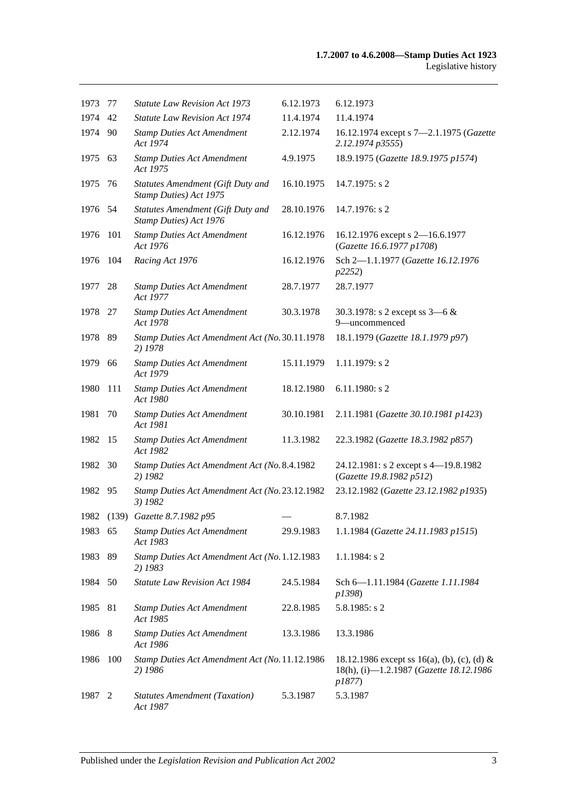| 1973    | 77  | <b>Statute Law Revision Act 1973</b>                        | 6.12.1973  | 6.12.1973                                                                                        |
|---------|-----|-------------------------------------------------------------|------------|--------------------------------------------------------------------------------------------------|
| 1974    | 42  | <b>Statute Law Revision Act 1974</b>                        | 11.4.1974  | 11.4.1974                                                                                        |
| 1974 90 |     | <b>Stamp Duties Act Amendment</b><br>Act 1974               | 2.12.1974  | 16.12.1974 except s 7-2.1.1975 (Gazette<br>2.12.1974 p3555)                                      |
| 1975 63 |     | <b>Stamp Duties Act Amendment</b><br>Act 1975               | 4.9.1975   | 18.9.1975 (Gazette 18.9.1975 p1574)                                                              |
| 1975    | 76  | Statutes Amendment (Gift Duty and<br>Stamp Duties) Act 1975 | 16.10.1975 | $14.7.1975$ : s 2                                                                                |
| 1976 54 |     | Statutes Amendment (Gift Duty and<br>Stamp Duties) Act 1976 | 28.10.1976 | 14.7.1976: s 2                                                                                   |
| 1976    | 101 | <b>Stamp Duties Act Amendment</b><br>Act 1976               | 16.12.1976 | 16.12.1976 except s 2-16.6.1977<br>(Gazette 16.6.1977 p1708)                                     |
| 1976    | 104 | Racing Act 1976                                             | 16.12.1976 | Sch 2-1.1.1977 (Gazette 16.12.1976<br>p2252)                                                     |
| 1977    | 28  | <b>Stamp Duties Act Amendment</b><br>Act 1977               | 28.7.1977  | 28.7.1977                                                                                        |
| 1978 27 |     | <b>Stamp Duties Act Amendment</b><br>Act 1978               | 30.3.1978  | 30.3.1978: s 2 except ss $3-6 &$<br>9-uncommenced                                                |
| 1978 89 |     | Stamp Duties Act Amendment Act (No. 30.11.1978)<br>2) 1978  |            | 18.1.1979 (Gazette 18.1.1979 p97)                                                                |
| 1979    | 66  | <b>Stamp Duties Act Amendment</b><br>Act 1979               | 15.11.1979 | 1.11.1979: s 2                                                                                   |
| 1980    | 111 | <b>Stamp Duties Act Amendment</b><br>Act 1980               | 18.12.1980 | $6.11.1980$ : s 2                                                                                |
| 1981    | 70  | <b>Stamp Duties Act Amendment</b><br>Act 1981               | 30.10.1981 | 2.11.1981 (Gazette 30.10.1981 p1423)                                                             |
| 1982    | -15 | <b>Stamp Duties Act Amendment</b><br>Act 1982               | 11.3.1982  | 22.3.1982 (Gazette 18.3.1982 p857)                                                               |
| 1982    | 30  | Stamp Duties Act Amendment Act (No. 8.4.1982<br>2) 1982     |            | 24.12.1981: s 2 except s 4-19.8.1982<br>(Gazette 19.8.1982 p512)                                 |
| 1982    | 95  | Stamp Duties Act Amendment Act (No. 23.12.1982<br>3) 1982   |            | 23.12.1982 (Gazette 23.12.1982 p1935)                                                            |
|         |     | 1982 (139) Gazette 8.7.1982 p95                             |            | 8.7.1982                                                                                         |
| 1983 65 |     | <b>Stamp Duties Act Amendment</b><br>Act 1983               | 29.9.1983  | 1.1.1984 (Gazette 24.11.1983 p1515)                                                              |
| 1983    | 89  | Stamp Duties Act Amendment Act (No. 1.12.1983<br>2) 1983    |            | 1.1.1984: s 2                                                                                    |
| 1984    | 50  | Statute Law Revision Act 1984                               | 24.5.1984  | Sch 6-1.11.1984 (Gazette 1.11.1984<br>p1398)                                                     |
| 1985    | 81  | <b>Stamp Duties Act Amendment</b><br>Act 1985               | 22.8.1985  | $5.8.1985$ : s 2                                                                                 |
| 1986    | 8   | <b>Stamp Duties Act Amendment</b><br>Act 1986               | 13.3.1986  | 13.3.1986                                                                                        |
| 1986    | 100 | Stamp Duties Act Amendment Act (No. 11.12.1986<br>2) 1986   |            | 18.12.1986 except ss 16(a), (b), (c), (d) &<br>18(h), (i)-1.2.1987 (Gazette 18.12.1986<br>p1877) |
| 1987    | 2   | <b>Statutes Amendment (Taxation)</b><br>Act 1987            | 5.3.1987   | 5.3.1987                                                                                         |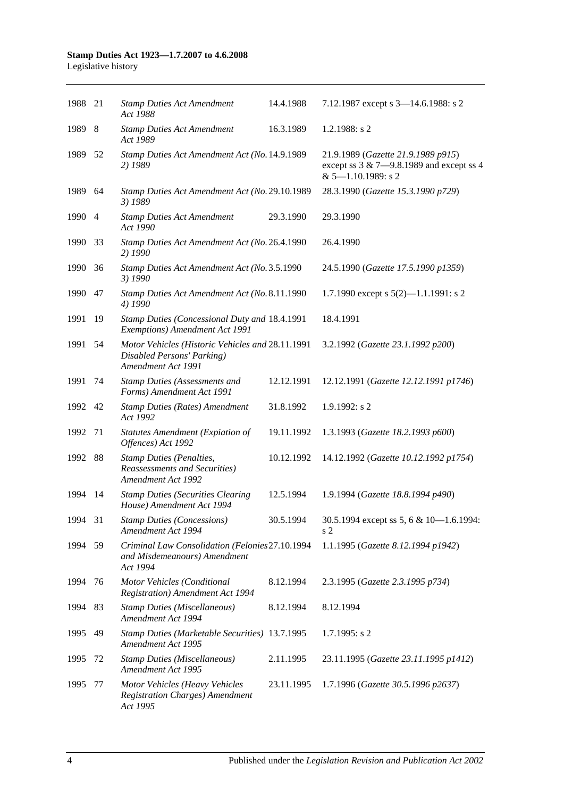| 1988 21 |      | <b>Stamp Duties Act Amendment</b><br>Act 1988                                                        | 14.4.1988  | 7.12.1987 except s 3-14.6.1988: s 2                                                                           |
|---------|------|------------------------------------------------------------------------------------------------------|------------|---------------------------------------------------------------------------------------------------------------|
| 1989 8  |      | <b>Stamp Duties Act Amendment</b><br>Act 1989                                                        | 16.3.1989  | 1.2.1988: $s$ 2                                                                                               |
| 1989    | - 52 | Stamp Duties Act Amendment Act (No. 14.9.1989<br>2) 1989                                             |            | 21.9.1989 (Gazette 21.9.1989 p915)<br>except ss $3 & 7 - 9.8.1989$ and except ss 4<br>$& 5 - 1.10.1989$ : s 2 |
| 1989 64 |      | Stamp Duties Act Amendment Act (No. 29.10.1989<br>3) 1989                                            |            | 28.3.1990 (Gazette 15.3.1990 p729)                                                                            |
| 1990 4  |      | <b>Stamp Duties Act Amendment</b><br>Act 1990                                                        | 29.3.1990  | 29.3.1990                                                                                                     |
| 1990    | 33   | Stamp Duties Act Amendment Act (No. 26.4.1990<br>2) 1990                                             |            | 26.4.1990                                                                                                     |
| 1990    | 36   | Stamp Duties Act Amendment Act (No. 3.5.1990<br>3) 1990                                              |            | 24.5.1990 (Gazette 17.5.1990 p1359)                                                                           |
| 1990    | 47   | Stamp Duties Act Amendment Act (No. 8.11.1990<br>4) 1990                                             |            | 1.7.1990 except s $5(2)$ —1.1.1991: s 2                                                                       |
| 1991    | 19   | Stamp Duties (Concessional Duty and 18.4.1991<br>Exemptions) Amendment Act 1991                      |            | 18.4.1991                                                                                                     |
| 1991    | 54   | Motor Vehicles (Historic Vehicles and 28.11.1991<br>Disabled Persons' Parking)<br>Amendment Act 1991 |            | 3.2.1992 (Gazette 23.1.1992 p200)                                                                             |
| 1991    | 74   | <b>Stamp Duties (Assessments and</b><br>Forms) Amendment Act 1991                                    | 12.12.1991 | 12.12.1991 (Gazette 12.12.1991 p1746)                                                                         |
| 1992 42 |      | <b>Stamp Duties (Rates) Amendment</b><br>Act 1992                                                    | 31.8.1992  | 1.9.1992: s 2                                                                                                 |
| 1992    | 71   | <b>Statutes Amendment (Expiation of</b><br>Offences) Act 1992                                        | 19.11.1992 | 1.3.1993 (Gazette 18.2.1993 p600)                                                                             |
| 1992    | 88   | <b>Stamp Duties (Penalties,</b><br>Reassessments and Securities)<br>Amendment Act 1992               | 10.12.1992 | 14.12.1992 (Gazette 10.12.1992 p1754)                                                                         |
| 1994    | 14   | <b>Stamp Duties (Securities Clearing</b><br>House) Amendment Act 1994                                | 12.5.1994  | 1.9.1994 (Gazette 18.8.1994 p490)                                                                             |
| 1994 31 |      | <b>Stamp Duties (Concessions)</b><br>Amendment Act 1994                                              | 30.5.1994  | 30.5.1994 except ss 5, 6 & 10-1.6.1994:<br>s 2                                                                |
| 1994 59 |      | Criminal Law Consolidation (Felonies 27.10.1994<br>and Misdemeanours) Amendment<br>Act 1994          |            | 1.1.1995 (Gazette 8.12.1994 p1942)                                                                            |
| 1994    | 76   | Motor Vehicles (Conditional<br><b>Registration</b> ) Amendment Act 1994                              | 8.12.1994  | 2.3.1995 (Gazette 2.3.1995 p734)                                                                              |
| 1994    | 83   | <b>Stamp Duties (Miscellaneous)</b><br>Amendment Act 1994                                            | 8.12.1994  | 8.12.1994                                                                                                     |
| 1995    | 49   | Stamp Duties (Marketable Securities) 13.7.1995<br>Amendment Act 1995                                 |            | $1.7.1995$ : s 2                                                                                              |
| 1995    | 72   | <b>Stamp Duties (Miscellaneous)</b><br>Amendment Act 1995                                            | 2.11.1995  | 23.11.1995 (Gazette 23.11.1995 p1412)                                                                         |
| 1995    | 77   | Motor Vehicles (Heavy Vehicles<br><b>Registration Charges)</b> Amendment<br>Act 1995                 | 23.11.1995 | 1.7.1996 (Gazette 30.5.1996 p2637)                                                                            |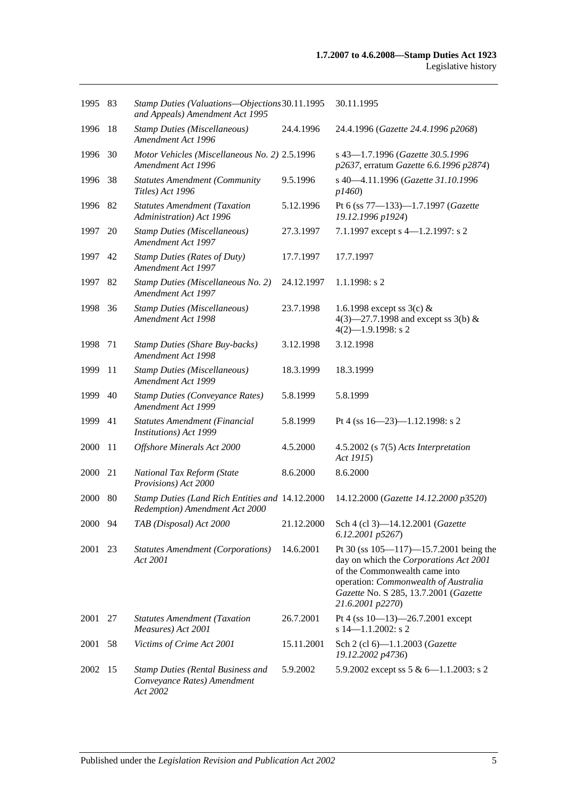| 1995 83 |    | Stamp Duties (Valuations-Objections 30.11.1995<br>and Appeals) Amendment Act 1995   |            | 30.11.1995                                                                                                                                                                                                                   |
|---------|----|-------------------------------------------------------------------------------------|------------|------------------------------------------------------------------------------------------------------------------------------------------------------------------------------------------------------------------------------|
| 1996    | 18 | <b>Stamp Duties (Miscellaneous)</b><br>Amendment Act 1996                           | 24.4.1996  | 24.4.1996 (Gazette 24.4.1996 p2068)                                                                                                                                                                                          |
| 1996    | 30 | Motor Vehicles (Miscellaneous No. 2) 2.5.1996<br>Amendment Act 1996                 |            | s 43-1.7.1996 (Gazette 30.5.1996<br>p2637, erratum Gazette 6.6.1996 p2874)                                                                                                                                                   |
| 1996    | 38 | <b>Statutes Amendment (Community</b><br>Titles) Act 1996                            | 9.5.1996   | s 40-4.11.1996 (Gazette 31.10.1996<br>p1460                                                                                                                                                                                  |
| 1996 82 |    | <b>Statutes Amendment (Taxation</b><br>Administration) Act 1996                     | 5.12.1996  | Pt 6 (ss 77-133)-1.7.1997 (Gazette<br>19.12.1996 p1924)                                                                                                                                                                      |
| 1997    | 20 | <b>Stamp Duties (Miscellaneous)</b><br>Amendment Act 1997                           | 27.3.1997  | 7.1.1997 except s 4-1.2.1997: s 2                                                                                                                                                                                            |
| 1997    | 42 | <b>Stamp Duties (Rates of Duty)</b><br>Amendment Act 1997                           | 17.7.1997  | 17.7.1997                                                                                                                                                                                                                    |
| 1997    | 82 | Stamp Duties (Miscellaneous No. 2)<br>Amendment Act 1997                            | 24.12.1997 | $1.1.1998$ : s 2                                                                                                                                                                                                             |
| 1998    | 36 | <b>Stamp Duties (Miscellaneous)</b><br>Amendment Act 1998                           | 23.7.1998  | 1.6.1998 except ss $3(c)$ &<br>4(3)–27.7.1998 and except ss 3(b) &<br>$4(2)$ -1.9.1998: s 2                                                                                                                                  |
| 1998    | 71 | <b>Stamp Duties (Share Buy-backs)</b><br>Amendment Act 1998                         | 3.12.1998  | 3.12.1998                                                                                                                                                                                                                    |
| 1999    | 11 | <b>Stamp Duties (Miscellaneous)</b><br>Amendment Act 1999                           | 18.3.1999  | 18.3.1999                                                                                                                                                                                                                    |
| 1999    | 40 | <b>Stamp Duties (Conveyance Rates)</b><br>Amendment Act 1999                        | 5.8.1999   | 5.8.1999                                                                                                                                                                                                                     |
| 1999    | 41 | Statutes Amendment (Financial<br>Institutions) Act 1999                             | 5.8.1999   | Pt 4 (ss $16 - 23$ )-1.12.1998: s 2                                                                                                                                                                                          |
| 2000    | 11 | Offshore Minerals Act 2000                                                          | 4.5.2000   | $4.5.2002$ (s $7(5)$ Acts Interpretation<br>Act 1915)                                                                                                                                                                        |
| 2000    | 21 | National Tax Reform (State<br>Provisions) Act 2000                                  | 8.6.2000   | 8.6.2000                                                                                                                                                                                                                     |
| 2000    | 80 | Stamp Duties (Land Rich Entities and 14.12.2000)<br>Redemption) Amendment Act 2000  |            | 14.12.2000 (Gazette 14.12.2000 p3520)                                                                                                                                                                                        |
| 2000 94 |    | TAB (Disposal) Act 2000                                                             | 21.12.2000 | Sch 4 (cl 3)-14.12.2001 (Gazette<br>6.12.2001 p5267)                                                                                                                                                                         |
| 2001    | 23 | <b>Statutes Amendment (Corporations)</b><br>Act 2001                                | 14.6.2001  | Pt 30 (ss $105 - 117$ ) -15.7.2001 being the<br>day on which the Corporations Act 2001<br>of the Commonwealth came into<br>operation: Commonwealth of Australia<br>Gazette No. S 285, 13.7.2001 (Gazette<br>21.6.2001 p2270) |
| 2001    | 27 | <b>Statutes Amendment (Taxation</b><br>Measures) Act 2001                           | 26.7.2001  | Pt 4 (ss $10-13$ )-26.7.2001 except<br>s $14 - 1.1.2002$ : s 2                                                                                                                                                               |
| 2001    | 58 | Victims of Crime Act 2001                                                           | 15.11.2001 | Sch 2 (cl 6)-1.1.2003 (Gazette<br>19.12.2002 p4736)                                                                                                                                                                          |
| 2002 15 |    | <b>Stamp Duties (Rental Business and</b><br>Conveyance Rates) Amendment<br>Act 2002 | 5.9.2002   | 5.9.2002 except ss $5 & 6 - 1.1.2003$ : s 2                                                                                                                                                                                  |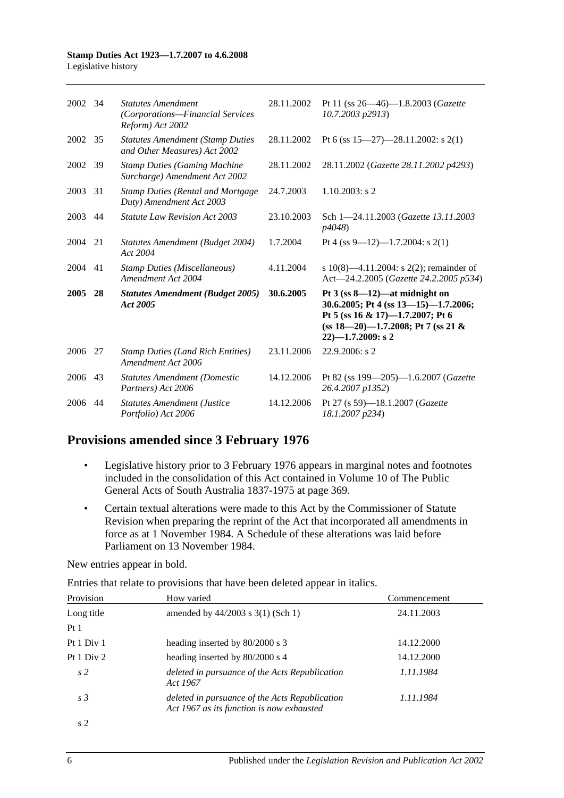| 2002    | -34 | <b>Statutes Amendment</b><br>(Corporations-Financial Services<br>Reform) Act 2002 | 28.11.2002 | Pt 11 (ss $26 - 46$ )-1.8.2003 ( <i>Gazette</i><br>$10.7.2003$ $p2913$ )                                                                                                        |
|---------|-----|-----------------------------------------------------------------------------------|------------|---------------------------------------------------------------------------------------------------------------------------------------------------------------------------------|
| 2002    | 35  | <b>Statutes Amendment (Stamp Duties</b><br>and Other Measures) Act 2002           | 28.11.2002 | Pt 6 (ss $15-27$ )-28.11.2002: s 2(1)                                                                                                                                           |
| 2002    | 39  | <b>Stamp Duties (Gaming Machine</b><br>Surcharge) Amendment Act 2002              | 28.11.2002 | 28.11.2002 (Gazette 28.11.2002 p4293)                                                                                                                                           |
| 2003    | 31  | <b>Stamp Duties (Rental and Mortgage</b><br>Duty) Amendment Act 2003              | 24.7.2003  | $1.10.2003$ : s 2                                                                                                                                                               |
| 2003    | 44  | <b>Statute Law Revision Act 2003</b>                                              | 23.10.2003 | Sch 1-24.11.2003 (Gazette 13.11.2003)<br>p4048)                                                                                                                                 |
| 2004    | 21  | Statutes Amendment (Budget 2004)<br>Act 2004                                      | 1.7.2004   | Pt 4 (ss 9–12)–1.7.2004: s 2(1)                                                                                                                                                 |
| 2004    | 41  | <b>Stamp Duties (Miscellaneous)</b><br>Amendment Act 2004                         | 4.11.2004  | s 10(8)—4.11.2004: s 2(2); remainder of<br>Act-24.2.2005 (Gazette 24.2.2005 p534)                                                                                               |
| 2005 28 |     | <b>Statutes Amendment (Budget 2005)</b><br>Act 2005                               | 30.6.2005  | Pt $3$ (ss $8-12$ )—at midnight on<br>30.6.2005; Pt 4 (ss 13-15)-1.7.2006;<br>Pt 5 (ss 16 & 17)-1.7.2007; Pt 6<br>$(ss 18-20)$ -1.7.2008; Pt 7 (ss 21 &<br>$22$ )-1.7.2009: s 2 |
| 2006    | 27  | <b>Stamp Duties (Land Rich Entities)</b><br>Amendment Act 2006                    | 23.11.2006 | 22.9.2006: s 2                                                                                                                                                                  |
| 2006    | 43  | <b>Statutes Amendment (Domestic</b><br>Partners) Act 2006                         | 14.12.2006 | Pt 82 (ss 199-205)-1.6.2007 (Gazette<br>26.4.2007 p1352)                                                                                                                        |
| 2006    | 44  | <b>Statutes Amendment (Justice</b><br>Portfolio) Act 2006                         | 14.12.2006 | Pt 27 (s 59)-18.1.2007 (Gazette<br>18.1.2007 p234)                                                                                                                              |

# **Provisions amended since 3 February 1976**

- Legislative history prior to 3 February 1976 appears in marginal notes and footnotes included in the consolidation of this Act contained in Volume 10 of The Public General Acts of South Australia 1837-1975 at page 369.
- Certain textual alterations were made to this Act by the Commissioner of Statute Revision when preparing the reprint of the Act that incorporated all amendments in force as at 1 November 1984. A Schedule of these alterations was laid before Parliament on 13 November 1984.

New entries appear in bold.

Entries that relate to provisions that have been deleted appear in italics.

| Provision      | How varied                                                                                  | Commencement |
|----------------|---------------------------------------------------------------------------------------------|--------------|
| Long title     | amended by $44/2003$ s $3(1)$ (Sch 1)                                                       | 24.11.2003   |
| Pt1            |                                                                                             |              |
| Pt 1 Div 1     | heading inserted by 80/2000 s 3                                                             | 14.12.2000   |
| Pt 1 Div 2     | heading inserted by 80/2000 s 4                                                             | 14.12.2000   |
| s <sub>2</sub> | deleted in pursuance of the Acts Republication<br>Act 1967                                  | 1.11.1984    |
| s <sub>3</sub> | deleted in pursuance of the Acts Republication<br>Act 1967 as its function is now exhausted | 1.11.1984    |
| s 2            |                                                                                             |              |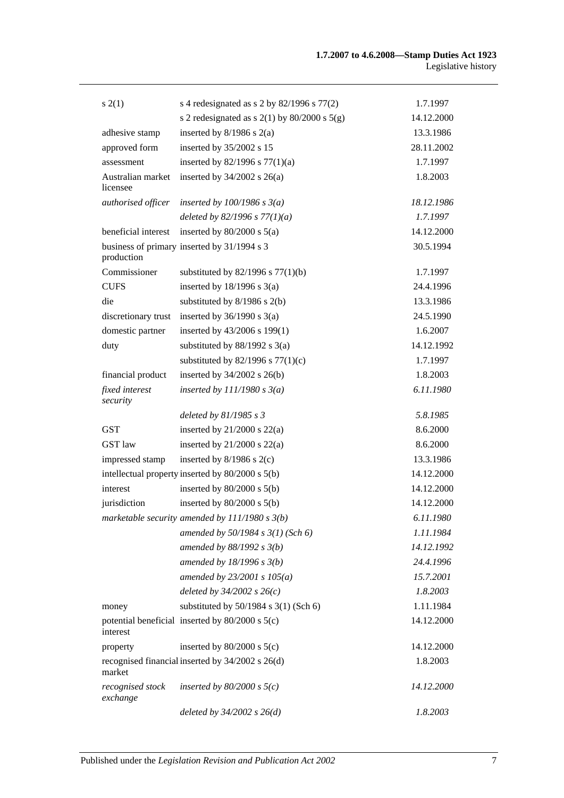| s(2(1))                       | s 4 redesignated as s 2 by $82/1996$ s $77(2)$     | 1.7.1997   |
|-------------------------------|----------------------------------------------------|------------|
|                               | s 2 redesignated as s $2(1)$ by $80/2000$ s $5(g)$ | 14.12.2000 |
| adhesive stamp                | inserted by $8/1986$ s $2(a)$                      | 13.3.1986  |
| approved form                 | inserted by 35/2002 s 15                           | 28.11.2002 |
| assessment                    | inserted by $82/1996$ s $77(1)(a)$                 | 1.7.1997   |
| Australian market<br>licensee | inserted by $34/2002$ s $26(a)$                    | 1.8.2003   |
| authorised officer            | inserted by $100/1986$ s $3(a)$                    | 18.12.1986 |
|                               | deleted by $82/1996 s 77(1)(a)$                    | 1.7.1997   |
| beneficial interest           | inserted by $80/2000$ s $5(a)$                     | 14.12.2000 |
| production                    | business of primary inserted by 31/1994 s 3        | 30.5.1994  |
| Commissioner                  | substituted by $82/1996$ s $77(1)(b)$              | 1.7.1997   |
| <b>CUFS</b>                   | inserted by $18/1996$ s $3(a)$                     | 24.4.1996  |
| die                           | substituted by $8/1986$ s $2(b)$                   | 13.3.1986  |
| discretionary trust           | inserted by $36/1990$ s $3(a)$                     | 24.5.1990  |
| domestic partner              | inserted by 43/2006 s 199(1)                       | 1.6.2007   |
| duty                          | substituted by $88/1992$ s 3(a)                    | 14.12.1992 |
|                               | substituted by $82/1996$ s $77(1)(c)$              | 1.7.1997   |
| financial product             | inserted by $34/2002$ s $26(b)$                    | 1.8.2003   |
| fixed interest<br>security    | inserted by $111/1980 s 3(a)$                      | 6.11.1980  |
|                               | deleted by $81/1985 s 3$                           | 5.8.1985   |
| <b>GST</b>                    | inserted by $21/2000$ s $22(a)$                    | 8.6.2000   |
| <b>GST</b> law                | inserted by $21/2000$ s $22(a)$                    | 8.6.2000   |
| impressed stamp               | inserted by $8/1986$ s $2(c)$                      | 13.3.1986  |
|                               | intellectual property inserted by 80/2000 s 5(b)   | 14.12.2000 |
| interest                      | inserted by $80/2000$ s $5(b)$                     | 14.12.2000 |
| jurisdiction                  | inserted by $80/2000$ s $5(b)$                     | 14.12.2000 |
|                               | marketable security amended by $111/1980 s 3(b)$   | 6.11.1980  |
|                               | amended by $50/1984$ s $3(1)$ (Sch 6)              | 1.11.1984  |
|                               | amended by $88/1992 s 3(b)$                        | 14.12.1992 |
|                               | amended by $18/1996 s 3(b)$                        | 24.4.1996  |
|                               | amended by $23/2001 s 105(a)$                      | 15.7.2001  |
|                               | deleted by $34/2002$ s $26(c)$                     | 1.8.2003   |
| money                         | substituted by $50/1984$ s $3(1)$ (Sch 6)          | 1.11.1984  |
| interest                      | potential beneficial inserted by 80/2000 s 5(c)    | 14.12.2000 |
| property                      | inserted by $80/2000$ s $5(c)$                     | 14.12.2000 |
| market                        | recognised financial inserted by 34/2002 s 26(d)   | 1.8.2003   |
| recognised stock<br>exchange  | inserted by $80/2000$ s $5(c)$                     | 14.12.2000 |
|                               | deleted by $34/2002$ s $26(d)$                     | 1.8.2003   |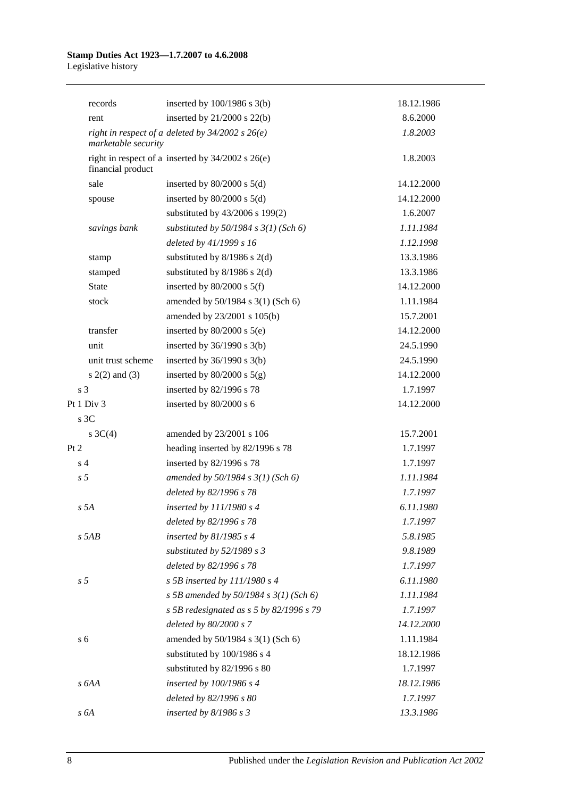|                | records             | inserted by $100/1986$ s $3(b)$                       | 18.12.1986 |
|----------------|---------------------|-------------------------------------------------------|------------|
|                | rent                | inserted by $21/2000$ s $22(b)$                       | 8.6.2000   |
|                | marketable security | right in respect of a deleted by $34/2002$ s $26(e)$  | 1.8.2003   |
|                | financial product   | right in respect of a inserted by $34/2002$ s $26(e)$ | 1.8.2003   |
|                | sale                | inserted by $80/2000$ s $5(d)$                        | 14.12.2000 |
|                | spouse              | inserted by $80/2000$ s $5(d)$                        | 14.12.2000 |
|                |                     | substituted by 43/2006 s 199(2)                       | 1.6.2007   |
|                | savings bank        | substituted by $50/1984$ s $3(1)$ (Sch 6)             | 1.11.1984  |
|                |                     | deleted by 41/1999 s 16                               | 1.12.1998  |
|                | stamp               | substituted by $8/1986$ s $2(d)$                      | 13.3.1986  |
|                | stamped             | substituted by $8/1986$ s $2(d)$                      | 13.3.1986  |
|                | <b>State</b>        | inserted by $80/2000$ s $5(f)$                        | 14.12.2000 |
|                | stock               | amended by 50/1984 s 3(1) (Sch 6)                     | 1.11.1984  |
|                |                     | amended by 23/2001 s 105(b)                           | 15.7.2001  |
|                | transfer            | inserted by $80/2000$ s $5(e)$                        | 14.12.2000 |
|                | unit                | inserted by $36/1990$ s $3(b)$                        | 24.5.1990  |
|                | unit trust scheme   | inserted by $36/1990$ s $3(b)$                        | 24.5.1990  |
|                | $s(2(2)$ and $(3)$  | inserted by $80/2000$ s $5(g)$                        | 14.12.2000 |
| s <sub>3</sub> |                     | inserted by 82/1996 s 78                              | 1.7.1997   |
|                | Pt 1 Div 3          | inserted by 80/2000 s 6                               | 14.12.2000 |
|                | s 3C                |                                                       |            |
|                | s $3C(4)$           | amended by 23/2001 s 106                              | 15.7.2001  |
| Pt 2           |                     | heading inserted by 82/1996 s 78                      | 1.7.1997   |
| s <sub>4</sub> |                     | inserted by 82/1996 s 78                              | 1.7.1997   |
| s <sub>5</sub> |                     | amended by $50/1984 s 3(1)$ (Sch 6)                   | 1.11.1984  |
|                |                     | deleted by 82/1996 s 78                               | 1.7.1997   |
|                | s <sub>5A</sub>     | inserted by 111/1980 s 4                              | 6.11.1980  |
|                |                     | deleted by 82/1996 s 78                               | 1.7.1997   |
|                | $s$ 5AB             | inserted by $81/1985 s 4$                             | 5.8.1985   |
|                |                     | substituted by $52/1989$ s 3                          | 9.8.1989   |
|                |                     | deleted by 82/1996 s 78                               | 1.7.1997   |
| s <sub>5</sub> |                     | s 5B inserted by $111/1980$ s 4                       | 6.11.1980  |
|                |                     | s 5B amended by 50/1984 s $3(1)$ (Sch 6)              | 1.11.1984  |
|                |                     | s 5B redesignated as $s$ 5 by 82/1996 s 79            | 1.7.1997   |
|                |                     | deleted by 80/2000 s 7                                | 14.12.2000 |
| s <sub>6</sub> |                     | amended by 50/1984 s 3(1) (Sch 6)                     | 1.11.1984  |
|                |                     | substituted by 100/1986 s 4                           | 18.12.1986 |
|                |                     | substituted by 82/1996 s 80                           | 1.7.1997   |
|                | s 6AA               | inserted by $100/1986$ s 4                            | 18.12.1986 |
|                |                     | deleted by 82/1996 s 80                               | 1.7.1997   |
|                | s 6A                | inserted by $8/1986 s 3$                              | 13.3.1986  |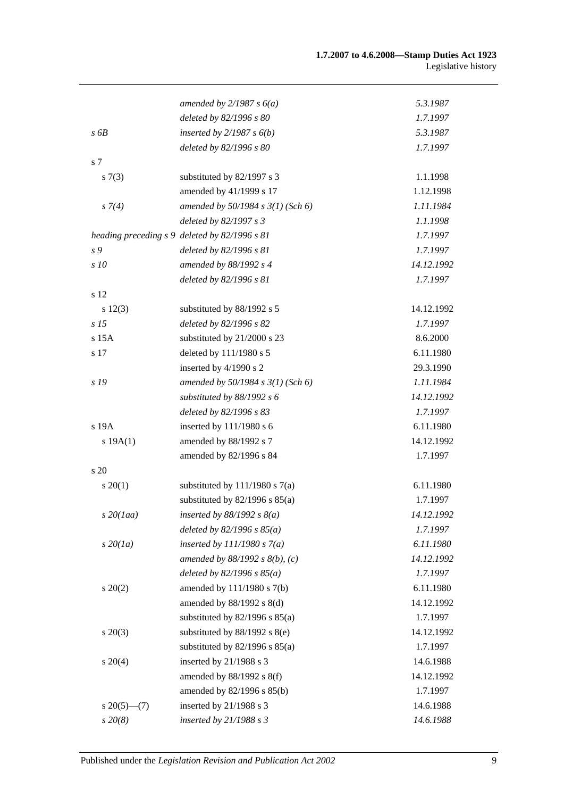|                   | amended by $2/1987 s 6(a)$                    | 5.3.1987   |
|-------------------|-----------------------------------------------|------------|
|                   | deleted by 82/1996 s 80                       | 1.7.1997   |
| s 6B              | inserted by $2/1987 s 6(b)$                   | 5.3.1987   |
|                   | deleted by 82/1996 s 80                       | 1.7.1997   |
| s 7               |                                               |            |
| s(7(3))           | substituted by 82/1997 s 3                    | 1.1.1998   |
|                   | amended by 41/1999 s 17                       | 1.12.1998  |
| $s \, 7(4)$       | amended by $50/1984 s 3(1)$ (Sch 6)           | 1.11.1984  |
|                   | deleted by 82/1997 s 3                        | 1.1.1998   |
|                   | heading preceding s 9 deleted by 82/1996 s 81 | 1.7.1997   |
| s 9               | deleted by 82/1996 s 81                       | 1.7.1997   |
| s 10              | amended by 88/1992 s 4                        | 14.12.1992 |
|                   | deleted by 82/1996 s 81                       | 1.7.1997   |
| s 12              |                                               |            |
| s 12(3)           | substituted by 88/1992 s 5                    | 14.12.1992 |
| s <sub>15</sub>   | deleted by 82/1996 s 82                       | 1.7.1997   |
| s 15A             | substituted by 21/2000 s 23                   | 8.6.2000   |
| s 17              | deleted by 111/1980 s 5                       | 6.11.1980  |
|                   | inserted by 4/1990 s 2                        | 29.3.1990  |
| s 19              | amended by 50/1984 s 3(1) (Sch 6)             | 1.11.1984  |
|                   | substituted by $88/1992 s 6$                  | 14.12.1992 |
|                   | deleted by 82/1996 s 83                       | 1.7.1997   |
| s 19A             | inserted by 111/1980 s 6                      | 6.11.1980  |
| s 19A(1)          | amended by 88/1992 s 7                        | 14.12.1992 |
|                   | amended by 82/1996 s 84                       | 1.7.1997   |
| s 20              |                                               |            |
| $s \ 20(1)$       | substituted by $111/1980$ s $7(a)$            | 6.11.1980  |
|                   | substituted by $82/1996$ s $85(a)$            | 1.7.1997   |
| $s$ 20(1aa)       | inserted by $88/1992 s 8(a)$                  | 14.12.1992 |
|                   | deleted by $82/1996 s 85(a)$                  | 1.7.1997   |
| $s\,20(1a)$       | inserted by $111/1980 s 7(a)$                 | 6.11.1980  |
|                   | amended by $88/1992 s 8(b)$ , (c)             | 14.12.1992 |
|                   | deleted by $82/1996 s 85(a)$                  | 1.7.1997   |
| $s\,20(2)$        | amended by 111/1980 s 7(b)                    | 6.11.1980  |
|                   | amended by $88/1992$ s $8(d)$                 | 14.12.1992 |
|                   | substituted by $82/1996$ s $85(a)$            | 1.7.1997   |
| $s\,20(3)$        | substituted by 88/1992 s 8(e)                 | 14.12.1992 |
|                   | substituted by $82/1996$ s $85(a)$            | 1.7.1997   |
| $s \ 20(4)$       | inserted by 21/1988 s 3                       | 14.6.1988  |
|                   | amended by $88/1992$ s $8(f)$                 | 14.12.1992 |
|                   | amended by 82/1996 s 85(b)                    | 1.7.1997   |
| $s \, 20(5)$ —(7) | inserted by 21/1988 s 3                       | 14.6.1988  |
| $s\,20(8)$        | inserted by $21/1988 s 3$                     | 14.6.1988  |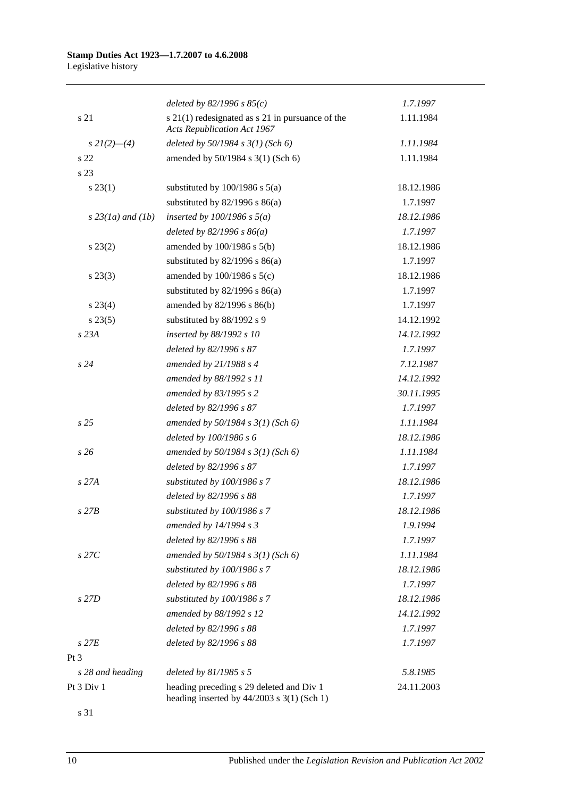|                     | deleted by $82/1996 s 85(c)$                                                               | 1.7.1997   |
|---------------------|--------------------------------------------------------------------------------------------|------------|
| s 21                | $s$ 21(1) redesignated as $s$ 21 in pursuance of the<br><b>Acts Republication Act 1967</b> | 1.11.1984  |
| $s\,2I(2)$ —(4)     | deleted by $50/1984 s 3(1)$ (Sch 6)                                                        | 1.11.1984  |
| s <sub>22</sub>     | amended by 50/1984 s 3(1) (Sch 6)                                                          | 1.11.1984  |
| s 23                |                                                                                            |            |
| $s\,23(1)$          | substituted by $100/1986$ s $5(a)$                                                         | 18.12.1986 |
|                     | substituted by $82/1996$ s $86(a)$                                                         | 1.7.1997   |
| $s$ 23(1a) and (1b) | inserted by $100/1986$ s $5(a)$                                                            | 18.12.1986 |
|                     | deleted by $82/1996 s 86(a)$                                                               | 1.7.1997   |
| $s\,23(2)$          | amended by $100/1986$ s $5(b)$                                                             | 18.12.1986 |
|                     | substituted by $82/1996$ s $86(a)$                                                         | 1.7.1997   |
| $s\,23(3)$          | amended by $100/1986$ s $5(c)$                                                             | 18.12.1986 |
|                     | substituted by $82/1996$ s $86(a)$                                                         | 1.7.1997   |
| $s\,23(4)$          | amended by 82/1996 s 86(b)                                                                 | 1.7.1997   |
| $s\,23(5)$          | substituted by 88/1992 s 9                                                                 | 14.12.1992 |
| s 23A               | inserted by 88/1992 s 10                                                                   | 14.12.1992 |
|                     | deleted by 82/1996 s 87                                                                    | 1.7.1997   |
| s24                 | amended by $21/1988 s 4$                                                                   | 7.12.1987  |
|                     | amended by 88/1992 s 11                                                                    | 14.12.1992 |
|                     | amended by 83/1995 s 2                                                                     | 30.11.1995 |
|                     | deleted by 82/1996 s 87                                                                    | 1.7.1997   |
| s25                 | amended by $50/1984 s 3(1)$ (Sch 6)                                                        | 1.11.1984  |
|                     | deleted by 100/1986 s 6                                                                    | 18.12.1986 |
| s26                 | amended by $50/1984 s 3(1)$ (Sch 6)                                                        | 1.11.1984  |
|                     | deleted by 82/1996 s 87                                                                    | 1.7.1997   |
| $s$ 27 $A$          | substituted by 100/1986 s 7                                                                | 18.12.1986 |
|                     | deleted by 82/1996 s 88                                                                    | 1.7.1997   |
| $s$ 27 $B$          | substituted by 100/1986 s 7                                                                | 18.12.1986 |
|                     | amended by $14/1994 s3$                                                                    | 1.9.1994   |
|                     | deleted by 82/1996 s 88                                                                    | 1.7.1997   |
| $s$ 27 $C$          | amended by $50/1984 s 3(1)$ (Sch 6)                                                        | 1.11.1984  |
|                     | substituted by 100/1986 s 7                                                                | 18.12.1986 |
|                     | deleted by 82/1996 s 88                                                                    | 1.7.1997   |
| s 27D               | substituted by 100/1986 s 7                                                                | 18.12.1986 |
|                     | amended by 88/1992 s 12                                                                    | 14.12.1992 |
|                     | deleted by 82/1996 s 88                                                                    | 1.7.1997   |
| $s$ 27 $E$          | deleted by 82/1996 s 88                                                                    | 1.7.1997   |
| $Pt\,3$             |                                                                                            |            |
| s 28 and heading    | deleted by $81/1985 s 5$                                                                   | 5.8.1985   |
| Pt 3 Div 1          | heading preceding s 29 deleted and Div 1<br>heading inserted by $44/2003$ s 3(1) (Sch 1)   | 24.11.2003 |

s 31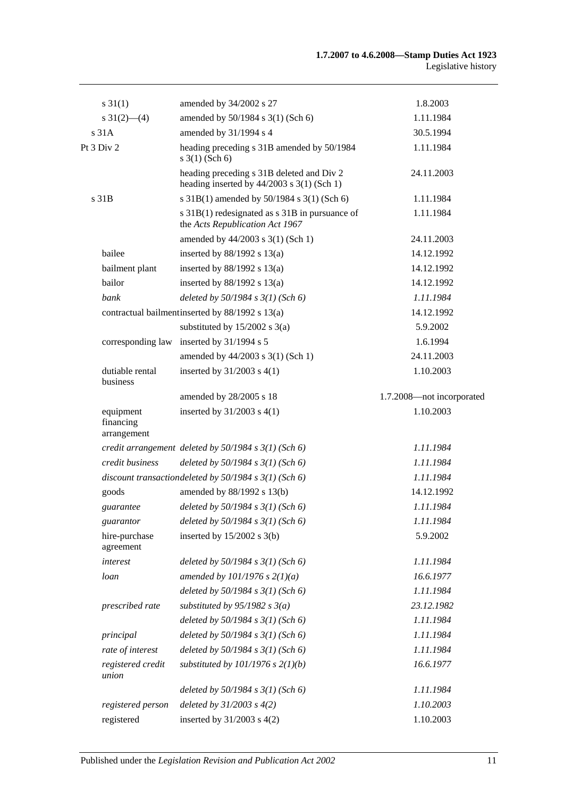| $s \, 31(1)$                          | amended by 34/2002 s 27                                                                   | 1.8.2003                  |
|---------------------------------------|-------------------------------------------------------------------------------------------|---------------------------|
| $s \frac{31(2) - (4)}{2}$             | amended by 50/1984 s 3(1) (Sch 6)                                                         | 1.11.1984                 |
| s 31A                                 | amended by 31/1994 s 4                                                                    | 30.5.1994                 |
| Pt 3 Div 2                            | heading preceding s 31B amended by 50/1984<br>$s \; 3(1)$ (Sch 6)                         | 1.11.1984                 |
|                                       | heading preceding s 31B deleted and Div 2<br>heading inserted by $44/2003$ s 3(1) (Sch 1) | 24.11.2003                |
| s 31B                                 | s 31B(1) amended by 50/1984 s 3(1) (Sch 6)                                                | 1.11.1984                 |
|                                       | s 31B(1) redesignated as s 31B in pursuance of<br>the Acts Republication Act 1967         | 1.11.1984                 |
|                                       | amended by 44/2003 s 3(1) (Sch 1)                                                         | 24.11.2003                |
| bailee                                | inserted by $88/1992$ s $13(a)$                                                           | 14.12.1992                |
| bailment plant                        | inserted by $88/1992$ s $13(a)$                                                           | 14.12.1992                |
| bailor                                | inserted by $88/1992$ s $13(a)$                                                           | 14.12.1992                |
| bank                                  | deleted by $50/1984$ s $3(1)$ (Sch 6)                                                     | 1.11.1984                 |
|                                       | contractual bailment inserted by 88/1992 s 13(a)                                          | 14.12.1992                |
|                                       | substituted by $15/2002$ s 3(a)                                                           | 5.9.2002                  |
| corresponding law                     | inserted by $31/1994$ s 5                                                                 | 1.6.1994                  |
|                                       | amended by 44/2003 s 3(1) (Sch 1)                                                         | 24.11.2003                |
| dutiable rental<br>business           | inserted by $31/2003$ s $4(1)$                                                            | 1.10.2003                 |
|                                       | amended by 28/2005 s 18                                                                   | 1.7.2008-not incorporated |
| equipment<br>financing<br>arrangement | inserted by $31/2003$ s $4(1)$                                                            | 1.10.2003                 |
|                                       | credit arrangement deleted by $50/1984$ s $3(1)$ (Sch 6)                                  | 1.11.1984                 |
| credit business                       | deleted by $50/1984$ s $3(1)$ (Sch 6)                                                     | 1.11.1984                 |
|                                       | discount transaction deleted by $50/1984$ s $3(1)$ (Sch 6)                                | 1.11.1984                 |
| goods                                 | amended by 88/1992 s 13(b)                                                                | 14.12.1992                |
| guarantee                             | deleted by $50/1984$ s $3(1)$ (Sch 6)                                                     | 1.11.1984                 |
| guarantor                             | deleted by $50/1984 s 3(1)$ (Sch 6)                                                       | 1.11.1984                 |
| hire-purchase<br>agreement            | inserted by $15/2002$ s 3(b)                                                              | 5.9.2002                  |
| interest                              | deleted by $50/1984$ s $3(1)$ (Sch 6)                                                     | 1.11.1984                 |
| loan                                  | amended by $101/1976$ s $2(1)(a)$                                                         | 16.6.1977                 |
|                                       | deleted by $50/1984$ s $3(1)$ (Sch 6)                                                     | 1.11.1984                 |
| prescribed rate                       | substituted by $95/1982$ s $3(a)$                                                         | 23.12.1982                |
|                                       | deleted by $50/1984$ s $3(1)$ (Sch 6)                                                     | 1.11.1984                 |
| principal                             | deleted by $50/1984$ s $3(1)$ (Sch 6)                                                     | 1.11.1984                 |
| rate of interest                      | deleted by $50/1984$ s $3(1)$ (Sch 6)                                                     | 1.11.1984                 |
| registered credit<br>union            | substituted by $101/1976$ s $2(1)(b)$                                                     | 16.6.1977                 |
|                                       | deleted by $50/1984$ s $3(1)$ (Sch 6)                                                     | 1.11.1984                 |
| registered person                     | deleted by $31/2003$ s $4(2)$                                                             | 1.10.2003                 |
| registered                            | inserted by $31/2003$ s $4(2)$                                                            | 1.10.2003                 |
|                                       |                                                                                           |                           |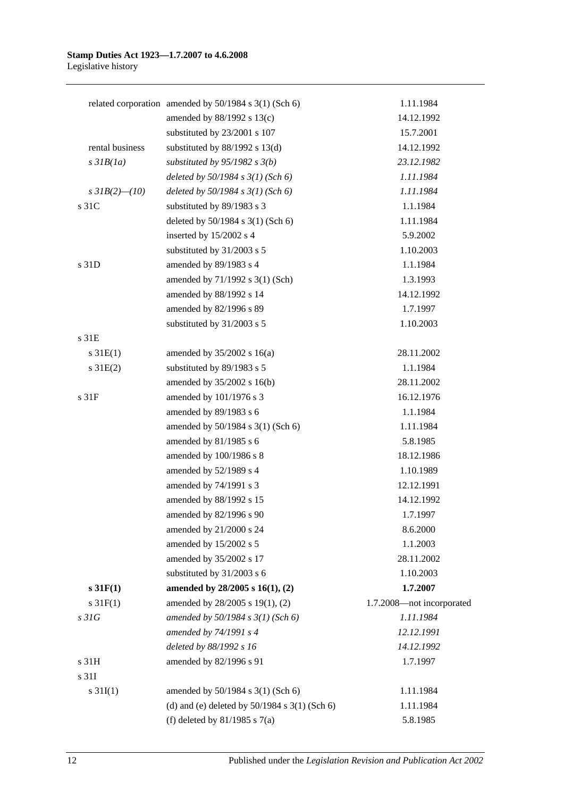|                  | related corporation amended by 50/1984 s 3(1) (Sch 6) | 1.11.1984                 |
|------------------|-------------------------------------------------------|---------------------------|
|                  | amended by 88/1992 s 13(c)                            | 14.12.1992                |
|                  | substituted by 23/2001 s 107                          | 15.7.2001                 |
| rental business  | substituted by $88/1992$ s $13(d)$                    | 14.12.1992                |
| $s$ 31 $B(1a)$   | substituted by $95/1982$ s $3(b)$                     | 23.12.1982                |
|                  | deleted by $50/1984$ s $3(1)$ (Sch 6)                 | 1.11.1984                 |
| s $3IB(2)$ (10)  | deleted by $50/1984$ s $3(1)$ (Sch 6)                 | 1.11.1984                 |
| s 31C            | substituted by 89/1983 s 3                            | 1.1.1984                  |
|                  | deleted by 50/1984 s 3(1) (Sch 6)                     | 1.11.1984                 |
|                  | inserted by 15/2002 s 4                               | 5.9.2002                  |
|                  | substituted by 31/2003 s 5                            | 1.10.2003                 |
| s 31D            | amended by 89/1983 s 4                                | 1.1.1984                  |
|                  | amended by 71/1992 s 3(1) (Sch)                       | 1.3.1993                  |
|                  | amended by 88/1992 s 14                               | 14.12.1992                |
|                  | amended by 82/1996 s 89                               | 1.7.1997                  |
|                  | substituted by 31/2003 s 5                            | 1.10.2003                 |
| s <sub>31E</sub> |                                                       |                           |
| $s \, 31E(1)$    | amended by $35/2002$ s 16(a)                          | 28.11.2002                |
| $s \, 31E(2)$    | substituted by 89/1983 s 5                            | 1.1.1984                  |
|                  | amended by 35/2002 s 16(b)                            | 28.11.2002                |
| s <sub>31F</sub> | amended by 101/1976 s 3                               | 16.12.1976                |
|                  | amended by 89/1983 s 6                                | 1.1.1984                  |
|                  | amended by 50/1984 s 3(1) (Sch 6)                     | 1.11.1984                 |
|                  | amended by 81/1985 s 6                                | 5.8.1985                  |
|                  | amended by 100/1986 s 8                               | 18.12.1986                |
|                  | amended by 52/1989 s 4                                | 1.10.1989                 |
|                  | amended by 74/1991 s 3                                | 12.12.1991                |
|                  | amended by 88/1992 s 15                               | 14.12.1992                |
|                  | amended by 82/1996 s 90                               | 1.7.1997                  |
|                  | amended by 21/2000 s 24                               | 8.6.2000                  |
|                  | amended by 15/2002 s 5                                | 1.1.2003                  |
|                  | amended by 35/2002 s 17                               | 28.11.2002                |
|                  | substituted by 31/2003 s 6                            | 1.10.2003                 |
| s 31F(1)         | amended by 28/2005 s 16(1), (2)                       | 1.7.2007                  |
| $s \, 31F(1)$    | amended by 28/2005 s 19(1), (2)                       | 1.7.2008-not incorporated |
| s31G             | amended by 50/1984 s 3(1) (Sch 6)                     | 1.11.1984                 |
|                  | amended by 74/1991 s 4                                | 12.12.1991                |
|                  | deleted by 88/1992 s 16                               | 14.12.1992                |
| s 31H            | amended by 82/1996 s 91                               | 1.7.1997                  |
| s 31I            |                                                       |                           |
| s $31I(1)$       | amended by 50/1984 s 3(1) (Sch 6)                     | 1.11.1984                 |
|                  | (d) and (e) deleted by $50/1984$ s $3(1)$ (Sch 6)     | 1.11.1984                 |
|                  | (f) deleted by $81/1985$ s $7(a)$                     | 5.8.1985                  |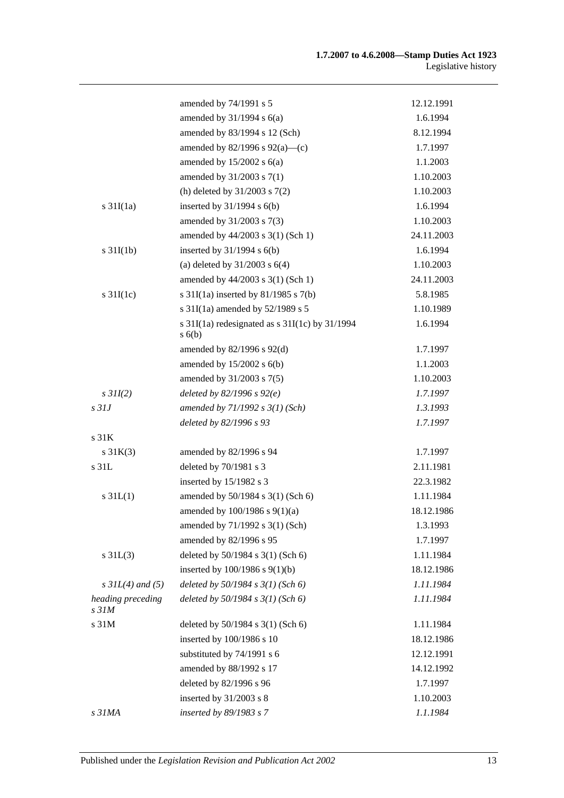|                            | amended by 74/1991 s 5                                 | 12.12.1991 |
|----------------------------|--------------------------------------------------------|------------|
|                            | amended by $31/1994$ s $6(a)$                          | 1.6.1994   |
|                            | amended by 83/1994 s 12 (Sch)                          | 8.12.1994  |
|                            | amended by $82/1996$ s $92(a)$ —(c)                    | 1.7.1997   |
|                            | amended by $15/2002$ s $6(a)$                          | 1.1.2003   |
|                            | amended by $31/2003$ s $7(1)$                          | 1.10.2003  |
|                            | (h) deleted by $31/2003$ s $7(2)$                      | 1.10.2003  |
| $s \frac{31I(1a)}{2}$      | inserted by $31/1994$ s $6(b)$                         | 1.6.1994   |
|                            | amended by 31/2003 s 7(3)                              | 1.10.2003  |
|                            | amended by 44/2003 s 3(1) (Sch 1)                      | 24.11.2003 |
| $s \frac{31I(1b)}{2}$      | inserted by $31/1994$ s $6(b)$                         | 1.6.1994   |
|                            | (a) deleted by $31/2003$ s $6(4)$                      | 1.10.2003  |
|                            | amended by 44/2003 s 3(1) (Sch 1)                      | 24.11.2003 |
| $s \frac{31I(1c)}{2}$      | s $31I(1a)$ inserted by $81/1985$ s $7(b)$             | 5.8.1985   |
|                            | s $31I(1a)$ amended by $52/1989$ s 5                   | 1.10.1989  |
|                            | s 31I(1a) redesignated as s 31I(1c) by 31/1994<br>s(6) | 1.6.1994   |
|                            | amended by 82/1996 s 92(d)                             | 1.7.1997   |
|                            | amended by $15/2002$ s $6(b)$                          | 1.1.2003   |
|                            | amended by 31/2003 s 7(5)                              | 1.10.2003  |
| $s$ 31I(2)                 | deleted by $82/1996 s 92(e)$                           | 1.7.1997   |
| $s$ 31J                    | amended by $71/1992 s 3(1)$ (Sch)                      | 1.3.1993   |
|                            | deleted by 82/1996 s 93                                | 1.7.1997   |
| s <sub>31K</sub>           |                                                        |            |
| $s \, 31K(3)$              | amended by 82/1996 s 94                                | 1.7.1997   |
| s 31L                      | deleted by 70/1981 s 3                                 | 2.11.1981  |
|                            | inserted by 15/1982 s 3                                | 22.3.1982  |
| $s \, 31L(1)$              | amended by 50/1984 s 3(1) (Sch 6)                      | 1.11.1984  |
|                            | amended by 100/1986 s 9(1)(a)                          | 18.12.1986 |
|                            | amended by 71/1992 s 3(1) (Sch)                        | 1.3.1993   |
|                            | amended by 82/1996 s 95                                | 1.7.1997   |
| $s \, 31L(3)$              | deleted by 50/1984 s 3(1) (Sch 6)                      | 1.11.1984  |
|                            | inserted by $100/1986$ s $9(1)(b)$                     | 18.12.1986 |
| $s$ 31L(4) and (5)         | deleted by $50/1984$ s $3(1)$ (Sch 6)                  | 1.11.1984  |
| heading preceding<br>s 31M | deleted by $50/1984$ s $3(1)$ (Sch 6)                  | 1.11.1984  |
| s 31M                      | deleted by 50/1984 s 3(1) (Sch 6)                      | 1.11.1984  |
|                            | inserted by 100/1986 s 10                              | 18.12.1986 |
|                            | substituted by 74/1991 s 6                             | 12.12.1991 |
|                            | amended by 88/1992 s 17                                | 14.12.1992 |
|                            | deleted by 82/1996 s 96                                | 1.7.1997   |
|                            | inserted by 31/2003 s 8                                | 1.10.2003  |
| s 31MA                     | inserted by 89/1983 s 7                                | 1.1.1984   |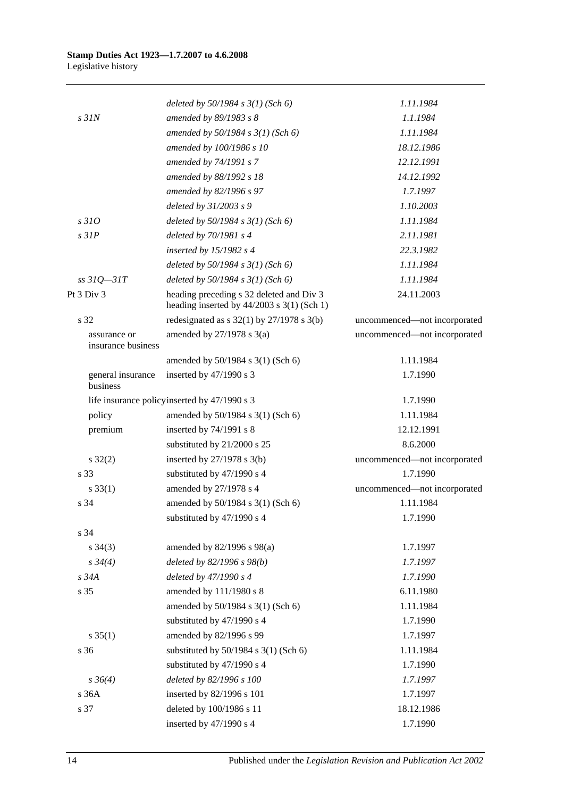|                                    | deleted by $50/1984$ s $3(1)$ (Sch 6)                                                    | 1.11.1984                    |
|------------------------------------|------------------------------------------------------------------------------------------|------------------------------|
| $s$ 31 $N$                         | amended by 89/1983 s 8                                                                   | 1.1.1984                     |
|                                    | amended by $50/1984 s 3(1)$ (Sch 6)                                                      | 1.11.1984                    |
|                                    | amended by 100/1986 s 10                                                                 | 18.12.1986                   |
|                                    | amended by 74/1991 s 7                                                                   | 12.12.1991                   |
|                                    | amended by 88/1992 s 18                                                                  | 14.12.1992                   |
|                                    | amended by 82/1996 s 97                                                                  | 1.7.1997                     |
|                                    | deleted by $31/2003 s9$                                                                  | 1.10.2003                    |
| s310                               | deleted by $50/1984$ s $3(1)$ (Sch 6)                                                    | 1.11.1984                    |
| $s$ 31 $P$                         | deleted by $70/1981 s4$                                                                  | 2.11.1981                    |
|                                    | inserted by $15/1982$ s 4                                                                | 22.3.1982                    |
|                                    | deleted by $50/1984$ s $3(1)$ (Sch 6)                                                    | 1.11.1984                    |
| $ss31Q - 31T$                      | deleted by $50/1984 s 3(1)$ (Sch 6)                                                      | 1.11.1984                    |
| Pt 3 Div 3                         | heading preceding s 32 deleted and Div 3<br>heading inserted by $44/2003$ s 3(1) (Sch 1) | 24.11.2003                   |
| s 32                               | redesignated as $s$ 32(1) by 27/1978 $s$ 3(b)                                            | uncommenced-not incorporated |
| assurance or<br>insurance business | amended by $27/1978$ s $3(a)$                                                            | uncommenced-not incorporated |
|                                    | amended by 50/1984 s 3(1) (Sch 6)                                                        | 1.11.1984                    |
| general insurance<br>business      | inserted by $47/1990$ s 3                                                                | 1.7.1990                     |
|                                    | life insurance policy inserted by 47/1990 s 3                                            | 1.7.1990                     |
| policy                             | amended by 50/1984 s 3(1) (Sch 6)                                                        | 1.11.1984                    |
| premium                            | inserted by 74/1991 s 8                                                                  | 12.12.1991                   |
|                                    | substituted by 21/2000 s 25                                                              | 8.6.2000                     |
| $s \, 32(2)$                       | inserted by $27/1978$ s 3(b)                                                             | uncommenced-not incorporated |
| s 33                               | substituted by 47/1990 s 4                                                               | 1.7.1990                     |
| $s \, 33(1)$                       | amended by 27/1978 s 4                                                                   | uncommenced-not incorporated |
| s 34                               | amended by 50/1984 s 3(1) (Sch 6)                                                        | 1.11.1984                    |
|                                    | substituted by 47/1990 s 4                                                               | 1.7.1990                     |
| s 34                               |                                                                                          |                              |
| $s \; 34(3)$                       | amended by $82/1996$ s $98(a)$                                                           | 1.7.1997                     |
| $s \, 34(4)$                       | deleted by 82/1996 s 98(b)                                                               | 1.7.1997                     |
| s 34A                              | deleted by 47/1990 s 4                                                                   | 1.7.1990                     |
| s 35                               | amended by 111/1980 s 8                                                                  | 6.11.1980                    |
|                                    | amended by 50/1984 s 3(1) (Sch 6)                                                        | 1.11.1984                    |
|                                    | substituted by 47/1990 s 4                                                               | 1.7.1990                     |
| $s \; 35(1)$                       | amended by 82/1996 s 99                                                                  | 1.7.1997                     |
| s 36                               | substituted by $50/1984$ s $3(1)$ (Sch 6)                                                | 1.11.1984                    |
|                                    | substituted by 47/1990 s 4                                                               | 1.7.1990                     |
| $s \, 36(4)$                       | deleted by 82/1996 s 100                                                                 | 1.7.1997                     |
| s 36A                              | inserted by 82/1996 s 101                                                                | 1.7.1997                     |
| s 37                               | deleted by 100/1986 s 11                                                                 | 18.12.1986                   |
|                                    | inserted by 47/1990 s 4                                                                  | 1.7.1990                     |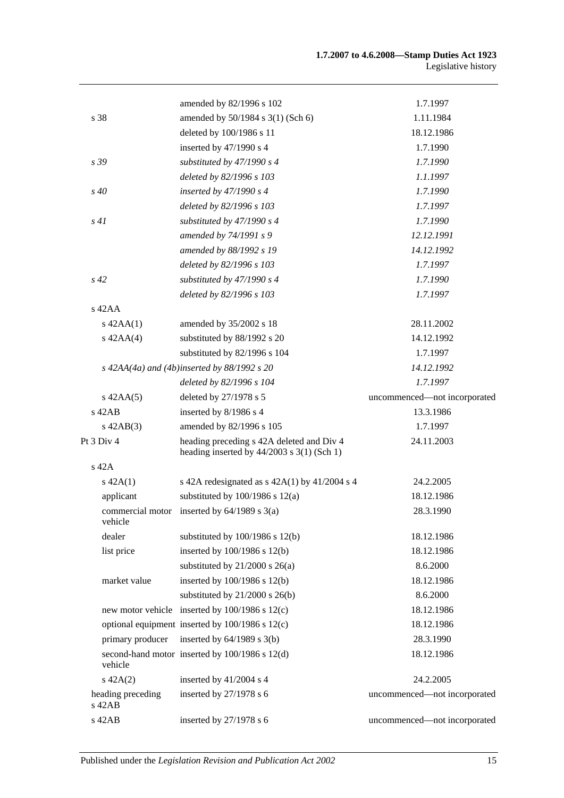|                                  | amended by 82/1996 s 102                                                                  | 1.7.1997                     |
|----------------------------------|-------------------------------------------------------------------------------------------|------------------------------|
| s 38                             | amended by 50/1984 s 3(1) (Sch 6)                                                         | 1.11.1984                    |
|                                  | deleted by 100/1986 s 11                                                                  | 18.12.1986                   |
|                                  | inserted by 47/1990 s 4                                                                   | 1.7.1990                     |
| s 39                             | substituted by $47/1990 s 4$                                                              | 1.7.1990                     |
|                                  | deleted by 82/1996 s 103                                                                  | 1.1.1997                     |
| $s\,40$                          | inserted by $47/1990 s 4$                                                                 | 1.7.1990                     |
|                                  | deleted by 82/1996 s 103                                                                  | 1.7.1997                     |
| s41                              | substituted by $47/1990 s 4$                                                              | 1.7.1990                     |
|                                  | amended by 74/1991 s 9                                                                    | 12.12.1991                   |
|                                  | amended by 88/1992 s 19                                                                   | 14.12.1992                   |
|                                  | deleted by 82/1996 s 103                                                                  | 1.7.1997                     |
| $s\,42$                          | substituted by $47/1990 s 4$                                                              | 1.7.1990                     |
|                                  | deleted by 82/1996 s 103                                                                  | 1.7.1997                     |
| $s$ 42AA                         |                                                                                           |                              |
| $s$ 42AA $(1)$                   | amended by 35/2002 s 18                                                                   | 28.11.2002                   |
| $s$ 42AA $(4)$                   | substituted by 88/1992 s 20                                                               | 14.12.1992                   |
|                                  | substituted by 82/1996 s 104                                                              | 1.7.1997                     |
|                                  | $s$ 42AA(4a) and (4b)inserted by 88/1992 s 20                                             | 14.12.1992                   |
|                                  | deleted by 82/1996 s 104                                                                  | 1.7.1997                     |
| $s$ 42AA $(5)$                   | deleted by 27/1978 s 5                                                                    | uncommenced-not incorporated |
| $s$ 42AB                         | inserted by 8/1986 s 4                                                                    | 13.3.1986                    |
| $s\ 42AB(3)$                     | amended by 82/1996 s 105                                                                  | 1.7.1997                     |
| Pt 3 Div 4                       | heading preceding s 42A deleted and Div 4<br>heading inserted by $44/2003$ s 3(1) (Sch 1) | 24.11.2003                   |
| $s$ 42A                          |                                                                                           |                              |
| $s\ 42A(1)$                      | s 42A redesignated as $s$ 42A(1) by 41/2004 s 4                                           | 24.2.2005                    |
| applicant                        | substituted by $100/1986$ s $12(a)$                                                       | 18.12.1986                   |
| vehicle                          | commercial motor inserted by $64/1989$ s $3(a)$                                           | 28.3.1990                    |
| dealer                           | substituted by $100/1986$ s $12(b)$                                                       | 18.12.1986                   |
| list price                       | inserted by 100/1986 s 12(b)                                                              | 18.12.1986                   |
|                                  | substituted by $21/2000$ s $26(a)$                                                        | 8.6.2000                     |
| market value                     | inserted by 100/1986 s 12(b)                                                              | 18.12.1986                   |
|                                  | substituted by $21/2000$ s $26(b)$                                                        | 8.6.2000                     |
|                                  | new motor vehicle inserted by 100/1986 s 12(c)                                            | 18.12.1986                   |
|                                  | optional equipment inserted by 100/1986 s 12(c)                                           | 18.12.1986                   |
| primary producer                 | inserted by $64/1989$ s $3(b)$                                                            | 28.3.1990                    |
| vehicle                          | second-hand motor inserted by 100/1986 s 12(d)                                            | 18.12.1986                   |
| $s\ 42A(2)$                      | inserted by 41/2004 s 4                                                                   | 24.2.2005                    |
| heading preceding<br>$s$ 42 $AB$ | inserted by 27/1978 s 6                                                                   | uncommenced-not incorporated |
| s 42AB                           | inserted by $27/1978$ s 6                                                                 | uncommenced-not incorporated |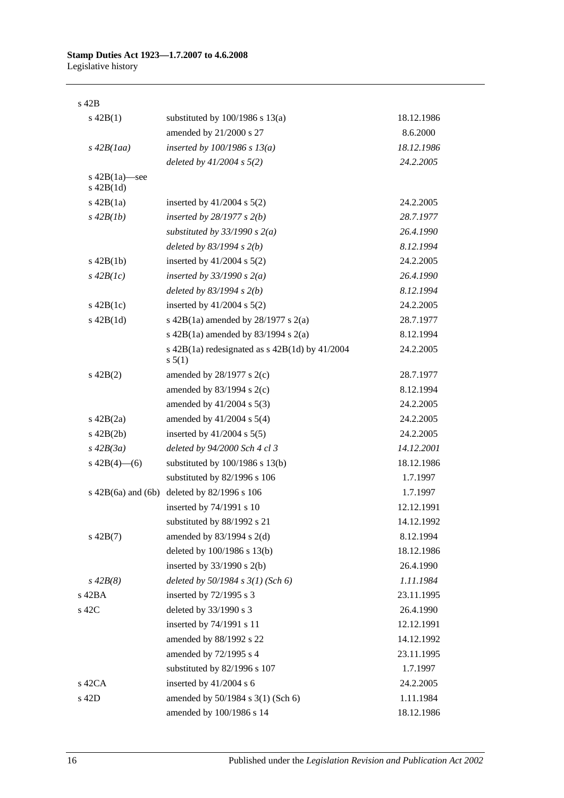s 42B

| $s\ 42B(1)$                        | substituted by $100/1986$ s $13(a)$                            | 18.12.1986 |
|------------------------------------|----------------------------------------------------------------|------------|
|                                    | amended by 21/2000 s 27                                        | 8.6.2000   |
| $s\,42B(1aa)$                      | inserted by $100/1986$ s $13(a)$                               | 18.12.1986 |
|                                    | deleted by $41/2004$ s $5(2)$                                  | 24.2.2005  |
| s $42B(1a)$ —see<br>$s$ 42B $(1d)$ |                                                                |            |
| $s\ 42B(1a)$                       | inserted by $41/2004$ s $5(2)$                                 | 24.2.2005  |
| $s\,42B(lb)$                       | inserted by $28/1977 s 2(b)$                                   | 28.7.1977  |
|                                    | substituted by $33/1990$ s $2(a)$                              | 26.4.1990  |
|                                    | deleted by $83/1994 s 2(b)$                                    | 8.12.1994  |
| $s\ 42B(1b)$                       | inserted by $41/2004$ s $5(2)$                                 | 24.2.2005  |
| $s\,42B(1c)$                       | inserted by $33/1990 s 2(a)$                                   | 26.4.1990  |
|                                    | deleted by $83/1994$ s $2(b)$                                  | 8.12.1994  |
| $s\ 42B(1c)$                       | inserted by $41/2004$ s $5(2)$                                 | 24.2.2005  |
| $s\ 42B(1d)$                       | s 42B(1a) amended by $28/1977$ s $2(a)$                        | 28.7.1977  |
|                                    | s 42B(1a) amended by 83/1994 s 2(a)                            | 8.12.1994  |
|                                    | s $42B(1a)$ redesignated as s $42B(1d)$ by $41/2004$<br>s 5(1) | 24.2.2005  |
| $s\ 42B(2)$                        | amended by $28/1977$ s $2(c)$                                  | 28.7.1977  |
|                                    | amended by $83/1994$ s 2(c)                                    | 8.12.1994  |
|                                    | amended by 41/2004 s 5(3)                                      | 24.2.2005  |
| $s\ 42B(2a)$                       | amended by $41/2004$ s $5(4)$                                  | 24.2.2005  |
| $s\ 42B(2b)$                       | inserted by $41/2004$ s $5(5)$                                 | 24.2.2005  |
| $s\ 42B(3a)$                       | deleted by 94/2000 Sch 4 cl 3                                  | 14.12.2001 |
| s $42B(4)$ - (6)                   | substituted by $100/1986$ s $13(b)$                            | 18.12.1986 |
|                                    | substituted by 82/1996 s 106                                   | 1.7.1997   |
| $s\ 42B(6a)$ and $(6b)$            | deleted by 82/1996 s 106                                       | 1.7.1997   |
|                                    | inserted by 74/1991 s 10                                       | 12.12.1991 |
|                                    | substituted by 88/1992 s 21                                    | 14.12.1992 |
| $s\ 42B(7)$                        | amended by $83/1994$ s $2(d)$                                  | 8.12.1994  |
|                                    | deleted by 100/1986 s 13(b)                                    | 18.12.1986 |
|                                    | inserted by $33/1990$ s 2(b)                                   | 26.4.1990  |
| $s\,42B(8)$                        | deleted by $50/1984$ s $3(1)$ (Sch 6)                          | 1.11.1984  |
| s 42BA                             | inserted by $72/1995$ s 3                                      | 23.11.1995 |
| s 42C                              | deleted by 33/1990 s 3                                         | 26.4.1990  |
|                                    | inserted by 74/1991 s 11                                       | 12.12.1991 |
|                                    | amended by 88/1992 s 22                                        | 14.12.1992 |
|                                    | amended by 72/1995 s 4                                         | 23.11.1995 |
|                                    | substituted by 82/1996 s 107                                   | 1.7.1997   |
| $s$ 42CA                           | inserted by 41/2004 s 6                                        | 24.2.2005  |
| s 42D                              | amended by 50/1984 s 3(1) (Sch 6)                              | 1.11.1984  |
|                                    | amended by 100/1986 s 14                                       | 18.12.1986 |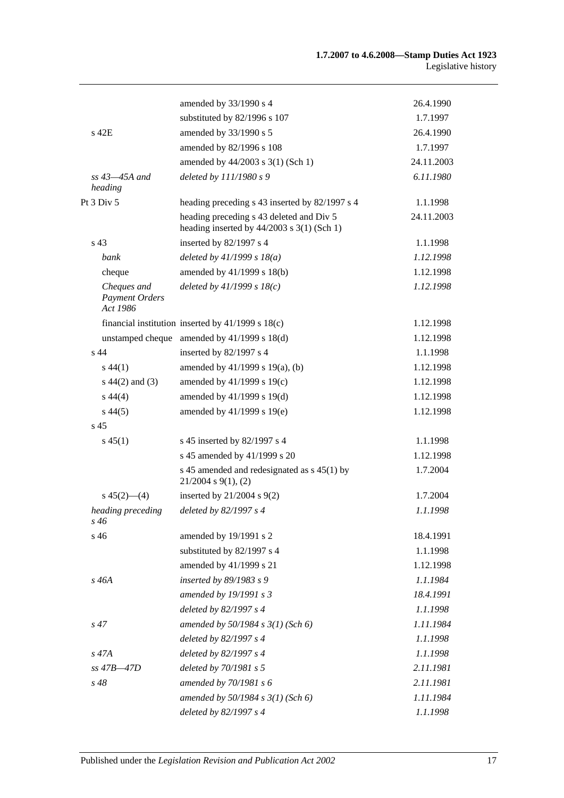|                                                  | amended by 33/1990 s 4                                                                   | 26.4.1990  |
|--------------------------------------------------|------------------------------------------------------------------------------------------|------------|
|                                                  | substituted by 82/1996 s 107                                                             | 1.7.1997   |
| $s$ 42 $E$                                       | amended by 33/1990 s 5                                                                   | 26.4.1990  |
|                                                  | amended by 82/1996 s 108                                                                 | 1.7.1997   |
|                                                  | amended by 44/2003 s 3(1) (Sch 1)                                                        | 24.11.2003 |
| $ss$ 43 $-45A$ and<br>heading                    | deleted by 111/1980 s 9                                                                  | 6.11.1980  |
| Pt 3 Div 5                                       | heading preceding s 43 inserted by 82/1997 s 4                                           | 1.1.1998   |
|                                                  | heading preceding s 43 deleted and Div 5<br>heading inserted by $44/2003$ s 3(1) (Sch 1) | 24.11.2003 |
| s <sub>43</sub>                                  | inserted by 82/1997 s 4                                                                  | 1.1.1998   |
| bank                                             | deleted by $41/1999 s 18(a)$                                                             | 1.12.1998  |
| cheque                                           | amended by 41/1999 s 18(b)                                                               | 1.12.1998  |
| Cheques and<br><b>Payment Orders</b><br>Act 1986 | deleted by $41/1999 s 18(c)$                                                             | 1.12.1998  |
|                                                  | financial institution inserted by $41/1999$ s $18(c)$                                    | 1.12.1998  |
|                                                  | unstamped cheque amended by 41/1999 s 18(d)                                              | 1.12.1998  |
| $s$ 44                                           | inserted by 82/1997 s 4                                                                  | 1.1.1998   |
| $s\,44(1)$                                       | amended by 41/1999 s 19(a), (b)                                                          | 1.12.1998  |
| $s\ 44(2)$ and (3)                               | amended by 41/1999 s 19(c)                                                               | 1.12.1998  |
| $s\,44(4)$                                       | amended by 41/1999 s 19(d)                                                               | 1.12.1998  |
| $s\,44(5)$                                       | amended by 41/1999 s 19(e)                                                               | 1.12.1998  |
| s <sub>45</sub>                                  |                                                                                          |            |
| $s\,45(1)$                                       | s 45 inserted by 82/1997 s 4                                                             | 1.1.1998   |
|                                                  | s 45 amended by 41/1999 s 20                                                             | 1.12.1998  |
|                                                  | s 45 amended and redesignated as s 45(1) by<br>$21/2004$ s $9(1)$ , (2)                  | 1.7.2004   |
| $s\,45(2)$ —(4)                                  | inserted by $21/2004$ s $9(2)$                                                           | 1.7.2004   |
| heading preceding<br>$s\,46$                     | deleted by 82/1997 s 4                                                                   | 1.1.1998   |
| s 46                                             | amended by 19/1991 s 2                                                                   | 18.4.1991  |
|                                                  | substituted by 82/1997 s 4                                                               | 1.1.1998   |
|                                                  | amended by 41/1999 s 21                                                                  | 1.12.1998  |
| $s\,46A$                                         | inserted by 89/1983 s 9                                                                  | 1.1.1984   |
|                                                  | amended by 19/1991 s 3                                                                   | 18.4.1991  |
|                                                  | deleted by 82/1997 s 4                                                                   | 1.1.1998   |
| $s\,47$                                          | amended by $50/1984$ s $3(1)$ (Sch 6)                                                    | 1.11.1984  |
|                                                  | deleted by 82/1997 s 4                                                                   | 1.1.1998   |
| $s\,47A$                                         | deleted by 82/1997 s 4                                                                   | 1.1.1998   |
| $ss$ 47B $-47D$                                  | deleted by 70/1981 s 5                                                                   | 2.11.1981  |
| $s\,48$                                          | amended by 70/1981 s 6                                                                   | 2.11.1981  |
|                                                  | amended by $50/1984$ s $3(1)$ (Sch 6)                                                    | 1.11.1984  |
|                                                  | deleted by 82/1997 s 4                                                                   | 1.1.1998   |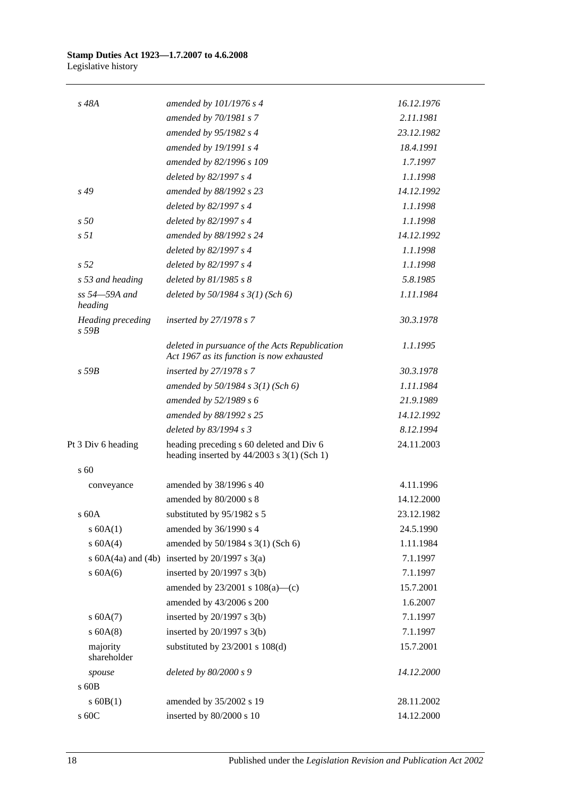| s 48A                                  | amended by $101/1976$ s 4                                                                   | 16.12.1976 |
|----------------------------------------|---------------------------------------------------------------------------------------------|------------|
|                                        | amended by 70/1981 s 7                                                                      | 2.11.1981  |
|                                        | amended by 95/1982 s 4                                                                      | 23.12.1982 |
|                                        | amended by 19/1991 s 4                                                                      | 18.4.1991  |
|                                        | amended by 82/1996 s 109                                                                    | 1.7.1997   |
|                                        | deleted by 82/1997 s 4                                                                      | 1.1.1998   |
| s 49                                   | amended by 88/1992 s 23                                                                     | 14.12.1992 |
|                                        | deleted by 82/1997 s 4                                                                      | 1.1.1998   |
| s50                                    | deleted by 82/1997 s 4                                                                      | 1.1.1998   |
| s <sub>51</sub>                        | amended by 88/1992 s 24                                                                     | 14.12.1992 |
|                                        | deleted by 82/1997 s 4                                                                      | 1.1.1998   |
| s <sub>52</sub>                        | deleted by 82/1997 s 4                                                                      | 1.1.1998   |
| s 53 and heading                       | deleted by $81/1985 s 8$                                                                    | 5.8.1985   |
| ss 54-59A and<br>heading               | deleted by $50/1984$ s $3(1)$ (Sch 6)                                                       | 1.11.1984  |
| <b>Heading</b> preceding<br>$s$ 59 $B$ | inserted by $27/1978 s 7$                                                                   | 30.3.1978  |
|                                        | deleted in pursuance of the Acts Republication<br>Act 1967 as its function is now exhausted | 1.1.1995   |
| $s$ 59 $B$                             | inserted by 27/1978 s 7                                                                     | 30.3.1978  |
|                                        | amended by $50/1984$ s $3(1)$ (Sch 6)                                                       | 1.11.1984  |
|                                        | amended by 52/1989 s 6                                                                      | 21.9.1989  |
|                                        | amended by 88/1992 s 25                                                                     | 14.12.1992 |
|                                        | deleted by 83/1994 s 3                                                                      | 8.12.1994  |
| Pt 3 Div 6 heading                     | heading preceding s 60 deleted and Div 6<br>heading inserted by $44/2003$ s 3(1) (Sch 1)    | 24.11.2003 |
| s 60                                   |                                                                                             |            |
| conveyance                             | amended by 38/1996 s 40                                                                     | 4.11.1996  |
|                                        | amended by 80/2000 s 8                                                                      | 14.12.2000 |
| s 60A                                  | substituted by 95/1982 s 5                                                                  | 23.12.1982 |
| $s$ 60A $(1)$                          | amended by 36/1990 s 4                                                                      | 24.5.1990  |
| s 60A(4)                               | amended by 50/1984 s 3(1) (Sch 6)                                                           | 1.11.1984  |
|                                        | s $60A(4a)$ and $(4b)$ inserted by $20/1997$ s $3(a)$                                       | 7.1.1997   |
| $s$ 60A(6)                             | inserted by $20/1997$ s $3(b)$                                                              | 7.1.1997   |
|                                        | amended by $23/2001$ s $108(a)$ —(c)                                                        | 15.7.2001  |
|                                        | amended by 43/2006 s 200                                                                    | 1.6.2007   |
| s 60A(7)                               | inserted by $20/1997$ s $3(b)$                                                              | 7.1.1997   |
| $s$ 60A(8)                             | inserted by $20/1997$ s $3(b)$                                                              | 7.1.1997   |
| majority<br>shareholder                | substituted by $23/2001$ s $108(d)$                                                         | 15.7.2001  |
| spouse                                 | deleted by 80/2000 s 9                                                                      | 14.12.2000 |
| s 60B                                  |                                                                                             |            |
| $s$ 60B(1)                             | amended by 35/2002 s 19                                                                     | 28.11.2002 |
| s 60C                                  | inserted by 80/2000 s 10                                                                    | 14.12.2000 |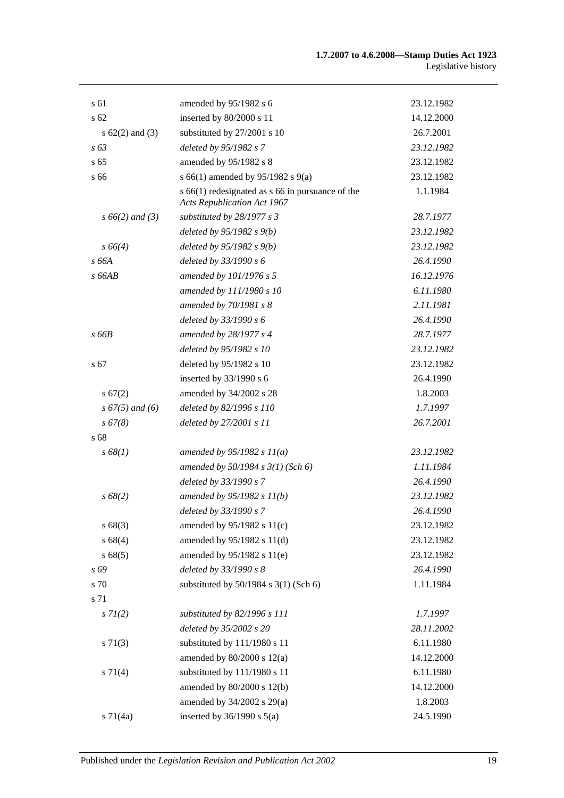| s 61                | amended by 95/1982 s 6                                                                     | 23.12.1982 |
|---------------------|--------------------------------------------------------------------------------------------|------------|
| s 62                | inserted by 80/2000 s 11                                                                   | 14.12.2000 |
| s $62(2)$ and $(3)$ | substituted by 27/2001 s 10                                                                | 26.7.2001  |
| $s\,63$             | deleted by 95/1982 s 7                                                                     | 23.12.1982 |
| s <sub>65</sub>     | amended by 95/1982 s 8                                                                     | 23.12.1982 |
| s 66                | s 66(1) amended by 95/1982 s 9(a)                                                          | 23.12.1982 |
|                     | $s$ 66(1) redesignated as $s$ 66 in pursuance of the<br><b>Acts Republication Act 1967</b> | 1.1.1984   |
| $s\,66(2)$ and (3)  | substituted by 28/1977 s 3                                                                 | 28.7.1977  |
|                     | deleted by $95/1982 s(9)$                                                                  | 23.12.1982 |
| $s\,66(4)$          | deleted by $95/1982 s 9(b)$                                                                | 23.12.1982 |
| s 66A               | deleted by 33/1990 s 6                                                                     | 26.4.1990  |
| $s$ 66AB            | amended by 101/1976 s 5                                                                    | 16.12.1976 |
|                     | amended by 111/1980 s 10                                                                   | 6.11.1980  |
|                     | amended by 70/1981 s 8                                                                     | 2.11.1981  |
|                     | deleted by 33/1990 s 6                                                                     | 26.4.1990  |
| s66B                | amended by 28/1977 s 4                                                                     | 28.7.1977  |
|                     | deleted by 95/1982 s 10                                                                    | 23.12.1982 |
| s 67                | deleted by 95/1982 s 10                                                                    | 23.12.1982 |
|                     | inserted by 33/1990 s 6                                                                    | 26.4.1990  |
| s 67(2)             | amended by 34/2002 s 28                                                                    | 1.8.2003   |
| $s\,67(5)$ and (6)  | deleted by 82/1996 s 110                                                                   | 1.7.1997   |
| $s\,67(8)$          | deleted by 27/2001 s 11                                                                    | 26.7.2001  |
| s 68                |                                                                                            |            |
| s 68(1)             | amended by $95/1982 s 11(a)$                                                               | 23.12.1982 |
|                     | amended by $50/1984 s 3(1)$ (Sch 6)                                                        | 1.11.1984  |
|                     | deleted by 33/1990 s 7                                                                     | 26.4.1990  |
| $s\,68(2)$          | amended by $95/1982 s 11(b)$                                                               | 23.12.1982 |
|                     | deleted by 33/1990 s 7                                                                     | 26.4.1990  |
| s 68(3)             | amended by 95/1982 s 11(c)                                                                 | 23.12.1982 |
| s68(4)              | amended by 95/1982 s 11(d)                                                                 | 23.12.1982 |
| s68(5)              | amended by 95/1982 s 11(e)                                                                 | 23.12.1982 |
| s 69                | deleted by 33/1990 s 8                                                                     | 26.4.1990  |
| s 70                | substituted by 50/1984 s 3(1) (Sch 6)                                                      | 1.11.1984  |
| s 71                |                                                                                            |            |
| $s \, 7I(2)$        | substituted by 82/1996 s 111                                                               | 1.7.1997   |
|                     | deleted by 35/2002 s 20                                                                    | 28.11.2002 |
| $s \, 71(3)$        | substituted by 111/1980 s 11                                                               | 6.11.1980  |
|                     | amended by $80/2000$ s $12(a)$                                                             | 14.12.2000 |
| $s \, 71(4)$        | substituted by 111/1980 s 11                                                               | 6.11.1980  |
|                     | amended by 80/2000 s 12(b)                                                                 | 14.12.2000 |
|                     | amended by 34/2002 s 29(a)                                                                 | 1.8.2003   |
| $s \, 71(4a)$       | inserted by $36/1990$ s $5(a)$                                                             | 24.5.1990  |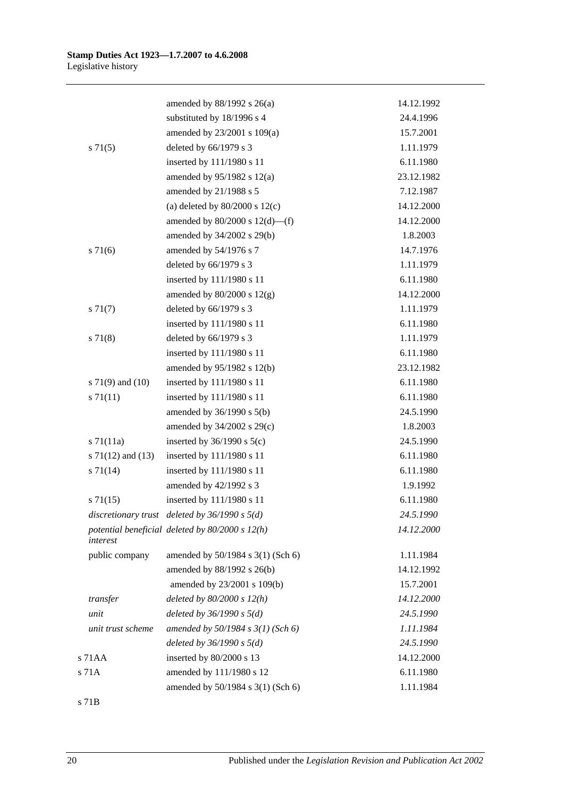|                       | amended by $88/1992$ s $26(a)$                    | 14.12.1992 |
|-----------------------|---------------------------------------------------|------------|
|                       | substituted by 18/1996 s 4                        | 24.4.1996  |
|                       | amended by 23/2001 s 109(a)                       | 15.7.2001  |
| $s \, 71(5)$          | deleted by 66/1979 s 3                            | 1.11.1979  |
|                       | inserted by 111/1980 s 11                         | 6.11.1980  |
|                       | amended by 95/1982 s 12(a)                        | 23.12.1982 |
|                       | amended by 21/1988 s 5                            | 7.12.1987  |
|                       | (a) deleted by $80/2000$ s $12(c)$                | 14.12.2000 |
|                       | amended by $80/2000$ s $12(d)$ —(f)               | 14.12.2000 |
|                       | amended by 34/2002 s 29(b)                        | 1.8.2003   |
| $s \, 71(6)$          | amended by 54/1976 s 7                            | 14.7.1976  |
|                       | deleted by 66/1979 s 3                            | 1.11.1979  |
|                       | inserted by 111/1980 s 11                         | 6.11.1980  |
|                       | amended by $80/2000$ s $12(g)$                    | 14.12.2000 |
| $s \, 71(7)$          | deleted by 66/1979 s 3                            | 1.11.1979  |
|                       | inserted by 111/1980 s 11                         | 6.11.1980  |
| $s \, 71(8)$          | deleted by 66/1979 s 3                            | 1.11.1979  |
|                       | inserted by 111/1980 s 11                         | 6.11.1980  |
|                       | amended by 95/1982 s 12(b)                        | 23.12.1982 |
| s $71(9)$ and $(10)$  | inserted by 111/1980 s 11                         | 6.11.1980  |
| s 71(11)              | inserted by 111/1980 s 11                         | 6.11.1980  |
|                       | amended by $36/1990$ s $5(b)$                     | 24.5.1990  |
|                       | amended by 34/2002 s 29(c)                        | 1.8.2003   |
| $s \, 71(11a)$        | inserted by $36/1990$ s $5(c)$                    | 24.5.1990  |
| s $71(12)$ and $(13)$ | inserted by 111/1980 s 11                         | 6.11.1980  |
| $s \, 71(14)$         | inserted by 111/1980 s 11                         | 6.11.1980  |
|                       | amended by 42/1992 s 3                            | 1.9.1992   |
| $s \, 71(15)$         | inserted by 111/1980 s 11                         | 6.11.1980  |
| discretionary trust   | deleted by $36/1990 s 5(d)$                       | 24.5.1990  |
| interest              | potential beneficial deleted by $80/2000 s 12(h)$ | 14.12.2000 |
| public company        | amended by 50/1984 s 3(1) (Sch 6)                 | 1.11.1984  |
|                       | amended by 88/1992 s 26(b)                        | 14.12.1992 |
|                       | amended by 23/2001 s 109(b)                       | 15.7.2001  |
| transfer              | deleted by $80/2000 s 12(h)$                      | 14.12.2000 |
| unit                  | deleted by $36/1990 s 5(d)$                       | 24.5.1990  |
| unit trust scheme     | amended by 50/1984 s 3(1) (Sch 6)                 | 1.11.1984  |
|                       | deleted by $36/1990 s 5(d)$                       | 24.5.1990  |
| s 71AA                | inserted by 80/2000 s 13                          | 14.12.2000 |
| s 71A                 | amended by 111/1980 s 12                          | 6.11.1980  |
|                       | amended by 50/1984 s 3(1) (Sch 6)                 | 1.11.1984  |
| s 71B                 |                                                   |            |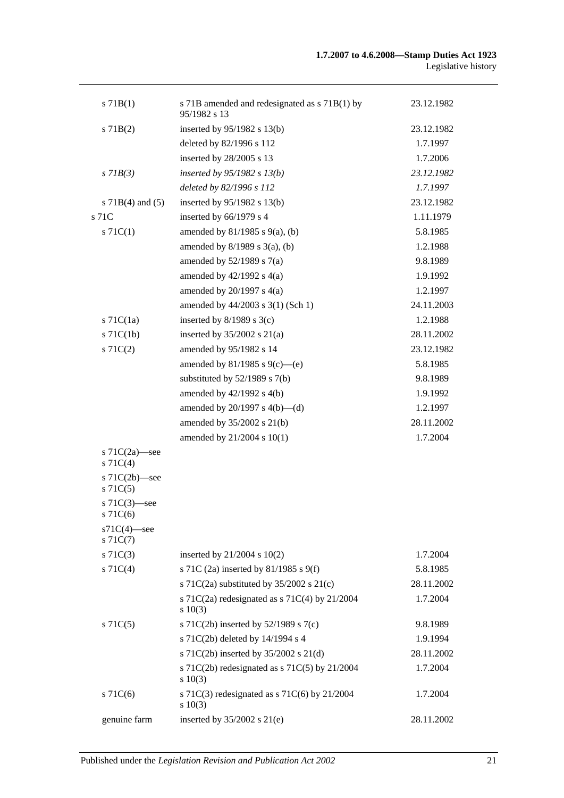| $s$ 71B(1)                        | s 71B amended and redesignated as s 71B(1) by<br>95/1982 s 13 | 23.12.1982 |
|-----------------------------------|---------------------------------------------------------------|------------|
| $s$ 71B(2)                        | inserted by $95/1982$ s 13(b)                                 | 23.12.1982 |
|                                   | deleted by 82/1996 s 112                                      | 1.7.1997   |
|                                   | inserted by 28/2005 s 13                                      | 1.7.2006   |
| $s$ 71 $B(3)$                     | inserted by $95/1982$ s $13(b)$                               | 23.12.1982 |
|                                   | deleted by 82/1996 s 112                                      | 1.7.1997   |
| s $71B(4)$ and $(5)$              | inserted by 95/1982 s 13(b)                                   | 23.12.1982 |
| s 71C                             | inserted by 66/1979 s 4                                       | 1.11.1979  |
| $s \, 71C(1)$                     | amended by $81/1985$ s $9(a)$ , (b)                           | 5.8.1985   |
|                                   | amended by $8/1989$ s $3(a)$ , (b)                            | 1.2.1988   |
|                                   | amended by $52/1989$ s $7(a)$                                 | 9.8.1989   |
|                                   | amended by $42/1992$ s $4(a)$                                 | 1.9.1992   |
|                                   | amended by $20/1997$ s $4(a)$                                 | 1.2.1997   |
|                                   | amended by 44/2003 s 3(1) (Sch 1)                             | 24.11.2003 |
| $s$ 71C(1a)                       | inserted by $8/1989$ s 3(c)                                   | 1.2.1988   |
| $s$ 71C(1b)                       | inserted by $35/2002$ s $21(a)$                               | 28.11.2002 |
| $s \, 71C(2)$                     | amended by 95/1982 s 14                                       | 23.12.1982 |
|                                   | amended by 81/1985 s 9(c)—(e)                                 | 5.8.1985   |
|                                   | substituted by $52/1989$ s $7(b)$                             | 9.8.1989   |
|                                   | amended by 42/1992 s 4(b)                                     | 1.9.1992   |
|                                   | amended by $20/1997$ s $4(b)$ —(d)                            | 1.2.1997   |
|                                   | amended by 35/2002 s 21(b)                                    | 28.11.2002 |
|                                   | amended by 21/2004 s 10(1)                                    | 1.7.2004   |
| s $71C(2a)$ —see<br>$s \, 71C(4)$ |                                                               |            |
| s $71C(2b)$ -see<br>$s$ 71 $C(5)$ |                                                               |            |
| s $71C(3)$ —see<br>s 71 $C(6)$    |                                                               |            |
| $s71C(4)$ -see<br>$s \, 71C(7)$   |                                                               |            |
| $s \, 71C(3)$                     | inserted by $21/2004$ s $10(2)$                               | 1.7.2004   |
| $s \, 71C(4)$                     | s 71C (2a) inserted by 81/1985 s 9(f)                         | 5.8.1985   |
|                                   | s 71C(2a) substituted by $35/2002$ s 21(c)                    | 28.11.2002 |
|                                   | s 71C(2a) redesignated as s 71C(4) by 21/2004<br>$s \ 10(3)$  | 1.7.2004   |
| $s \, 71C(5)$                     | s 71C(2b) inserted by $52/1989$ s 7(c)                        | 9.8.1989   |
|                                   | s 71C(2b) deleted by 14/1994 s 4                              | 1.9.1994   |
|                                   | s 71C(2b) inserted by 35/2002 s 21(d)                         | 28.11.2002 |
|                                   | s 71C(2b) redesignated as s 71C(5) by 21/2004<br>$s\ 10(3)$   | 1.7.2004   |
| $s$ 71 $C(6)$                     | s 71C(3) redesignated as s 71C(6) by $21/2004$<br>s 10(3)     | 1.7.2004   |
| genuine farm                      | inserted by $35/2002$ s $21(e)$                               | 28.11.2002 |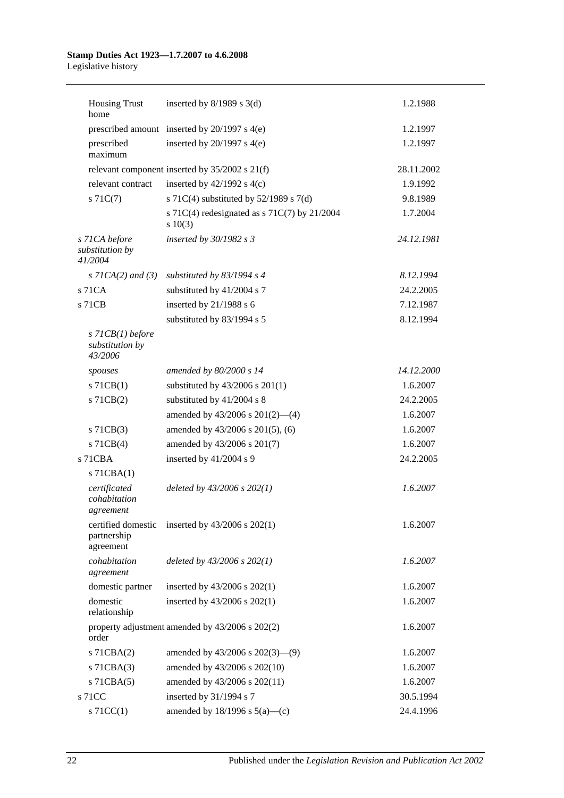# **Stamp Duties Act 1923—1.7.2007 to 4.6.2008**

Legislative history

| <b>Housing Trust</b><br>home                     | inserted by $8/1989$ s 3(d)                                | 1.2.1988   |
|--------------------------------------------------|------------------------------------------------------------|------------|
|                                                  | prescribed amount inserted by 20/1997 s 4(e)               | 1.2.1997   |
| prescribed<br>maximum                            | inserted by $20/1997$ s $4(e)$                             | 1.2.1997   |
|                                                  | relevant component inserted by $35/2002$ s $21(f)$         | 28.11.2002 |
| relevant contract                                | inserted by $42/1992$ s $4(c)$                             | 1.9.1992   |
| $s \, 71C(7)$                                    | s 71C(4) substituted by $52/1989$ s 7(d)                   | 9.8.1989   |
|                                                  | s 71C(4) redesignated as s 71C(7) by 21/2004<br>$s\ 10(3)$ | 1.7.2004   |
| s 71CA before<br>substitution by<br>41/2004      | inserted by $30/1982$ s 3                                  | 24.12.1981 |
| s $7ICA(2)$ and $(3)$                            | substituted by $83/1994$ s 4                               | 8.12.1994  |
| s 71CA                                           | substituted by 41/2004 s 7                                 | 24.2.2005  |
| s 71CB                                           | inserted by 21/1988 s 6                                    | 7.12.1987  |
|                                                  | substituted by 83/1994 s 5                                 | 8.12.1994  |
| $s$ 71CB(1) before<br>substitution by<br>43/2006 |                                                            |            |
| spouses                                          | amended by 80/2000 s 14                                    | 14.12.2000 |
| $s$ 71CB(1)                                      | substituted by 43/2006 s 201(1)                            | 1.6.2007   |
| s 71CB(2)                                        | substituted by 41/2004 s 8                                 | 24.2.2005  |
|                                                  | amended by $43/2006$ s $201(2)$ —(4)                       | 1.6.2007   |
| $s$ 71CB(3)                                      | amended by 43/2006 s 201(5), (6)                           | 1.6.2007   |
| $s$ 71CB(4)                                      | amended by 43/2006 s 201(7)                                | 1.6.2007   |
| s 71CBA                                          | inserted by 41/2004 s 9                                    | 24.2.2005  |
| $s$ 71CBA $(1)$                                  |                                                            |            |
| certificated<br>cohabitation<br>agreement        | deleted by $43/2006$ s $202(1)$                            | 1.6.2007   |
| certified domestic<br>partnership<br>agreement   | inserted by $43/2006$ s $202(1)$                           | 1.6.2007   |
| cohabitation<br>agreement                        | deleted by $43/2006$ s $202(1)$                            | 1.6.2007   |
| domestic partner                                 | inserted by 43/2006 s 202(1)                               | 1.6.2007   |
| domestic<br>relationship                         | inserted by 43/2006 s 202(1)                               | 1.6.2007   |
| order                                            | property adjustment amended by 43/2006 s 202(2)            | 1.6.2007   |
| s 71CBA(2)                                       | amended by $43/2006$ s $202(3)$ —(9)                       | 1.6.2007   |
| $s$ 71CBA $(3)$                                  | amended by 43/2006 s 202(10)                               | 1.6.2007   |
| $s$ 71CBA $(5)$                                  | amended by 43/2006 s 202(11)                               | 1.6.2007   |
| s 71CC                                           | inserted by 31/1994 s 7                                    | 30.5.1994  |
| $s$ 71CC(1)                                      | amended by $18/1996$ s $5(a)$ —(c)                         | 24.4.1996  |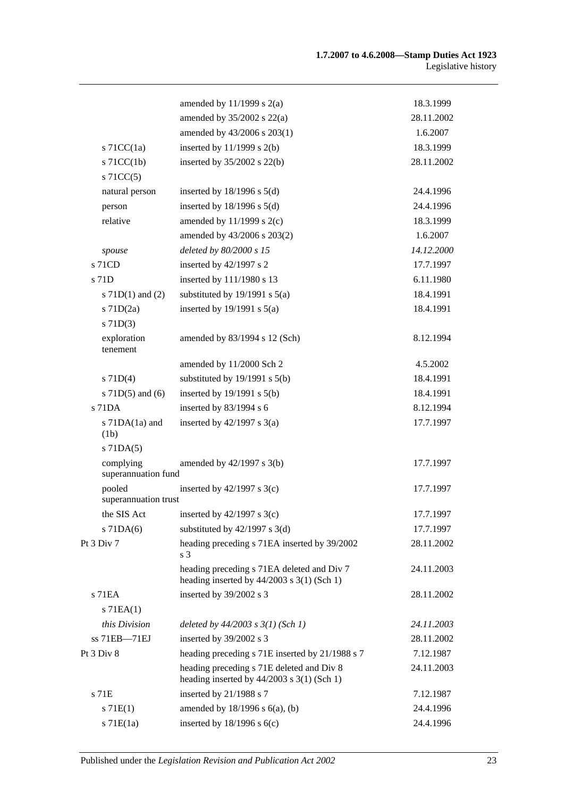|                                  | amended by $11/1999$ s $2(a)$                                                              | 18.3.1999  |
|----------------------------------|--------------------------------------------------------------------------------------------|------------|
|                                  | amended by $35/2002$ s $22(a)$                                                             | 28.11.2002 |
|                                  | amended by 43/2006 s 203(1)                                                                | 1.6.2007   |
| s $71CC(1a)$                     | inserted by $11/1999$ s $2(b)$                                                             | 18.3.1999  |
| $s$ 71CC(1b)                     | inserted by $35/2002$ s $22(b)$                                                            | 28.11.2002 |
| $s$ 71CC(5)                      |                                                                                            |            |
| natural person                   | inserted by $18/1996$ s $5(d)$                                                             | 24.4.1996  |
| person                           | inserted by $18/1996$ s $5(d)$                                                             | 24.4.1996  |
| relative                         | amended by $11/1999$ s $2(c)$                                                              | 18.3.1999  |
|                                  | amended by 43/2006 s 203(2)                                                                | 1.6.2007   |
| spouse                           | deleted by 80/2000 s 15                                                                    | 14.12.2000 |
| s 71CD                           | inserted by 42/1997 s 2                                                                    | 17.7.1997  |
| s 71D                            | inserted by 111/1980 s 13                                                                  | 6.11.1980  |
| s $71D(1)$ and $(2)$             | substituted by $19/1991$ s $5(a)$                                                          | 18.4.1991  |
| $s$ 71D $(2a)$                   | inserted by $19/1991$ s $5(a)$                                                             | 18.4.1991  |
| $s$ 71D(3)                       |                                                                                            |            |
| exploration<br>tenement          | amended by 83/1994 s 12 (Sch)                                                              | 8.12.1994  |
|                                  | amended by 11/2000 Sch 2                                                                   | 4.5.2002   |
| $s$ 71D(4)                       | substituted by $19/1991$ s $5(b)$                                                          | 18.4.1991  |
| s $71D(5)$ and $(6)$             | inserted by $19/1991$ s $5(b)$                                                             | 18.4.1991  |
| $s$ 71DA                         | inserted by 83/1994 s 6                                                                    | 8.12.1994  |
| s $71DA(1a)$ and<br>(1b)         | inserted by $42/1997$ s $3(a)$                                                             | 17.7.1997  |
| $s$ 71DA $(5)$                   |                                                                                            |            |
| complying<br>superannuation fund | amended by 42/1997 s 3(b)                                                                  | 17.7.1997  |
| pooled<br>superannuation trust   | inserted by $42/1997$ s 3(c)                                                               | 17.7.1997  |
| the SIS Act                      | inserted by $42/1997$ s 3(c)                                                               | 17.7.1997  |
| $s$ 71DA $(6)$                   | substituted by $42/1997$ s 3(d)                                                            | 17.7.1997  |
| Pt 3 Div 7                       | heading preceding s 71EA inserted by 39/2002<br>s 3                                        | 28.11.2002 |
|                                  | heading preceding s 71EA deleted and Div 7<br>heading inserted by $44/2003$ s 3(1) (Sch 1) | 24.11.2003 |
| s 71EA                           | inserted by 39/2002 s 3                                                                    | 28.11.2002 |
| $s$ 71EA $(1)$                   |                                                                                            |            |
| this Division                    | deleted by $44/2003$ s $3(1)$ (Sch 1)                                                      | 24.11.2003 |
| ss 71EB-71EJ                     | inserted by 39/2002 s 3                                                                    | 28.11.2002 |
| Pt 3 Div 8                       | heading preceding s 71E inserted by 21/1988 s 7                                            | 7.12.1987  |
|                                  | heading preceding s 71E deleted and Div 8<br>heading inserted by $44/2003$ s 3(1) (Sch 1)  | 24.11.2003 |
| s 71E                            | inserted by 21/1988 s 7                                                                    | 7.12.1987  |
| s 71E(1)                         | amended by $18/1996$ s $6(a)$ , (b)                                                        | 24.4.1996  |
| $s$ 71 $E(1a)$                   | inserted by $18/1996$ s $6(c)$                                                             | 24.4.1996  |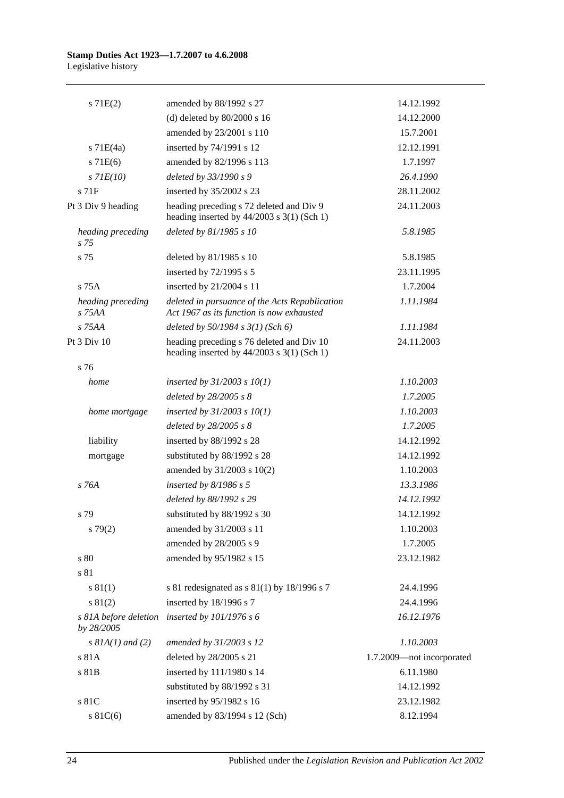| $s$ 71 $E(2)$                       | amended by 88/1992 s 27                                                                     | 14.12.1992                |
|-------------------------------------|---------------------------------------------------------------------------------------------|---------------------------|
|                                     | (d) deleted by $80/2000$ s 16                                                               | 14.12.2000                |
|                                     | amended by 23/2001 s 110                                                                    | 15.7.2001                 |
| $s$ 71E(4a)                         | inserted by 74/1991 s 12                                                                    | 12.12.1991                |
| s 71E(6)                            | amended by 82/1996 s 113                                                                    | 1.7.1997                  |
| $s$ 71 $E(10)$                      | deleted by 33/1990 s 9                                                                      | 26.4.1990                 |
| $s$ 71 $F$                          | inserted by 35/2002 s 23                                                                    | 28.11.2002                |
| Pt 3 Div 9 heading                  | heading preceding s 72 deleted and Div 9<br>heading inserted by $44/2003$ s 3(1) (Sch 1)    | 24.11.2003                |
| heading preceding<br>$s\,75$        | deleted by 81/1985 s 10                                                                     | 5.8.1985                  |
| s 75                                | deleted by 81/1985 s 10                                                                     | 5.8.1985                  |
|                                     | inserted by 72/1995 s 5                                                                     | 23.11.1995                |
| $s$ 75 $A$                          | inserted by 21/2004 s 11                                                                    | 1.7.2004                  |
| heading preceding<br>$s$ 75AA       | deleted in pursuance of the Acts Republication<br>Act 1967 as its function is now exhausted | 1.11.1984                 |
| s 75AA                              | deleted by $50/1984$ s $3(1)$ (Sch 6)                                                       | 1.11.1984                 |
| Pt 3 Div 10                         | heading preceding s 76 deleted and Div 10<br>heading inserted by $44/2003$ s 3(1) (Sch 1)   | 24.11.2003                |
| s 76                                |                                                                                             |                           |
| home                                | inserted by $31/2003$ s $10(1)$                                                             | 1.10.2003                 |
|                                     | deleted by 28/2005 s 8                                                                      | 1.7.2005                  |
| home mortgage                       | inserted by $31/2003$ s $10(1)$                                                             | 1.10.2003                 |
|                                     | deleted by 28/2005 s 8                                                                      | 1.7.2005                  |
| liability                           | inserted by 88/1992 s 28                                                                    | 14.12.1992                |
| mortgage                            | substituted by 88/1992 s 28                                                                 | 14.12.1992                |
|                                     | amended by 31/2003 s 10(2)                                                                  | 1.10.2003                 |
| s 76A                               | inserted by $8/1986$ s 5                                                                    | 13.3.1986                 |
|                                     | deleted by 88/1992 s 29                                                                     | 14.12.1992                |
| s 79                                | substituted by 88/1992 s 30                                                                 | 14.12.1992                |
| s79(2)                              | amended by 31/2003 s 11                                                                     | 1.10.2003                 |
|                                     | amended by 28/2005 s 9                                                                      | 1.7.2005                  |
| s 80                                | amended by 95/1982 s 15                                                                     | 23.12.1982                |
| s 81                                |                                                                                             |                           |
| s 81(1)                             | s 81 redesignated as s $81(1)$ by 18/1996 s 7                                               | 24.4.1996                 |
| s 81(2)                             | inserted by 18/1996 s 7                                                                     | 24.4.1996                 |
| s 81A before deletion<br>by 28/2005 | inserted by 101/1976 s 6                                                                    | 16.12.1976                |
| s $8IA(1)$ and (2)                  | amended by 31/2003 s 12                                                                     | 1.10.2003                 |
| s 81A                               | deleted by 28/2005 s 21                                                                     | 1.7.2009-not incorporated |
| s 81B                               | inserted by 111/1980 s 14                                                                   | 6.11.1980                 |
|                                     | substituted by 88/1992 s 31                                                                 | 14.12.1992                |
| s 81C                               | inserted by 95/1982 s 16                                                                    | 23.12.1982                |
| s $81C(6)$                          | amended by 83/1994 s 12 (Sch)                                                               | 8.12.1994                 |
|                                     |                                                                                             |                           |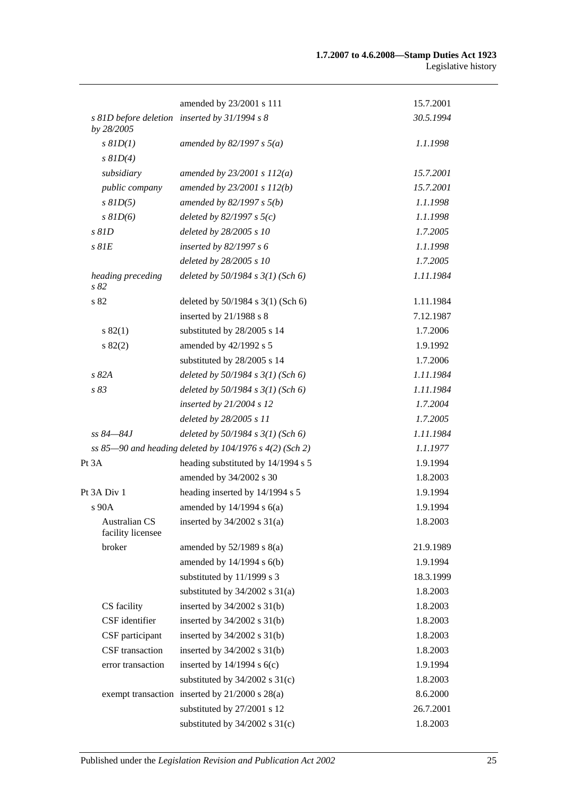|                                           | amended by 23/2001 s 111                                | 15.7.2001 |
|-------------------------------------------|---------------------------------------------------------|-----------|
| by 28/2005                                | s 81D before deletion inserted by 31/1994 s 8           | 30.5.1994 |
| $s$ $81D(1)$                              | amended by 82/1997 s $5(a)$                             | 1.1.1998  |
| $s$ $81D(4)$                              |                                                         |           |
| subsidiary                                | amended by $23/2001 s 112(a)$                           | 15.7.2001 |
| public company                            | amended by 23/2001 s 112(b)                             | 15.7.2001 |
| $s$ $81D(5)$                              | amended by $82/1997 s 5(b)$                             | 1.1.1998  |
| $s$ $81D(6)$                              | deleted by $82/1997 s 5(c)$                             | 1.1.1998  |
| $s$ $81D$                                 | deleted by 28/2005 s 10                                 | 1.7.2005  |
| $s$ $81E$                                 | inserted by 82/1997 s 6                                 | 1.1.1998  |
|                                           | deleted by 28/2005 s 10                                 | 1.7.2005  |
| heading preceding<br>s82                  | deleted by $50/1984$ s $3(1)$ (Sch 6)                   | 1.11.1984 |
| s 82                                      | deleted by 50/1984 s 3(1) (Sch 6)                       | 1.11.1984 |
|                                           | inserted by 21/1988 s 8                                 | 7.12.1987 |
| s 82(1)                                   | substituted by 28/2005 s 14                             | 1.7.2006  |
| s 82(2)                                   | amended by 42/1992 s 5                                  | 1.9.1992  |
|                                           | substituted by 28/2005 s 14                             | 1.7.2006  |
| s82A                                      | deleted by $50/1984$ s $3(1)$ (Sch 6)                   | 1.11.1984 |
| s 83                                      | deleted by $50/1984$ s $3(1)$ (Sch 6)                   | 1.11.1984 |
|                                           | inserted by 21/2004 s 12                                | 1.7.2004  |
|                                           | deleted by 28/2005 s 11                                 | 1.7.2005  |
| $ss 84 - 84J$                             | deleted by $50/1984$ s $3(1)$ (Sch 6)                   | 1.11.1984 |
|                                           | ss 85-90 and heading deleted by 104/1976 s 4(2) (Sch 2) | 1.1.1977  |
| Pt 3A                                     | heading substituted by 14/1994 s 5                      | 1.9.1994  |
|                                           | amended by 34/2002 s 30                                 | 1.8.2003  |
| Pt 3A Div 1                               | heading inserted by 14/1994 s 5                         | 1.9.1994  |
| s 90A                                     | amended by $14/1994$ s $6(a)$                           | 1.9.1994  |
| <b>Australian CS</b><br>facility licensee | inserted by $34/2002$ s $31(a)$                         | 1.8.2003  |
| broker                                    | amended by $52/1989$ s $8(a)$                           | 21.9.1989 |
|                                           | amended by 14/1994 s 6(b)                               | 1.9.1994  |
|                                           | substituted by 11/1999 s 3                              | 18.3.1999 |
|                                           | substituted by $34/2002$ s $31(a)$                      | 1.8.2003  |
| CS facility                               | inserted by $34/2002$ s $31(b)$                         | 1.8.2003  |
| CSF identifier                            | inserted by $34/2002$ s $31(b)$                         | 1.8.2003  |
| CSF participant                           | inserted by $34/2002$ s $31(b)$                         | 1.8.2003  |
| CSF transaction                           | inserted by $34/2002$ s $31(b)$                         | 1.8.2003  |
| error transaction                         | inserted by $14/1994$ s $6(c)$                          | 1.9.1994  |
|                                           | substituted by $34/2002$ s $31(c)$                      | 1.8.2003  |
|                                           | exempt transaction inserted by 21/2000 s 28(a)          | 8.6.2000  |
|                                           | substituted by 27/2001 s 12                             | 26.7.2001 |
|                                           | substituted by $34/2002$ s $31(c)$                      | 1.8.2003  |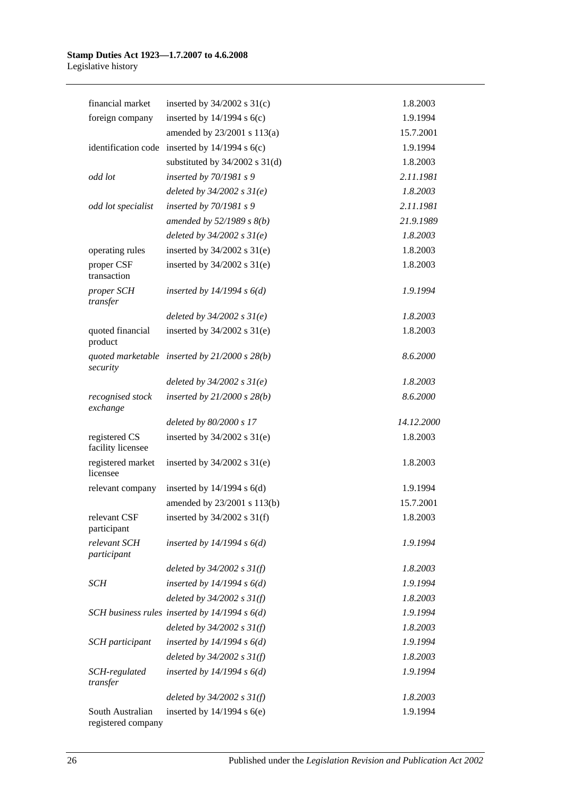| financial market                   | inserted by $34/2002$ s $31(c)$                    | 1.8.2003   |
|------------------------------------|----------------------------------------------------|------------|
| foreign company                    | inserted by $14/1994$ s $6(c)$                     | 1.9.1994   |
|                                    | amended by 23/2001 s 113(a)                        | 15.7.2001  |
|                                    | identification code inserted by $14/1994$ s $6(c)$ | 1.9.1994   |
|                                    | substituted by $34/2002$ s $31(d)$                 | 1.8.2003   |
| odd lot                            | inserted by 70/1981 s 9                            | 2.11.1981  |
|                                    | deleted by $34/2002 s 31(e)$                       | 1.8.2003   |
| odd lot specialist                 | inserted by 70/1981 s 9                            | 2.11.1981  |
|                                    | amended by $52/1989 s 8(b)$                        | 21.9.1989  |
|                                    | deleted by $34/2002 s 31(e)$                       | 1.8.2003   |
| operating rules                    | inserted by $34/2002$ s $31(e)$                    | 1.8.2003   |
| proper CSF<br>transaction          | inserted by $34/2002$ s $31(e)$                    | 1.8.2003   |
| proper SCH<br>transfer             | inserted by $14/1994 s 6(d)$                       | 1.9.1994   |
|                                    | deleted by $34/2002 s 31(e)$                       | 1.8.2003   |
| quoted financial<br>product        | inserted by $34/2002$ s $31(e)$                    | 1.8.2003   |
| security                           | quoted marketable inserted by $21/2000 s 28(b)$    | 8.6.2000   |
|                                    | deleted by $34/2002 s 31(e)$                       | 1.8.2003   |
| recognised stock<br>exchange       | inserted by $21/2000 s 28(b)$                      | 8.6.2000   |
|                                    |                                                    |            |
|                                    | deleted by 80/2000 s 17                            | 14.12.2000 |
| registered CS<br>facility licensee | inserted by $34/2002$ s $31(e)$                    | 1.8.2003   |
| registered market<br>licensee      | inserted by $34/2002$ s $31(e)$                    | 1.8.2003   |
| relevant company                   | inserted by $14/1994$ s $6(d)$                     | 1.9.1994   |
|                                    | amended by 23/2001 s 113(b)                        | 15.7.2001  |
| relevant CSF<br>participant        | inserted by $34/2002$ s $31(f)$                    | 1.8.2003   |
| relevant SCH<br>participant        | inserted by $14/1994 s 6(d)$                       | 1.9.1994   |
|                                    | deleted by $34/2002$ s $31(f)$                     | 1.8.2003   |
| SCH                                | inserted by $14/1994 s 6(d)$                       | 1.9.1994   |
|                                    | deleted by $34/2002 s 31(f)$                       | 1.8.2003   |
|                                    | SCH business rules inserted by $14/1994 s 6(d)$    | 1.9.1994   |
|                                    | deleted by $34/2002 s 31(f)$                       | 1.8.2003   |
| SCH participant                    | inserted by $14/1994 s 6(d)$                       | 1.9.1994   |
|                                    | deleted by $34/2002$ s $31(f)$                     | 1.8.2003   |
| SCH-regulated<br>transfer          | inserted by $14/1994 s 6(d)$                       | 1.9.1994   |
|                                    | deleted by $34/2002$ s $31(f)$                     | 1.8.2003   |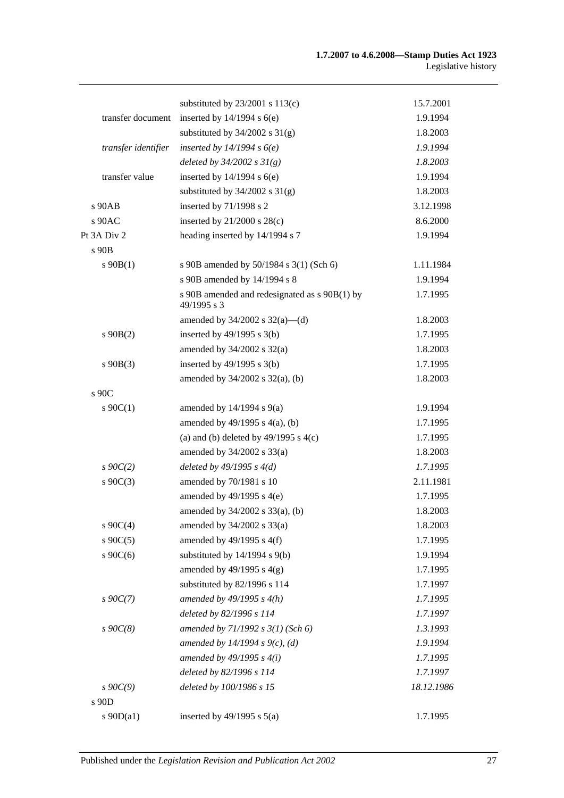|                     | substituted by $23/2001$ s $113(c)$                          | 15.7.2001  |
|---------------------|--------------------------------------------------------------|------------|
| transfer document   | inserted by $14/1994$ s $6(e)$                               | 1.9.1994   |
|                     | substituted by $34/2002$ s $31(g)$                           | 1.8.2003   |
| transfer identifier | inserted by $14/1994 s6(e)$                                  | 1.9.1994   |
|                     | deleted by $34/2002 s 31(g)$                                 | 1.8.2003   |
| transfer value      | inserted by $14/1994$ s $6(e)$                               | 1.9.1994   |
|                     | substituted by $34/2002$ s $31(g)$                           | 1.8.2003   |
| $s$ 90 $AB$         | inserted by 71/1998 s 2                                      | 3.12.1998  |
| s 90AC              | inserted by $21/2000$ s $28(c)$                              | 8.6.2000   |
| Pt 3A Div 2         | heading inserted by 14/1994 s 7                              | 1.9.1994   |
| s 90B               |                                                              |            |
| $s\ 90B(1)$         | s 90B amended by 50/1984 s 3(1) (Sch 6)                      | 1.11.1984  |
|                     | s 90B amended by 14/1994 s 8                                 | 1.9.1994   |
|                     | s 90B amended and redesignated as s 90B(1) by<br>49/1995 s 3 | 1.7.1995   |
|                     | amended by $34/2002$ s $32(a)$ —(d)                          | 1.8.2003   |
| $s\ 90B(2)$         | inserted by $49/1995$ s $3(b)$                               | 1.7.1995   |
|                     | amended by $34/2002$ s $32(a)$                               | 1.8.2003   |
| $s\ 90B(3)$         | inserted by $49/1995$ s $3(b)$                               | 1.7.1995   |
|                     | amended by $34/2002$ s $32(a)$ , (b)                         | 1.8.2003   |
| s 90C               |                                                              |            |
| $s \ 90C(1)$        | amended by $14/1994$ s $9(a)$                                | 1.9.1994   |
|                     | amended by $49/1995$ s $4(a)$ , (b)                          | 1.7.1995   |
|                     | (a) and (b) deleted by $49/1995$ s $4(c)$                    | 1.7.1995   |
|                     | amended by $34/2002$ s $33(a)$                               | 1.8.2003   |
| $s \, 90C(2)$       | deleted by $49/1995 s 4(d)$                                  | 1.7.1995   |
| $s \ 90C(3)$        | amended by 70/1981 s 10                                      | 2.11.1981  |
|                     | amended by $49/1995$ s $4(e)$                                | 1.7.1995   |
|                     | amended by 34/2002 s 33(a), (b)                              | 1.8.2003   |
| $s \ 90C(4)$        | amended by $34/2002$ s $33(a)$                               | 1.8.2003   |
| s $90C(5)$          | amended by $49/1995$ s $4(f)$                                | 1.7.1995   |
| $s \cdot 90C(6)$    | substituted by $14/1994$ s $9(b)$                            | 1.9.1994   |
|                     | amended by $49/1995$ s $4(g)$                                | 1.7.1995   |
|                     | substituted by 82/1996 s 114                                 | 1.7.1997   |
| $s \, 90C(7)$       | amended by $49/1995 s 4(h)$                                  | 1.7.1995   |
|                     | deleted by 82/1996 s 114                                     | 1.7.1997   |
| $s \, 90C(8)$       | amended by $71/1992$ s $3(1)$ (Sch 6)                        | 1.3.1993   |
|                     | amended by 14/1994 s 9(c), (d)                               | 1.9.1994   |
|                     | amended by $49/1995 s 4(i)$                                  | 1.7.1995   |
|                     | deleted by 82/1996 s 114                                     | 1.7.1997   |
| $s \, 90C(9)$       | deleted by 100/1986 s 15                                     | 18.12.1986 |
| s 90D               |                                                              |            |
| s $90D(a1)$         | inserted by $49/1995$ s $5(a)$                               | 1.7.1995   |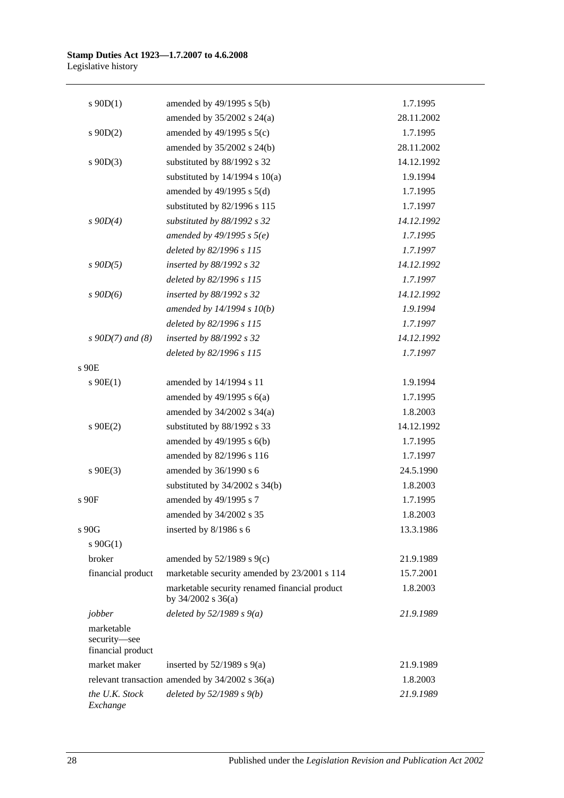| $s \ 90D(1)$<br>amended by $49/1995$ s $5(b)$<br>1.7.1995<br>amended by $35/2002$ s $24(a)$<br>28.11.2002<br>amended by $49/1995$ s $5(c)$<br>1.7.1995<br>$s$ 90D(2)<br>amended by 35/2002 s 24(b)<br>28.11.2002<br>$s \ 90D(3)$<br>substituted by 88/1992 s 32<br>14.12.1992<br>substituted by $14/1994$ s $10(a)$<br>1.9.1994<br>amended by $49/1995$ s $5(d)$<br>1.7.1995<br>substituted by 82/1996 s 115<br>1.7.1997<br>substituted by 88/1992 s 32<br>14.12.1992<br>$s$ 90D(4)<br>amended by $49/1995 s 5(e)$<br>1.7.1995<br>deleted by 82/1996 s 115<br>1.7.1997<br>$s$ 90 $D(5)$<br>inserted by 88/1992 s 32<br>14.12.1992<br>deleted by 82/1996 s 115<br>1.7.1997<br>14.12.1992<br>$s\,90D(6)$<br>inserted by 88/1992 s 32<br>amended by $14/1994 s 10(b)$<br>1.9.1994<br>deleted by 82/1996 s 115<br>1.7.1997<br>$s$ 90D(7) and (8)<br>inserted by 88/1992 s 32<br>14.12.1992<br>deleted by 82/1996 s 115<br>1.7.1997<br>s 90E<br>1.9.1994<br>$s \ 90E(1)$<br>amended by 14/1994 s 11<br>amended by $49/1995$ s $6(a)$<br>1.7.1995<br>amended by 34/2002 s 34(a)<br>1.8.2003<br>substituted by 88/1992 s 33<br>$s$ 90E(2)<br>14.12.1992<br>amended by 49/1995 s 6(b)<br>1.7.1995<br>amended by 82/1996 s 116<br>1.7.1997<br>$s$ 90E(3)<br>amended by 36/1990 s 6<br>24.5.1990<br>substituted by $34/2002$ s $34(b)$<br>1.8.2003<br>amended by 49/1995 s 7<br>1.7.1995<br>s 90F<br>1.8.2003<br>amended by 34/2002 s 35<br>inserted by 8/1986 s 6<br>s 90G<br>13.3.1986<br>$s \ 90G(1)$<br>broker<br>amended by $52/1989$ s $9(c)$<br>21.9.1989<br>marketable security amended by 23/2001 s 114<br>financial product<br>15.7.2001<br>marketable security renamed financial product<br>1.8.2003<br>by 34/2002 s 36(a)<br>jobber<br>deleted by $52/1989 s 9(a)$<br>21.9.1989<br>marketable<br>security-see<br>financial product<br>market maker<br>inserted by $52/1989$ s $9(a)$<br>21.9.1989<br>relevant transaction amended by $34/2002$ s $36(a)$<br>1.8.2003<br>deleted by $52/1989 s 9(b)$<br>the U.K. Stock<br>21.9.1989 |          |  |
|--------------------------------------------------------------------------------------------------------------------------------------------------------------------------------------------------------------------------------------------------------------------------------------------------------------------------------------------------------------------------------------------------------------------------------------------------------------------------------------------------------------------------------------------------------------------------------------------------------------------------------------------------------------------------------------------------------------------------------------------------------------------------------------------------------------------------------------------------------------------------------------------------------------------------------------------------------------------------------------------------------------------------------------------------------------------------------------------------------------------------------------------------------------------------------------------------------------------------------------------------------------------------------------------------------------------------------------------------------------------------------------------------------------------------------------------------------------------------------------------------------------------------------------------------------------------------------------------------------------------------------------------------------------------------------------------------------------------------------------------------------------------------------------------------------------------------------------------------------------------------------------------------------------------------------------------------------------------------------------------------------------------------------------|----------|--|
|                                                                                                                                                                                                                                                                                                                                                                                                                                                                                                                                                                                                                                                                                                                                                                                                                                                                                                                                                                                                                                                                                                                                                                                                                                                                                                                                                                                                                                                                                                                                                                                                                                                                                                                                                                                                                                                                                                                                                                                                                                      |          |  |
|                                                                                                                                                                                                                                                                                                                                                                                                                                                                                                                                                                                                                                                                                                                                                                                                                                                                                                                                                                                                                                                                                                                                                                                                                                                                                                                                                                                                                                                                                                                                                                                                                                                                                                                                                                                                                                                                                                                                                                                                                                      |          |  |
|                                                                                                                                                                                                                                                                                                                                                                                                                                                                                                                                                                                                                                                                                                                                                                                                                                                                                                                                                                                                                                                                                                                                                                                                                                                                                                                                                                                                                                                                                                                                                                                                                                                                                                                                                                                                                                                                                                                                                                                                                                      |          |  |
|                                                                                                                                                                                                                                                                                                                                                                                                                                                                                                                                                                                                                                                                                                                                                                                                                                                                                                                                                                                                                                                                                                                                                                                                                                                                                                                                                                                                                                                                                                                                                                                                                                                                                                                                                                                                                                                                                                                                                                                                                                      |          |  |
|                                                                                                                                                                                                                                                                                                                                                                                                                                                                                                                                                                                                                                                                                                                                                                                                                                                                                                                                                                                                                                                                                                                                                                                                                                                                                                                                                                                                                                                                                                                                                                                                                                                                                                                                                                                                                                                                                                                                                                                                                                      |          |  |
|                                                                                                                                                                                                                                                                                                                                                                                                                                                                                                                                                                                                                                                                                                                                                                                                                                                                                                                                                                                                                                                                                                                                                                                                                                                                                                                                                                                                                                                                                                                                                                                                                                                                                                                                                                                                                                                                                                                                                                                                                                      |          |  |
|                                                                                                                                                                                                                                                                                                                                                                                                                                                                                                                                                                                                                                                                                                                                                                                                                                                                                                                                                                                                                                                                                                                                                                                                                                                                                                                                                                                                                                                                                                                                                                                                                                                                                                                                                                                                                                                                                                                                                                                                                                      |          |  |
|                                                                                                                                                                                                                                                                                                                                                                                                                                                                                                                                                                                                                                                                                                                                                                                                                                                                                                                                                                                                                                                                                                                                                                                                                                                                                                                                                                                                                                                                                                                                                                                                                                                                                                                                                                                                                                                                                                                                                                                                                                      |          |  |
|                                                                                                                                                                                                                                                                                                                                                                                                                                                                                                                                                                                                                                                                                                                                                                                                                                                                                                                                                                                                                                                                                                                                                                                                                                                                                                                                                                                                                                                                                                                                                                                                                                                                                                                                                                                                                                                                                                                                                                                                                                      |          |  |
|                                                                                                                                                                                                                                                                                                                                                                                                                                                                                                                                                                                                                                                                                                                                                                                                                                                                                                                                                                                                                                                                                                                                                                                                                                                                                                                                                                                                                                                                                                                                                                                                                                                                                                                                                                                                                                                                                                                                                                                                                                      |          |  |
|                                                                                                                                                                                                                                                                                                                                                                                                                                                                                                                                                                                                                                                                                                                                                                                                                                                                                                                                                                                                                                                                                                                                                                                                                                                                                                                                                                                                                                                                                                                                                                                                                                                                                                                                                                                                                                                                                                                                                                                                                                      |          |  |
|                                                                                                                                                                                                                                                                                                                                                                                                                                                                                                                                                                                                                                                                                                                                                                                                                                                                                                                                                                                                                                                                                                                                                                                                                                                                                                                                                                                                                                                                                                                                                                                                                                                                                                                                                                                                                                                                                                                                                                                                                                      |          |  |
|                                                                                                                                                                                                                                                                                                                                                                                                                                                                                                                                                                                                                                                                                                                                                                                                                                                                                                                                                                                                                                                                                                                                                                                                                                                                                                                                                                                                                                                                                                                                                                                                                                                                                                                                                                                                                                                                                                                                                                                                                                      |          |  |
|                                                                                                                                                                                                                                                                                                                                                                                                                                                                                                                                                                                                                                                                                                                                                                                                                                                                                                                                                                                                                                                                                                                                                                                                                                                                                                                                                                                                                                                                                                                                                                                                                                                                                                                                                                                                                                                                                                                                                                                                                                      |          |  |
|                                                                                                                                                                                                                                                                                                                                                                                                                                                                                                                                                                                                                                                                                                                                                                                                                                                                                                                                                                                                                                                                                                                                                                                                                                                                                                                                                                                                                                                                                                                                                                                                                                                                                                                                                                                                                                                                                                                                                                                                                                      |          |  |
|                                                                                                                                                                                                                                                                                                                                                                                                                                                                                                                                                                                                                                                                                                                                                                                                                                                                                                                                                                                                                                                                                                                                                                                                                                                                                                                                                                                                                                                                                                                                                                                                                                                                                                                                                                                                                                                                                                                                                                                                                                      |          |  |
|                                                                                                                                                                                                                                                                                                                                                                                                                                                                                                                                                                                                                                                                                                                                                                                                                                                                                                                                                                                                                                                                                                                                                                                                                                                                                                                                                                                                                                                                                                                                                                                                                                                                                                                                                                                                                                                                                                                                                                                                                                      |          |  |
|                                                                                                                                                                                                                                                                                                                                                                                                                                                                                                                                                                                                                                                                                                                                                                                                                                                                                                                                                                                                                                                                                                                                                                                                                                                                                                                                                                                                                                                                                                                                                                                                                                                                                                                                                                                                                                                                                                                                                                                                                                      |          |  |
|                                                                                                                                                                                                                                                                                                                                                                                                                                                                                                                                                                                                                                                                                                                                                                                                                                                                                                                                                                                                                                                                                                                                                                                                                                                                                                                                                                                                                                                                                                                                                                                                                                                                                                                                                                                                                                                                                                                                                                                                                                      |          |  |
|                                                                                                                                                                                                                                                                                                                                                                                                                                                                                                                                                                                                                                                                                                                                                                                                                                                                                                                                                                                                                                                                                                                                                                                                                                                                                                                                                                                                                                                                                                                                                                                                                                                                                                                                                                                                                                                                                                                                                                                                                                      |          |  |
|                                                                                                                                                                                                                                                                                                                                                                                                                                                                                                                                                                                                                                                                                                                                                                                                                                                                                                                                                                                                                                                                                                                                                                                                                                                                                                                                                                                                                                                                                                                                                                                                                                                                                                                                                                                                                                                                                                                                                                                                                                      |          |  |
|                                                                                                                                                                                                                                                                                                                                                                                                                                                                                                                                                                                                                                                                                                                                                                                                                                                                                                                                                                                                                                                                                                                                                                                                                                                                                                                                                                                                                                                                                                                                                                                                                                                                                                                                                                                                                                                                                                                                                                                                                                      |          |  |
|                                                                                                                                                                                                                                                                                                                                                                                                                                                                                                                                                                                                                                                                                                                                                                                                                                                                                                                                                                                                                                                                                                                                                                                                                                                                                                                                                                                                                                                                                                                                                                                                                                                                                                                                                                                                                                                                                                                                                                                                                                      |          |  |
|                                                                                                                                                                                                                                                                                                                                                                                                                                                                                                                                                                                                                                                                                                                                                                                                                                                                                                                                                                                                                                                                                                                                                                                                                                                                                                                                                                                                                                                                                                                                                                                                                                                                                                                                                                                                                                                                                                                                                                                                                                      |          |  |
|                                                                                                                                                                                                                                                                                                                                                                                                                                                                                                                                                                                                                                                                                                                                                                                                                                                                                                                                                                                                                                                                                                                                                                                                                                                                                                                                                                                                                                                                                                                                                                                                                                                                                                                                                                                                                                                                                                                                                                                                                                      |          |  |
|                                                                                                                                                                                                                                                                                                                                                                                                                                                                                                                                                                                                                                                                                                                                                                                                                                                                                                                                                                                                                                                                                                                                                                                                                                                                                                                                                                                                                                                                                                                                                                                                                                                                                                                                                                                                                                                                                                                                                                                                                                      |          |  |
|                                                                                                                                                                                                                                                                                                                                                                                                                                                                                                                                                                                                                                                                                                                                                                                                                                                                                                                                                                                                                                                                                                                                                                                                                                                                                                                                                                                                                                                                                                                                                                                                                                                                                                                                                                                                                                                                                                                                                                                                                                      |          |  |
|                                                                                                                                                                                                                                                                                                                                                                                                                                                                                                                                                                                                                                                                                                                                                                                                                                                                                                                                                                                                                                                                                                                                                                                                                                                                                                                                                                                                                                                                                                                                                                                                                                                                                                                                                                                                                                                                                                                                                                                                                                      |          |  |
|                                                                                                                                                                                                                                                                                                                                                                                                                                                                                                                                                                                                                                                                                                                                                                                                                                                                                                                                                                                                                                                                                                                                                                                                                                                                                                                                                                                                                                                                                                                                                                                                                                                                                                                                                                                                                                                                                                                                                                                                                                      |          |  |
|                                                                                                                                                                                                                                                                                                                                                                                                                                                                                                                                                                                                                                                                                                                                                                                                                                                                                                                                                                                                                                                                                                                                                                                                                                                                                                                                                                                                                                                                                                                                                                                                                                                                                                                                                                                                                                                                                                                                                                                                                                      |          |  |
|                                                                                                                                                                                                                                                                                                                                                                                                                                                                                                                                                                                                                                                                                                                                                                                                                                                                                                                                                                                                                                                                                                                                                                                                                                                                                                                                                                                                                                                                                                                                                                                                                                                                                                                                                                                                                                                                                                                                                                                                                                      |          |  |
|                                                                                                                                                                                                                                                                                                                                                                                                                                                                                                                                                                                                                                                                                                                                                                                                                                                                                                                                                                                                                                                                                                                                                                                                                                                                                                                                                                                                                                                                                                                                                                                                                                                                                                                                                                                                                                                                                                                                                                                                                                      |          |  |
|                                                                                                                                                                                                                                                                                                                                                                                                                                                                                                                                                                                                                                                                                                                                                                                                                                                                                                                                                                                                                                                                                                                                                                                                                                                                                                                                                                                                                                                                                                                                                                                                                                                                                                                                                                                                                                                                                                                                                                                                                                      |          |  |
|                                                                                                                                                                                                                                                                                                                                                                                                                                                                                                                                                                                                                                                                                                                                                                                                                                                                                                                                                                                                                                                                                                                                                                                                                                                                                                                                                                                                                                                                                                                                                                                                                                                                                                                                                                                                                                                                                                                                                                                                                                      |          |  |
|                                                                                                                                                                                                                                                                                                                                                                                                                                                                                                                                                                                                                                                                                                                                                                                                                                                                                                                                                                                                                                                                                                                                                                                                                                                                                                                                                                                                                                                                                                                                                                                                                                                                                                                                                                                                                                                                                                                                                                                                                                      |          |  |
|                                                                                                                                                                                                                                                                                                                                                                                                                                                                                                                                                                                                                                                                                                                                                                                                                                                                                                                                                                                                                                                                                                                                                                                                                                                                                                                                                                                                                                                                                                                                                                                                                                                                                                                                                                                                                                                                                                                                                                                                                                      |          |  |
|                                                                                                                                                                                                                                                                                                                                                                                                                                                                                                                                                                                                                                                                                                                                                                                                                                                                                                                                                                                                                                                                                                                                                                                                                                                                                                                                                                                                                                                                                                                                                                                                                                                                                                                                                                                                                                                                                                                                                                                                                                      |          |  |
|                                                                                                                                                                                                                                                                                                                                                                                                                                                                                                                                                                                                                                                                                                                                                                                                                                                                                                                                                                                                                                                                                                                                                                                                                                                                                                                                                                                                                                                                                                                                                                                                                                                                                                                                                                                                                                                                                                                                                                                                                                      |          |  |
|                                                                                                                                                                                                                                                                                                                                                                                                                                                                                                                                                                                                                                                                                                                                                                                                                                                                                                                                                                                                                                                                                                                                                                                                                                                                                                                                                                                                                                                                                                                                                                                                                                                                                                                                                                                                                                                                                                                                                                                                                                      | Exchange |  |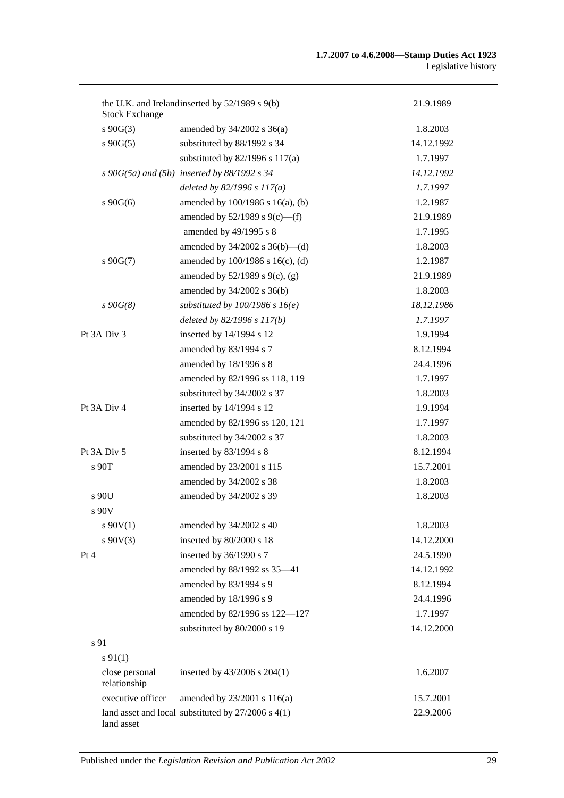| <b>Stock Exchange</b>          | the U.K. and Irelandinserted by 52/1989 s 9(b)         | 21.9.1989  |
|--------------------------------|--------------------------------------------------------|------------|
| $s\ 90G(3)$                    | amended by $34/2002$ s $36(a)$                         | 1.8.2003   |
| $s\,90G(5)$                    | substituted by 88/1992 s 34                            | 14.12.1992 |
|                                | substituted by 82/1996 s 117(a)                        | 1.7.1997   |
|                                | $s$ 90G(5a) and (5b) inserted by 88/1992 $s$ 34        | 14.12.1992 |
|                                | deleted by $82/1996 s 117(a)$                          | 1.7.1997   |
| $s\ 90G(6)$                    | amended by 100/1986 s 16(a), (b)                       | 1.2.1987   |
|                                | amended by $52/1989$ s $9(c)$ —(f)                     | 21.9.1989  |
|                                | amended by 49/1995 s 8                                 | 1.7.1995   |
|                                | amended by $34/2002$ s $36(b)$ —(d)                    | 1.8.2003   |
| $s\ 90G(7)$                    | amended by 100/1986 s 16(c), (d)                       | 1.2.1987   |
|                                | amended by $52/1989$ s $9(c)$ , (g)                    | 21.9.1989  |
|                                | amended by 34/2002 s 36(b)                             | 1.8.2003   |
| $s\,90G(8)$                    | substituted by $100/1986$ s $16(e)$                    | 18.12.1986 |
|                                | deleted by $82/1996 s 117(b)$                          | 1.7.1997   |
| Pt 3A Div 3                    | inserted by 14/1994 s 12                               | 1.9.1994   |
|                                | amended by 83/1994 s 7                                 | 8.12.1994  |
|                                | amended by 18/1996 s 8                                 | 24.4.1996  |
|                                | amended by 82/1996 ss 118, 119                         | 1.7.1997   |
|                                | substituted by 34/2002 s 37                            | 1.8.2003   |
| Pt 3A Div 4                    | inserted by 14/1994 s 12                               | 1.9.1994   |
|                                | amended by 82/1996 ss 120, 121                         | 1.7.1997   |
|                                | substituted by 34/2002 s 37                            | 1.8.2003   |
| Pt 3A Div 5                    | inserted by 83/1994 s 8                                | 8.12.1994  |
| s 90T                          | amended by 23/2001 s 115                               | 15.7.2001  |
|                                | amended by 34/2002 s 38                                | 1.8.2003   |
| $s$ 90U                        | amended by 34/2002 s 39                                | 1.8.2003   |
| $s$ 90 $V$                     |                                                        |            |
| $s\ 90V(1)$                    | amended by 34/2002 s 40                                | 1.8.2003   |
| $s\ 90V(3)$                    | inserted by 80/2000 s 18                               | 14.12.2000 |
| Pt 4                           | inserted by 36/1990 s 7                                | 24.5.1990  |
|                                | amended by 88/1992 ss 35-41                            | 14.12.1992 |
|                                | amended by 83/1994 s 9                                 | 8.12.1994  |
|                                | amended by 18/1996 s 9                                 | 24.4.1996  |
|                                | amended by 82/1996 ss 122-127                          | 1.7.1997   |
|                                | substituted by 80/2000 s 19                            | 14.12.2000 |
| s 91                           |                                                        |            |
| $s\,91(1)$                     |                                                        |            |
| close personal<br>relationship | inserted by $43/2006$ s $204(1)$                       | 1.6.2007   |
| executive officer              | amended by 23/2001 s 116(a)                            | 15.7.2001  |
| land asset                     | land asset and local substituted by $27/2006$ s $4(1)$ | 22.9.2006  |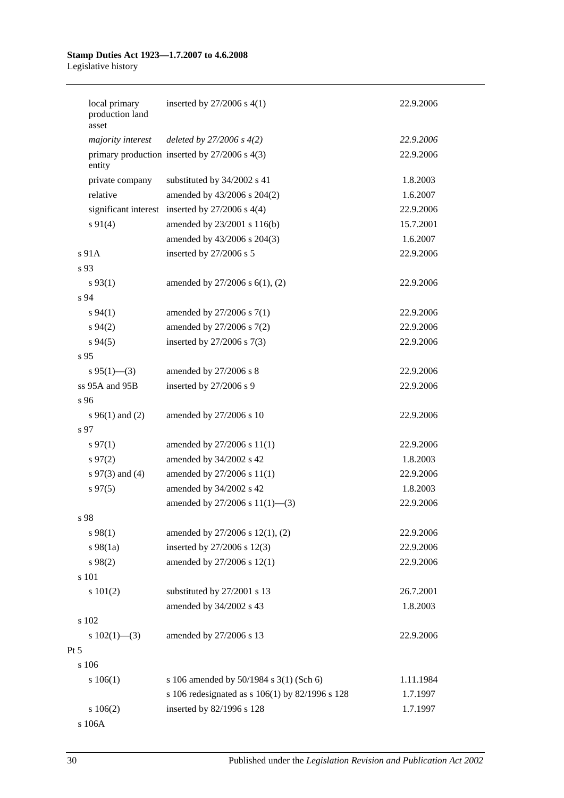|                 | local primary<br>production land<br>asset | inserted by $27/2006$ s $4(1)$                      | 22.9.2006 |
|-----------------|-------------------------------------------|-----------------------------------------------------|-----------|
|                 | majority interest                         | deleted by $27/2006 s 4(2)$                         | 22.9.2006 |
|                 | entity                                    | primary production inserted by $27/2006$ s $4(3)$   | 22.9.2006 |
|                 | private company                           | substituted by 34/2002 s 41                         | 1.8.2003  |
|                 | relative                                  | amended by 43/2006 s 204(2)                         | 1.6.2007  |
|                 |                                           | significant interest inserted by $27/2006$ s $4(4)$ | 22.9.2006 |
|                 | $s\ 91(4)$                                | amended by 23/2001 s 116(b)                         | 15.7.2001 |
|                 |                                           | amended by 43/2006 s 204(3)                         | 1.6.2007  |
|                 | s 91A                                     | inserted by 27/2006 s 5                             | 22.9.2006 |
| s 93            |                                           |                                                     |           |
|                 | $s\,93(1)$                                | amended by $27/2006$ s $6(1)$ , (2)                 | 22.9.2006 |
| s 94            |                                           |                                                     |           |
|                 | $s\,94(1)$                                | amended by $27/2006$ s $7(1)$                       | 22.9.2006 |
|                 | $s\,94(2)$                                | amended by 27/2006 s 7(2)                           | 22.9.2006 |
|                 | $s\,94(5)$                                | inserted by $27/2006$ s $7(3)$                      | 22.9.2006 |
| s <sub>95</sub> |                                           |                                                     |           |
|                 | $s\,95(1)$ —(3)                           | amended by 27/2006 s 8                              | 22.9.2006 |
|                 | ss 95A and 95B                            | inserted by 27/2006 s 9                             | 22.9.2006 |
| s 96            |                                           |                                                     |           |
|                 | $s\,96(1)$ and (2)                        | amended by 27/2006 s 10                             | 22.9.2006 |
| s 97            |                                           |                                                     |           |
|                 | $s\,97(1)$                                | amended by 27/2006 s 11(1)                          | 22.9.2006 |
|                 | $s\,97(2)$                                | amended by 34/2002 s 42                             | 1.8.2003  |
|                 | s $97(3)$ and (4)                         | amended by 27/2006 s 11(1)                          | 22.9.2006 |
|                 | $s\,97(5)$                                | amended by 34/2002 s 42                             | 1.8.2003  |
|                 |                                           | amended by $27/2006$ s $11(1)$ —(3)                 | 22.9.2006 |
| s 98            |                                           |                                                     |           |
|                 | s 98(1)                                   | amended by 27/2006 s 12(1), (2)                     | 22.9.2006 |
|                 | $s\,98(1a)$                               | inserted by 27/2006 s 12(3)                         | 22.9.2006 |
|                 | $s\,98(2)$                                | amended by 27/2006 s 12(1)                          | 22.9.2006 |
|                 | s 101                                     |                                                     |           |
|                 | s 101(2)                                  | substituted by 27/2001 s 13                         | 26.7.2001 |
|                 |                                           | amended by 34/2002 s 43                             | 1.8.2003  |
|                 | s 102                                     |                                                     |           |
|                 | s $102(1)$ —(3)                           | amended by 27/2006 s 13                             | 22.9.2006 |
| $Pt\,5$         |                                           |                                                     |           |
|                 | s 106                                     |                                                     |           |
|                 | s 106(1)                                  | s 106 amended by 50/1984 s 3(1) (Sch 6)             | 1.11.1984 |
|                 |                                           | s 106 redesignated as s 106(1) by 82/1996 s 128     | 1.7.1997  |
|                 | s 106(2)                                  | inserted by 82/1996 s 128                           | 1.7.1997  |
|                 | s 106A                                    |                                                     |           |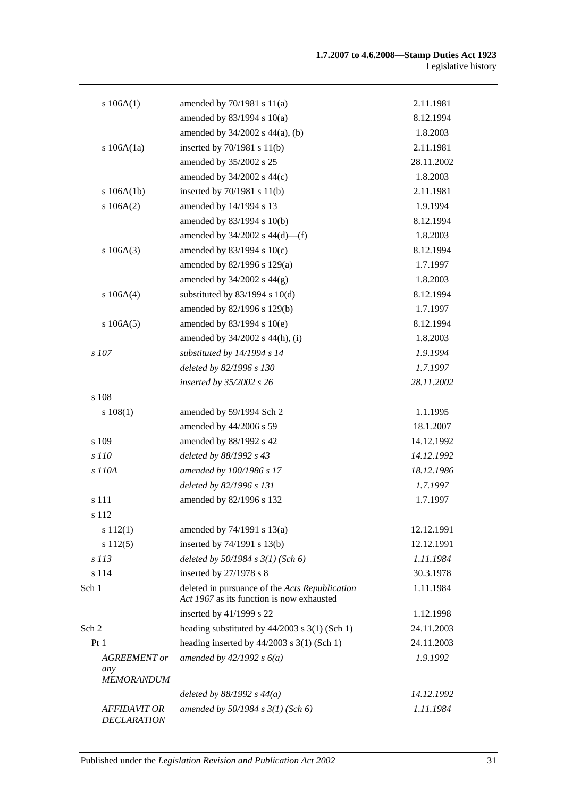| s 106A(1)                                       | amended by $70/1981$ s $11(a)$                                                              | 2.11.1981  |
|-------------------------------------------------|---------------------------------------------------------------------------------------------|------------|
|                                                 | amended by $83/1994$ s $10(a)$                                                              | 8.12.1994  |
|                                                 | amended by $34/2002$ s $44(a)$ , (b)                                                        | 1.8.2003   |
| s $106A(1a)$                                    | inserted by $70/1981$ s $11(b)$                                                             | 2.11.1981  |
|                                                 | amended by 35/2002 s 25                                                                     | 28.11.2002 |
|                                                 | amended by $34/2002$ s $44(c)$                                                              | 1.8.2003   |
| s 106A(1b)                                      | inserted by $70/1981$ s $11(b)$                                                             | 2.11.1981  |
| s 106A(2)                                       | amended by 14/1994 s 13                                                                     | 1.9.1994   |
|                                                 | amended by 83/1994 s 10(b)                                                                  | 8.12.1994  |
|                                                 | amended by $34/2002$ s $44(d)$ —(f)                                                         | 1.8.2003   |
| s 106A(3)                                       | amended by $83/1994$ s $10(c)$                                                              | 8.12.1994  |
|                                                 | amended by 82/1996 s 129(a)                                                                 | 1.7.1997   |
|                                                 | amended by $34/2002$ s $44(g)$                                                              | 1.8.2003   |
| s 106A(4)                                       | substituted by $83/1994$ s $10(d)$                                                          | 8.12.1994  |
|                                                 | amended by 82/1996 s 129(b)                                                                 | 1.7.1997   |
| s 106A(5)                                       | amended by 83/1994 s 10(e)                                                                  | 8.12.1994  |
|                                                 | amended by $34/2002$ s $44(h)$ , (i)                                                        | 1.8.2003   |
| s 107                                           | substituted by 14/1994 s 14                                                                 | 1.9.1994   |
|                                                 | deleted by 82/1996 s 130                                                                    | 1.7.1997   |
|                                                 | inserted by 35/2002 s 26                                                                    | 28.11.2002 |
| s 108                                           |                                                                                             |            |
| s 108(1)                                        | amended by 59/1994 Sch 2                                                                    | 1.1.1995   |
|                                                 | amended by 44/2006 s 59                                                                     | 18.1.2007  |
| s 109                                           | amended by 88/1992 s 42                                                                     | 14.12.1992 |
| s 110                                           | deleted by 88/1992 s 43                                                                     | 14.12.1992 |
| s 110A                                          | amended by 100/1986 s 17                                                                    | 18.12.1986 |
|                                                 | deleted by 82/1996 s 131                                                                    | 1.7.1997   |
| s 111                                           | amended by 82/1996 s 132                                                                    | 1.7.1997   |
| s 112                                           |                                                                                             |            |
| s 112(1)                                        | amended by $74/1991$ s $13(a)$                                                              | 12.12.1991 |
| s112(5)                                         | inserted by 74/1991 s 13(b)                                                                 | 12.12.1991 |
| s 113                                           | deleted by $50/1984$ s $3(1)$ (Sch 6)                                                       | 1.11.1984  |
| s 114                                           | inserted by 27/1978 s 8                                                                     | 30.3.1978  |
| Sch 1                                           | deleted in pursuance of the Acts Republication<br>Act 1967 as its function is now exhausted | 1.11.1984  |
|                                                 | inserted by 41/1999 s 22                                                                    | 1.12.1998  |
| Sch 2                                           | heading substituted by $44/2003$ s $3(1)$ (Sch 1)                                           | 24.11.2003 |
| Pt <sub>1</sub>                                 | heading inserted by $44/2003$ s 3(1) (Sch 1)                                                | 24.11.2003 |
| <b>AGREEMENT</b> or<br>any<br><b>MEMORANDUM</b> | amended by $42/1992 s 6(a)$                                                                 | 1.9.1992   |
|                                                 | deleted by $88/1992 s 44(a)$                                                                | 14.12.1992 |
| <b>AFFIDAVIT OR</b>                             | amended by 50/1984 s 3(1) (Sch 6)                                                           | 1.11.1984  |
| <b>DECLARATION</b>                              |                                                                                             |            |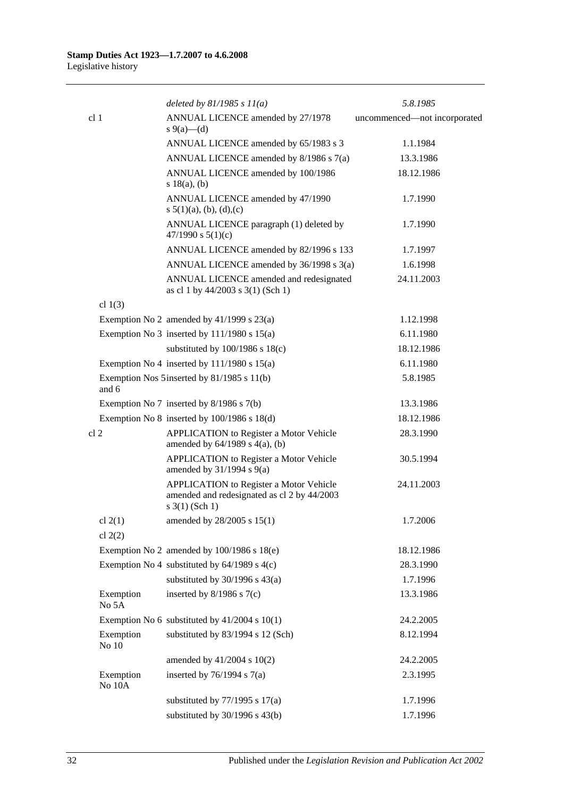|                        | deleted by $81/1985 s 11(a)$                                                                                  | 5.8.1985                     |
|------------------------|---------------------------------------------------------------------------------------------------------------|------------------------------|
| cl <sub>1</sub>        | ANNUAL LICENCE amended by 27/1978<br>s 9(a)—(d)                                                               | uncommenced—not incorporated |
|                        | ANNUAL LICENCE amended by 65/1983 s 3                                                                         | 1.1.1984                     |
|                        | ANNUAL LICENCE amended by 8/1986 s 7(a)                                                                       | 13.3.1986                    |
|                        | ANNUAL LICENCE amended by 100/1986<br>s 18(a), (b)                                                            | 18.12.1986                   |
|                        | ANNUAL LICENCE amended by 47/1990<br>s $5(1)(a)$ , (b), (d), (c)                                              | 1.7.1990                     |
|                        | ANNUAL LICENCE paragraph (1) deleted by<br>47/1990 s $5(1)(c)$                                                | 1.7.1990                     |
|                        | ANNUAL LICENCE amended by 82/1996 s 133                                                                       | 1.7.1997                     |
|                        | ANNUAL LICENCE amended by 36/1998 s 3(a)                                                                      | 1.6.1998                     |
|                        | ANNUAL LICENCE amended and redesignated<br>as cl 1 by 44/2003 s 3(1) (Sch 1)                                  | 24.11.2003                   |
| cl $1(3)$              |                                                                                                               |                              |
|                        | Exemption No 2 amended by $41/1999$ s $23(a)$                                                                 | 1.12.1998                    |
|                        | Exemption No 3 inserted by $111/1980$ s $15(a)$                                                               | 6.11.1980                    |
|                        | substituted by $100/1986$ s $18(c)$                                                                           | 18.12.1986                   |
|                        | Exemption No 4 inserted by $111/1980$ s $15(a)$                                                               | 6.11.1980                    |
| and 6                  | Exemption Nos 5 inserted by 81/1985 s 11(b)                                                                   | 5.8.1985                     |
|                        | Exemption No 7 inserted by $8/1986$ s $7(b)$                                                                  | 13.3.1986                    |
|                        | Exemption No $8$ inserted by $100/1986$ s $18(d)$                                                             | 18.12.1986                   |
| cl <sub>2</sub>        | APPLICATION to Register a Motor Vehicle<br>amended by $64/1989$ s $4(a)$ , (b)                                | 28.3.1990                    |
|                        | <b>APPLICATION</b> to Register a Motor Vehicle<br>amended by $31/1994$ s $9(a)$                               | 30.5.1994                    |
|                        | APPLICATION to Register a Motor Vehicle<br>amended and redesignated as cl 2 by 44/2003<br>$s \; 3(1)$ (Sch 1) | 24.11.2003                   |
| cl $2(1)$<br>cl $2(2)$ | amended by $28/2005$ s $15(1)$                                                                                | 1.7.2006                     |
|                        | Exemption No 2 amended by $100/1986$ s $18(e)$                                                                | 18.12.1986                   |
|                        | Exemption No 4 substituted by 64/1989 s 4(c)                                                                  | 28.3.1990                    |
|                        | substituted by $30/1996$ s $43(a)$                                                                            | 1.7.1996                     |
| Exemption<br>No 5A     | inserted by $8/1986$ s $7(c)$                                                                                 | 13.3.1986                    |
|                        | Exemption No 6 substituted by $41/2004$ s 10(1)                                                               | 24.2.2005                    |
| Exemption<br>No $10$   | substituted by 83/1994 s 12 (Sch)                                                                             | 8.12.1994                    |
|                        | amended by 41/2004 s 10(2)                                                                                    | 24.2.2005                    |
| Exemption<br>No 10A    | inserted by $76/1994$ s $7(a)$                                                                                | 2.3.1995                     |
|                        | substituted by $77/1995$ s $17(a)$                                                                            | 1.7.1996                     |
|                        | substituted by $30/1996$ s $43(b)$                                                                            | 1.7.1996                     |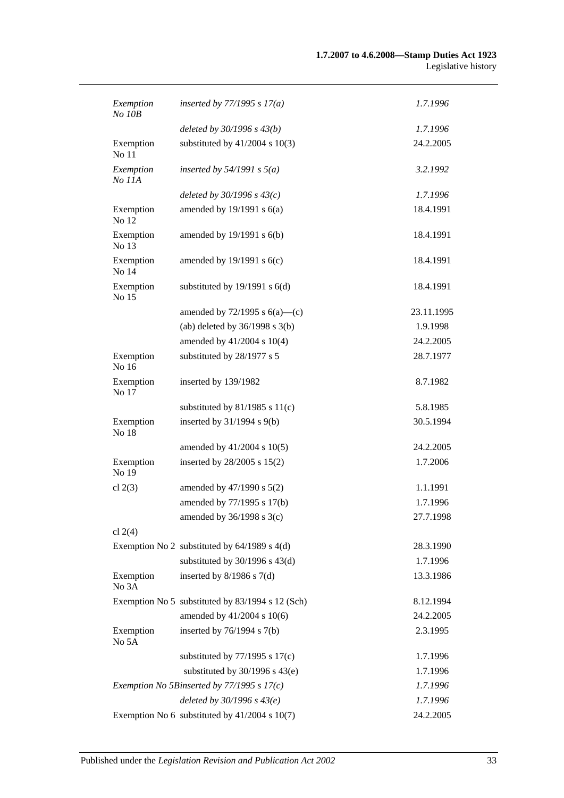| Exemption<br>$No$ $10B$ | inserted by $77/1995 s 17(a)$                    | 1.7.1996   |
|-------------------------|--------------------------------------------------|------------|
|                         | deleted by $30/1996 s 43(b)$                     | 1.7.1996   |
| Exemption<br>No 11      | substituted by $41/2004$ s $10(3)$               | 24.2.2005  |
| Exemption<br>No 11A     | inserted by $54/1991$ s $5(a)$                   | 3.2.1992   |
|                         | deleted by $30/1996 s 43(c)$                     | 1.7.1996   |
| Exemption<br>No 12      | amended by $19/1991$ s $6(a)$                    | 18.4.1991  |
| Exemption<br>No 13      | amended by 19/1991 s 6(b)                        | 18.4.1991  |
| Exemption<br>No 14      | amended by $19/1991$ s $6(c)$                    | 18.4.1991  |
| Exemption<br>No 15      | substituted by $19/1991$ s $6(d)$                | 18.4.1991  |
|                         | amended by $72/1995$ s $6(a)$ —(c)               | 23.11.1995 |
|                         | (ab) deleted by $36/1998$ s $3(b)$               | 1.9.1998   |
|                         | amended by 41/2004 s 10(4)                       | 24.2.2005  |
| Exemption<br>No 16      | substituted by 28/1977 s 5                       | 28.7.1977  |
| Exemption<br>No 17      | inserted by 139/1982                             | 8.7.1982   |
|                         | substituted by $81/1985$ s $11(c)$               | 5.8.1985   |
| Exemption<br>No 18      | inserted by $31/1994$ s $9(b)$                   | 30.5.1994  |
|                         | amended by 41/2004 s 10(5)                       | 24.2.2005  |
| Exemption<br>No 19      | inserted by 28/2005 s 15(2)                      | 1.7.2006   |
| cl $2(3)$               | amended by 47/1990 s 5(2)                        | 1.1.1991   |
|                         | amended by 77/1995 s 17(b)                       | 1.7.1996   |
|                         | amended by $36/1998$ s $3(c)$                    | 27.7.1998  |
| cl $2(4)$               |                                                  |            |
|                         | Exemption No 2 substituted by $64/1989$ s $4(d)$ | 28.3.1990  |
|                         | substituted by $30/1996$ s $43(d)$               | 1.7.1996   |
| Exemption<br>No 3A      | inserted by $8/1986$ s $7(d)$                    | 13.3.1986  |
|                         | Exemption No 5 substituted by 83/1994 s 12 (Sch) | 8.12.1994  |
|                         | amended by 41/2004 s 10(6)                       | 24.2.2005  |
| Exemption<br>No 5A      | inserted by $76/1994$ s $7(b)$                   | 2.3.1995   |
|                         | substituted by $77/1995$ s $17(c)$               | 1.7.1996   |
|                         | substituted by $30/1996$ s $43(e)$               | 1.7.1996   |
|                         | Exemption No 5Binserted by $77/1995 s 17(c)$     | 1.7.1996   |
|                         | deleted by $30/1996 s 43(e)$                     | 1.7.1996   |
|                         | Exemption No 6 substituted by $41/2004$ s 10(7)  | 24.2.2005  |
|                         |                                                  |            |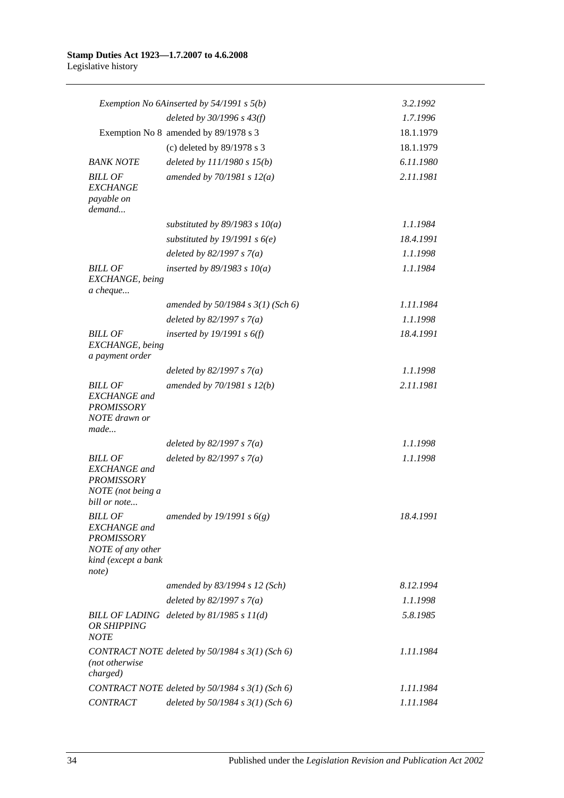|                                                                                                                 | Exemption No 6Ainserted by 54/1991 s 5(b)       | 3.2.1992  |
|-----------------------------------------------------------------------------------------------------------------|-------------------------------------------------|-----------|
|                                                                                                                 | deleted by $30/1996 s 43(f)$                    | 1.7.1996  |
|                                                                                                                 | Exemption No 8 amended by 89/1978 s 3           | 18.1.1979 |
|                                                                                                                 | (c) deleted by 89/1978 s 3                      | 18.1.1979 |
| <b>BANK NOTE</b>                                                                                                | deleted by $111/1980 s 15(b)$                   | 6.11.1980 |
| <b>BILL OF</b><br><b>EXCHANGE</b><br>payable on<br>demand                                                       | amended by $70/1981 s 12(a)$                    | 2.11.1981 |
|                                                                                                                 | substituted by $89/1983$ s $10(a)$              | 1.1.1984  |
|                                                                                                                 | substituted by 19/1991 s $6(e)$                 | 18.4.1991 |
|                                                                                                                 | deleted by $82/1997 s 7(a)$                     | 1.1.1998  |
| <b>BILL OF</b><br>EXCHANGE, being<br>a cheque                                                                   | inserted by $89/1983$ s $10(a)$                 | 1.1.1984  |
|                                                                                                                 | amended by $50/1984$ s $3(1)$ (Sch 6)           | 1.11.1984 |
|                                                                                                                 | deleted by $82/1997 s 7(a)$                     | 1.1.1998  |
| <b>BILL OF</b><br>EXCHANGE, being<br>a payment order                                                            | inserted by $19/1991 s 6(f)$                    | 18.4.1991 |
|                                                                                                                 | deleted by $82/1997 s 7(a)$                     | 1.1.1998  |
| <b>BILL OF</b><br><b>EXCHANGE</b> and<br><b>PROMISSORY</b><br>NOTE drawn or<br>made                             | amended by $70/1981 s 12(b)$                    | 2.11.1981 |
|                                                                                                                 | deleted by $82/1997 s 7(a)$                     | 1.1.1998  |
| <b>BILL OF</b><br><b>EXCHANGE</b> and<br><b>PROMISSORY</b><br>NOTE (not being a<br>bill or note                 | deleted by $82/1997 s 7(a)$                     | 1.1.1998  |
| <b>BILL OF</b><br><b>EXCHANGE</b> and<br><b>PROMISSORY</b><br>NOTE of any other<br>kind (except a bank<br>note) | amended by 19/1991 s $6(g)$                     | 18.4.1991 |
|                                                                                                                 | amended by 83/1994 s 12 (Sch)                   | 8.12.1994 |
|                                                                                                                 | deleted by $82/1997 s 7(a)$                     | 1.1.1998  |
| OR SHIPPING<br><b>NOTE</b>                                                                                      | BILL OF LADING deleted by 81/1985 s 11(d)       | 5.8.1985  |
| (not otherwise<br>charged)                                                                                      | CONTRACT NOTE deleted by 50/1984 s 3(1) (Sch 6) | 1.11.1984 |
|                                                                                                                 | CONTRACT NOTE deleted by 50/1984 s 3(1) (Sch 6) | 1.11.1984 |
| <b>CONTRACT</b>                                                                                                 | deleted by $50/1984$ s $3(1)$ (Sch 6)           | 1.11.1984 |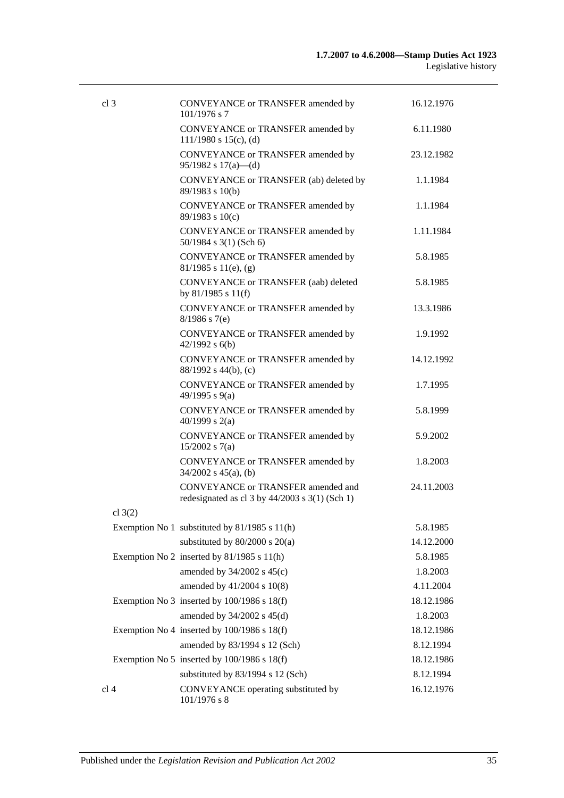| cl <sub>3</sub> | CONVEYANCE or TRANSFER amended by                                                                 | 16.12.1976 |
|-----------------|---------------------------------------------------------------------------------------------------|------------|
|                 | $101/1976$ s 7                                                                                    |            |
|                 | CONVEYANCE or TRANSFER amended by<br>$111/1980$ s $15(c)$ , (d)                                   | 6.11.1980  |
|                 | CONVEYANCE or TRANSFER amended by<br>95/1982 s $17(a)$ —(d)                                       | 23.12.1982 |
|                 | CONVEYANCE or TRANSFER (ab) deleted by<br>89/1983 s 10(b)                                         | 1.1.1984   |
|                 | CONVEYANCE or TRANSFER amended by<br>89/1983 s 10(c)                                              | 1.1.1984   |
|                 | CONVEYANCE or TRANSFER amended by<br>$50/1984$ s 3(1) (Sch 6)                                     | 1.11.1984  |
|                 | CONVEYANCE or TRANSFER amended by<br>$81/1985$ s $11(e)$ , (g)                                    | 5.8.1985   |
|                 | CONVEYANCE or TRANSFER (aab) deleted<br>by 81/1985 s 11(f)                                        | 5.8.1985   |
|                 | CONVEYANCE or TRANSFER amended by<br>$8/1986$ s 7(e)                                              | 13.3.1986  |
|                 | CONVEYANCE or TRANSFER amended by<br>$42/1992$ s $6(b)$                                           | 1.9.1992   |
|                 | CONVEYANCE or TRANSFER amended by<br>88/1992 s 44(b), (c)                                         | 14.12.1992 |
|                 | CONVEYANCE or TRANSFER amended by<br>49/1995 s 9(a)                                               | 1.7.1995   |
|                 | CONVEYANCE or TRANSFER amended by<br>40/1999 s $2(a)$                                             | 5.8.1999   |
|                 | CONVEYANCE or TRANSFER amended by<br>$15/2002$ s 7(a)                                             | 5.9.2002   |
|                 | CONVEYANCE or TRANSFER amended by<br>$34/2002$ s $45(a)$ , (b)                                    | 1.8.2003   |
|                 | <b>CONVEYANCE or TRANSFER amended and</b><br>redesignated as cl $3$ by $44/2003$ s $3(1)$ (Sch 1) | 24.11.2003 |
| cl $3(2)$       |                                                                                                   |            |
|                 | Exemption No 1 substituted by 81/1985 s 11(h)                                                     | 5.8.1985   |
|                 | substituted by $80/2000$ s $20(a)$                                                                | 14.12.2000 |
|                 | Exemption No 2 inserted by $81/1985$ s $11(h)$                                                    | 5.8.1985   |
|                 | amended by $34/2002$ s $45(c)$                                                                    | 1.8.2003   |
|                 | amended by 41/2004 s 10(8)                                                                        | 4.11.2004  |
|                 | Exemption No 3 inserted by $100/1986$ s $18(f)$                                                   | 18.12.1986 |
|                 | amended by 34/2002 s 45(d)                                                                        | 1.8.2003   |
|                 | Exemption No 4 inserted by $100/1986$ s $18(f)$                                                   | 18.12.1986 |
|                 | amended by 83/1994 s 12 (Sch)                                                                     | 8.12.1994  |
|                 | Exemption No 5 inserted by $100/1986$ s $18(f)$                                                   | 18.12.1986 |
|                 | substituted by 83/1994 s 12 (Sch)                                                                 | 8.12.1994  |
| cl 4            | CONVEYANCE operating substituted by<br>$101/1976$ s 8                                             | 16.12.1976 |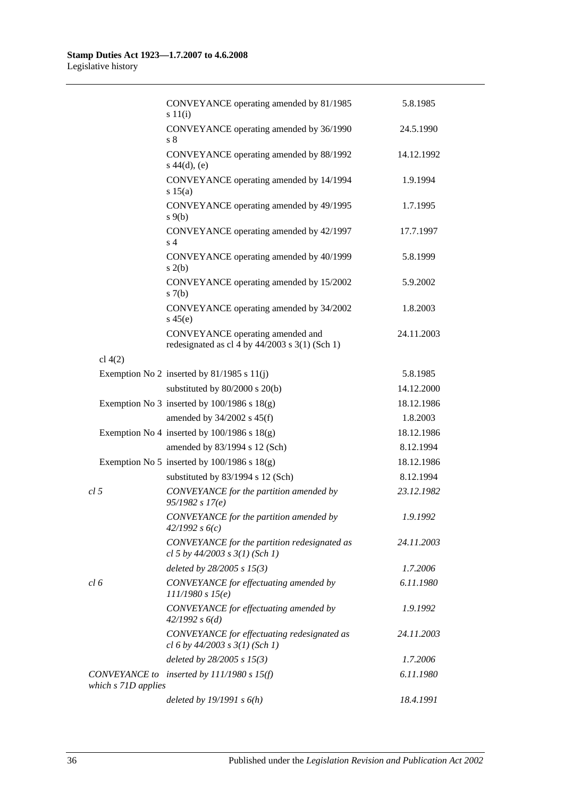|                     | CONVEYANCE operating amended by 81/1985<br>s 11(i)                                 | 5.8.1985   |
|---------------------|------------------------------------------------------------------------------------|------------|
|                     | CONVEYANCE operating amended by 36/1990<br>s <sub>8</sub>                          | 24.5.1990  |
|                     | CONVEYANCE operating amended by 88/1992<br>$s\ 44(d), (e)$                         | 14.12.1992 |
|                     | CONVEYANCE operating amended by 14/1994<br>s 15(a)                                 | 1.9.1994   |
|                     | CONVEYANCE operating amended by 49/1995<br>$s \theta(b)$                           | 1.7.1995   |
|                     | CONVEYANCE operating amended by 42/1997<br>s <sub>4</sub>                          | 17.7.1997  |
|                     | CONVEYANCE operating amended by 40/1999<br>s(2(b)                                  | 5.8.1999   |
|                     | CONVEYANCE operating amended by 15/2002<br>s(7(b)                                  | 5.9.2002   |
|                     | CONVEYANCE operating amended by 34/2002<br>$s\,45(e)$                              | 1.8.2003   |
|                     | CONVEYANCE operating amended and<br>redesignated as cl 4 by 44/2003 s 3(1) (Sch 1) | 24.11.2003 |
| cl $4(2)$           |                                                                                    |            |
|                     | Exemption No 2 inserted by $81/1985$ s $11(j)$                                     | 5.8.1985   |
|                     | substituted by $80/2000$ s $20(b)$                                                 | 14.12.2000 |
|                     | Exemption No 3 inserted by $100/1986$ s $18(g)$                                    | 18.12.1986 |
|                     | amended by $34/2002$ s $45(f)$                                                     | 1.8.2003   |
|                     | Exemption No 4 inserted by $100/1986$ s $18(g)$                                    | 18.12.1986 |
|                     | amended by 83/1994 s 12 (Sch)                                                      | 8.12.1994  |
|                     | Exemption No 5 inserted by $100/1986$ s $18(g)$                                    | 18.12.1986 |
|                     | substituted by 83/1994 s 12 (Sch)                                                  | 8.12.1994  |
| cl <sub>5</sub>     | CONVEYANCE for the partition amended by<br>95/1982 s 17(e)                         | 23.12.1982 |
|                     | CONVEYANCE for the partition amended by<br>42/1992 s6(c)                           | 1.9.1992   |
|                     | CONVEYANCE for the partition redesignated as<br>cl 5 by $44/2003$ s $3(1)$ (Sch 1) | 24.11.2003 |
|                     | deleted by 28/2005 s 15(3)                                                         | 1.7.2006   |
| cl 6                | CONVEYANCE for effectuating amended by<br>111/1980 s 15(e)                         | 6.11.1980  |
|                     | CONVEYANCE for effectuating amended by<br>42/1992 s 6(d)                           | 1.9.1992   |
|                     | CONVEYANCE for effectuating redesignated as<br>cl 6 by $44/2003$ s $3(1)$ (Sch 1)  | 24.11.2003 |
|                     | deleted by $28/2005 s 15(3)$                                                       | 1.7.2006   |
| which s 71D applies | CONVEYANCE to inserted by $111/1980 s 15(f)$                                       | 6.11.1980  |
|                     | deleted by $19/1991 s 6(h)$                                                        | 18.4.1991  |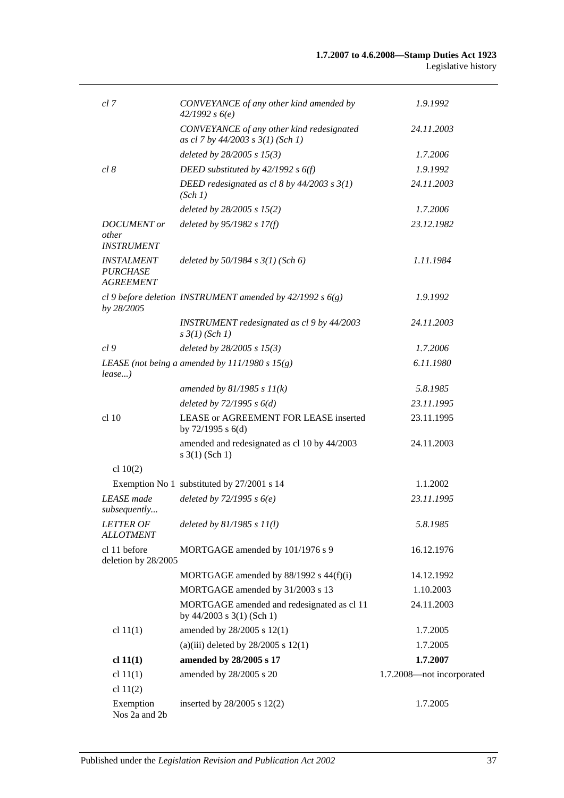| cl 7                                                     | CONVEYANCE of any other kind amended by<br>42/1992 s6(e)                       | 1.9.1992                  |
|----------------------------------------------------------|--------------------------------------------------------------------------------|---------------------------|
|                                                          | CONVEYANCE of any other kind redesignated<br>as cl 7 by 44/2003 s 3(1) (Sch 1) | 24.11.2003                |
|                                                          | deleted by $28/2005 s 15(3)$                                                   | 1.7.2006                  |
| cl 8                                                     | DEED substituted by $42/1992 s 6(f)$                                           | 1.9.1992                  |
|                                                          | DEED redesignated as cl 8 by $44/2003$ s $3(1)$<br>(Sch 1)                     | 24.11.2003                |
|                                                          | deleted by 28/2005 s 15(2)                                                     | 1.7.2006                  |
| <b>DOCUMENT</b> or<br>other<br><b>INSTRUMENT</b>         | deleted by $95/1982 s 17(f)$                                                   | 23.12.1982                |
| <b>INSTALMENT</b><br><b>PURCHASE</b><br><b>AGREEMENT</b> | deleted by $50/1984$ s $3(1)$ (Sch 6)                                          | 1.11.1984                 |
| by 28/2005                                               | cl 9 before deletion INSTRUMENT amended by $42/1992 s 6(g)$                    | 1.9.1992                  |
|                                                          | INSTRUMENT redesignated as cl 9 by 44/2003<br>$s \frac{3}{1}$ (Sch 1)          | 24.11.2003                |
| cl9                                                      | deleted by 28/2005 s 15(3)                                                     | 1.7.2006                  |
| $lease$ )                                                | LEASE (not being a amended by $111/1980 s 15(g)$ )                             | 6.11.1980                 |
|                                                          | amended by $81/1985 s 11(k)$                                                   | 5.8.1985                  |
|                                                          | deleted by $72/1995 s 6(d)$                                                    | 23.11.1995                |
| $cl$ 10                                                  | LEASE or AGREEMENT FOR LEASE inserted<br>by $72/1995$ s $6(d)$                 | 23.11.1995                |
|                                                          | amended and redesignated as cl 10 by 44/2003<br>$s \; 3(1)$ (Sch 1)            | 24.11.2003                |
| cl $10(2)$                                               |                                                                                |                           |
|                                                          | Exemption No 1 substituted by 27/2001 s 14                                     | 1.1.2002                  |
| <b>LEASE</b> made<br>subsequently                        | deleted by $72/1995 s6(e)$                                                     | 23.11.1995                |
| <b>LETTER OF</b><br><b>ALLOTMENT</b>                     | deleted by $81/1985 s 11(l)$                                                   | 5.8.1985                  |
| cl 11 before<br>deletion by 28/2005                      | MORTGAGE amended by 101/1976 s 9                                               | 16.12.1976                |
|                                                          | MORTGAGE amended by 88/1992 s 44(f)(i)                                         | 14.12.1992                |
|                                                          | MORTGAGE amended by 31/2003 s 13                                               | 1.10.2003                 |
|                                                          | MORTGAGE amended and redesignated as cl 11<br>by 44/2003 s 3(1) (Sch 1)        | 24.11.2003                |
| cl $11(1)$                                               | amended by 28/2005 s 12(1)                                                     | 1.7.2005                  |
|                                                          | (a)(iii) deleted by $28/2005$ s 12(1)                                          | 1.7.2005                  |
| cl 11(1)                                                 | amended by 28/2005 s 17                                                        | 1.7.2007                  |
| cl $11(1)$                                               | amended by 28/2005 s 20                                                        | 1.7.2008-not incorporated |
| cl $11(2)$                                               |                                                                                |                           |
| Exemption<br>Nos 2a and 2b                               | inserted by $28/2005$ s $12(2)$                                                | 1.7.2005                  |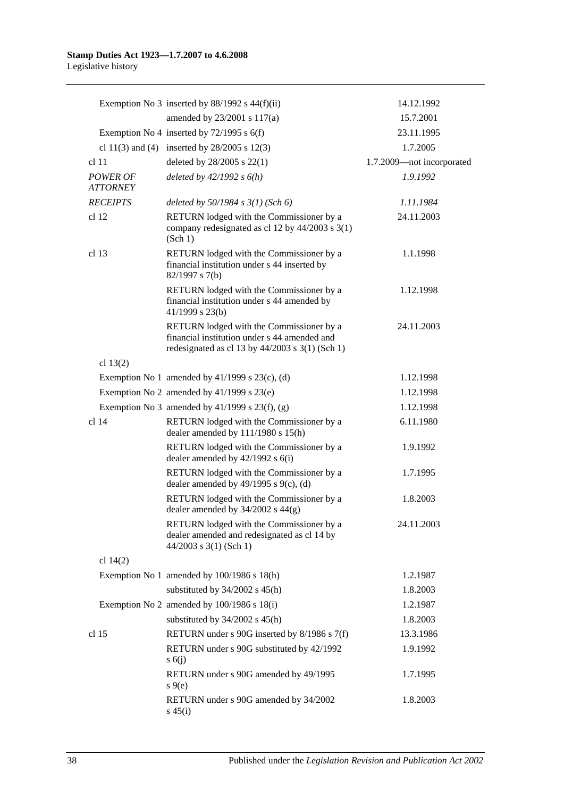|                             | Exemption No 3 inserted by $88/1992$ s $44(f)(ii)$                                                                                          | 14.12.1992                |
|-----------------------------|---------------------------------------------------------------------------------------------------------------------------------------------|---------------------------|
|                             | amended by 23/2001 s 117(a)                                                                                                                 | 15.7.2001                 |
|                             | Exemption No 4 inserted by $72/1995$ s 6(f)                                                                                                 | 23.11.1995                |
|                             | cl 11(3) and (4) inserted by $28/2005$ s 12(3)                                                                                              | 1.7.2005                  |
| cl <sub>11</sub>            | deleted by 28/2005 s 22(1)                                                                                                                  | 1.7.2009-not incorporated |
| POWER OF<br><b>ATTORNEY</b> | deleted by $42/1992 s 6(h)$                                                                                                                 | 1.9.1992                  |
| <b>RECEIPTS</b>             | deleted by $50/1984$ s $3(1)$ (Sch 6)                                                                                                       | 1.11.1984                 |
| cl <sub>12</sub>            | RETURN lodged with the Commissioner by a<br>company redesignated as cl 12 by 44/2003 s 3(1)<br>(Sch 1)                                      | 24.11.2003                |
| cl <sub>13</sub>            | RETURN lodged with the Commissioner by a<br>financial institution under s 44 inserted by<br>82/1997 s 7(b)                                  | 1.1.1998                  |
|                             | RETURN lodged with the Commissioner by a<br>financial institution under s 44 amended by<br>41/1999 s 23(b)                                  | 1.12.1998                 |
|                             | RETURN lodged with the Commissioner by a<br>financial institution under s 44 amended and<br>redesignated as cl 13 by 44/2003 s 3(1) (Sch 1) | 24.11.2003                |
| cl $13(2)$                  |                                                                                                                                             |                           |
|                             | Exemption No 1 amended by $41/1999$ s $23(c)$ , (d)                                                                                         | 1.12.1998                 |
|                             | Exemption No 2 amended by $41/1999$ s $23(e)$                                                                                               | 1.12.1998                 |
|                             | Exemption No 3 amended by $41/1999$ s $23(f)$ , (g)                                                                                         | 1.12.1998                 |
| cl 14                       | RETURN lodged with the Commissioner by a<br>dealer amended by 111/1980 s 15(h)                                                              | 6.11.1980                 |
|                             | RETURN lodged with the Commissioner by a<br>dealer amended by 42/1992 s 6(i)                                                                | 1.9.1992                  |
|                             | RETURN lodged with the Commissioner by a<br>dealer amended by $49/1995$ s $9(c)$ , (d)                                                      | 1.7.1995                  |
|                             | RETURN lodged with the Commissioner by a<br>dealer amended by $34/2002$ s $44(g)$                                                           | 1.8.2003                  |
|                             | RETURN lodged with the Commissioner by a<br>dealer amended and redesignated as cl 14 by<br>$44/2003$ s 3(1) (Sch 1)                         | 24.11.2003                |
| cl $14(2)$                  |                                                                                                                                             |                           |
|                             | Exemption No 1 amended by 100/1986 s 18(h)                                                                                                  | 1.2.1987                  |
|                             | substituted by $34/2002$ s $45(h)$                                                                                                          | 1.8.2003                  |
|                             | Exemption No 2 amended by 100/1986 s 18(i)                                                                                                  | 1.2.1987                  |
|                             | substituted by $34/2002$ s $45(h)$                                                                                                          | 1.8.2003                  |
| cl 15                       | RETURN under s 90G inserted by 8/1986 s 7(f)                                                                                                | 13.3.1986                 |
|                             | RETURN under s 90G substituted by 42/1992<br>s(6)                                                                                           | 1.9.1992                  |
|                             | RETURN under s 90G amended by 49/1995<br>$s \theta(e)$                                                                                      | 1.7.1995                  |
|                             | RETURN under s 90G amended by 34/2002<br>$s\,45(i)$                                                                                         | 1.8.2003                  |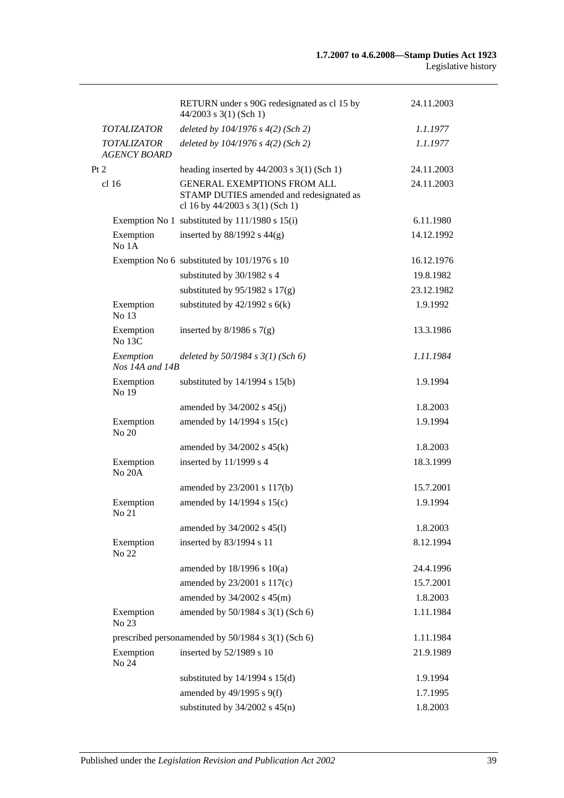|                                           | RETURN under s 90G redesignated as cl 15 by<br>$44/2003$ s 3(1) (Sch 1)                                           | 24.11.2003 |
|-------------------------------------------|-------------------------------------------------------------------------------------------------------------------|------------|
| <b>TOTALIZATOR</b>                        | deleted by $104/1976$ s $4(2)$ (Sch 2)                                                                            | 1.1.1977   |
| <b>TOTALIZATOR</b><br><b>AGENCY BOARD</b> | deleted by 104/1976 s 4(2) (Sch 2)                                                                                | 1.1.1977   |
| Pt 2                                      | heading inserted by $44/2003$ s 3(1) (Sch 1)                                                                      | 24.11.2003 |
| cl 16                                     | <b>GENERAL EXEMPTIONS FROM ALL</b><br>STAMP DUTIES amended and redesignated as<br>cl 16 by 44/2003 s 3(1) (Sch 1) | 24.11.2003 |
|                                           | Exemption No 1 substituted by 111/1980 s 15(i)                                                                    | 6.11.1980  |
| Exemption<br>No 1A                        | inserted by $88/1992$ s $44(g)$                                                                                   | 14.12.1992 |
|                                           | Exemption No 6 substituted by 101/1976 s 10                                                                       | 16.12.1976 |
|                                           | substituted by 30/1982 s 4                                                                                        | 19.8.1982  |
|                                           | substituted by $95/1982$ s $17(g)$                                                                                | 23.12.1982 |
| Exemption<br>No 13                        | substituted by $42/1992$ s $6(k)$                                                                                 | 1.9.1992   |
| Exemption<br>No 13C                       | inserted by $8/1986$ s $7(g)$                                                                                     | 13.3.1986  |
| Exemption<br>Nos 14A and 14B              | deleted by $50/1984$ s $3(1)$ (Sch 6)                                                                             | 1.11.1984  |
| Exemption<br>No 19                        | substituted by $14/1994$ s $15(b)$                                                                                | 1.9.1994   |
|                                           | amended by $34/2002$ s $45(j)$                                                                                    | 1.8.2003   |
| Exemption<br>No 20                        | amended by 14/1994 s 15(c)                                                                                        | 1.9.1994   |
|                                           | amended by $34/2002$ s $45(k)$                                                                                    | 1.8.2003   |
| Exemption<br><b>No 20A</b>                | inserted by 11/1999 s 4                                                                                           | 18.3.1999  |
|                                           | amended by 23/2001 s 117(b)                                                                                       | 15.7.2001  |
| Exemption<br>No 21                        | amended by 14/1994 s 15(c)                                                                                        | 1.9.1994   |
|                                           | amended by 34/2002 s 45(l)                                                                                        | 1.8.2003   |
| Exemption<br>No 22                        | inserted by 83/1994 s 11                                                                                          | 8.12.1994  |
|                                           | amended by $18/1996$ s $10(a)$                                                                                    | 24.4.1996  |
|                                           | amended by 23/2001 s 117(c)                                                                                       | 15.7.2001  |
|                                           | amended by $34/2002$ s $45(m)$                                                                                    | 1.8.2003   |
| Exemption<br>No 23                        | amended by 50/1984 s 3(1) (Sch 6)                                                                                 | 1.11.1984  |
|                                           | prescribed personamended by 50/1984 s 3(1) (Sch 6)                                                                | 1.11.1984  |
| Exemption<br>No 24                        | inserted by 52/1989 s 10                                                                                          | 21.9.1989  |
|                                           | substituted by $14/1994$ s $15(d)$                                                                                | 1.9.1994   |
|                                           | amended by 49/1995 s 9(f)                                                                                         | 1.7.1995   |
|                                           | substituted by $34/2002$ s $45(n)$                                                                                | 1.8.2003   |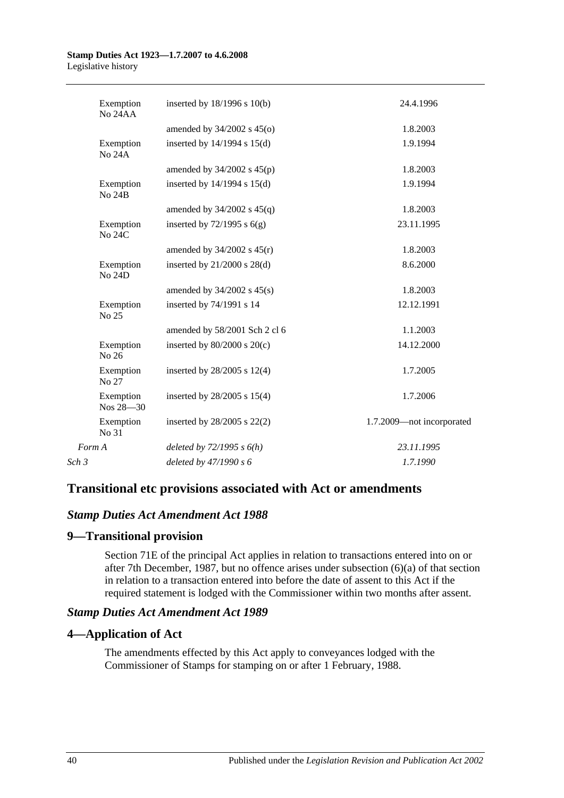| Exemption<br>No 24AA       | inserted by $18/1996$ s $10(b)$ | 24.4.1996                 |
|----------------------------|---------------------------------|---------------------------|
|                            | amended by $34/2002$ s $45(0)$  | 1.8.2003                  |
| Exemption<br><b>No 24A</b> | inserted by $14/1994$ s $15(d)$ | 1.9.1994                  |
|                            | amended by $34/2002$ s $45(p)$  | 1.8.2003                  |
| Exemption<br><b>No 24B</b> | inserted by $14/1994$ s $15(d)$ | 1.9.1994                  |
|                            | amended by $34/2002$ s $45(q)$  | 1.8.2003                  |
| Exemption<br><b>No 24C</b> | inserted by $72/1995$ s $6(g)$  | 23.11.1995                |
|                            | amended by $34/2002$ s $45(r)$  | 1.8.2003                  |
| Exemption<br><b>No 24D</b> | inserted by $21/2000$ s $28(d)$ | 8.6.2000                  |
|                            | amended by $34/2002$ s $45(s)$  | 1.8.2003                  |
| Exemption<br>No 25         | inserted by 74/1991 s 14        | 12.12.1991                |
|                            | amended by 58/2001 Sch 2 cl 6   | 1.1.2003                  |
| Exemption<br>No 26         | inserted by $80/2000$ s $20(c)$ | 14.12.2000                |
| Exemption<br>No 27         | inserted by $28/2005$ s $12(4)$ | 1.7.2005                  |
| Exemption<br>$Nos 28 - 30$ | inserted by 28/2005 s 15(4)     | 1.7.2006                  |
| Exemption<br>No 31         | inserted by $28/2005$ s $22(2)$ | 1.7.2009-not incorporated |
| Form A                     | deleted by $72/1995 s 6(h)$     | 23.11.1995                |
| Sch 3                      | deleted by 47/1990 s 6          | 1.7.1990                  |
|                            |                                 |                           |

# **Transitional etc provisions associated with Act or amendments**

# *Stamp Duties Act Amendment Act 1988*

# **9—Transitional provision**

Section 71E of the principal Act applies in relation to transactions entered into on or after 7th December, 1987, but no offence arises under subsection (6)(a) of that section in relation to a transaction entered into before the date of assent to this Act if the required statement is lodged with the Commissioner within two months after assent.

# *Stamp Duties Act Amendment Act 1989*

# **4—Application of Act**

The amendments effected by this Act apply to conveyances lodged with the Commissioner of Stamps for stamping on or after 1 February, 1988.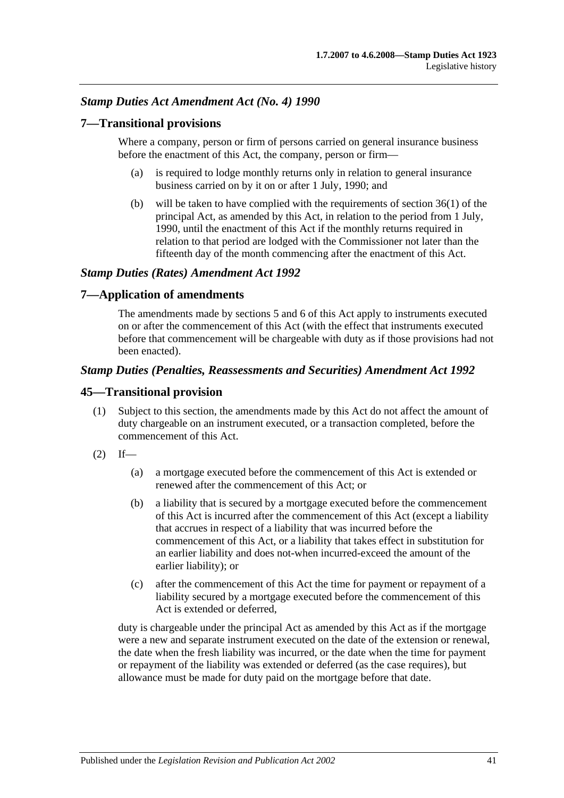# *Stamp Duties Act Amendment Act (No. 4) 1990*

# **7—Transitional provisions**

Where a company, person or firm of persons carried on general insurance business before the enactment of this Act, the company, person or firm—

- (a) is required to lodge monthly returns only in relation to general insurance business carried on by it on or after 1 July, 1990; and
- (b) will be taken to have complied with the requirements of section 36(1) of the principal Act, as amended by this Act, in relation to the period from 1 July, 1990, until the enactment of this Act if the monthly returns required in relation to that period are lodged with the Commissioner not later than the fifteenth day of the month commencing after the enactment of this Act.

## *Stamp Duties (Rates) Amendment Act 1992*

### **7—Application of amendments**

The amendments made by sections 5 and 6 of this Act apply to instruments executed on or after the commencement of this Act (with the effect that instruments executed before that commencement will be chargeable with duty as if those provisions had not been enacted).

## *Stamp Duties (Penalties, Reassessments and Securities) Amendment Act 1992*

## **45—Transitional provision**

- (1) Subject to this section, the amendments made by this Act do not affect the amount of duty chargeable on an instrument executed, or a transaction completed, before the commencement of this Act.
- $(2)$  If—
	- (a) a mortgage executed before the commencement of this Act is extended or renewed after the commencement of this Act; or
	- (b) a liability that is secured by a mortgage executed before the commencement of this Act is incurred after the commencement of this Act (except a liability that accrues in respect of a liability that was incurred before the commencement of this Act, or a liability that takes effect in substitution for an earlier liability and does not-when incurred-exceed the amount of the earlier liability); or
	- (c) after the commencement of this Act the time for payment or repayment of a liability secured by a mortgage executed before the commencement of this Act is extended or deferred,

duty is chargeable under the principal Act as amended by this Act as if the mortgage were a new and separate instrument executed on the date of the extension or renewal, the date when the fresh liability was incurred, or the date when the time for payment or repayment of the liability was extended or deferred (as the case requires), but allowance must be made for duty paid on the mortgage before that date.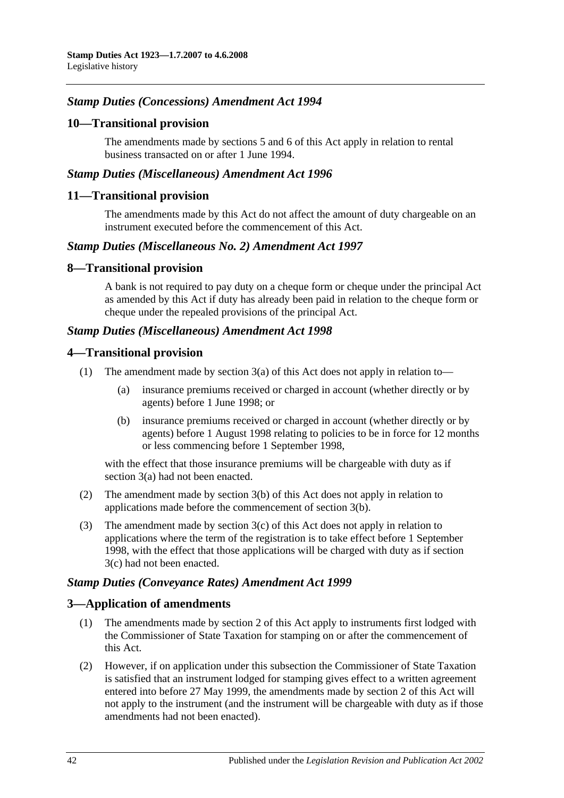# *Stamp Duties (Concessions) Amendment Act 1994*

# **10—Transitional provision**

The amendments made by sections 5 and 6 of this Act apply in relation to rental business transacted on or after 1 June 1994.

### *Stamp Duties (Miscellaneous) Amendment Act 1996*

#### **11—Transitional provision**

The amendments made by this Act do not affect the amount of duty chargeable on an instrument executed before the commencement of this Act.

### *Stamp Duties (Miscellaneous No. 2) Amendment Act 1997*

#### **8—Transitional provision**

A bank is not required to pay duty on a cheque form or cheque under the principal Act as amended by this Act if duty has already been paid in relation to the cheque form or cheque under the repealed provisions of the principal Act.

### *Stamp Duties (Miscellaneous) Amendment Act 1998*

#### **4—Transitional provision**

- (1) The amendment made by section  $3(a)$  of this Act does not apply in relation to—
	- (a) insurance premiums received or charged in account (whether directly or by agents) before 1 June 1998; or
	- (b) insurance premiums received or charged in account (whether directly or by agents) before 1 August 1998 relating to policies to be in force for 12 months or less commencing before 1 September 1998,

with the effect that those insurance premiums will be chargeable with duty as if section 3(a) had not been enacted.

- (2) The amendment made by section 3(b) of this Act does not apply in relation to applications made before the commencement of section 3(b).
- (3) The amendment made by section 3(c) of this Act does not apply in relation to applications where the term of the registration is to take effect before 1 September 1998, with the effect that those applications will be charged with duty as if section 3(c) had not been enacted.

### *Stamp Duties (Conveyance Rates) Amendment Act 1999*

### **3—Application of amendments**

- (1) The amendments made by section 2 of this Act apply to instruments first lodged with the Commissioner of State Taxation for stamping on or after the commencement of this Act.
- (2) However, if on application under this subsection the Commissioner of State Taxation is satisfied that an instrument lodged for stamping gives effect to a written agreement entered into before 27 May 1999, the amendments made by section 2 of this Act will not apply to the instrument (and the instrument will be chargeable with duty as if those amendments had not been enacted).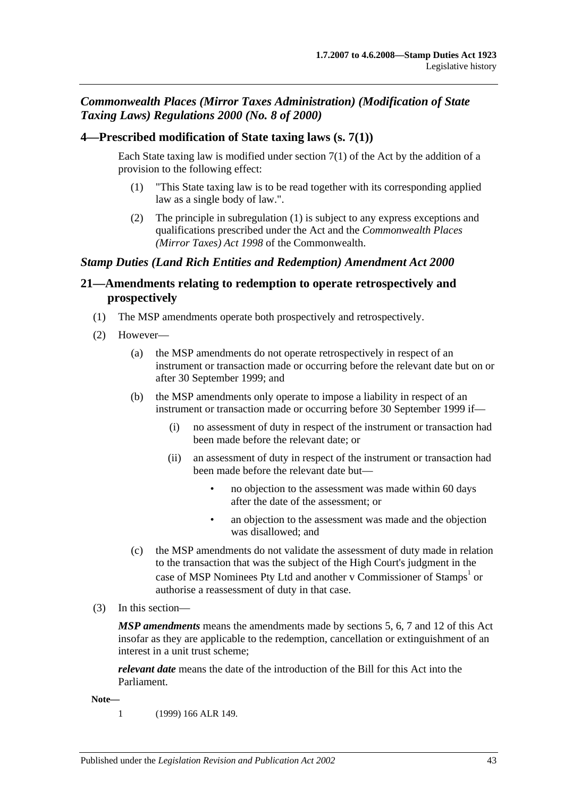# *Commonwealth Places (Mirror Taxes Administration) (Modification of State Taxing Laws) Regulations 2000 (No. 8 of 2000)*

# **4—Prescribed modification of State taxing laws (s. 7(1))**

Each State taxing law is modified under section 7(1) of the Act by the addition of a provision to the following effect:

- (1) "This State taxing law is to be read together with its corresponding applied law as a single body of law.".
- (2) The principle in subregulation (1) is subject to any express exceptions and qualifications prescribed under the Act and the *Commonwealth Places (Mirror Taxes) Act 1998* of the Commonwealth.

# *Stamp Duties (Land Rich Entities and Redemption) Amendment Act 2000*

# **21—Amendments relating to redemption to operate retrospectively and prospectively**

- (1) The MSP amendments operate both prospectively and retrospectively.
- (2) However—
	- (a) the MSP amendments do not operate retrospectively in respect of an instrument or transaction made or occurring before the relevant date but on or after 30 September 1999; and
	- (b) the MSP amendments only operate to impose a liability in respect of an instrument or transaction made or occurring before 30 September 1999 if—
		- (i) no assessment of duty in respect of the instrument or transaction had been made before the relevant date; or
		- (ii) an assessment of duty in respect of the instrument or transaction had been made before the relevant date but—
			- no objection to the assessment was made within 60 days after the date of the assessment; or
			- an objection to the assessment was made and the objection was disallowed; and
	- (c) the MSP amendments do not validate the assessment of duty made in relation to the transaction that was the subject of the High Court's judgment in the case of MSP Nominees Pty Ltd and another v Commissioner of Stamps<sup>1</sup> or authorise a reassessment of duty in that case.
- (3) In this section—

*MSP amendments* means the amendments made by sections 5, 6, 7 and 12 of this Act insofar as they are applicable to the redemption, cancellation or extinguishment of an interest in a unit trust scheme;

*relevant date* means the date of the introduction of the Bill for this Act into the Parliament.

**Note—**

1 (1999) 166 ALR 149.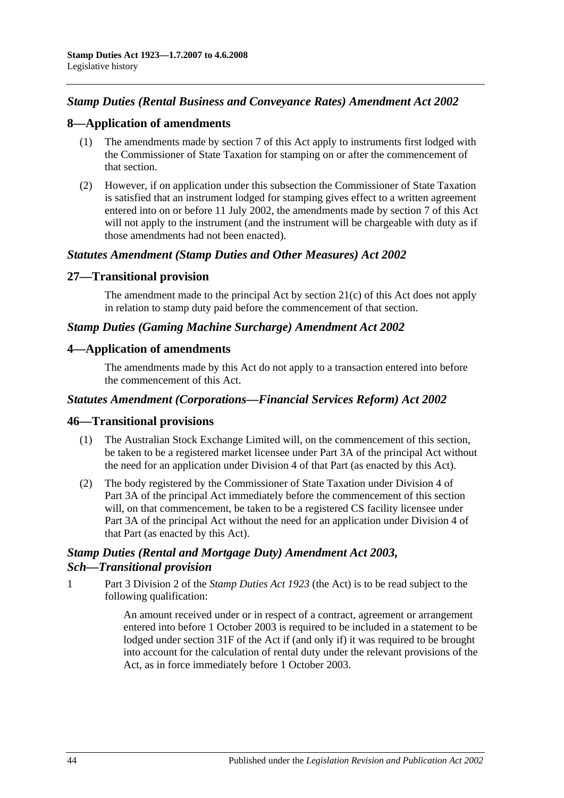# *Stamp Duties (Rental Business and Conveyance Rates) Amendment Act 2002*

## **8—Application of amendments**

- (1) The amendments made by section 7 of this Act apply to instruments first lodged with the Commissioner of State Taxation for stamping on or after the commencement of that section.
- (2) However, if on application under this subsection the Commissioner of State Taxation is satisfied that an instrument lodged for stamping gives effect to a written agreement entered into on or before 11 July 2002, the amendments made by section 7 of this Act will not apply to the instrument (and the instrument will be chargeable with duty as if those amendments had not been enacted).

## *Statutes Amendment (Stamp Duties and Other Measures) Act 2002*

## **27—Transitional provision**

The amendment made to the principal Act by section 21(c) of this Act does not apply in relation to stamp duty paid before the commencement of that section.

### *Stamp Duties (Gaming Machine Surcharge) Amendment Act 2002*

## **4—Application of amendments**

The amendments made by this Act do not apply to a transaction entered into before the commencement of this Act.

### *Statutes Amendment (Corporations—Financial Services Reform) Act 2002*

### **46—Transitional provisions**

- (1) The Australian Stock Exchange Limited will, on the commencement of this section, be taken to be a registered market licensee under Part 3A of the principal Act without the need for an application under Division 4 of that Part (as enacted by this Act).
- (2) The body registered by the Commissioner of State Taxation under Division 4 of Part 3A of the principal Act immediately before the commencement of this section will, on that commencement, be taken to be a registered CS facility licensee under Part 3A of the principal Act without the need for an application under Division 4 of that Part (as enacted by this Act).

# *Stamp Duties (Rental and Mortgage Duty) Amendment Act 2003, Sch—Transitional provision*

1 Part 3 Division 2 of the *[Stamp Duties Act](http://www.legislation.sa.gov.au/index.aspx?action=legref&type=act&legtitle=Stamp%20Duties%20Act%201923) 1923* (the Act) is to be read subject to the following qualification:

> An amount received under or in respect of a contract, agreement or arrangement entered into before 1 October 2003 is required to be included in a statement to be lodged under section 31F of the Act if (and only if) it was required to be brought into account for the calculation of rental duty under the relevant provisions of the Act, as in force immediately before 1 October 2003.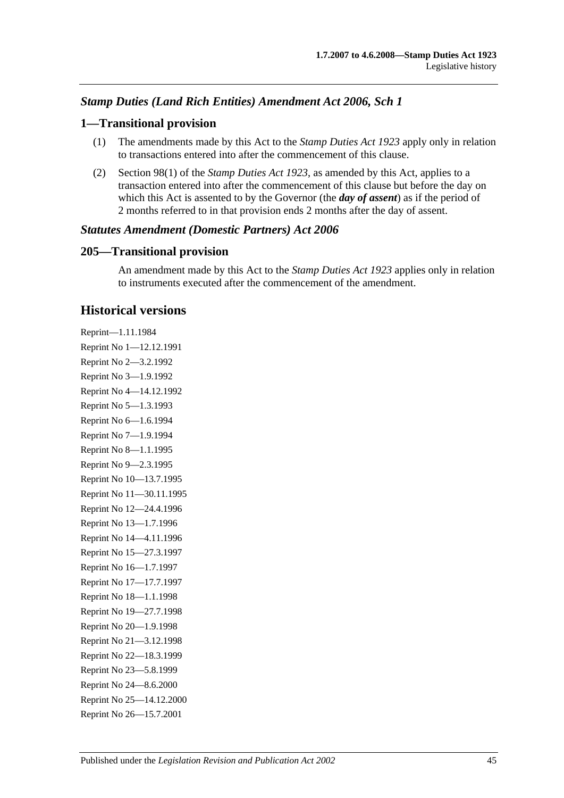# *Stamp Duties (Land Rich Entities) Amendment Act 2006, Sch 1*

## **1—Transitional provision**

- (1) The amendments made by this Act to the *[Stamp Duties Act](http://www.legislation.sa.gov.au/index.aspx?action=legref&type=act&legtitle=Stamp%20Duties%20Act%201923) 1923* apply only in relation to transactions entered into after the commencement of this clause.
- (2) Section 98(1) of the *[Stamp Duties Act](http://www.legislation.sa.gov.au/index.aspx?action=legref&type=act&legtitle=Stamp%20Duties%20Act%201923) 1923*, as amended by this Act, applies to a transaction entered into after the commencement of this clause but before the day on which this Act is assented to by the Governor (the *day of assent*) as if the period of 2 months referred to in that provision ends 2 months after the day of assent.

### *Statutes Amendment (Domestic Partners) Act 2006*

## **205—Transitional provision**

An amendment made by this Act to the *[Stamp Duties Act](http://www.legislation.sa.gov.au/index.aspx?action=legref&type=act&legtitle=Stamp%20Duties%20Act%201923) 1923* applies only in relation to instruments executed after the commencement of the amendment.

# **Historical versions**

Reprint—1.11.1984 Reprint No 1—12.12.1991 Reprint No 2—3.2.1992 Reprint No 3—1.9.1992 Reprint No 4—14.12.1992 Reprint No 5—1.3.1993 Reprint No 6—1.6.1994 Reprint No 7—1.9.1994 Reprint No 8—1.1.1995 Reprint No 9—2.3.1995 Reprint No 10—13.7.1995 Reprint No 11—30.11.1995 Reprint No 12—24.4.1996 Reprint No 13—1.7.1996 Reprint No 14—4.11.1996 Reprint No 15—27.3.1997 Reprint No 16—1.7.1997 Reprint No 17—17.7.1997 Reprint No 18—1.1.1998 Reprint No 19—27.7.1998 Reprint No 20—1.9.1998 Reprint No 21—3.12.1998 Reprint No 22—18.3.1999 Reprint No 23—5.8.1999 Reprint No 24—8.6.2000 Reprint No 25—14.12.2000 Reprint No 26—15.7.2001